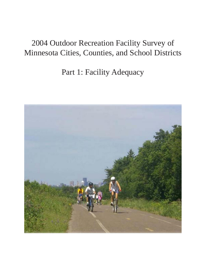# 2004 Outdoor Recreation Facility Survey of Minnesota Cities, Counties, and School Districts

Part 1: Facility Adequacy

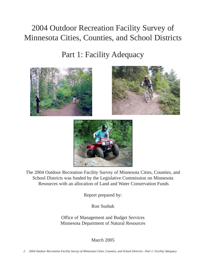# 2004 Outdoor Recreation Facility Survey of Minnesota Cities, Counties, and School Districts

Part 1: Facility Adequacy







The 2004 Outdoor Recreation Facility Survey of Minnesota Cities, Counties, and School Districts was funded by the Legislative Commission on Minnesota Resources with an allocation of Land and Water Conservation Funds

Report prepared by:

Ron Sushak

Office of Management and Budget Services Minnesota Department of Natural Resources

March 2005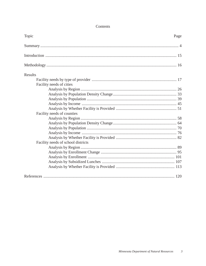| Topic                              | Page |
|------------------------------------|------|
|                                    |      |
|                                    |      |
|                                    |      |
| Results                            |      |
|                                    |      |
| Facility needs of cities           |      |
|                                    |      |
|                                    |      |
|                                    |      |
|                                    |      |
|                                    |      |
| Facility needs of counties         |      |
|                                    |      |
|                                    |      |
|                                    |      |
|                                    |      |
|                                    |      |
| Facility needs of school districts |      |
|                                    |      |
|                                    |      |
|                                    |      |
|                                    |      |
|                                    |      |
|                                    |      |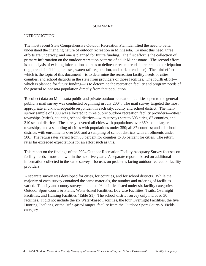#### SUMMARY

#### INTRODUCTION

The most recent State Comprehensive Outdoor Recreation Plan identified the need to better understand the changing nature of outdoor recreation in Minnesota. To meet this need, three efforts are underway, and one is planned for future funding. The first effort is the collection of primary information on the outdoor recreation patterns of adult Minnesotans. The second effort is an analysis of existing information sources to delineate recent trends in recreation participation (e.g., trends in fishing licenses, watercraft registration, and park attendance). The third effort which is the topic of this document—is to determine the recreation facility needs of cities, counties, and school districts in the state from providers of those facilities. The fourth effort which is planned for future funding—is to determine the recreation facility and program needs of the general Minnesota population directly from that population.

To collect data on Minnesota public and private outdoor recreation facilities open to the general public, a mail survey was conducted beginning in July 2004. The mail survey targeted the most appropriate and knowledgeable respondent in each city, county and school district. The mailsurvey sample of 1000 was allocated to three public outdoor recreation facility providers—cities/ townships (cities), counties, school districts—with surveys sent to 603 cities, 87 counties, and 310 school districts. The survey covered all cities with populations over 350, some larger townships, and a sampling of cities with populations under 350; all 87 counties; and all school districts with enrollments over 500 and a sampling of school districts with enrollments under 500. The return rates varied from 83 percent for counties to 85 percent for cities. The return rates far exceeded expectations for an effort such as this.

This report on the findings of the 2004 Outdoor Recreation Facility Adequacy Survey focuses on facility needs—now and within the next five years. A separate report—based on additional information collected in the same survey—focuses on problems facing outdoor recreation facility providers.

A separate survey was developed for cities, for counties, and for school districts. While the majority of each survey contained the same materials, the number and ordering of facilities varied. The city and county surveys included 46 facilities listed under six facility categories— Outdoor Sport Courts & Fields, Water-based Facilities, Day Use Facilities, Trails, Overnight Facilities, and Hunting Facilities (Table S1). The school district survey only included 30 facilities. It did not include the six Water-based Facilities, the four Overnight Facilities, the five Hunting Facilities, or the 'rifle-pistol ranges' facility from the Outdoor Sport Courts & Fields category.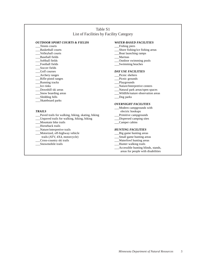#### Table S1 List of Facilities by Facility Category

#### *OUTDOOR SPORT COURTS & FIELDS*

- \_\_\_Tennis courts
- \_\_\_Basketball courts
- \_\_\_Volleyball courts
- \_\_\_Baseball fields
- Softball fields Football fields
- Soccer fields
- \_\_\_Golf courses
- \_\_\_Archery ranges
- \_\_\_Rifle-pistol ranges
- \_\_\_Running tracks
- \_\_\_Ice rinks
- \_\_\_Downhill ski areas
- \_\_\_Snow boarding areas
- \_\_\_Sledding hills
- \_\_\_Skateboard parks

#### *TRAILS*

- Paved trails for walking, hiking, skating, biking
- \_\_\_Unpaved trails for walking, hiking, biking
- \_\_\_Mountain bike trails
- \_\_\_Horseback trails
- \_\_\_Nature/interpretive trails
- \_Motorized, off-highway vehicle trails (ATV, 4X4, motorcycle)
- \_\_\_Cross-country ski trails
- Snowmobile trails

#### *WATER-BASED FACILITIES*

- \_\_\_Fishing piers
- \_\_\_Shore fishing/ice fishing areas
- \_\_\_Boat launching ramps
- \_\_\_Marinas
- \_\_\_Outdoor swimming pools
- \_\_\_Swimming beaches

#### *DAY USE FACILITIES*

- Picnic shelters
- \_\_\_Picnic grounds
- \_\_\_Playgrounds
- \_\_\_Nature/Interpretive centers
- \_\_\_Natural park areas/open spaces
- \_\_\_Wildlife/nature observation areas
- \_\_\_Dog parks

#### *OVERNIGHT FACILITIES*

- \_\_\_Modern campgrounds with electric hookups
- \_\_\_Primitive campgrounds
- \_\_\_Dispersed camping sites
- \_\_\_Camper cabins

#### *HUNTING FACILITIES*

- \_\_\_Big game hunting areas
- \_\_\_Small game hunting areas
- \_\_\_Waterfowl hunting areas
- \_\_\_Hunter walking trails
- \_<br>\_Accessible hunting blinds, stands, areas for people with disabilities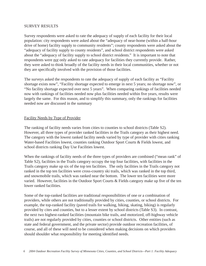### SURVEY RESULTS

Survey respondents were asked to rate the adequacy of supply of each facility for their local population: city respondents were asked about the "adequacy of near-home (within a half-hour drive of home) facility supply to community residents"; county respondents were asked about the "adequacy of facility supply to county residents", and school district respondents were asked about the "adequacy of facility supply to school district residents." It is important to note that respondents were *not* only asked to rate adequacy for facilities they currently provide. Rather, they were asked to think broadly of the facility needs in their local communities, whether or not they are specifically involved with the provision of those facilities.

The surveys asked the respondents to rate the adequacy of supply of each facility as "Facility shortage exists now", "Facility shortage expected to emerge in next 5 years; no shortage now", or "No facility shortage expected over next 5 years". When comparing rankings of facilities needed now with rankings of facilities needed now plus facilities needed within five years, results were largely the same. For this reason, and to simplify this summary, only the rankings for facilities needed now are discussed in the summary

### Facility Needs by Type of Provider

The ranking of facility needs varies from cities to counties to school districts (Table S2). However, all three types of provider ranked facilities in the Trails category as their highest need. The category with the lowest ranked facility needs varied by type of provider with cities ranking Water-based Facilities lowest, counties ranking Outdoor Sport Courts & Fields lowest, and school districts ranking Day Use Facilities lowest.

When the rankings of facility needs of the three types of providers are combined ("mean rank" of Table S2), facilities in the Trails category occupy the top four facilities, with facilities in the Trails category make up six of the top ten facilities. The only facilities in the Trails category not ranked in the top ten facilities were cross-country ski trails, which was ranked in the top third, and snowmobile trails, which was ranked near the bottom. The lower ten facilities were more varied. However, facilities in the Outdoor Sport Courts & Fields category make up five of the ten lower ranked facilities.

Some of the top-ranked facilities are traditional responsibilities of one or a combination of providers, while others are not traditionally provided by cities, counties, or school districts. For example, the top-ranked facility (paved trails for walking, hiking, skating, biking) is regularly provided by cites and counties, but to a lesser extent by school districts (Table S3). In contrast, the next two highest-ranked facilities (mountain bike trails, and motorized, off-highway vehicle trails) are not regularly provided by cities, counties or school districts. Other entities (such as state and federal government, and the private sector) provide outdoor recreation facilities, of course, and all of these will need to be considered when making decisions on which providers should shoulder what responsibility for meeting identified needs.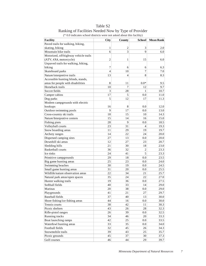| <b>Facility</b>                       | City             | County         | <b>School</b>  | <b>Mean Rank</b> |
|---------------------------------------|------------------|----------------|----------------|------------------|
| Paved trails for walking, hiking,     |                  |                |                |                  |
| skating, biking                       | 1                | $\overline{c}$ | 3              | 2.0              |
| Mountain bike trails                  | 6                | 3              | 9              | 6.0              |
| Motorized, off-highway vehicle trails |                  |                |                |                  |
| (ATV, 4X4, motorcycle)                | $\overline{c}$   | $\mathbf{1}$   | 15             | 6.0              |
| Unpaved trails for walking, hiking,   |                  |                |                |                  |
| biking                                | $\boldsymbol{7}$ | 6              | 6              | 6.3              |
| Skateboard parks                      | $\overline{4}$   | 10             | $\overline{7}$ | 7.0              |
| Nature/interpretive trails            | 13               | 4              | $\,$ 8 $\,$    | 8.3              |
| Accessible hunting blinds, stands,    |                  |                |                |                  |
| areas for people with disabilities    | 8                | 11             | $0.0*$         | 9.5              |
| Horseback trails                      | 10               | 7              | 12             | 9.7              |
| Soccer fields                         | 3                | 28             | 1              | 10.7             |
| Camper cabins                         | 17               | 5              | 0.0            | 11.0             |
| Dog parks                             | 5                | 12             | 17             | 11.3             |
| Modern campgrounds with electric      |                  |                |                |                  |
| hookups                               | 16               | 8              | 0.0            | 12.0             |
| Outdoor swimming pools                | 9                | 17             | 0.0            | 13.0             |
| Cross-country ski trails              | 18               | 15             | 10             | 14.3             |
| Nature/Interprative centers           | 15               | 14             | 16             | 15.0             |
| Fishing piers                         | 28               | 9              | 0.0            | 18.5             |
| Volleyball courts                     | 23               | 31             | $\overline{4}$ | 19.3             |
| Snow boarding areas                   | 11               | 29             | 19             | 19.7             |
| Archery ranges                        | 14               | 22             | 24             | 20.0             |
| Dispersed camping sites               | 27               | 13             | 0.0            | 20.0             |
| Downhill ski areas                    | 12               | 27             | 23             | 20.7             |
| Sledding hills                        | 21               | 30             | 18             | 23.0             |
| <b>Basketball courts</b>              | 36               | 32             | $\overline{c}$ | 23.3             |
| Ice rinks                             | 24               | 41             | 5              | 23.3             |
| Primitive campgrounds                 | 29               | 18             | 0.0            | 23.5             |
| Big game hunting areas                | 25               | 23             | 0.0            | 24.0             |
| Swimming beaches                      | 30               | 19             | 0.0            | 24.5             |
| Small game hunting areas              | 31               | 20             | 0.0            | 25.5             |
| Wildlife/nature observation areas     | 22               | 34             | 21             | 25.7             |
| Natural park areas/open spaces        | 35               | 24             | 22             | 27.0             |
| Hunter walking trails                 | 19               | 36             | 0.0            | 27.5             |
| Softball fields                       | 40               | 33             | 14             | 29.0             |
| Marinas                               | 20               | 38             | 0.0            | 29.0             |
| Playgrounds                           | 41               | 21             | 27             | 29.7             |
| <b>Baseball</b> fields                | 37               | 40             | 13             | 30.0             |
| Shore fishing/ice fishing areas       | 44               | 16             | 0.0            | 30.0             |
| Tennis courts                         | 38               | 42             | 11             | 30.3             |
| Picnic shelters                       | 43               | 26             | $28\,$         | 32.3             |
| Rifle-pistol ranges                   | 26               | 39             | 0.0            | 32.5             |
| Running tracks                        | 34               | 46             | 20             | 33.3             |
| Boat launching ramps                  | 42               | 25             | 0.0            | 33.5             |
| Waterfowl hunting areas               | 33               | 35             | 0.0            | 34.0             |
| Football fields                       | 32               | 45             | 26             | 34.3             |
| Snowmobile trails                     | 39               | 43             | 25             | 35.7             |
| Picnic grounds                        | 45               | 37             | 30             | 37.3             |
| Golf courses                          | 46               | 44             | 29             | 39.7             |

Table S2 Ranking of Facilities Needed Now by Type of Provider (\* 0.0 indicates school districts were not asked about this facility)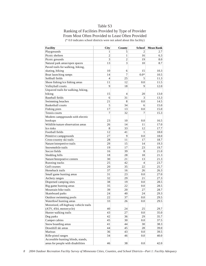### Table S3 Ranking of Facilities Provided by Type of Provider From Most Often Provided to Least Often Provided (\* 0.0 indicates school districts were not asked about this facility)

| <b>Facility</b>                       | City           | County         | <b>School</b>  | <b>Mean Rank</b> |
|---------------------------------------|----------------|----------------|----------------|------------------|
| Playgrounds                           | 1              | 5              | $\overline{c}$ | 2.7              |
| Picnic shelters                       | 2              | 1              | 16             | 6.3              |
| Picnic grounds                        | 3              | $\overline{c}$ | 19             | 8.0              |
| Natural park areas/open spaces        | 13             | 3              | 10             | 8.7              |
| Paved trails for walking, hiking,     |                |                |                |                  |
| skating, biking                       | 10             | 6              | 15             | 10.3             |
| Boat launching ramps                  | 14             | $\overline{7}$ | $0.0*$         | 10.5             |
| Softball fields                       | 4              | 25             | 5              | 11.3             |
| Shore fishing/ice fishing areas       | 11             | 12             | 0.0            | 11.5             |
| Volleyball courts                     | 9              | 18             | 9              | 12.0             |
| Unpaved trails for walking, hiking,   |                |                |                |                  |
| biking                                | 15             | 4              | 20             | 13.0             |
| <b>Baseball</b> fields                | 6              | 31             | 3              | 13.3             |
| Swimming beaches                      | 21             | 8              | 0.0            | 14.5             |
| <b>Basketball courts</b>              | 5              | 34             | 6              | 15.0             |
| Fishing piers                         | 17             | 13             | 0.0            | 15.0             |
| Tennis courts                         | $\overline{7}$ | 32             | 7              | 15.3             |
| Modern campgrounds with electric      |                |                |                |                  |
| hookups                               | 23             | 10             | 0.0            | 16.5             |
| Wildlife/nature observation areas     | 26             | 14             | 11             | 17.0             |
| Ice rinks                             | 8              | 33             | 12             | 17.7             |
| Football fields                       | 12             | 41             | 1              | 18.0             |
| Primitive campgrounds                 | 27             | 9              | 0.0            | 18.0             |
| Cross-country ski trails              | 28             | 11             | 17             | 18.7             |
| Nature/interpretive trails            | 29             | 15             | 14             | 19.3             |
| Snowmobile trails                     | 19             | 17             | 23             | 19.7             |
| Soccer fields                         | 16             | 39             | $\,$ 8 $\,$    | 21.0             |
| Sledding hills                        | 18             | 28             | 18             | 21.3             |
| Nature/Interprative centers           | 30             | 21             | 13             | 21.3             |
| Running tracks                        | 25             | 42             | 4              | 23.7             |
| Golf courses                          | 20             | 35             | 22             | 25.7             |
| Horseback trails                      | 37             | 16             | 26             | 26.3             |
| Small game hunting areas              | 31             | 23             | 0.0            | 27.0             |
| Archery ranges                        | 32             | 29             | 21             | 27.3             |
| Dispersed camping sites               | 38             | 19             | 0.0            | 28.5             |
| Big game hunting areas                | 35             | 22             | 0.0            | 28.5             |
| Mountain bike trails                  | 39             | 20             | 27             | 28.7             |
| Skateboard parks                      | 24             | 40             | 24             | 29.3             |
| Outdoor swimming pools                | 22             | 37             | $0.0\,$        | 29.5             |
| Waterfowl hunting areas               | 33             | 26             | 0.0            | 29.5             |
| Motorized, off-highway vehicle trails |                |                |                |                  |
| (ATV, 4X4, motorcycle)                | 40             | 24             | 25             | 29.7             |
| Hunter walking trails                 | 43             | 27             | 0.0            | 35.0             |
| Dog parks                             | 42             | 36             | 29             | 35.7             |
| Camper cabins                         | 45             | 30             | 0.0            | 37.5             |
| Snow boarding areas                   | 41             | 44             | 30             | 38.3             |
| Downhill ski areas                    | 44             | 45             | 28             | 39.0             |
| Marinas                               | 36             | 43             | 0.0            | 39.5             |
| Rifle-pistol ranges                   | 34             | 46             | 0.0            | 40.0             |
| Accessible hunting blinds, stands,    |                |                |                |                  |
| areas for people with disabilities    | 46             | 38             | 0.0            | 42.0             |

*8 2004 Outdoor Recreation Facility Survey of Minnesota Cities, Counties, and School Districts—Part 1: Facility Adequacy*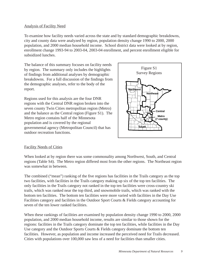### Analysis of Facility Need

To examine how facility needs varied across the state and by standard demographic breakdowns, city and county data were analyzed by region, population density change 1990 to 2000, 2000 population, and 2000 median household income. School district data were looked at by region, enrollment change 1993-94 to 2003-04, 2003-04 enrollment, and percent enrollment eligible for subsidized lunches.

The balance of this summary focuses on facility needs by region. The summary only includes the highlights of findings from additional analyses by demographic breakdowns. For a full discussion of the findings from the demographic analyses, refer to the body of the report.

Regions used for this analysis are the four DNR regions with the Central DNR region broken into the seven county Twin Cities metropolitan region (Metro) and the balance as the Central region (Figure S1). The Metro region contains half of the Minnesota population and is covered by the regional governmental agency (Metropolitan Council) that has outdoor recreation functions.



## Facility Needs of Cities

When looked at by region there was some commonality among Northwest, South, and Central regions (Table S4). The Metro region differed most from the other regions. The Northeast region was somewhat in between.

The combined ("mean") ranking of the five regions has facilities in the Trails category as the top two facilities, with facilities in the Trails category making up six of the top ten facilities. The only facilities in the Trails category not ranked in the top ten facilities were cross-country ski trails, which was ranked near the top third, and snowmobile trails, which was ranked with the bottom ten facilities. The bottom ten facilities were more varied with facilities in the Day Use Facilities category and facilities in the Outdoor Sport Courts & Fields category accounting for seven of the ten lower ranked facilities.

When these rankings of facilities are examined by population density change 1990 to 2000, 2000 population, and 2000 median household income, results are similar to those shown for the regions: facilities in the Trails category dominate the top ten facilities, while facilities in the Day Use category and the Outdoor Sports Courts & Fields category dominate the bottom ten facilities. However, as population and income increased the perceived need for Trails decreased. Cities with populations over 100,000 saw less of a need for facilities than smaller cities.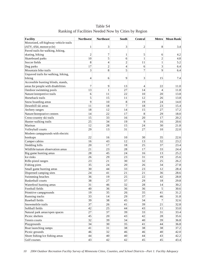**Facility Northwest Northeast South Central Metro Mean Rank** Motorized, off-highway vehicle trails (ATV, 4X4, motorcycle) 1 3 3 2 8 3.4 Paved trails for walking, hiking, skating, biking  $\begin{vmatrix} 2 & 7 & 1 & 5 \end{vmatrix}$  6 4.2 Skateboard parks  $\begin{array}{|c|c|c|c|c|c|c|c|c|} \hline \end{array}$  10 5 6 1 2 4.8 Soccer fields 8 4 2 11 1 5.2 Dog parks  $17$   $2$   $4$   $6$   $3$   $6.4$ Mountain bike trails 3 8 5 7 9 6.4 Unpaved trails for walking, hiking, biking 1.4 6 9 3 15 7.4 Accessible hunting blinds, stands, areas for people with disabilities  $\begin{vmatrix} 7 & 9 & 13 \\ 4 & 22 & 11.0 \\ 9 & 13 & 4 \end{vmatrix}$ Outdoor swimming pools  $13$  13  $1$  27 14 4 11.8 Nature/interpretive trails  $\begin{array}{ccc} 6 & 11 & 22 & 10 & 20 \\ 1 & 22 & 10 & 20 \end{array}$ Horseback trails 5 15 11 12 26 13.8 Snow boarding areas 9 10 8 19 24 14.0 Downhill ski areas 11 18 7 18 23 15.4 Archery ranges  $18$  18  $12$  14  $15$  27 17.2 Nature/Interprative centers  $14 \begin{vmatrix} 22 \end{vmatrix}$  17 8 29 18.0 Cross-country ski trails 15 33 16 20 17 20.2 Hunter walking trails  $\begin{vmatrix} 25 & 34 & 19 \end{vmatrix}$   $\begin{vmatrix} 9 & 16 \end{vmatrix}$  20.6 Marinas 12  $12$  28 15 24 30 21.8 Volleyball courts  $29 \qquad 13 \qquad 31 \qquad 27 \qquad 10 \qquad 22.0$ Modern campgrounds with electric hookups  $22 | 16 | 30 | 35 | 22.6$ Camper cabins  $16 \begin{vmatrix} 16 & 43 & 12 & 13 \\ 13 & 32 & 23.2 \end{vmatrix}$  23.2 Sledding hills  $20 \begin{vmatrix} 17 & 18 & 25 \end{vmatrix}$  37 23.4 Wildlife/nature observation areas  $\begin{vmatrix} 21 & 23 & 28 & 17 & 33 \\ 21 & 24.4 & 28 & 24.4 \end{vmatrix}$ Big game hunting areas 28 45 24 16 13 25.2 Ice rinks 26 29 23 31 19 25.6 Rifle-pistol ranges 23 25 26.2 Fishing piers 35 24 20 26 34 27.8 Small game hunting areas  $\begin{array}{|c|c|c|c|c|c|c|c|c|} \hline \text{Small game hunting areas} & & & 30 & & 44 & & 33 & & 23 & & 12 & & 28.4 \\ \hline \end{array}$ Dispersed camping sites  $24 \begin{vmatrix} 24 & 41 & 21 & 21 & 36 \end{vmatrix}$  28.6 Swimming beaches 36 19 25 22 42 28.8 Basketball courts 38 27 37 29 18 29.8 Waterfowl hunting areas  $\begin{array}{|l|c|c|c|c|c|c|c|c|} \hline 31 & 46 & 32 & 28 & 14 & 30.2 \ \hline \end{array}$ Football fields 40 36 36 36 5 30.6 Primitive campgrounds  $19 \qquad 35 \qquad 26 \qquad 35 \qquad 41 \qquad 31.2$ Running tracks and the same of the same of the same of the same of the same of the same of the same of the same of the same of the same of the same of the same of the same of the same of the same of the same of the same of Baseball fields  $39 \ 38 \ 45 \ 34 \ 7 \ 32.6$ Snowmobile trails  $\begin{array}{ccc} 37 & 26 & 41 & 39 & 21 & 32.8 \\ 32.8 & 21 & 22.8 & 32.8 & 32.8 \\ 33.8 & 32.8 & 32.8 & 32.8 & 32.8 \\ 32.8 & 32.8 & 32.8 & 32.8 & 32.8 \\ 32.8 & 32.8 & 32.8 & 32.8 & 32.8 \\ 32.8 & 32.8 & 32.8 & 32.8 & 32.8 \\ 32.8 & 32.8 & 32.8 & 32$ Softball fields  $\begin{vmatrix} 42 & 25 & 44 & 43 & 11 & 33.0 \end{vmatrix}$ Natural park areas/open spaces  $\begin{vmatrix} 27 & 37 & 39 \end{vmatrix}$  33 33.4 33.4 Picnic shelters  $\begin{array}{|c|c|c|c|c|c|c|c|c|c|c|c|} \hline \end{array}$  45  $\begin{array}{|c|c|c|c|c|c|c|c|c|} \hline \end{array}$  43  $\begin{array}{|c|c|c|c|c|c|} \hline \end{array}$  42  $\begin{array}{|c|c|c|c|c|c|} \hline \end{array}$  35.6 Tennis courts  $\begin{array}{|c|c|c|c|c|c|c|c|c|} \hline \end{array}$  32 39 34 40 39 39 36.8 Playgrounds  $34$   $30$   $35$   $41$   $44$   $36.8$ Boat launching ramps 41 31 38 38 38 37.2 Picnic grounds  $46 \begin{vmatrix} 32 & 32 \end{vmatrix}$  46 40 42.0 Shore fishing/ice fishing areas  $\begin{vmatrix} 44 & 40 & 40 \\ 40 & 40 & 44 \end{vmatrix}$  43 42.2

Table S4 Ranking of Facilities Needed Now by Cities by Region

Golf courses  $\begin{array}{|c|c|c|c|c|c|c|c|c|} \hline \end{array}$  43  $\begin{array}{|c|c|c|c|c|c|c|c|} \hline \end{array}$  43.4  $\begin{array}{|c|c|c|c|c|c|c|c|} \hline \end{array}$  43.4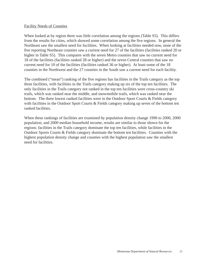#### Facility Needs of Counties

When looked at by region there was little correlation among the regions (Table S5). This differs from the results for cities, which showed some correlation among the five regions. In general the Northeast saw the smallest need for facilities. When looking at facilities needed now, none of the five reporting Northeast counties saw a current need for 27 of the facilities (facilities ranked 20 or higher in Table S5). This compares with the seven Metro counties that saw no current need for 18 of the facilities (facilities ranked 28 or higher) and the seven Central counties that saw no current need for 10 of the facilities (facilities ranked 36 or higher). At least some of the 18 counties in the Northwest and the 27 counties in the South saw a current need for each facility.

The combined ("mean") ranking of the five regions has facilities in the Trails category as the top three facilities, with facilities in the Trails category making up six of the top ten facilities. The only facilities in the Trails category not ranked in the top ten facilities were cross-country ski trails, which was ranked near the middle, and snowmobile trails, which was ranked near the bottom. The three lowest ranked facilities were in the Outdoor Sport Courts & Fields category with facilities in the Outdoor Sport Courts & Fields category making up seven of the bottom ten ranked facilities.

When these rankings of facilities are examined by population density change 1990 to 2000, 2000 population, and 2000 median household income, results are similar to those shown for the regions: facilities in the Trails category dominate the top ten facilities, while facilities in the Outdoor Sports Courts & Fields category dominate the bottom ten facilities. Counties with the highest population density change and counties with the highest population saw the smallest need for facilities.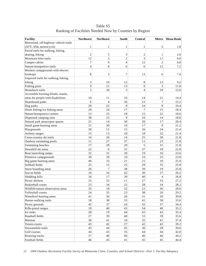| <b>Facility</b>                       | <b>Northwest</b> | <b>Northeast</b> | South                    | Central        | Metro          | <b>Mean Rank</b> |
|---------------------------------------|------------------|------------------|--------------------------|----------------|----------------|------------------|
| Motorized, off-highway vehicle trails |                  |                  |                          |                |                |                  |
| (ATV, 4X4, motorcycle)                | 1                | $\mathbf{1}$     | $\mathbf{1}$             | 1              | 5              | 1.8              |
| Paved trails for walking, hiking,     |                  |                  |                          |                |                |                  |
| skating, biking                       | $\overline{c}$   | 5                | 3                        | $\overline{c}$ | 1              | 2.6              |
| Mountain bike trails                  | 12               | $\overline{2}$   | $\overline{c}$           | 3              | 11             | 6.0              |
| Camper cabins                         | $\boldsymbol{7}$ | 9                | $\overline{\mathcal{L}}$ | 12             | $\overline{c}$ | 6.8              |
| Nature/interpretive trails            | $\overline{4}$   | 8                | 6                        | 6              | 12             | 7.2              |
| Modern campgrounds with electric      |                  |                  |                          |                |                |                  |
| hookups                               | 8                | 3                | 7                        | 13             | 6              | 7.4              |
| Unpaved trails for walking, hiking,   |                  |                  |                          |                |                |                  |
| biking                                | 3                | 10               | 12                       | 8              | 13             | 9.2              |
| Fishing piers                         | 9                | 21               | 13                       | 9              | 3              | 11.0             |
| Horseback trails                      | 5                | 20               | 5                        | 4              | 29             | 12.6             |
| Accessible hunting blinds, stands,    |                  |                  |                          |                |                |                  |
| areas for people with disabilities    | 10               | 11               | 16                       | 14             | 21             | 14.4             |
| Skateboard parks                      | 6                | $\overline{4}$   | 36                       | 23             | $\overline{7}$ | 15.2             |
| Dog parks                             | 20               | 22               | 8                        | 24             | $\,8\,$        | 16.4             |
| Shore fishing/ice fishing areas       | 29               | 24               | 17                       | 7              | 15             | 18.4             |
| Nature/Interprative centers           | 13               | 25               | 18                       | 15             | 22             | 18.6             |
| Dispersed camping sites               | 38               | 23               | 9                        | 10             | 14             | 18.8             |
| Natural park areas/open spaces        | 21               | 14               | 30                       | 20             | 17             | 20.4             |
| Small game hunting areas              | 31               | 30               | 19                       | 17             | 9              | 21.2             |
| Playgrounds                           | 30               | 12               | 15                       | 26             | 24             | 21.4             |
| Archery ranges                        | 15               | 13               | 29                       | 18             | 32             | 21.4             |
| Cross-country ski trails              | 14               | 26               | 14                       | 25             | 30             | 21.8             |
| Outdoor swimming pools                | 11               | 27               | 37                       | 11             | 23             | 21.8             |
| Swimming beaches                      | 17               | 28               | 28                       | 5              | 31             | 21.8             |
| Downhill ski areas                    | 22               | 6                | 31                       | 37             | 18             | 22.8             |
| Boat launching ramps                  | 32               | 31               | 20                       | 19             | 16             | 23.6             |
| Primitive campgrounds                 | 39               | 29               | 10                       | 16             | 25             | 23.8             |
| Big game hunting areas                | 40               | 33               | 21                       | 21             | 10             | 25.0             |
| Softball fields                       | 25               | 15               | 25                       | 29             | 35             | 25.8             |
| Snow boarding areas                   | 26               | $\overline{7}$   | 38                       | 39             | 19             | 25.8             |
| Soccer fields                         | 16               | 16               | 42                       | 30             | 27             | 26.2             |
| Sledding hills                        | 34               | 17               | 39                       | 40             | $\overline{4}$ | 26.8             |
| Picnic shelters                       | 33               | 32               | 11                       | 27             | 33             | 27.2             |
| <b>Basketball courts</b>              | 23               | 34               | 22                       | 28             | 34             | 28.2             |
| Wildlife/nature observation areas     | 35               | $1\,8$           | 32                       | 22             | 36             | 28.6             |
| Volleyball courts                     | 24               | 35               | 23                       | 38             | 26             | 29.2             |
| Waterfowl hunting areas               | 41               | 36               | 26                       | 31             | 20             | 30.8             |
| Hunter walking trails                 | 18               | 38               | 33                       | 41             | 38             | 33.6             |
| Picnic grounds                        | 42               | 37               | 24                       | 32             | 37             | 34.4             |
| Rifle-pistol ranges                   | 19               | 40               | 43                       | 34             | 40             | 35.2             |
| Ice rinks                             | 28               | 19               | 44                       | 43             | 43             | 35.4             |
| <b>Baseball</b> fields                | $27\,$           | 39               | 40                       | 33             | 39             | 35.6             |
| Marinas                               | 36               | 41               | 34                       | 35             | 41             | 37.4             |
| Tennis courts                         | 43               | 42               | $27\,$                   | 42             | 42             | 39.2             |
| Snowmobile trails                     | 45               | 44               | 45                       | 36             | $2\sqrt{8}$    | 39.6             |
| Golf courses                          | 44               | 43               | 35                       | 44             | 44             | 42.0             |
| Running tracks                        | 37               | 46               | 46                       | 46             | 46             | 44.2             |
| Football fields                       | 46               | 45               | 41                       | 45             | 45             | 44.4             |

Table S5 Ranking of Facilities Needed Now by Counties by Region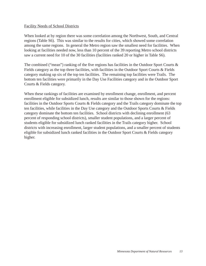#### Facility Needs of School Districts

When looked at by region there was some correlation among the Northwest, South, and Central regions (Table S6). This was similar to the results for cities, which showed some correlation among the same regions. In general the Metro region saw the smallest need for facilities. When looking at facilities needed now, less than 10 percent of the 39 reporting Metro school districts saw a current need for 10 of the 30 facilities (facilities ranked 20 or higher in Table S6).

The combined ("mean") ranking of the five regions has facilities in the Outdoor Sport Courts & Fields category as the top three facilities, with facilities in the Outdoor Sport Courts & Fields category making up six of the top ten facilities. The remaining top facilities were Trails. The bottom ten facilities were primarily in the Day Use Facilities category and in the Outdoor Sport Courts & Fields category.

When these rankings of facilities are examined by enrollment change, enrollment, and percent enrollment eligible for subsidized lunch, results are similar to those shown for the regions: facilities in the Outdoor Sports Courts & Fields category and the Trails category dominate the top ten facilities, while facilities in the Day Use category and the Outdoor Sports Courts & Fields category dominate the bottom ten facilities. School districts with declining enrollment (63 percent of responding school districts), smaller student populations, and a larger percent of students eligible for subsidized lunch ranked facilities in the Trails category higher. School districts with increasing enrollment, larger student populations, and a smaller percent of students eligible for subsidized lunch ranked facilities in the Outdoor Sport Courts & Fields category higher.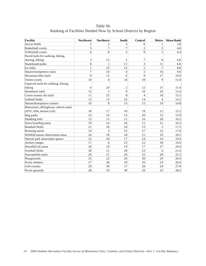Table S6 Ranking of Facilities Needed Now by School Districts by Region

| <b>Facility</b>                       | <b>Northwest</b> | <b>Northeast</b> | <b>South</b>   | Central        | <b>Metro</b>   | <b>Mean Rank</b> |
|---------------------------------------|------------------|------------------|----------------|----------------|----------------|------------------|
| Soccer fields                         | 2                | $\overline{c}$   | 3              | 6              | 1              | 2.8              |
| <b>Basketball courts</b>              | 5                | $\overline{7}$   | $\overline{7}$ | $\overline{2}$ | 3              | 4.8              |
| Volleyball courts                     | 6                | 8                | 5              | 8              | 5              | 6.4              |
| Paved trails for walking, hiking,     |                  |                  |                |                |                |                  |
| skating, biking                       | 3                | 15               | 1              | 7              | 8              | 6.8              |
| Skateboard parks                      | 8                | 1                | 11             | $\overline{3}$ | 11             | 6.8              |
| Ice rinks                             | $\mathbf{1}$     | 23               | 12             | $\mathbf{1}$   | 7              | 8.8              |
| Nature/interpretive trails            | $\overline{7}$   | 16               | $\overline{4}$ | 5              | 16             | 9.6              |
| Mountain bike trails                  | 9                | 12               | 6              | 9              | 17             | 10.6             |
| Tennis courts                         | 10               | $\overline{4}$   | 14             | 18             | $\overline{9}$ | 11.0             |
| Unpaved trails for walking, hiking,   |                  |                  |                |                |                |                  |
| biking                                | $\overline{4}$   | 24               | $\overline{c}$ | 12             | 15             | 11.4             |
| Horseback trails                      | 12               | 5                | 9              | 10             | 26             | 12.4             |
| Cross-country ski trails              | 11               | 25               | 8              | 4              | 18             | 13.2             |
| Softball fields                       | 15               | 13               | 25             | 14             | $\overline{4}$ | 14.2             |
| Nature/Interprative centers           | 16               | 9                | 15             | 15             | 19             | 14.8             |
| Motorized, off-highway vehicle trails |                  |                  |                |                |                |                  |
| (ATV, 4X4, motorcycle)                | 18               | 17               | 10             | 19             | 12             | 15.2             |
| Dog parks                             | 23               | 10               | 13             | 20             | 13             | 15.8             |
| Sledding hills                        | 13               | 11               | 21             | 16             | 20             | 16.2             |
| Snow boarding areas                   | 19               | 14               | 16             | 11             | 21             | 16.2             |
| <b>Baseball fields</b>                | 21               | 26               | 24             | 13             | $\overline{2}$ | 17.2             |
| Running tracks                        | 14               | 3                | 22             | 27             | 22             | 17.6             |
| Wildlife/nature observation areas     | 24               | 18               | 18             | 21             | 10             | 18.2             |
| Natural park areas/open spaces        | 22               | 20               | 17             | 24             | 14             | 19.4             |
| Archery ranges                        | 17               | 6                | 23             | 22             | 30             | 19.6             |
| Downhill ski areas                    | 20               | 19               | 19             | 17             | 27             | 20.4             |
| Football fields                       | 30               | 21               | 28             | 23             | 6              | 21.6             |
| Snowmobile trails                     | 26               | 27               | 20             | 25             | 28             | 25.2             |
| Playgrounds                           | 25               | 22               | 26             | 30             | 29             | 26.4             |
| Picnic shelters                       | 27               | 28               | 29             | 26             | 23             | 26.6             |
| Golf courses                          | 29               | 30               | 27             | 28             | 24             | 27.6             |
| Picnic grounds                        | 28               | 29               | 30             | 29             | 25             | 28.2             |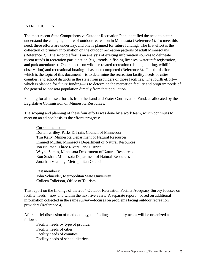#### INTRODUCTION

The most recent State Comprehensive Outdoor Recreation Plan identified the need to better understand the changing nature of outdoor recreation in Minnesota (Reference 1). To meet this need, three efforts are underway, and one is planned for future funding. The first effort is the collection of primary information on the outdoor recreation patterns of adult Minnesotans (Reference 2). The second effort is an analysis of existing information sources to delineate recent trends in recreation participation (e.g., trends in fishing licenses, watercraft registration, and park attendance). One report—on wildlife-related recreation (fishing, hunting, wildlife observation) and recreational boating—has been completed (Reference 3). The third effort which is the topic of this document—is to determine the recreation facility needs of cities, counties, and school districts in the state from providers of those facilities. The fourth effort which is planned for future funding—is to determine the recreation facility and program needs of the general Minnesota population directly from that population.

Funding for all these efforts is from the Land and Water Conservation Fund, as allocated by the Legislative Commission on Minnesota Resources.

The scoping and planning of these four efforts was done by a work team, which continues to meet on an ad hoc basis as the efforts progress:

Current members:

Dorian Grilley, Parks & Trails Council of Minnesota Tim Kelly, Minnesota Department of Natural Resources Emmett Mullin, Minnesota Department of Natural Resources Jon Nauman, Three Rivers Park District Wayne Sames, Minnesota Department of Natural Resources Ron Sushak, Minnesota Department of Natural Resources Jonathan Vlaming, Metropolitan Council

Past members: John Schneider, Metropolitan State University Colleen Tollefson, Office of Tourism

This report on the findings of the 2004 Outdoor Recreation Facility Adequacy Survey focuses on facility needs—now and within the next five years. A separate report—based on additional information collected in the same survey—focuses on problems facing outdoor recreation providers (Reference 4).

After a brief discussion of methodology, the findings on facility needs will be organized as follows:

Facility needs by type of provider Facility needs of cities Facility needs of counties Facility needs of school districts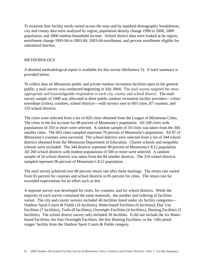To examine how facility needs varied across the state and by standard demographic breakdowns, city and county data were analyzed by region, population density change 1990 to 2000, 2000 population, and 2000 median household income. School district data were looked at by region, enrollment change 1993-94 to 2003-04, 2003-04 enrollment, and percent enrollment eligible for subsidized lunches.

## METHODOLOGY

A detailed methodological report is available for this survey (Reference 5). A brief summary is provided below.

To collect data on Minnesota public and private outdoor recreation facilities open to the general public, a mail survey was conducted beginning in July 2004. The mail survey targeted the most appropriate and knowledgeable respondent in each city, county and school district. The mailsurvey sample of 1000 was allocated to three public outdoor recreation facility providers—cities/ townships (cities), counties, school districts—with surveys sent to 603 cities, 87 counties, and 310 school districts.

The cities were selected from a list of 820 cities obtained from the League of Minnesota Cities. The cities in the list account for 88 percent of Minnesota's population. All 549 cities with populations of 350 or more were selected. A random sample of 54 cities was taken from the 304 smaller cities. The 603 cities sampled represent 79 percent of Minnesota's population. All 87 of Minnesota's counties were surveyed. The school districts were selected from a list of 344 school districts obtained from the Minnesota Department of Education. Charter schools and nonpublic schools were excluded. The 344 districts represent 98 percent of Minnesota's K12 population. All 260 school districts with student populations of 500 or more were selected. A random sample of 50 school districts was taken from the 84 smaller districts. The 310 school districts sampled represent 96 percent of Minnesota's K12 population.

The mail survey achieved over 80 percent return rate after three mailings. The return rate varied from 83 percent for counties and school districts to 85 percent for cities. The return rate far exceeded expectations for an effort such as this.

A separate survey was developed for cities, for counties, and for school districts. While the majority of each survey contained the same materials, the number and ordering of facilities varied. The city and county surveys included 46 facilities listed under six facility categories— Outdoor Sport Courts & Fields (16 facilities), Water-based Facilities (6 facilities), Day Use Facilities (7 facilities), Trails (8 facilities), Overnight Facilities (4 facilities), Hunting Facilities (5 facilities). The school district survey only included 30 facilities. It did not include the six Waterbased Facilities, the four Overnight Facilities, the five Hunting Facilities, or the 'rifle-pistol ranges' facility from the Outdoor Sport Courts & Fields category.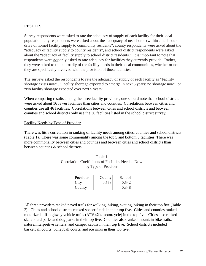## RESULTS

Survey respondents were asked to rate the adequacy of supply of each facility for their local population: city respondents were asked about the "adequacy of near-home (within a half-hour drive of home) facility supply to community residents"; county respondents were asked about the "adequacy of facility supply to county residents", and school district respondents were asked about the "adequacy of facility supply to school district residents." It is important to note that respondents were *not* only asked to rate adequacy for facilities they currently provide. Rather, they were asked to think broadly of the facility needs in their local communities, whether or not they are specifically involved with the provision of those facilities.

The surveys asked the respondents to rate the adequacy of supply of each facility as "Facility shortage exists now", "Facility shortage expected to emerge in next 5 years; no shortage now", or "No facility shortage expected over next 5 years".

When comparing results among the three facility providers, one should note that school districts were asked about 16 fewer facilities than cities and counties. Correlations between cities and counties use all 46 facilities. Correlations between cities and school districts and between counties and school districts only use the 30 facilities listed in the school district survey.

#### Facility Needs by Type of Provider

There was little correlation in ranking of facility needs among cities, counties and school districts (Table 1). There was some commonality among the top 5 and bottom 5 facilities There was more commonality between cities and counties and between cities and school districts than between counties & school districts.

| Provider | County | School |
|----------|--------|--------|
| City     | 0.563  | 0.542  |
| County   |        |        |

Table 1 Correlation Coefficients of Facilities Needed Now by Type of Provider

All three providers ranked paved trails for walking, hiking, skating, biking in their top five (Table 2). Cities and school districts ranked soccer fields in their top five. Cities and counties ranked motorized, off-highway vehicle trails (ATV,4X4,motorcycle) in the top five. Cities also ranked skateboard parks and dog parks in their top five. Counties also ranked mountain bike trails, nature/interpretive centers, and camper cabins in their top five. School districts included basketball courts, volleyball courts, and ice rinks in their top five.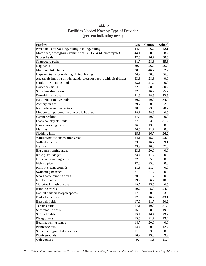| <b>Facility</b>                                                       | <b>City</b> | County | <b>School</b> |
|-----------------------------------------------------------------------|-------------|--------|---------------|
| Paved trails for walking, hiking, skating, biking                     | 44.6        | 56.7   | 42.1          |
| Motorized, off-highway vehicle trails (ATV, 4X4, motorcycle)          | 44.1        | 60.0   | 28.2          |
| Soccer fields                                                         | 42.5        | 16.7   | 50.5          |
| Skateboard parks                                                      | 41.7        | 28.3   | 35.6          |
| Dog parks                                                             | 39.9        | 26.7   | 26.7          |
| Mountain bike trails                                                  | 38.8        | 46.7   | 32.7          |
| Unpaved trails for walking, hiking, biking                            | 36.2        | 38.3   | 36.6          |
| Accessible hunting blinds, stands, areas for people with disabilities | 33.3        | 28.3   | 0.0           |
| Outdoor swimming pools                                                | 33.1        | 21.7   | 0.0           |
| Horseback trails                                                      | 32.5        | 38.3   | 30.7          |
| Snow boarding areas                                                   | 32.3        | 16.7   | 25.7          |
| Downhill ski areas                                                    | 31.8        | 18.3   | 23.3          |
| Nature/interpretive trails                                            | 30.2        | 40.0   | 34.7          |
| Archery ranges                                                        | 29.7        | 20.0   | 22.8          |
| Nature/Interprative centers                                           | 28.6        | 23.3   | 28.2          |
| Modern campgrounds with electric hookups                              | 28.1        | 38.3   | 0.0           |
| Camper cabins                                                         | 27.6        | 40.0   | 0.0           |
| Cross-country ski trails                                              | 27.0        | 23.3   | 31.7          |
| Hunter walking trails                                                 | 26.8        | 13.3   | 0.0           |
| Marinas                                                               | 26.5        | 11.7   | 0.0           |
| Sledding hills                                                        | 25.5        | 16.7   | 26.2          |
| Wildlife/nature observation areas                                     | 24.1        | 15.0   | 23.8          |
| Volleyball courts                                                     | 23.9        | 16.7   | 39.1          |
| Ice rinks                                                             | 23.9        | 10.0   | 37.6          |
| Big game hunting areas                                                | 23.6        | 20.0   | 0.0           |
| Rifle-pistol ranges                                                   | 23.4        | 11.7   | 0.0           |
| Dispersed camping sites                                               | 22.8        | 25.0   | 0.0           |
| Fishing piers                                                         | 22.6        | 35.0   | 0.0           |
| Primitive campgrounds                                                 | 21.8        | 21.7   | 0.0           |
| Swimming beaches                                                      | 21.0        | 21.7   | 0.0           |
| Small game hunting areas                                              | 20.2        | 21.7   | 0.0           |
| Football fields                                                       | 19.9        | 6.7    | 18.8          |
| Waterfowl hunting areas                                               | 19.7        | 15.0   | 0.0           |
| Running tracks                                                        | 19.2        | 5.0    | 24.3          |
| Natural park areas/open spaces                                        | 17.8        | 20.0   | 23.3          |
| <b>Basketball courts</b>                                              | 17.6        | 16.7   | 43.1          |
| <b>Baseball fields</b>                                                | 17.6        | 11.7   | 30.2          |
| Tennis courts                                                         | 17.1        | 10.0   | 31.7          |
| Snowmobile trails                                                     | 16.3        | 8.3    | 19.3          |
| Softball fields                                                       | 15.7        | 16.7   | 29.2          |
| Playgrounds                                                           | 15.5        | 21.7   | 13.4          |
| Boat launching ramps                                                  | 14.7        | 20.0   | 0.0           |
| Picnic shelters                                                       | 14.4        | 20.0   | 12.4          |
| Shore fishing/ice fishing areas                                       | 11.3        | 23.3   | 0.0           |
| Picnic grounds                                                        | 10.2        | 13.3   | 9.9           |
| Golf courses                                                          | 9.7         | 8.3    | 11.4          |

Table 2 Facilities Needed Now by Type of Provider (percent indicating need)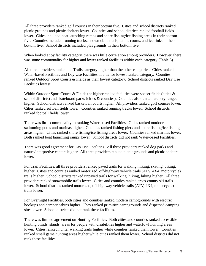All three providers ranked golf courses in their bottom five. Cities and school districts ranked picnic grounds and picnic shelters lower. Counties and school districts ranked football fields lower. Cities included boat launching ramps and shore fishing/ice fishing areas in their bottom five. Counties included running tracks, snowmobile trails, tennis courts, and ice rinks in their bottom five. School districts included playgrounds in their bottom five.

When looked at by facility category, there was little correlation among providers. However, there was some commonality for higher and lower ranked facilities within each category (Table 3).

All three providers ranked the Trails category higher than the other categories. Cities ranked Water-based Facilities and Day Use Facilities in a tie for lowest ranked category. Counties ranked Outdoor Sport Courts & Fields as their lowest category. School districts ranked Day Use Facilities lowest.

Within Outdoor Sport Courts & Fields the higher ranked facilities were soccer fields (cities & school districts) and skateboard parks (cities & counties). Counties also ranked archery ranges higher. School districts ranked basketball courts higher. All providers ranked golf courses lower. Cities ranked softball fields lower. Counties ranked running tracks lower. School districts ranked football fields lower.

There was little commonality in ranking Water-based Facilities. Cities ranked outdoor swimming pools and marinas higher. Counties ranked fishing piers and shore fishing/ice fishing areas higher. Cities ranked shore fishing/ice fishing areas lower. Counties ranked marinas lower. Both ranked boat launching ramps lower. School districts did not rank Water-based Facilities.

There was good agreement for Day Use Facilities. All three providers ranked dog parks and nature/interpretive centers higher. All three providers ranked picnic grounds and picnic shelters lower.

For Trail Facilities, all three providers ranked paved trails for walking, hiking, skating, biking. higher. Cities and counties ranked motorized, off-highway vehicle trails (ATV, 4X4, motorcycle) trails higher. School districts ranked unpaved trails for walking, hiking, biking higher. All three providers ranked snowmobile trails lower. Cities and counties ranked cross-county ski trails lower. School districts ranked motorized, off-highway vehicle trails (ATV, 4X4, motorcycle) trails lower.

For Overnight Facilities, both cities and counties ranked modern campgrounds with electric hookups and camper cabins higher. They ranked primitive campgrounds and dispersed camping sites lower. School districts did not rank these facilities.

There was limited agreement on Hunting Facilities. Both cities and counties ranked accessible hunting blinds, stands, areas for people with disabilities higher and waterfowl hunting areas lower. Cities ranked hunter walking trails higher while counties ranked them lower. Counties ranked small game hunting areas higher while cities ranked them lower. School districts did not rank these facilities.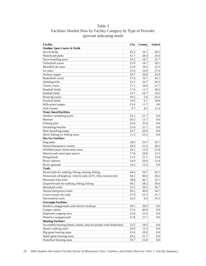| <b>Facility</b>                                                       | <b>City</b> | County | <b>School</b> |
|-----------------------------------------------------------------------|-------------|--------|---------------|
| <b>Outdoor Sport Courts &amp; Fields</b>                              |             |        |               |
| Soccer fields                                                         | 42.5        | 16.7   | 50.5          |
| Skateboard parks                                                      | 41.7        | 28.3   | 35.6          |
| Snow boarding areas                                                   | 32.3        | 16.7   | 25.7          |
| Volleyball courts                                                     | 23.9        | 16.7   | 39.1          |
| Downhill ski areas                                                    | 31.8        | 18.3   | 23.3          |
| Ice rinks                                                             | 23.9        | 10.0   | 37.6          |
| Archery ranges                                                        | 29.7        | 20.0   | 22.8          |
| <b>Basketball courts</b>                                              | 17.6        | 16.7   | 43.1          |
| Sledding hills                                                        | 25.5        | 16.7   | 26.2          |
| Tennis courts                                                         | 17.1        | 10.0   | 31.7          |
| <b>Baseball fields</b>                                                | 17.6        | 11.7   | 30.2          |
| Softball fields                                                       | 15.7        | 16.7   | 29.2          |
| Running tracks                                                        | 19.2        | 5.0    | 24.3          |
| Football fields                                                       | 19.9        | 6.7    | 18.8          |
| Rifle-pistol ranges                                                   | 23.4        | 11.7   | 0.0           |
| Golf courses                                                          | 9.7         | 8.3    | 11.4          |
| <b>Water-based Facilities</b>                                         |             |        |               |
| Outdoor swimming pools                                                | 33.1        | 21.7   | 0.0           |
| Marinas                                                               | 26.5        | 11.7   | 0.0           |
| Fishing piers                                                         | 22.6        | 35.0   | 0.0           |
| Swimming beaches                                                      | 21.0        | 21.7   | 0.0           |
| Boat launching ramps                                                  | 14.7        | 20.0   | 0.0           |
| Shore fishing/ice fishing areas                                       | 11.3        | 23.3   | 0.0           |
| <b>Day Use Facilities</b>                                             |             |        |               |
| Dog parks                                                             | 39.9        | 26.7   | 26.7          |
| Nature/Interprative centers                                           | 28.6        | 23.3   | 28.2          |
| Wildlife/nature observation areas                                     | 24.1        | 15.0   | 23.8          |
| Natural park areas/open spaces                                        | 17.8        | 20.0   | 23.3          |
| Playgrounds                                                           | 15.5        | 21.7   | 13.4          |
| Picnic shelters                                                       | 14.4        | 20.0   | 12.4          |
| Picnic grounds                                                        | 10.2        | 13.3   | 9.9           |
| <b>Trails</b>                                                         |             |        |               |
| Paved trails for walking, hiking, skating, biking                     | 44.6        | 56.7   | 42.1          |
| Motorized, off-highway vehicle trails (ATV, 4X4, motorcycle)          | 44.1        | 60.0   | 28.2          |
| Mountain bike trails                                                  | 38.8        | 46.7   | 32.7          |
| Unpaved trails for walking, hiking, biking                            | 36.2        | 38.3   | 36.6          |
| Horseback trails                                                      | 32.5        | 38.3   | 30.7          |
| Nature/interpretive trails                                            | 30.2        | 40.0   | 34.7          |
| Cross-country ski trails                                              | 27.0        | 23.3   | 31.7          |
| Snowmobile trails                                                     | 16.3        | 8.3    | 19.3          |
| <b>Overnight Facilities</b>                                           |             |        |               |
| Modern campgrounds with electric hookups                              | 28.1        | 38.3   | 0.0           |
| Camper cabins                                                         | 27.6        | 40.0   | 0.0           |
| Dispersed camping sites                                               | 22.8        | 25.0   | $0.0\,$       |
| Primitive campgrounds                                                 | 21.8        | 21.7   | 0.0           |
| <b>Hunting Facilities</b>                                             |             |        |               |
| Accessible hunting blinds, stands, areas for people with disabilities | 33.3        | 28.3   | 0.0           |
| Hunter walking trails                                                 | 26.8        | 13.3   | 0.0           |
| Big game hunting areas                                                | 23.6        | 20.0   | 0.0           |
| Small game hunting areas                                              | 20.2        | 21.7   | 0.0           |

Table 3 Facilities Needed Now by Facility Category by Type of Provider (percent indicating need)

Waterfowl hunting areas 19.7 15.0 0.0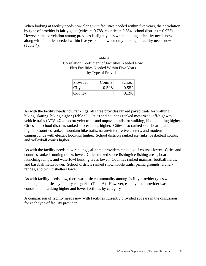When looking at facility needs now along with facilities needed within five years, the correlation by type of provider is fairly good (cities  $= 0.788$ , counties  $= 0.854$ , school districts  $= 0.975$ ). However, the correlation among provides is slightly less when looking at facility needs now along with facilities needed within five years, than when only looking at facility needs now (Table 4).

| Table 4                                          |
|--------------------------------------------------|
| Correlation Coefficient of Facilities Needed Now |
| <b>Plus Facilities Needed Within Five Years</b>  |
| by Type of Provider                              |

| Provider | County | School |
|----------|--------|--------|
| City     | 0.508  | 0.552  |
| County   |        | 0.190  |

As with the facility needs now rankings, all three provides ranked paved trails for walking, hiking, skating, biking higher (Table 5). Cities and counties ranked motorized, off-highway vehicle trails (ATV, 4X4, motorcycle) trails and unpaved trails for walking, hiking, biking higher. Cities and school districts ranked soccer fields higher. Cities also ranked skateboard parks higher. Counties ranked mountain bike trails, nature/interpretive centers, and modern campgrounds with electric hookups higher. School districts ranked ice rinks, basketball courts, and volleyball courts higher.

As with the facility needs now rankings, all three providers ranked golf courses lower. Cities and counties ranked running tracks lower. Cities ranked shore fishing/ice fishing areas, boat launching ramps, and waterfowl hunting areas lower. Counties ranked marinas, football fields, and baseball fields lower. School districts ranked snowmobile trails, picnic grounds, archery ranges, and picnic shelters lower.

As with facility needs now, there was little commonality among facility provider types when looking at facilities by facility categories (Table 6). However, each type of provider was consistent in ranking higher and lower facilities by category.

A comparison of facility needs now with facilities currently provided appears in the discussion for each type of facility provider.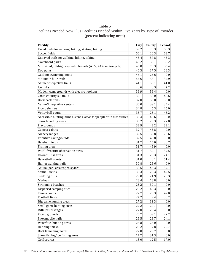# Table 5

| Facilities Needed Now Plus Facilities Needed Within Five Years by Type of Provider |
|------------------------------------------------------------------------------------|
| (percent indicating need)                                                          |

| <b>Facility</b>                                                       | City | <b>County</b> | <b>School</b> |
|-----------------------------------------------------------------------|------|---------------|---------------|
| Paved trails for walking, hiking, skating, biking                     | 59.2 | 70.3          | 53.3          |
| Soccer fields                                                         | 56.1 | 20.3          | 63.7          |
| Unpaved trails for walking, hiking, biking                            | 48.4 | 57.8          | 45.3          |
| Skateboard parks                                                      | 48.2 | 39.1          | 39.2          |
| Motorized, off-highway vehicle trails (ATV, 4X4, motorcycle)          | 46.8 | 70.3          | 35.4          |
| Dog parks                                                             | 46.3 | 37.5          | 28.3          |
| Outdoor swimming pools                                                | 45.1 | 26.6          | 0.0           |
| Mountain bike trails                                                  | 44.6 | 53.1          | 34.9          |
| Nature/interpretive trails                                            | 41.1 | 53.1          | 41.0          |
| Ice rinks                                                             | 40.6 | 20.3          | 47.2          |
| Modern campgrounds with electric hookups                              | 39.9 | 59.4          | 0.0           |
| Cross-country ski trails                                              | 39.1 | 50.0          | 40.6          |
| Horseback trails                                                      | 37.0 | 50.0          | 33.0          |
| Nature/Interprative centers                                           | 36.0 | 39.1          | 34.4          |
| Picnic shelters                                                       | 34.8 | 45.3          | 25.0          |
| Volleyball courts                                                     | 33.7 | 28.1          | 46.2          |
| Accessible hunting blinds, stands, areas for people with disabilities | 33.4 | 40.6          | 0.0           |
| Snow boarding areas                                                   | 33.2 | 20.3          | 27.8          |
| Playgrounds                                                           | 32.9 | 42.2          | 32.1          |
| Camper cabins                                                         | 32.7 | 43.8          | 0.0           |
| Archery ranges                                                        | 32.5 | 32.8          | 23.6          |
| Primitive campgrounds                                                 | 32.5 | 43.8          | 0.0           |
| <b>Baseball</b> fields                                                | 31.7 | 15.6          | 38.7          |
| Fishing piers                                                         | 31.7 | 46.9          | 0.0           |
| Wildlife/nature observation areas                                     | 31.7 | 39.1          | 32.5          |
| Downhill ski areas                                                    | 31.3 | 20.3          | 24.1          |
| <b>Basketball courts</b>                                              | 31.0 | 28.1          | 51.4          |
| Hunter walking trails                                                 | 30.8 | 26.6          | 0.0           |
| Natural park areas/open spaces                                        | 30.5 | 45.3          | 32.1          |
| Softball fields                                                       | 30.3 | 20.3          | 42.5          |
| Sledding hills                                                        | 29.8 | 21.9          | 28.3          |
| Marinas                                                               | 28.4 | 18.8          | $0.0\,$       |
| Swimming beaches                                                      | 28.2 | 39.1          | 0.0           |
| Dispersed camping sites                                               | 28.2 | 45.3          | 0.0           |
| Tennis courts                                                         | 27.7 | 20.3          | 42.0          |
| Football fields                                                       | 27.2 | 9.4           | 30.2          |
| Big game hunting areas                                                | 27.2 | 31.3          | $0.0\,$       |
| Small game hunting areas                                              | 27.2 | 29.7          | $0.0\,$       |
| Rifle-pistol ranges                                                   | 27.0 | 23.4          | $0.0\,$       |
| Picnic grounds                                                        | 26.7 | 39.1          | 22.2          |
| Snowmobile trails                                                     | 26.5 | 29.7          | 24.1          |
| Waterfowl hunting areas                                               | 25.8 | 25.0          | $0.0\,$       |
| Running tracks                                                        | 23.2 | 7.8           | 29.7          |
| Boat launching ramps                                                  | 22.0 | 29.7          | $0.0\,$       |
| Shore fishing/ice fishing areas                                       | 17.7 | 31.3          | $0.0\,$       |
| Golf courses                                                          | 15.0 | 12.5          | 17.0          |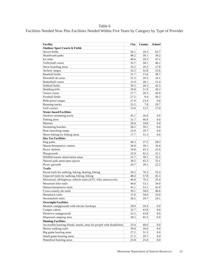Table 6

Facilities Needed Now Plus Facilities Needed Within Five Years by Category by Type of Provider

| <b>Facility</b>                                                       | City | County | School  |
|-----------------------------------------------------------------------|------|--------|---------|
| <b>Outdoor Sport Courts &amp; Fields</b>                              |      |        |         |
| Soccer fields                                                         | 56.1 | 20.3   | 63.7    |
| Skateboard parks                                                      | 48.2 | 39.1   | 39.2    |
| Ice rinks                                                             | 40.6 | 20.3   | 47.2    |
| Volleyball courts                                                     | 33.7 | 28.1   | 46.2    |
| Snow boarding areas                                                   | 33.2 | 20.3   | 27.8    |
| Archery ranges                                                        | 32.5 | 32.8   | 23.6    |
| Baseball fields                                                       | 31.7 | 15.6   | 38.7    |
| Downhill ski areas                                                    | 31.3 | 20.3   | 24.1    |
| Basketball courts                                                     | 31.0 | 28.1   | 51.4    |
| Softball fields                                                       | 30.3 | 20.3   | 42.5    |
| Sledding hills                                                        | 29.8 | 21.9   | 28.3    |
| Tennis courts                                                         | 27.7 | 20.3   | 42.0    |
| Football fields                                                       | 27.2 | 9.4    | 30.2    |
| Rifle-pistol ranges                                                   | 27.0 | 23.4   | 0.0     |
| Running tracks                                                        | 23.2 | 7.8    | 29.7    |
| Golf courses                                                          | 15.0 | 12.5   | 17.0    |
| <b>Water-based Facilities</b>                                         |      |        |         |
| Outdoor swimming pools                                                | 45.1 | 26.6   | 0.0     |
| Fishing piers                                                         | 31.7 | 46.9   | 0.0     |
| Marinas                                                               | 28.4 | 18.8   | 0.0     |
| Swimming beaches                                                      | 28.2 | 39.1   | 0.0     |
| Boat launching ramps                                                  | 22.0 | 29.7   | 0.0     |
| Shore fishing/ice fishing areas                                       | 17.7 | 31.3   | $0.0\,$ |
| <b>Day Use Facilities</b>                                             |      |        |         |
| Dog parks                                                             | 46.3 | 37.5   | 28.3    |
| Nature/Interprative centers                                           | 36.0 | 39.1   | 34.4    |
| Picnic shelters                                                       | 34.8 | 45.3   | 25.0    |
| Playgrounds                                                           | 32.9 | 42.2   | 32.1    |
| Wildlife/nature observation areas                                     | 31.7 | 39.1   | 32.5    |
| Natural park areas/open spaces                                        | 30.5 | 45.3   | 32.1    |
| Picnic grounds                                                        | 26.7 | 39.1   | 22.2    |
| <b>Trails</b>                                                         |      |        |         |
| Paved trails for walking, hiking, skating, biking                     | 59.2 | 70.3   | 53.3    |
| Unpaved trails for walking, hiking, biking                            | 48.4 | 57.8   | 45.3    |
| Motorized, off-highway vehicle trails (ATV, 4X4, motorcycle)          | 46.8 | 70.3   | 35.4    |
| Mountain bike trails                                                  | 44.6 | 53.1   | 34.9    |
| Nature/interpretive trails                                            | 41.1 | 53.1   | 41.0    |
| Cross-country ski trails                                              | 39.1 | 50.0   | 40.6    |
| Horseback trails                                                      | 37.0 | 50.0   | 33.0    |
| Snowmobile trails                                                     | 26.5 | 29.7   | 24.1    |
| <b>Overnight Facilities</b>                                           |      |        |         |
| Modern campgrounds with electric hookups                              | 39.9 | 59.4   | 0.0     |
| Camper cabins                                                         | 32.7 | 43.8   | 0.0     |
| Primitive campgrounds                                                 | 32.5 | 43.8   | 0.0     |
| Dispersed camping sites                                               | 28.2 | 45.3   | 0.0     |
| <b>Hunting Facilities</b>                                             |      |        |         |
| Accessible hunting blinds, stands, areas for people with disabilities | 33.4 | 40.6   | 0.0     |
| Hunter walking trails                                                 | 30.8 | 26.6   | 0.0     |
| Big game hunting areas                                                | 27.2 | 31.3   | 0.0     |
| Small game hunting areas                                              | 27.2 | 29.7   | 0.0     |
| Waterfowl hunting areas                                               | 25.8 | 25.0   | 0.0     |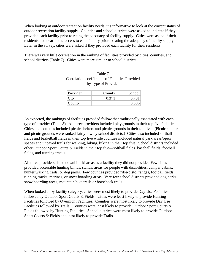When looking at outdoor recreation facility needs, it's informative to look at the current status of outdoor recreation facility supply. Counties and school districts were asked to indicate if they provided each facility prior to rating the adequacy of facility supply. Cities were asked if their residents had near-home access to each facility prior to rating the adequacy of facility supply. Later in the survey, cities were asked if they provided each facility for their residents.

There was very little correlation in the ranking of facilities provided by cities, counties, and school districts (Table 7). Cities were more similar to school districts.

| Table 7                                         |
|-------------------------------------------------|
| Correlation coefficients of Facilities Provided |
| by Type of Provider                             |

| Provider | County | School |
|----------|--------|--------|
| City     | 0.371  | 0.701  |
| County   |        | 0.006  |

As expected, the rankings of facilities provided follow that traditionally associated with each type of provider (Table 8). All three providers included playgrounds in their top five facilities. Cities and counties included picnic shelters and picnic grounds in their top five. (Picnic shelters and picnic grounds were ranked fairly low by school districts.) Cities also included softball fields and basketball fields in their top five while counties included natural park areas/open spaces and unpaved trails for walking, hiking, biking in their top five. School districts included other Outdoor Sport Courts & Fields in their top five—softball fields, baseball fields, football fields, and running tracks.

All three providers listed downhill ski areas as a facility they did not provide. Few cities provided accessible hunting blinds, stands, areas for people with disabilities; camper cabins; hunter walking trails; or dog parks. Few counties provided rifle-pistol ranges, football fields, running tracks, marinas, or snow boarding areas. Very few school districts provided dog parks, snow boarding areas, mountain bike trails or horseback trails.

When looked at by facility category, cities were most likely to provide Day Use Facilities followed by Outdoor Sport Courts & Fields. Cities were least likely to provide Hunting Facilities followed by Overnight Facilities. Counties were most likely to provide Day Use Facilities followed by Trails. Counties were least likely to provide Outdoor Sport Courts & Fields followed by Hunting Facilities. School districts were most likely to provide Outdoor Sport Courts & Fields and least likely to provide Trails.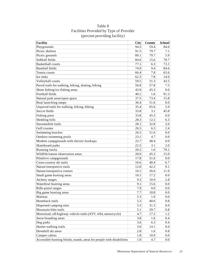| <b>Facility</b>                                                       | City    | County | <b>School</b> |
|-----------------------------------------------------------------------|---------|--------|---------------|
| Playgrounds                                                           | 94.5    | 59.4   | 84.6          |
| Picnic shelters                                                       | 91.5    | 79.7   | 7.1           |
| Picnic grounds                                                        | 89.1    | 79.7   | 5.9           |
| Softball fields                                                       | 84.6    | 15.6   | 78.7          |
| <b>Basketball courts</b>                                              | 77.1    | 6.3    | 73.1          |
| <b>Baseball fields</b>                                                | 74.9    | 9.4    | 84.6          |
| Tennis courts                                                         | 66.4    | 7.8    | 65.6          |
| Ice rinks                                                             | 62.3    | 7.8    | 14.6          |
| Volleyball courts                                                     | 59.5    | 31.3   | 43.5          |
| Paved trails for walking, hiking, skating, biking                     | 50.8    | 57.8   | 7.5           |
| Shore fishing/ice fishing areas                                       | 43.9    | 45.3   | 0.0           |
| Football fields                                                       | 40.1    | 1.6    | 91.3          |
| Natural park areas/open space                                         | 37.5    | 73.4   | 15.8          |
| Boat launching ramps                                                  | 36.4    | 51.6   | 0.0           |
| Unpaved trails for walking, hiking, biking                            | 35.4    | 65.6   | 5.9           |
| Soccer fields                                                         | 33.8    | 3.1    | 45.8          |
| Fishing piers                                                         | 33.8    | 45.3   | 0.0           |
| Sledding hills                                                        | 28.3    | 12.5   | 6.3           |
| Snowmobile trails                                                     | 28.1    | 32.8   | 2.0           |
| Golf courses                                                          | 26.5    | 6.3    | 2.4           |
| Swimming beaches                                                      | 26.5    | 51.6   | 0.0           |
| Outdoor swimming pools                                                | 23.1    | 4.7    | 0.0           |
| Modern campgrounds with electric hookups                              | 22.7    | 48.4   | 0.0           |
| Skateboard parks                                                      | 22.5    | 3.1    | 2.0           |
| Running tracks                                                        | 20.2    | 1.6    | 79.1          |
| Wildlife/nature observation areas                                     | 20.0    | 45.3   | 15.0          |
| Primitive campgrounds                                                 | 17.8    | 51.6   | 0.0           |
| Cross-country ski trails                                              | 16.6    | 48.4   | 6.7           |
| Nature/interpretive trails                                            | 12.8    | 42.2   | 9.1           |
| Nature/interpretive centers                                           | 10.1    | 26.6   | 11.9          |
| Small game hunting areas                                              | 10.1    | 17.2   | 0.0           |
| Archery ranges                                                        | 9.3     | 10.9   | 2.8           |
| Waterfowl hunting areas                                               | 9.1     | 15.6   | 0.0           |
| Rifle-pistol ranges                                                   | 7.9     | 0.0    | 0.0           |
| Big game hunting areas                                                | 7.7     | 18.8   | 0.0           |
| Marinas                                                               | 5.3     | 1.6    | 0.0           |
| Horseback trails                                                      | 5.3     | 40.6   | 0.8           |
| Dispersed camping sites                                               | 5.3     | 31.3   | 0.0           |
| Mountain bike trails                                                  | 5.1     | 29.7   | 0.8           |
| Motorized, off-highway vehicle trails (ATV, 4X4, motorcycle)          | 4.7     | 17.2   | 1.2           |
| Snow boarding areas                                                   | 3.8     | 1.6    | 0.4           |
| Dog parks                                                             | 3.6     | 6.3    | 0.4           |
| Hunter walking trails                                                 | 3.0     | 14.1   | 0.0           |
| Downhill ski areas                                                    | $2.8\,$ | 1.6    | 0.8           |
| Camper cabins                                                         | 1.8     | 10.9   | $0.0\,$       |
| Accessible hunting blinds, stands, areas for people with disabilities | 1.0     | 4.7    | 0.0           |

Table 8 Facilities Provided by Type of Provider (percent providing facility)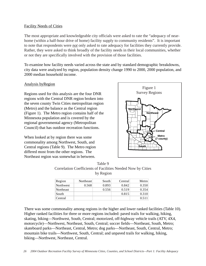#### Facility Needs of Cities

The most appropriate and knowledgeable city officials were asked to rate the "adequacy of nearhome (within a half-hour drive of home) facility supply to community residents". It is important to note that respondents were *not* only asked to rate adequacy for facilities they currently provide. Rather, they were asked to think broadly of the facility needs in their local communities, whether or not they are specifically involved with the provision of those facilities.

To examine how facility needs varied across the state and by standard demographic breakdowns, city data were analyzed by region, population density change 1990 to 2000, 2000 population, and 2000 median household income.

## Analysis byRegion

Regions used for this analysis are the four DNR regions with the Central DNR region broken into the seven county Twin Cities metropolitan region (Metro) and the balance as the Central region (Figure 1). The Metro region contains half of the Minnesota population and is covered by the regional governmental agency (Metropolitan Council) that has outdoor recreation functions.

When looked at by region there was some commonality among Northwest, South, and Central regions (Table 9). The Metro region differed most from the other regions. The Northeast region was somewhat in between.



Table 9 Correlation Coefficients of Facilities Needed Now by Cities by Region

| Region    | Northeast | South | Central | Metro |
|-----------|-----------|-------|---------|-------|
| Northwest | 0.568     | 0.893 | 0.842   | 0.350 |
| Northeast |           | 0.556 | 0.519   | 0.354 |
| South     |           |       | 0.815   | 0.310 |
| Central   |           |       |         | 0.511 |

There was some commonality among regions in the higher and lower ranked facilities (Table 10). Higher ranked facilities for three or more regions included: paved trails for walking, hiking, skating, biking—Northwest, South, Central; motorized, off-highway vehicle trails (ATV, 4X4, motorcycle)—Northwest, Northeast, South, Central; soccer fields—Northeast, South, Metro; skateboard parks—Northeast, Central, Metro; dog parks—Northeast, South, Central, Metro; mountain bike trails—Northwest, South, Central; and unpaved trails for walking, hiking, biking—Northwest, Northeast, Central.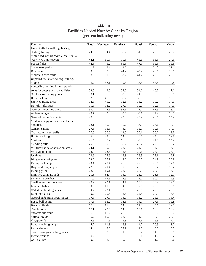| Facility                              | <b>Total</b> | <b>Northwest</b> | <b>Northeast</b> | South | Central | Metro |
|---------------------------------------|--------------|------------------|------------------|-------|---------|-------|
| Paved trails for walking, hiking,     |              |                  |                  |       |         |       |
| skating, biking                       | 44.6         | 54.4             | 37.2             | 51.5  | 46.5    | 29.7  |
| Motorized, off-highway vehicle trails |              |                  |                  |       |         |       |
| (ATV, 4X4, motorcycle)                | 44.1         | 60.3             | 39.5             | 45.6  | 53.5    | 27.5  |
| Soccer fields                         | 42.5         | 41.2             | 39.5             | 47.1  | 39.5    | 39.6  |
| Skateboard parks                      | 41.7         | 41.2             | 39.5             | 40.4  | 58.1    | 37.4  |
| Dog parks                             | 39.9         | 35.3             | 44.2             | 43.4  | 46.5    | 33.0  |
| Mountain bike trails                  | 38.8         | 51.5             | 37.2             | 41.2  | 46.5    | 23.1  |
| Unpaved trails for walking, hiking,   |              |                  |                  |       |         |       |
| biking                                | 36.2         | 47.1             | 39.5             | 36.8  | 48.8    | 19.8  |
| Accessible hunting blinds, stands,    |              |                  |                  |       |         |       |
| areas for people with disabilities    | 33.3         | 42.6             | 32.6             | 34.6  | 48.8    | 17.6  |
| Outdoor swimming pools                | 33.1         | 36.8             | 53.5             | 24.3  | 39.5    | 30.8  |
| Horseback trails                      | 32.5         | 45.6             | 30.2             | 35.3  | 39.5    | 16.5  |
| Snow boarding areas                   | 32.3         | 41.2             | 32.6             | 38.2  | 30.2    | 17.6  |
| Downhill ski areas                    | 31.8         | 38.2             | 27.9             | 39.0  | 32.6    | 17.6  |
| Nature/interpretive trails            | 30.2         | 42.6             | 32.6             | 27.2  | 41.9    | 18.7  |
| Archery ranges                        | 29.7         | 33.8             | 32.6             | 33.1  | 37.2    | 16.5  |
| Nature/Interprative centers           | 28.6         | 36.8             | 23.3             | 29.4  | 46.5    | 15.4  |
| Modern campgrounds with electric      |              |                  |                  |       |         |       |
| hookups                               | 28.1         | 30.9             | 30.2             | 36.0  | 25.6    | 14.3  |
| Camper cabins                         | 27.6         | 36.8             | 4.7              | 35.3  | 39.5    | 14.3  |
| Cross-country ski trails              | 27.0         | 36.8             | 14.0             | 30.1  | 30.2    | 19.8  |
| Hunter walking trails                 | 26.8         | 29.4             | 14.0             | 28.7  | 44.2    | 19.8  |
| Marinas                               | 26.5         | 38.2             | 16.3             | 30.9  | 27.9    | 15.4  |
| Sledding hills                        | 25.5         | 30.9             | 30.2             | 28.7  | 27.9    | 13.2  |
| Wildlife/nature observation areas     | 24.1         | 30.9             | 23.3             | 24.3  | 34.9    | 14.3  |
| Volleyball courts                     | 23.9         | 23.5             | 32.6             | 20.6  | 27.9    | 23.1  |
| Ice rinks                             | 23.9         | 27.9             | 16.3             | 26.5  | 25.6    | 19.8  |
| Big game hunting areas                | 23.6         | 27.9             | 2.3              | 26.5  | 34.9    | 20.9  |
| Rifle-pistol ranges                   | 23.4         | 29.4             | 25.6             | 22.8  | 25.6    | 17.6  |
| Dispersed camping sites               | 22.8         | 29.4             | 9.3              | 27.9  | 30.2    | 13.2  |
| Fishing piers                         | 22.6         | 19.1             | 23.3             | 27.9  | 27.9    | 14.3  |
| Primitive campgrounds                 | 21.8         | 32.4             | 14.0             | 25.0  | 23.3    | 12.1  |
| Swimming beaches                      | 21.0         | 17.6             | 27.9             | 25.0  | 30.2    | 9.9   |
| Small game hunting areas              | 20.2         | 22.1             | 4.7              | 19.9  | 30.2    | 22.0  |
| Football fields                       | 19.9         | 11.8             | 14.0             | 17.6  | 23.3    | 30.8  |
| Waterfowl hunting areas               | 19.7         | 22.1             | 2.3              | 20.6  | 27.9    | 20.9  |
| Running tracks                        | 19.2         | 20.6             | 32.6             | 22.8  | 20.9    | 5.5   |
| Natural park areas/open spaces        | 17.8         | 27.9             | 14.0             | 13.2  | 25.6    | 15.4  |
| <b>Basketball courts</b>              | 17.6         | 13.2             | 18.6             | 14.7  | 27.9    | 19.8  |
| <b>Baseball fields</b>                | 17.6         | 11.8             | 14.0             | 11.0  | 25.6    | 29.7  |
| Tennis courts                         | 17.1         | 20.6             | 14.0             | 19.1  | 16.3    | 13.2  |
| Snowmobile trails                     | 16.3         | 16.2             | 20.9             | 12.5  | 18.6    | 18.7  |
| Softball fields                       | 15.7         | 10.3             | 23.3             | 11.0  | 16.3    | 23.1  |
| Playgrounds                           | 15.5         | 20.6             | 16.3             | 17.6  | 16.3    | 7.7   |
| Boat launching ramps                  | 14.7         | 11.8             | 16.3             | 14.7  | 20.9    | 13.2  |
| Picnic shelters                       | 14.4         | 8.8              | 27.9             | 11.0  | 16.3    | 16.5  |
| Shore fishing/ice fishing areas       | 11.3         | 8.8              | 11.6             | 13.2  | 14.0    | 8.8   |

Picnic grounds 10.2  $5.9$  16.3 8.1 11.6 13.2 Golf courses 6.6 9.7 8.8 9.3 11.8 11.6 6.6

# Table 10 Facilities Needed Now by Cities by Region (percent indicating need)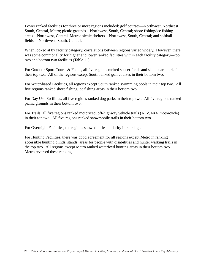Lower ranked facilities for three or more regions included: golf courses—Northwest, Northeast, South, Central, Metro; picnic grounds—Northwest, South, Central; shore fishing/ice fishing areas—Northwest, Central, Metro; picnic shelters—Northwest, South, Central; and softball fields— Northwest, South, Central.

When looked at by facility category, correlations between regions varied widely. However, there was some commonality for higher and lower ranked facilities within each facility category—top two and bottom two facilities (Table 11).

For Outdoor Sport Courts & Fields, all five regions ranked soccer fields and skateboard parks in their top two. All of the regions except South ranked golf courses in their bottom two.

For Water-based Facilities, all regions except South ranked swimming pools in their top two. All five regions ranked shore fishing/ice fishing areas in their bottom two.

For Day Use Facilities, all five regions ranked dog parks in their top two. All five regions ranked picnic grounds in their bottom two.

For Trails, all five regions ranked motorized, off-highway vehicle trails (ATV, 4X4, motorcycle) in their top two. All five regions ranked snowmobile trails in their bottom two.

For Overnight Facilities, the regions showed little similarity in rankings.

For Hunting Facilities, there was good agreement for all regions except Metro in ranking accessible hunting blinds, stands, areas for people with disabilities and hunter walking trails in the top two. All regions except Metro ranked waterfowl hunting areas in their bottom two. Metro reversed these ranking.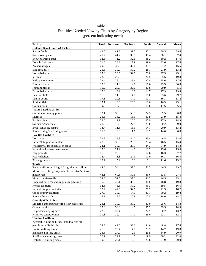# Table 11 Facilities Needed Now by Cities by Category by Region (percent indicating need)

| Facility                                          | <b>Total</b> | <b>Northwest</b> | <b>Northeast</b> | South | Central  | Metro |
|---------------------------------------------------|--------------|------------------|------------------|-------|----------|-------|
| <b>Outdoor Sport Courts &amp; Fields</b>          |              |                  |                  |       |          |       |
| Soccer fields                                     | 42.5         | 41.2             | 39.5             | 47.1  | 39.5     | 39.6  |
| Skateboard parks                                  | 41.7         | 41.2             | 39.5             | 40.4  | 58.1     | 37.4  |
| Snow boarding areas                               | 32.3         | 41.2             | 32.6             | 38.2  | 30.2     | 17.6  |
| Downhill ski areas                                | 31.8         | 38.2             | 27.9             | 39.0  | 32.6     | 17.6  |
| Archery ranges                                    | 29.7         | 33.8             | 32.6             | 33.1  | 37.2     | 16.5  |
| Sledding hills                                    | 25.5         | 30.9             | 30.2             | 28.7  | 27.9     | 13.2  |
| Volleyball courts                                 | 23.9         | 23.5             | 32.6             | 20.6  | 27.9     | 23.1  |
| Ice rinks                                         | 23.9         | 27.9             | 16.3             | 26.5  | 25.6     | 19.8  |
| Rifle-pistol ranges                               | 23.4         | 29.4             | 25.6             | 22.8  | 25.6     | 17.6  |
| Football fields                                   | 19.9         | 11.8             | 14.0             | 17.6  | 23.3     | 30.8  |
| Running tracks                                    | 19.2         | 20.6             | 32.6             | 22.8  | 20.9     | 5.5   |
| <b>Basketball courts</b>                          | 17.6         | 13.2             | 18.6             | 14.7  | 27.9     | 19.8  |
| <b>Baseball fields</b>                            | 17.6         | 11.8             | 14.0             | 11.0  | 25.6     | 29.7  |
| Tennis courts                                     | 17.1         | 20.6             | 14.0             | 19.1  | 16.3     | 13.2  |
| Softball fields                                   | 15.7         | 10.3             | 23.3             | 11.0  | 16.3     | 23.1  |
| Golf courses                                      | 9.7          | 8.8              | 9.3              | 11.8  | 11.6     | 6.6   |
| <b>Water-based Facilities</b>                     |              |                  |                  |       |          |       |
|                                                   |              |                  |                  |       |          |       |
| Outdoor swimming pools                            | 33.1         | 36.8             | 53.5             | 24.3  | 39.5     | 30.8  |
| Marinas                                           | 26.5         | 38.2             | 16.3             | 30.9  | 27.9     | 15.4  |
| Fishing piers                                     | 22.6         | 19.1             | 23.3             | 27.9  | 27.9     | 14.3  |
| Swimming beaches                                  | 21.0         | 17.6             | 27.9             | 25.0  | 30.2     | 9.9   |
| Boat launching ramps                              | 14.7         | 11.8             | 16.3             | 14.7  | 20.9     | 13.2  |
| Shore fishing/ice fishing areas                   | 11.3         | 8.8              | 11.6             | 13.2  | 14.0     | 8.8   |
| <b>Day Use Facilities</b>                         |              |                  |                  |       |          |       |
| Dog parks                                         | 39.9         | 35.3             | 44.2             | 43.4  | 46.5     | 33.0  |
| Nature/Interprative centers                       | 28.6         | 36.8             | 23.3             | 29.4  | 46.5     | 15.4  |
| Wildlife/nature observation areas                 | 24.1         | 30.9             | 23.3             | 24.3  | 34.9     | 14.3  |
| Natural park areas/open spaces                    | 17.8         | 27.9             | 14.0             | 13.2  | 25.6     | 15.4  |
| Playgrounds                                       | 15.5         | 20.6             | 16.3             | 17.6  | 16.3     | 7.7   |
| Picnic shelters                                   | 14.4         | $\!\!\!\!\!8.8$  | 27.9             | 11.0  | 16.3     | 16.5  |
| Picnic grounds                                    | 10.2         | 5.9              | 16.3             | 8.1   | 11.6     | 13.2  |
| <b>Trails</b>                                     |              |                  |                  |       |          |       |
| Paved trails for walking, hiking, skating, biking | 44.6         | 54.4             | 37.2             | 51.5  | 46.5     | 29.7  |
| Motorized, off-highway vehicle trails (ATV, 4X4,  |              |                  |                  |       |          |       |
| motorcycle)                                       | 44.1         | 60.3             | 39.5             | 45.6  | 53.5     | 27.5  |
| Mountain bike trails                              | 38.8         | 51.5             | 37.2             | 41.2  | 46.5     | 23.1  |
| Unpaved trails for walking, hiking, biking        | 36.2         | 47.1             | 39.5             | 36.8  | 48.8     | 19.8  |
| Horseback trails                                  | 32.5         | 45.6             | 30.2             | 35.3  | 39.5     | 16.5  |
| Nature/interpretive trails                        | 30.2         | 42.6             | 32.6             | 27.2  | 41.9     | 18.7  |
| Cross-country ski trails                          | 27.0         | 36.8             | 14.0             | 30.1  | $30.2\,$ | 19.8  |
| Snowmobile trails                                 | 16.3         | 16.2             | 20.9             | 12.5  | 18.6     | 18.7  |
| <b>Overnight Facilities</b>                       |              |                  |                  |       |          |       |
| Modern campgrounds with electric hookups          | 28.1         | 30.9             | 30.2             | 36.0  | 25.6     | 14.3  |
| Camper cabins                                     | 27.6         | 36.8             | 4.7              | 35.3  | 39.5     | 14.3  |
| Dispersed camping sites                           | 22.8         | 29.4             | 9.3              | 27.9  | 30.2     | 13.2  |
| Primitive campgrounds                             | 21.8         | 32.4             | 14.0             | 25.0  | 23.3     | 12.1  |
| <b>Hunting Facilities</b>                         |              |                  |                  |       |          |       |
| Accessible hunting blinds, stands, areas for      |              |                  |                  |       |          |       |
| people with disabilities                          | 33.3         | 42.6             | 32.6             | 34.6  | 48.8     | 17.6  |
| Hunter walking trails                             | 26.8         | 29.4             | 14.0             | 28.7  | 44.2     | 19.8  |
| Big game hunting areas                            | 23.6         | 27.9             | $2.3$            | 26.5  | 34.9     | 20.9  |
| Small game hunting areas                          | 20.2         | 22.1             | 4.7              | 19.9  | 30.2     | 22.0  |
| Waterfowl hunting areas                           | 19.7         | 22.1             | $2.3\,$          | 20.6  | 27.9     | 20.9  |
|                                                   |              |                  |                  |       |          |       |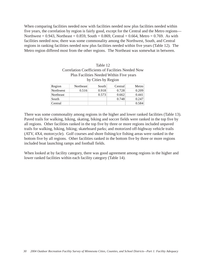When comparing facilities needed now with facilities needed now plus facilities needed within five years, the correlation by region is fairly good, except for the Central and the Metro regions— Northwest =  $0.943$ , Northeast =  $0.859$ , South =  $0.869$ , Central =  $0.664$ , Metro =  $0.769$ . As with facilities needed now, there was some commonality among the Northwest, South, and Central regions in ranking facilities needed now plus facilities needed within five years (Table 12). The Metro region differed most from the other regions. The Northeast was somewhat in between.

| Plus Facilities Needed Within Five years<br>by Cities by Region |           |       |         |       |  |  |
|-----------------------------------------------------------------|-----------|-------|---------|-------|--|--|
| Region                                                          | Northeast | South | Central | Metro |  |  |
| Northwest                                                       | 0.516     | 0.918 | 0.728   | 0.209 |  |  |
| Northeast                                                       |           | 0.573 | 0.662   | 0.441 |  |  |
| South                                                           |           |       | 0.748   | 0.247 |  |  |
| Central                                                         |           |       |         | 0.584 |  |  |

There was some commonality among regions in the higher and lower ranked facilities (Table 13). Paved trails for walking, hiking, skating, biking and soccer fields were ranked in the top five by all regions. Other facilities ranked in the top five by three or more regions included unpaved trails for walking, hiking, biking; skateboard parks; and motorized off-highway vehicle trails (ATV, 4X4, motorcycle). Golf courses and shore fishing/ice fishing areas were ranked in the bottom five by all regions. Other facilities ranked in the bottom five by three or more regions included boat launching ramps and football fields.

When looked at by facility category, there was good agreement among regions in the higher and lower ranked facilities within each facility category (Table 14).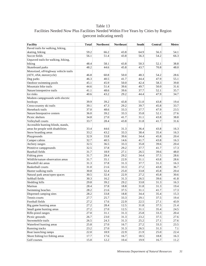# Table 13 Facilities Needed Now Plus Facilities Needed Within Five Years by Cities by Region (percent indicating need)

| <b>Facility</b>                       | <b>Total</b> | <b>Northwest</b> | <b>Northeast</b> | South | <b>Central</b> | <b>Metro</b> |
|---------------------------------------|--------------|------------------|------------------|-------|----------------|--------------|
| Paved trails for walking, hiking,     |              |                  |                  |       |                |              |
| skating, biking                       | 59.2         | 66.2             | 43.8             | 64.9  | 56.3           | 54.1         |
| Soccer fields                         | 56.1         | 51.4             | 43.8             | 56.3  | 54.2           | 66.3         |
| Unpaved trails for walking, hiking,   |              |                  |                  |       |                |              |
| biking                                | 48.4         | 58.1             | 43.8             | 50.3  | 52.1           | 38.8         |
| Skateboard parks                      | 48.2         | 44.6             | 45.8             | 43.7  | 70.8           | 48.0         |
| Motorized, off-highway vehicle trails |              |                  |                  |       |                |              |
| (ATV, 4X4, motorcycle)                | 46.8         | 60.8             | 50.0             | 48.3  | 54.2           | 28.6         |
| Dog parks                             | 46.3         | 40.5             | 41.7             | 44.4  | 47.9           | 55.1         |
| Outdoor swimming pools                | 45.1         | 45.9             | 50.0             | 42.4  | 58.3           | 39.8         |
| Mountain bike trails                  | 44.6         | 51.4             | 39.6             | 49.7  | 50.0           | 31.6         |
| Nature/interpretive trails            | 41.1         | 48.6             | 39.6             | 37.7  | 52.1           | 35.7         |
| Ice rinks                             | 40.6         | 43.2             | 29.2             | 44.4  | 47.9           | 34.7         |
| Modern campgrounds with electric      |              |                  |                  |       |                |              |
| hookups                               | 39.9         | 39.2             | 43.8             | 51.0  | 43.8           | 19.4         |
| Cross-country ski trails              | 39.1         | 47.3             | 29.2             | 39.7  | 45.8           | 33.7         |
| Horseback trails                      | 37.0         | 48.6             | 33.3             | 37.7  | 47.9           | 23.5         |
| Nature/Interprative centers           | 36.0         | 39.2             | 33.3             | 35.8  | 52.1           | 27.6         |
| Picnic shelters                       | 34.8         | 27.0             | 41.7             | 31.1  | 43.8           | 38.8         |
| Volleyball courts                     | 33.7         | 28.4             | 43.8             | 31.8  | 41.7           | 31.6         |
| Accessible hunting blinds, stands,    |              |                  |                  |       |                |              |
| areas for people with disabilities    | 33.4         | 44.6             | 31.3             | 36.4  | 43.8           | 16.3         |
| Snow boarding areas                   | 33.2         | 43.2             | 33.3             | 38.4  | 35.4           | 16.3         |
| Playgrounds                           | 32.9         | 33.8             | 39.6             | 34.4  | 45.8           | 20.4         |
| Camper cabins                         | 32.7         | 40.5             | 14.6             | 41.7  | 43.8           | 16.3         |
| Archery ranges                        | 32.5         | 36.5             | 33.3             | 35.8  | 39.6           | 20.4         |
| Primitive campgrounds                 | 32.5         | 37.8             | 29.2             | 37.7  | 41.7           | 17.3         |
| <b>Baseball</b> fields                | 31.7         | 18.9             | 27.1             | 26.5  | 39.6           | 48.0         |
| Fishing piers                         | 31.7         | 28.4             | 29.2             | 34.4  | 37.5           | 28.6         |
| Wildlife/nature observation areas     | 31.7         | 35.1             | 22.9             | 31.1  | 43.8           | 28.6         |
| Downhill ski areas                    | 31.3         | 37.8             | 31.3             | 37.7  | 31.3           | 16.3         |
| <b>Basketball courts</b>              | 31.0         | 21.6             | 33.3             | 27.2  | 43.8           | 36.7         |
| Hunter walking trails                 | 30.8         | 32.4             | 25.0             | 33.8  | 45.8           | 20.4         |
| Natural park areas/open spaces        | 30.5         | 32.4             | 22.9             | 27.2  | 45.8           | 30.6         |
| Softball fields                       | 30.3         | 16.2             | 31.3             | 26.5  | 39.6           | 41.8         |
| Sledding hills                        | 29.8         | 39.2             | 29.2             | 33.8  | 31.3           | 16.3         |
| Marinas                               | 28.4         | 37.8             | 18.8             | 31.8  | 31.3           | 19.4         |
| Swimming beaches                      | 28.2         | 21.6             | 37.5             | 31.1  | 41.7           | 17.3         |
| Dispersed camping sites               | 28.2         | 33.8             | 18.8             | 34.4  | 35.4           | 15.3         |
| Tennis courts                         | 27.7         | 25.7             | 33.3             | 29.1  | 37.5           | 19.4         |
| Football fields                       | 27.2         | 17.6             | 22.9             | 22.5  | 27.1           | 43.9         |
| Big game hunting areas                | 27.2         | 28.4             | 12.5             | 31.8  | 37.5           | 21.4         |
| Small game hunting areas              | 27.2         | 27.0             | 12.5             | 31.1  | 35.4           | 24.5         |
| Rifle-pistol ranges                   | 27.0         | 31.1             | 31.3             | 25.8  | 33.3           | 20.4         |
| Picnic grounds                        | 26.7         | 23.0             | 31.3             | 23.2  | 37.5           | 27.6         |
| Snowmobile trails                     | 26.5         | 24.3             | 31.3             | 25.2  | 27.1           | 27.6         |
| Waterfowl hunting areas               | 25.8         | 27.0             | 16.7             | 27.2  | 33.3           | 23.5         |
| Running tracks                        | 23.2         | 27.0             | 31.3             | 26.5  | 31.3           | 7.1          |
| Boat launching ramps                  | 22.0         | 18.9             | 22.9             | 21.9  | 25.0           | 22.4         |
| Shore fishing/ice fishing areas       | 17.7         | 17.6             | 16.7             | 18.5  | 18.8           | 16.3         |
| Golf courses                          | 15.0         | 12.2             | 10.4             | 19.9  | 16.7           | 11.2         |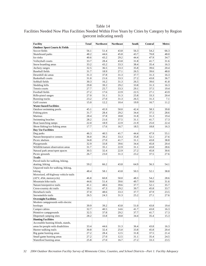### Table 14

| Facilities Needed Now Plus Facilities Needed Within Five Years by Cities by Category by Region |  |
|------------------------------------------------------------------------------------------------|--|
| (percent indicating need)                                                                      |  |

| <b>Facility</b>                          | <b>Total</b> | <b>Northwest</b> | <b>Northeast</b> | South | Central | Metro |
|------------------------------------------|--------------|------------------|------------------|-------|---------|-------|
| <b>Outdoor Sport Courts &amp; Fields</b> |              |                  |                  |       |         |       |
| Soccer fields                            | 56.1         | 51.4             | 43.8             | 56.3  | 54.2    | 66.3  |
| Skateboard parks                         | 48.2         | 44.6             | 45.8             | 43.7  | 70.8    | 48.0  |
| Ice rinks                                | 40.6         | 43.2             | 29.2             | 44.4  | 47.9    | 34.7  |
| Volleyball courts                        | 33.7         | 28.4             | 43.8             | 31.8  | 41.7    | 31.6  |
| Snow boarding areas                      | 33.2         | 43.2             | 33.3             | 38.4  | 35.4    | 16.3  |
| Archery ranges                           | 32.5         | 36.5             | 33.3             | 35.8  | 39.6    | 20.4  |
| <b>Baseball fields</b>                   | 31.7         | 18.9             | 27.1             | 26.5  | 39.6    | 48.0  |
| Downhill ski areas                       | 31.3         | 37.8             | 31.3             | 37.7  | 31.3    | 16.3  |
| <b>Basketball courts</b>                 | 31.0         | 21.6             | 33.3             | 27.2  | 43.8    | 36.7  |
| Softball fields                          | 30.3         | 16.2             | 31.3             | 26.5  | 39.6    | 41.8  |
| Sledding hills                           | 29.8         | 39.2             | 29.2             | 33.8  | 31.3    | 16.3  |
| Tennis courts                            | 27.7         | 25.7             | 33.3             | 29.1  | 37.5    | 19.4  |
| Football fields                          | 27.2         | 17.6             | 22.9             | 22.5  | 27.1    | 43.9  |
| Rifle-pistol ranges                      | 27.0         | 31.1             | 31.3             | 25.8  | 33.3    | 20.4  |
| Running tracks                           | 23.2         | 27.0             | 31.3             | 26.5  | 31.3    | 7.1   |
| Golf courses                             | 15.0         | 12.2             | 10.4             | 19.9  | 16.7    | 11.2  |
| <b>Water-based Facilities</b>            |              |                  |                  |       |         |       |
| Outdoor swimming pools                   | 45.1         | 45.9             | 50.0             | 42.4  | 58.3    | 39.8  |
| Fishing piers                            | 31.7         | 28.4             | 29.2             | 34.4  | 37.5    | 28.6  |
| Marinas                                  | 28.4         | 37.8             | 18.8             | 31.8  | 31.3    | 19.4  |
| Swimming beaches                         | 28.2         | 21.6             | 37.5             | 31.1  | 41.7    | 17.3  |
| Boat launching ramps                     | 22.0         | 18.9             | 22.9             | 21.9  | 25.0    | 22.4  |
| Shore fishing/ice fishing areas          | 17.7         | 17.6             | 16.7             | 18.5  | 18.8    | 16.3  |
| Day Use Facilities                       |              |                  |                  |       |         |       |
| Dog parks                                | 46.3         | 40.5             | 41.7             | 44.4  | 47.9    | 55.1  |
| Nature/Interprative centers              | 36.0         | 39.2             | 33.3             | 35.8  | 52.1    | 27.6  |
| Picnic shelters                          | 34.8         | 27.0             | 41.7             | 31.1  | 43.8    | 38.8  |
| Playgrounds                              | 32.9         | 33.8             | 39.6             | 34.4  | 45.8    | 20.4  |
| Wildlife/nature observation areas        | 31.7         | 35.1             | 22.9             | 31.1  | 43.8    | 28.6  |
| Natural park areas/open spaces           | 30.5         | 32.4             | 22.9             | 27.2  | 45.8    | 30.6  |
| Picnic grounds                           | 26.7         | 23.0             | 31.3             | 23.2  | 37.5    | 27.6  |
| <b>Trails</b>                            |              |                  |                  |       |         |       |
| Paved trails for walking, hiking,        |              |                  |                  |       |         |       |
| skating, biking                          | 59.2         | 66.2             | 43.8             | 64.9  | 56.3    | 54.1  |
| Unpaved trails for walking, hiking,      |              |                  |                  |       |         |       |
| biking                                   | 48.4         | 58.1             | 43.8             | 50.3  | 52.1    | 38.8  |
| Motorized, off-highway vehicle trails    |              |                  |                  |       |         |       |
| (ATV, 4X4, motorcycle)                   | 46.8         | 60.8             | 50.0             | 48.3  | 54.2    | 28.6  |
| Mountain bike trails                     | 44.6         | 51.4             | 39.6             | 49.7  | 50.0    | 31.6  |
| Nature/interpretive trails               | 41.1         | 48.6             | 39.6             | 37.7  | 52.1    | 35.7  |
| Cross-country ski trails                 | 39.1         | 47.3             | 29.2             | 39.7  | 45.8    | 33.7  |
| Horseback trails                         | 37.0         | 48.6             | 33.3             | 37.7  | 47.9    | 23.5  |
| Snowmobile trails                        | 26.5         | 24.3             | 31.3             | 25.2  | 27.1    | 27.6  |
| <b>Overnight Facilities</b>              |              |                  |                  |       |         |       |
| Modern campgrounds with electric         |              |                  |                  |       |         |       |
| hookups                                  | 39.9         | 39.2             | 43.8             | 51.0  | 43.8    | 19.4  |
| Camper cabins                            | 32.7         | 40.5             | 14.6             | 41.7  | 43.8    | 16.3  |
| Primitive campgrounds                    | 32.5         | 37.8             | 29.2             | 37.7  | 41.7    | 17.3  |
| Dispersed camping sites                  | 28.2         | 33.8             | 18.8             | 34.4  | 35.4    | 15.3  |
| <b>Hunting Facilities</b>                |              |                  |                  |       |         |       |
| Accessible hunting blinds, stands,       |              |                  |                  |       |         |       |
| areas for people with disabilities       | 33.4         | 44.6             | 31.3             | 36.4  | 43.8    | 16.3  |
| Hunter walking trails                    | 30.8         | 32.4             | 25.0             | 33.8  | 45.8    | 20.4  |
| Big game hunting areas                   | 27.2         | 28.4             | 12.5             | 31.8  | 37.5    | 21.4  |
| Small game hunting areas                 | 27.2         | 27.0             | 12.5             | 31.1  | 35.4    | 24.5  |
| Waterfowl hunting areas                  | 25.8         | 27.0             | 16.7             | 27.2  | 33.3    | 23.5  |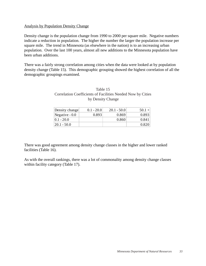#### Analysis by Population Density Change

Density change is the population change from 1990 to 2000 per square mile. Negative numbers indicate a reduction in population. The higher the number the larger the population increase per square mile. The trend in Minnesota (as elsewhere in the nation) is to an increasing urban population. Over the last 100 years, almost all new additions to the Minnesota population have been urban additions.

There was a fairly strong correlation among cities when the data were looked at by population density change (Table 15). This demographic grouping showed the highest correlation of all the demographic groupings examined.

| Density change  | $0.1 - 20.0$ | $20.1 - 50.0$ | $50.1 +$ |
|-----------------|--------------|---------------|----------|
| Negative $-0.0$ | 0.893        | 0.869         | 0.893    |
| $ 0.1 - 20.0 $  |              | 0.860         | 0.841    |
| 20.1 - 50.0     |              |               | 0.820    |

## Table 15 Correlation Coefficients of Facilities Needed Now by Cities by Density Change

There was good agreement among density change classes in the higher and lower ranked facilities (Table 16).

As with the overall rankings, there was a lot of commonality among density change classes within facility category (Table 17).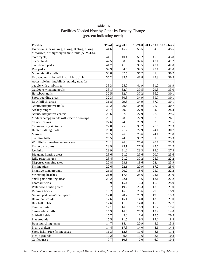| <b>Facility</b>                                   | <b>Total</b> | neg - 0.0 |         |      | $0.1 - 20.0$ 20.1 - 50.0 50.1 - high |
|---------------------------------------------------|--------------|-----------|---------|------|--------------------------------------|
| Paved trails for walking, hiking, skating, biking | 44.6         | 45.2      | 53.5    | 34.5 | 45.5                                 |
| Motorized, off-highway vehicle trails (ATV, 4X4,  |              |           |         |      |                                      |
| motorcycle)                                       | 44.1         | 40.4      | 51.2    | 46.6 | 43.8                                 |
| Soccer fields                                     | 42.5         | 38.5      | 32.6    | 43.1 | 47.2                                 |
| Skateboard parks                                  | 41.7         | 41.3      | 39.5    | 43.1 | 42.0                                 |
| Dog parks                                         | 39.9         | 34.6      | 39.5    | 43.1 | 42.0                                 |
| Mountain bike trails                              | 38.8         | 37.5      | 37.2    | 41.4 | 39.2                                 |
| Unpaved trails for walking, hiking, biking        | 36.2         | 33.7      | 48.8    | 29.3 | 36.9                                 |
| Accessible hunting blinds, stands, areas for      |              |           |         |      |                                      |
| people with disabilities                          | 33.3         | 25.0      | 41.9    | 31.0 | 36.9                                 |
| Outdoor swimming pools                            | 33.1         | 32.7      | 39.5    | 29.3 | 33.0                                 |
| Horseback trails                                  | 32.5         | 32.7      | 37.2    | 36.2 | 30.1                                 |
| Snow boarding areas                               | 32.3         | 30.8      | 34.9    | 39.7 | 30.1                                 |
| Downhill ski areas                                | 31.8         | 29.8      | 34.9    | 37.9 | 30.1                                 |
| Nature/interpretive trails                        | 30.2         | 29.8      | 34.9    | 25.9 | 30.7                                 |
| Archery ranges                                    | 29.7         | 29.8      | 27.9    | 34.5 | 28.4                                 |
| Nature/Interprative centers                       | 28.6         | 27.9      | 27.9    | 27.6 | 29.5                                 |
| Modern campgrounds with electric hookups          | 28.1         | 28.8      | 27.9    | 32.8 | 26.1                                 |
| Camper cabins                                     | 27.6         | 24.0      | 20.9    | 32.8 | 29.5                                 |
| Cross-country ski trails                          | 27.0         | 25.0      | 30.2    | 27.6 | 27.3                                 |
| Hunter walking trails                             | 26.8         | 21.2      | 27.9    | 24.1 | 30.7                                 |
| Marinas                                           | 26.5         | 26.0      | 25.6    | 24.1 | 27.8                                 |
| Sledding hills                                    | 25.5         | 24.0      | 30.2    | 31.0 | 23.3                                 |
| Wildlife/nature observation areas                 | 24.1         | 26.0      | 25.6    | 20.7 | 23.9                                 |
| Volleyball courts                                 | 23.9         | 23.1      | 27.9    | 27.6 | 22.2                                 |
| Ice rinks                                         | 23.9         | 21.2      | 23.3    | 19.0 | 27.3                                 |
| Big game hunting areas                            | 23.6         | 21.2      | 25.6    | 20.7 | 25.6                                 |
| Rifle-pistol ranges                               | 23.4         | 21.2      | 30.2    | 25.9 | 22.2                                 |
| Dispersed camping sites                           | 22.8         | 23.1      | 18.6    | 22.4 | 23.9                                 |
| Fishing piers                                     | 22.6         | 22.1      | 20.9    | 17.2 | 25.0                                 |
| Primitive campgrounds                             | 21.8         | 20.2      | 18.6    | 25.9 | 22.2                                 |
| Swimming beaches                                  | 21.0         | 17.3      | 25.6    | 24.1 | $21.0\,$                             |
| Small game hunting areas                          | 20.2         | 22.1      | 18.6    | 12.1 | 22.2                                 |
| Football fields                                   | 19.9         | 15.4      | 16.3    | 15.5 | 25.0                                 |
| Waterfowl hunting areas                           | 19.7         | 19.2      | 23.3    | 13.8 | 21.0                                 |
| Running tracks                                    | 19.2         | 16.3      | 25.6    | 29.3 | 15.9                                 |
| Natural park areas/open spaces                    | 17.8         | 20.2      | 20.9    | 19.0 | 15.3                                 |
| <b>Basketball courts</b>                          | 17.6         | 15.4      | 14.0    | 13.8 | 21.0                                 |
| <b>Baseball fields</b>                            | 17.6         | 11.5      | 14.0    | 15.5 | 22.7                                 |
| Tennis courts                                     | 17.1         | 16.3      | 16.3    | 17.2 | 17.6                                 |
| Snowmobile trails                                 | 16.3         | 16.3      | 20.9    | 17.2 | 14.8                                 |
| Softball fields                                   | 15.7         | 9.6       | 11.6    | 15.5 | 20.5                                 |
| Playgrounds                                       | 15.5         | 11.5      | 9.3     | 17.2 | 18.8                                 |
| Boat launching ramps                              | 14.7         | 14.4      | 20.9    | 8.6  | 15.3                                 |
| Picnic shelters                                   | 14.4         | 17.3      | 14.0    | 8.6  | 14.8                                 |
| Shore fishing/ice fishing areas                   | 11.3         | 12.5      | 11.6    | 8.6  | 11.4                                 |
| Picnic grounds                                    | $10.2\,$     | 9.6       | 11.6    | 8.6  | 10.8                                 |
| Golf courses                                      | 9.7          | 10.6      | $7.0\,$ | 6.9  | 10.8                                 |

## Table 16 Facilities Needed Now by Cities by Density Change (percent indicating need)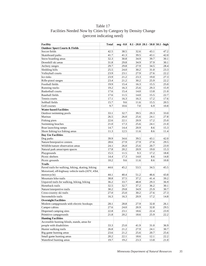# Table 17 Facilities Needed Now by Cities by Category by Density Change (percent indicating need)

| <b>Outdoor Sport Courts &amp; Fields</b><br>Soccer fields<br>42.5<br>38.5<br>32.6<br>43.1<br>47.2<br>39.5<br>43.1<br>42.0<br>Skateboard parks<br>41.7<br>41.3<br>32.3<br>34.9<br>Snow boarding areas<br>30.8<br>39.7<br>30.1<br>29.8<br>Downhill ski areas<br>31.8<br>34.9<br>37.9<br>30.1<br>29.7<br>29.8<br>27.9<br>34.5<br>28.4<br>Archery ranges<br>Sledding hills<br>25.5<br>24.0<br>30.2<br>31.0<br>23.3<br>27.9<br>Volleyball courts<br>23.9<br>23.1<br>27.6<br>22.2<br>Ice rinks<br>23.9<br>21.2<br>23.3<br>19.0<br>27.3<br>23.4<br>21.2<br>Rifle-pistol ranges<br>30.2<br>25.9<br>22.2<br>Football fields<br>19.9<br>15.4<br>16.3<br>15.5<br>25.0<br>19.2<br>16.3<br>25.6<br>29.3<br>15.9<br>Running tracks<br>17.6<br>21.0<br><b>Basketball courts</b><br>15.4<br>14.0<br>13.8<br>17.6<br>15.5<br>22.7<br>Baseball fields<br>11.5<br>14.0<br>17.1<br>16.3<br>16.3<br>Tennis courts<br>17.2<br>17.6<br>15.7<br>15.5<br>Softball fields<br>9.6<br>11.6<br>20.5<br>9.7<br>10.6<br>7.0<br>6.9<br>Golf courses<br>10.8<br><b>Water-based Facilities</b><br>33.1<br>32.7<br>39.5<br>29.3<br>33.0<br>Outdoor swimming pools<br>26.5<br>25.6<br>Marinas<br>26.0<br>24.1<br>27.8<br>22.6<br>22.1<br>20.9<br>17.2<br>25.0<br>Fishing piers<br>17.3<br>25.6<br>Swimming beaches<br>21.0<br>24.1<br>21.0<br>14.4<br>Boat launching ramps<br>14.7<br>20.9<br>8.6<br>15.3<br>12.5<br>Shore fishing/ice fishing areas<br>11.3<br>11.6<br>11.4<br>8.6<br><b>Day Use Facilities</b><br>39.9<br>Dog parks<br>34.6<br>39.5<br>43.1<br>42.0<br>27.9<br>27.9<br>Nature/Interprative centers<br>28.6<br>27.6<br>29.5<br>24.1<br>23.9<br>Wildlife/nature observation areas<br>26.0<br>25.6<br>20.7<br>17.8<br>20.2<br>20.9<br>19.0<br>15.3<br>Natural park areas/open spaces<br>15.5<br>Playgrounds<br>11.5<br>9.3<br>17.2<br>18.8<br>14.4<br>17.3<br>14.0<br>Picnic shelters<br>8.6<br>14.8<br>10.2<br>Picnic grounds<br>9.6<br>11.6<br>8.6<br>10.8<br><b>Trails</b><br>Paved trails for walking, hiking, skating, biking<br>44.6<br>45.2<br>53.5<br>34.5<br>45.5<br>Motorized, off-highway vehicle trails (ATV, 4X4,<br>motorcycle)<br>44.1<br>40.4<br>51.2<br>46.6<br>43.8<br>37.5<br>37.2<br>Mountain bike trails<br>38.8<br>41.4<br>39.2<br>Unpaved trails for walking, hiking, biking<br>36.2<br>33.7<br>48.8<br>29.3<br>36.9<br>Horseback trails<br>32.5<br>32.7<br>37.2<br>36.2<br>30.1<br>Nature/interpretive trails<br>30.2<br>29.8<br>34.9<br>25.9<br>30.7<br>27.0<br>25.0<br>30.2<br>27.6<br>27.3<br>Cross-country ski trails<br>Snowmobile trails<br>16.3<br>16.3<br>20.9<br>17.2<br>14.8<br><b>Overnight Facilities</b><br>Modern campgrounds with electric hookups<br>28.1<br>28.8<br>27.9<br>32.8<br>26.1<br>27.6<br>32.8<br>Camper cabins<br>24.0<br>20.9<br>29.5<br>Dispersed camping sites<br>22.8<br>23.1<br>22.4<br>23.9<br>18.6<br>Primitive campgrounds<br>21.8<br>20.2<br>18.6<br>25.9<br>22.2<br><b>Hunting Facilities</b><br>Accessible hunting blinds, stands, areas for<br>33.3<br>people with disabilities<br>25.0<br>41.9<br>31.0<br>36.9<br>Hunter walking trails<br>21.2<br>27.9<br>26.8<br>24.1<br>30.7 | <b>Facility</b>        | <b>Total</b> | $neg - 0.0$ |      |      | $0.1 - 20.0   20.1 - 50.0   50.1 - high$ |
|-----------------------------------------------------------------------------------------------------------------------------------------------------------------------------------------------------------------------------------------------------------------------------------------------------------------------------------------------------------------------------------------------------------------------------------------------------------------------------------------------------------------------------------------------------------------------------------------------------------------------------------------------------------------------------------------------------------------------------------------------------------------------------------------------------------------------------------------------------------------------------------------------------------------------------------------------------------------------------------------------------------------------------------------------------------------------------------------------------------------------------------------------------------------------------------------------------------------------------------------------------------------------------------------------------------------------------------------------------------------------------------------------------------------------------------------------------------------------------------------------------------------------------------------------------------------------------------------------------------------------------------------------------------------------------------------------------------------------------------------------------------------------------------------------------------------------------------------------------------------------------------------------------------------------------------------------------------------------------------------------------------------------------------------------------------------------------------------------------------------------------------------------------------------------------------------------------------------------------------------------------------------------------------------------------------------------------------------------------------------------------------------------------------------------------------------------------------------------------------------------------------------------------------------------------------------------------------------------------------------------------------------------------------------------------------------------------------------------------------------------------------------------------------------------------------------------------------------------------------------------------------------------------------------------------------------------------------------------------------------------------------------------------------------------------------------------------------------------------------------------------|------------------------|--------------|-------------|------|------|------------------------------------------|
|                                                                                                                                                                                                                                                                                                                                                                                                                                                                                                                                                                                                                                                                                                                                                                                                                                                                                                                                                                                                                                                                                                                                                                                                                                                                                                                                                                                                                                                                                                                                                                                                                                                                                                                                                                                                                                                                                                                                                                                                                                                                                                                                                                                                                                                                                                                                                                                                                                                                                                                                                                                                                                                                                                                                                                                                                                                                                                                                                                                                                                                                                                                             |                        |              |             |      |      |                                          |
|                                                                                                                                                                                                                                                                                                                                                                                                                                                                                                                                                                                                                                                                                                                                                                                                                                                                                                                                                                                                                                                                                                                                                                                                                                                                                                                                                                                                                                                                                                                                                                                                                                                                                                                                                                                                                                                                                                                                                                                                                                                                                                                                                                                                                                                                                                                                                                                                                                                                                                                                                                                                                                                                                                                                                                                                                                                                                                                                                                                                                                                                                                                             |                        |              |             |      |      |                                          |
|                                                                                                                                                                                                                                                                                                                                                                                                                                                                                                                                                                                                                                                                                                                                                                                                                                                                                                                                                                                                                                                                                                                                                                                                                                                                                                                                                                                                                                                                                                                                                                                                                                                                                                                                                                                                                                                                                                                                                                                                                                                                                                                                                                                                                                                                                                                                                                                                                                                                                                                                                                                                                                                                                                                                                                                                                                                                                                                                                                                                                                                                                                                             |                        |              |             |      |      |                                          |
|                                                                                                                                                                                                                                                                                                                                                                                                                                                                                                                                                                                                                                                                                                                                                                                                                                                                                                                                                                                                                                                                                                                                                                                                                                                                                                                                                                                                                                                                                                                                                                                                                                                                                                                                                                                                                                                                                                                                                                                                                                                                                                                                                                                                                                                                                                                                                                                                                                                                                                                                                                                                                                                                                                                                                                                                                                                                                                                                                                                                                                                                                                                             |                        |              |             |      |      |                                          |
|                                                                                                                                                                                                                                                                                                                                                                                                                                                                                                                                                                                                                                                                                                                                                                                                                                                                                                                                                                                                                                                                                                                                                                                                                                                                                                                                                                                                                                                                                                                                                                                                                                                                                                                                                                                                                                                                                                                                                                                                                                                                                                                                                                                                                                                                                                                                                                                                                                                                                                                                                                                                                                                                                                                                                                                                                                                                                                                                                                                                                                                                                                                             |                        |              |             |      |      |                                          |
|                                                                                                                                                                                                                                                                                                                                                                                                                                                                                                                                                                                                                                                                                                                                                                                                                                                                                                                                                                                                                                                                                                                                                                                                                                                                                                                                                                                                                                                                                                                                                                                                                                                                                                                                                                                                                                                                                                                                                                                                                                                                                                                                                                                                                                                                                                                                                                                                                                                                                                                                                                                                                                                                                                                                                                                                                                                                                                                                                                                                                                                                                                                             |                        |              |             |      |      |                                          |
|                                                                                                                                                                                                                                                                                                                                                                                                                                                                                                                                                                                                                                                                                                                                                                                                                                                                                                                                                                                                                                                                                                                                                                                                                                                                                                                                                                                                                                                                                                                                                                                                                                                                                                                                                                                                                                                                                                                                                                                                                                                                                                                                                                                                                                                                                                                                                                                                                                                                                                                                                                                                                                                                                                                                                                                                                                                                                                                                                                                                                                                                                                                             |                        |              |             |      |      |                                          |
|                                                                                                                                                                                                                                                                                                                                                                                                                                                                                                                                                                                                                                                                                                                                                                                                                                                                                                                                                                                                                                                                                                                                                                                                                                                                                                                                                                                                                                                                                                                                                                                                                                                                                                                                                                                                                                                                                                                                                                                                                                                                                                                                                                                                                                                                                                                                                                                                                                                                                                                                                                                                                                                                                                                                                                                                                                                                                                                                                                                                                                                                                                                             |                        |              |             |      |      |                                          |
|                                                                                                                                                                                                                                                                                                                                                                                                                                                                                                                                                                                                                                                                                                                                                                                                                                                                                                                                                                                                                                                                                                                                                                                                                                                                                                                                                                                                                                                                                                                                                                                                                                                                                                                                                                                                                                                                                                                                                                                                                                                                                                                                                                                                                                                                                                                                                                                                                                                                                                                                                                                                                                                                                                                                                                                                                                                                                                                                                                                                                                                                                                                             |                        |              |             |      |      |                                          |
|                                                                                                                                                                                                                                                                                                                                                                                                                                                                                                                                                                                                                                                                                                                                                                                                                                                                                                                                                                                                                                                                                                                                                                                                                                                                                                                                                                                                                                                                                                                                                                                                                                                                                                                                                                                                                                                                                                                                                                                                                                                                                                                                                                                                                                                                                                                                                                                                                                                                                                                                                                                                                                                                                                                                                                                                                                                                                                                                                                                                                                                                                                                             |                        |              |             |      |      |                                          |
|                                                                                                                                                                                                                                                                                                                                                                                                                                                                                                                                                                                                                                                                                                                                                                                                                                                                                                                                                                                                                                                                                                                                                                                                                                                                                                                                                                                                                                                                                                                                                                                                                                                                                                                                                                                                                                                                                                                                                                                                                                                                                                                                                                                                                                                                                                                                                                                                                                                                                                                                                                                                                                                                                                                                                                                                                                                                                                                                                                                                                                                                                                                             |                        |              |             |      |      |                                          |
|                                                                                                                                                                                                                                                                                                                                                                                                                                                                                                                                                                                                                                                                                                                                                                                                                                                                                                                                                                                                                                                                                                                                                                                                                                                                                                                                                                                                                                                                                                                                                                                                                                                                                                                                                                                                                                                                                                                                                                                                                                                                                                                                                                                                                                                                                                                                                                                                                                                                                                                                                                                                                                                                                                                                                                                                                                                                                                                                                                                                                                                                                                                             |                        |              |             |      |      |                                          |
|                                                                                                                                                                                                                                                                                                                                                                                                                                                                                                                                                                                                                                                                                                                                                                                                                                                                                                                                                                                                                                                                                                                                                                                                                                                                                                                                                                                                                                                                                                                                                                                                                                                                                                                                                                                                                                                                                                                                                                                                                                                                                                                                                                                                                                                                                                                                                                                                                                                                                                                                                                                                                                                                                                                                                                                                                                                                                                                                                                                                                                                                                                                             |                        |              |             |      |      |                                          |
|                                                                                                                                                                                                                                                                                                                                                                                                                                                                                                                                                                                                                                                                                                                                                                                                                                                                                                                                                                                                                                                                                                                                                                                                                                                                                                                                                                                                                                                                                                                                                                                                                                                                                                                                                                                                                                                                                                                                                                                                                                                                                                                                                                                                                                                                                                                                                                                                                                                                                                                                                                                                                                                                                                                                                                                                                                                                                                                                                                                                                                                                                                                             |                        |              |             |      |      |                                          |
|                                                                                                                                                                                                                                                                                                                                                                                                                                                                                                                                                                                                                                                                                                                                                                                                                                                                                                                                                                                                                                                                                                                                                                                                                                                                                                                                                                                                                                                                                                                                                                                                                                                                                                                                                                                                                                                                                                                                                                                                                                                                                                                                                                                                                                                                                                                                                                                                                                                                                                                                                                                                                                                                                                                                                                                                                                                                                                                                                                                                                                                                                                                             |                        |              |             |      |      |                                          |
|                                                                                                                                                                                                                                                                                                                                                                                                                                                                                                                                                                                                                                                                                                                                                                                                                                                                                                                                                                                                                                                                                                                                                                                                                                                                                                                                                                                                                                                                                                                                                                                                                                                                                                                                                                                                                                                                                                                                                                                                                                                                                                                                                                                                                                                                                                                                                                                                                                                                                                                                                                                                                                                                                                                                                                                                                                                                                                                                                                                                                                                                                                                             |                        |              |             |      |      |                                          |
|                                                                                                                                                                                                                                                                                                                                                                                                                                                                                                                                                                                                                                                                                                                                                                                                                                                                                                                                                                                                                                                                                                                                                                                                                                                                                                                                                                                                                                                                                                                                                                                                                                                                                                                                                                                                                                                                                                                                                                                                                                                                                                                                                                                                                                                                                                                                                                                                                                                                                                                                                                                                                                                                                                                                                                                                                                                                                                                                                                                                                                                                                                                             |                        |              |             |      |      |                                          |
|                                                                                                                                                                                                                                                                                                                                                                                                                                                                                                                                                                                                                                                                                                                                                                                                                                                                                                                                                                                                                                                                                                                                                                                                                                                                                                                                                                                                                                                                                                                                                                                                                                                                                                                                                                                                                                                                                                                                                                                                                                                                                                                                                                                                                                                                                                                                                                                                                                                                                                                                                                                                                                                                                                                                                                                                                                                                                                                                                                                                                                                                                                                             |                        |              |             |      |      |                                          |
|                                                                                                                                                                                                                                                                                                                                                                                                                                                                                                                                                                                                                                                                                                                                                                                                                                                                                                                                                                                                                                                                                                                                                                                                                                                                                                                                                                                                                                                                                                                                                                                                                                                                                                                                                                                                                                                                                                                                                                                                                                                                                                                                                                                                                                                                                                                                                                                                                                                                                                                                                                                                                                                                                                                                                                                                                                                                                                                                                                                                                                                                                                                             |                        |              |             |      |      |                                          |
|                                                                                                                                                                                                                                                                                                                                                                                                                                                                                                                                                                                                                                                                                                                                                                                                                                                                                                                                                                                                                                                                                                                                                                                                                                                                                                                                                                                                                                                                                                                                                                                                                                                                                                                                                                                                                                                                                                                                                                                                                                                                                                                                                                                                                                                                                                                                                                                                                                                                                                                                                                                                                                                                                                                                                                                                                                                                                                                                                                                                                                                                                                                             |                        |              |             |      |      |                                          |
|                                                                                                                                                                                                                                                                                                                                                                                                                                                                                                                                                                                                                                                                                                                                                                                                                                                                                                                                                                                                                                                                                                                                                                                                                                                                                                                                                                                                                                                                                                                                                                                                                                                                                                                                                                                                                                                                                                                                                                                                                                                                                                                                                                                                                                                                                                                                                                                                                                                                                                                                                                                                                                                                                                                                                                                                                                                                                                                                                                                                                                                                                                                             |                        |              |             |      |      |                                          |
|                                                                                                                                                                                                                                                                                                                                                                                                                                                                                                                                                                                                                                                                                                                                                                                                                                                                                                                                                                                                                                                                                                                                                                                                                                                                                                                                                                                                                                                                                                                                                                                                                                                                                                                                                                                                                                                                                                                                                                                                                                                                                                                                                                                                                                                                                                                                                                                                                                                                                                                                                                                                                                                                                                                                                                                                                                                                                                                                                                                                                                                                                                                             |                        |              |             |      |      |                                          |
|                                                                                                                                                                                                                                                                                                                                                                                                                                                                                                                                                                                                                                                                                                                                                                                                                                                                                                                                                                                                                                                                                                                                                                                                                                                                                                                                                                                                                                                                                                                                                                                                                                                                                                                                                                                                                                                                                                                                                                                                                                                                                                                                                                                                                                                                                                                                                                                                                                                                                                                                                                                                                                                                                                                                                                                                                                                                                                                                                                                                                                                                                                                             |                        |              |             |      |      |                                          |
|                                                                                                                                                                                                                                                                                                                                                                                                                                                                                                                                                                                                                                                                                                                                                                                                                                                                                                                                                                                                                                                                                                                                                                                                                                                                                                                                                                                                                                                                                                                                                                                                                                                                                                                                                                                                                                                                                                                                                                                                                                                                                                                                                                                                                                                                                                                                                                                                                                                                                                                                                                                                                                                                                                                                                                                                                                                                                                                                                                                                                                                                                                                             |                        |              |             |      |      |                                          |
|                                                                                                                                                                                                                                                                                                                                                                                                                                                                                                                                                                                                                                                                                                                                                                                                                                                                                                                                                                                                                                                                                                                                                                                                                                                                                                                                                                                                                                                                                                                                                                                                                                                                                                                                                                                                                                                                                                                                                                                                                                                                                                                                                                                                                                                                                                                                                                                                                                                                                                                                                                                                                                                                                                                                                                                                                                                                                                                                                                                                                                                                                                                             |                        |              |             |      |      |                                          |
|                                                                                                                                                                                                                                                                                                                                                                                                                                                                                                                                                                                                                                                                                                                                                                                                                                                                                                                                                                                                                                                                                                                                                                                                                                                                                                                                                                                                                                                                                                                                                                                                                                                                                                                                                                                                                                                                                                                                                                                                                                                                                                                                                                                                                                                                                                                                                                                                                                                                                                                                                                                                                                                                                                                                                                                                                                                                                                                                                                                                                                                                                                                             |                        |              |             |      |      |                                          |
|                                                                                                                                                                                                                                                                                                                                                                                                                                                                                                                                                                                                                                                                                                                                                                                                                                                                                                                                                                                                                                                                                                                                                                                                                                                                                                                                                                                                                                                                                                                                                                                                                                                                                                                                                                                                                                                                                                                                                                                                                                                                                                                                                                                                                                                                                                                                                                                                                                                                                                                                                                                                                                                                                                                                                                                                                                                                                                                                                                                                                                                                                                                             |                        |              |             |      |      |                                          |
|                                                                                                                                                                                                                                                                                                                                                                                                                                                                                                                                                                                                                                                                                                                                                                                                                                                                                                                                                                                                                                                                                                                                                                                                                                                                                                                                                                                                                                                                                                                                                                                                                                                                                                                                                                                                                                                                                                                                                                                                                                                                                                                                                                                                                                                                                                                                                                                                                                                                                                                                                                                                                                                                                                                                                                                                                                                                                                                                                                                                                                                                                                                             |                        |              |             |      |      |                                          |
|                                                                                                                                                                                                                                                                                                                                                                                                                                                                                                                                                                                                                                                                                                                                                                                                                                                                                                                                                                                                                                                                                                                                                                                                                                                                                                                                                                                                                                                                                                                                                                                                                                                                                                                                                                                                                                                                                                                                                                                                                                                                                                                                                                                                                                                                                                                                                                                                                                                                                                                                                                                                                                                                                                                                                                                                                                                                                                                                                                                                                                                                                                                             |                        |              |             |      |      |                                          |
|                                                                                                                                                                                                                                                                                                                                                                                                                                                                                                                                                                                                                                                                                                                                                                                                                                                                                                                                                                                                                                                                                                                                                                                                                                                                                                                                                                                                                                                                                                                                                                                                                                                                                                                                                                                                                                                                                                                                                                                                                                                                                                                                                                                                                                                                                                                                                                                                                                                                                                                                                                                                                                                                                                                                                                                                                                                                                                                                                                                                                                                                                                                             |                        |              |             |      |      |                                          |
|                                                                                                                                                                                                                                                                                                                                                                                                                                                                                                                                                                                                                                                                                                                                                                                                                                                                                                                                                                                                                                                                                                                                                                                                                                                                                                                                                                                                                                                                                                                                                                                                                                                                                                                                                                                                                                                                                                                                                                                                                                                                                                                                                                                                                                                                                                                                                                                                                                                                                                                                                                                                                                                                                                                                                                                                                                                                                                                                                                                                                                                                                                                             |                        |              |             |      |      |                                          |
|                                                                                                                                                                                                                                                                                                                                                                                                                                                                                                                                                                                                                                                                                                                                                                                                                                                                                                                                                                                                                                                                                                                                                                                                                                                                                                                                                                                                                                                                                                                                                                                                                                                                                                                                                                                                                                                                                                                                                                                                                                                                                                                                                                                                                                                                                                                                                                                                                                                                                                                                                                                                                                                                                                                                                                                                                                                                                                                                                                                                                                                                                                                             |                        |              |             |      |      |                                          |
|                                                                                                                                                                                                                                                                                                                                                                                                                                                                                                                                                                                                                                                                                                                                                                                                                                                                                                                                                                                                                                                                                                                                                                                                                                                                                                                                                                                                                                                                                                                                                                                                                                                                                                                                                                                                                                                                                                                                                                                                                                                                                                                                                                                                                                                                                                                                                                                                                                                                                                                                                                                                                                                                                                                                                                                                                                                                                                                                                                                                                                                                                                                             |                        |              |             |      |      |                                          |
|                                                                                                                                                                                                                                                                                                                                                                                                                                                                                                                                                                                                                                                                                                                                                                                                                                                                                                                                                                                                                                                                                                                                                                                                                                                                                                                                                                                                                                                                                                                                                                                                                                                                                                                                                                                                                                                                                                                                                                                                                                                                                                                                                                                                                                                                                                                                                                                                                                                                                                                                                                                                                                                                                                                                                                                                                                                                                                                                                                                                                                                                                                                             |                        |              |             |      |      |                                          |
|                                                                                                                                                                                                                                                                                                                                                                                                                                                                                                                                                                                                                                                                                                                                                                                                                                                                                                                                                                                                                                                                                                                                                                                                                                                                                                                                                                                                                                                                                                                                                                                                                                                                                                                                                                                                                                                                                                                                                                                                                                                                                                                                                                                                                                                                                                                                                                                                                                                                                                                                                                                                                                                                                                                                                                                                                                                                                                                                                                                                                                                                                                                             |                        |              |             |      |      |                                          |
|                                                                                                                                                                                                                                                                                                                                                                                                                                                                                                                                                                                                                                                                                                                                                                                                                                                                                                                                                                                                                                                                                                                                                                                                                                                                                                                                                                                                                                                                                                                                                                                                                                                                                                                                                                                                                                                                                                                                                                                                                                                                                                                                                                                                                                                                                                                                                                                                                                                                                                                                                                                                                                                                                                                                                                                                                                                                                                                                                                                                                                                                                                                             |                        |              |             |      |      |                                          |
|                                                                                                                                                                                                                                                                                                                                                                                                                                                                                                                                                                                                                                                                                                                                                                                                                                                                                                                                                                                                                                                                                                                                                                                                                                                                                                                                                                                                                                                                                                                                                                                                                                                                                                                                                                                                                                                                                                                                                                                                                                                                                                                                                                                                                                                                                                                                                                                                                                                                                                                                                                                                                                                                                                                                                                                                                                                                                                                                                                                                                                                                                                                             |                        |              |             |      |      |                                          |
|                                                                                                                                                                                                                                                                                                                                                                                                                                                                                                                                                                                                                                                                                                                                                                                                                                                                                                                                                                                                                                                                                                                                                                                                                                                                                                                                                                                                                                                                                                                                                                                                                                                                                                                                                                                                                                                                                                                                                                                                                                                                                                                                                                                                                                                                                                                                                                                                                                                                                                                                                                                                                                                                                                                                                                                                                                                                                                                                                                                                                                                                                                                             |                        |              |             |      |      |                                          |
|                                                                                                                                                                                                                                                                                                                                                                                                                                                                                                                                                                                                                                                                                                                                                                                                                                                                                                                                                                                                                                                                                                                                                                                                                                                                                                                                                                                                                                                                                                                                                                                                                                                                                                                                                                                                                                                                                                                                                                                                                                                                                                                                                                                                                                                                                                                                                                                                                                                                                                                                                                                                                                                                                                                                                                                                                                                                                                                                                                                                                                                                                                                             |                        |              |             |      |      |                                          |
|                                                                                                                                                                                                                                                                                                                                                                                                                                                                                                                                                                                                                                                                                                                                                                                                                                                                                                                                                                                                                                                                                                                                                                                                                                                                                                                                                                                                                                                                                                                                                                                                                                                                                                                                                                                                                                                                                                                                                                                                                                                                                                                                                                                                                                                                                                                                                                                                                                                                                                                                                                                                                                                                                                                                                                                                                                                                                                                                                                                                                                                                                                                             |                        |              |             |      |      |                                          |
|                                                                                                                                                                                                                                                                                                                                                                                                                                                                                                                                                                                                                                                                                                                                                                                                                                                                                                                                                                                                                                                                                                                                                                                                                                                                                                                                                                                                                                                                                                                                                                                                                                                                                                                                                                                                                                                                                                                                                                                                                                                                                                                                                                                                                                                                                                                                                                                                                                                                                                                                                                                                                                                                                                                                                                                                                                                                                                                                                                                                                                                                                                                             |                        |              |             |      |      |                                          |
|                                                                                                                                                                                                                                                                                                                                                                                                                                                                                                                                                                                                                                                                                                                                                                                                                                                                                                                                                                                                                                                                                                                                                                                                                                                                                                                                                                                                                                                                                                                                                                                                                                                                                                                                                                                                                                                                                                                                                                                                                                                                                                                                                                                                                                                                                                                                                                                                                                                                                                                                                                                                                                                                                                                                                                                                                                                                                                                                                                                                                                                                                                                             |                        |              |             |      |      |                                          |
|                                                                                                                                                                                                                                                                                                                                                                                                                                                                                                                                                                                                                                                                                                                                                                                                                                                                                                                                                                                                                                                                                                                                                                                                                                                                                                                                                                                                                                                                                                                                                                                                                                                                                                                                                                                                                                                                                                                                                                                                                                                                                                                                                                                                                                                                                                                                                                                                                                                                                                                                                                                                                                                                                                                                                                                                                                                                                                                                                                                                                                                                                                                             |                        |              |             |      |      |                                          |
|                                                                                                                                                                                                                                                                                                                                                                                                                                                                                                                                                                                                                                                                                                                                                                                                                                                                                                                                                                                                                                                                                                                                                                                                                                                                                                                                                                                                                                                                                                                                                                                                                                                                                                                                                                                                                                                                                                                                                                                                                                                                                                                                                                                                                                                                                                                                                                                                                                                                                                                                                                                                                                                                                                                                                                                                                                                                                                                                                                                                                                                                                                                             |                        |              |             |      |      |                                          |
|                                                                                                                                                                                                                                                                                                                                                                                                                                                                                                                                                                                                                                                                                                                                                                                                                                                                                                                                                                                                                                                                                                                                                                                                                                                                                                                                                                                                                                                                                                                                                                                                                                                                                                                                                                                                                                                                                                                                                                                                                                                                                                                                                                                                                                                                                                                                                                                                                                                                                                                                                                                                                                                                                                                                                                                                                                                                                                                                                                                                                                                                                                                             |                        |              |             |      |      |                                          |
|                                                                                                                                                                                                                                                                                                                                                                                                                                                                                                                                                                                                                                                                                                                                                                                                                                                                                                                                                                                                                                                                                                                                                                                                                                                                                                                                                                                                                                                                                                                                                                                                                                                                                                                                                                                                                                                                                                                                                                                                                                                                                                                                                                                                                                                                                                                                                                                                                                                                                                                                                                                                                                                                                                                                                                                                                                                                                                                                                                                                                                                                                                                             |                        |              |             |      |      |                                          |
|                                                                                                                                                                                                                                                                                                                                                                                                                                                                                                                                                                                                                                                                                                                                                                                                                                                                                                                                                                                                                                                                                                                                                                                                                                                                                                                                                                                                                                                                                                                                                                                                                                                                                                                                                                                                                                                                                                                                                                                                                                                                                                                                                                                                                                                                                                                                                                                                                                                                                                                                                                                                                                                                                                                                                                                                                                                                                                                                                                                                                                                                                                                             |                        |              |             |      |      |                                          |
|                                                                                                                                                                                                                                                                                                                                                                                                                                                                                                                                                                                                                                                                                                                                                                                                                                                                                                                                                                                                                                                                                                                                                                                                                                                                                                                                                                                                                                                                                                                                                                                                                                                                                                                                                                                                                                                                                                                                                                                                                                                                                                                                                                                                                                                                                                                                                                                                                                                                                                                                                                                                                                                                                                                                                                                                                                                                                                                                                                                                                                                                                                                             |                        |              |             |      |      |                                          |
|                                                                                                                                                                                                                                                                                                                                                                                                                                                                                                                                                                                                                                                                                                                                                                                                                                                                                                                                                                                                                                                                                                                                                                                                                                                                                                                                                                                                                                                                                                                                                                                                                                                                                                                                                                                                                                                                                                                                                                                                                                                                                                                                                                                                                                                                                                                                                                                                                                                                                                                                                                                                                                                                                                                                                                                                                                                                                                                                                                                                                                                                                                                             |                        |              |             |      |      |                                          |
|                                                                                                                                                                                                                                                                                                                                                                                                                                                                                                                                                                                                                                                                                                                                                                                                                                                                                                                                                                                                                                                                                                                                                                                                                                                                                                                                                                                                                                                                                                                                                                                                                                                                                                                                                                                                                                                                                                                                                                                                                                                                                                                                                                                                                                                                                                                                                                                                                                                                                                                                                                                                                                                                                                                                                                                                                                                                                                                                                                                                                                                                                                                             |                        |              |             |      |      |                                          |
|                                                                                                                                                                                                                                                                                                                                                                                                                                                                                                                                                                                                                                                                                                                                                                                                                                                                                                                                                                                                                                                                                                                                                                                                                                                                                                                                                                                                                                                                                                                                                                                                                                                                                                                                                                                                                                                                                                                                                                                                                                                                                                                                                                                                                                                                                                                                                                                                                                                                                                                                                                                                                                                                                                                                                                                                                                                                                                                                                                                                                                                                                                                             |                        |              |             |      |      |                                          |
|                                                                                                                                                                                                                                                                                                                                                                                                                                                                                                                                                                                                                                                                                                                                                                                                                                                                                                                                                                                                                                                                                                                                                                                                                                                                                                                                                                                                                                                                                                                                                                                                                                                                                                                                                                                                                                                                                                                                                                                                                                                                                                                                                                                                                                                                                                                                                                                                                                                                                                                                                                                                                                                                                                                                                                                                                                                                                                                                                                                                                                                                                                                             |                        |              |             |      |      |                                          |
|                                                                                                                                                                                                                                                                                                                                                                                                                                                                                                                                                                                                                                                                                                                                                                                                                                                                                                                                                                                                                                                                                                                                                                                                                                                                                                                                                                                                                                                                                                                                                                                                                                                                                                                                                                                                                                                                                                                                                                                                                                                                                                                                                                                                                                                                                                                                                                                                                                                                                                                                                                                                                                                                                                                                                                                                                                                                                                                                                                                                                                                                                                                             | Big game hunting areas | 23.6         | 21.2        | 25.6 | 20.7 | 25.6                                     |
| Small game hunting areas<br>20.2<br>22.1<br>12.1<br>22.2<br>18.6                                                                                                                                                                                                                                                                                                                                                                                                                                                                                                                                                                                                                                                                                                                                                                                                                                                                                                                                                                                                                                                                                                                                                                                                                                                                                                                                                                                                                                                                                                                                                                                                                                                                                                                                                                                                                                                                                                                                                                                                                                                                                                                                                                                                                                                                                                                                                                                                                                                                                                                                                                                                                                                                                                                                                                                                                                                                                                                                                                                                                                                            |                        |              |             |      |      |                                          |
| Waterfowl hunting areas<br>19.7<br>19.2<br>23.3<br>13.8<br>21.0                                                                                                                                                                                                                                                                                                                                                                                                                                                                                                                                                                                                                                                                                                                                                                                                                                                                                                                                                                                                                                                                                                                                                                                                                                                                                                                                                                                                                                                                                                                                                                                                                                                                                                                                                                                                                                                                                                                                                                                                                                                                                                                                                                                                                                                                                                                                                                                                                                                                                                                                                                                                                                                                                                                                                                                                                                                                                                                                                                                                                                                             |                        |              |             |      |      |                                          |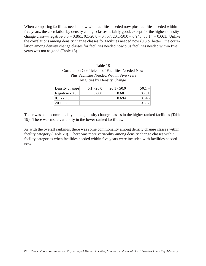When comparing facilities needed now with facilities needed now plus facilities needed within five years, the correlation by density change classes is fairly good, except for the highest density change class—negative-0.0 = 0.861, 0.1-20.0 = 0.757, 20.1-50.0 = 0.943, 50.1 + = 0.661. Unlike the correlations among density change classes for facilities needed now (0.8 or better), the correlation among density change classes for facilities needed now plus facilities needed within five years was not as good (Table 18).

|               | Table 18                                                 |               |      |
|---------------|----------------------------------------------------------|---------------|------|
|               | <b>Correlation Coefficients of Facilities Needed Now</b> |               |      |
|               | Plus Facilities Needed Within Five years                 |               |      |
|               | by Cities by Density Change                              |               |      |
|               |                                                          |               |      |
| ensity change | $0.1 - 20.0$                                             | $20.1 - 50.0$ | 50.1 |

| Density change  | $0.1 - 20.0$ | $20.1 - 50.0$ | $50.1 +$ |
|-----------------|--------------|---------------|----------|
| Negative $-0.0$ | 0.668        | 0.681         | 0.701    |
| $ 0.1 - 20.0 $  |              | 0.694         | 0.646    |
| $ 20.1 - 50.0 $ |              |               | 0.592    |

There was some commonality among density change classes in the higher ranked facilities (Table 19). There was more variablity in the lower ranked facilities.

As with the overall rankings, there was some commonality among density change classes within facility category (Table 20). There was more variability among density change classes within facility categories when facilities needed within five years were included with facilities needed now.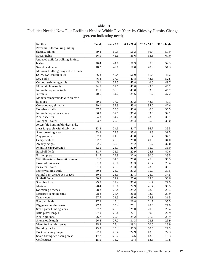# Facilities Needed Now Plus Facilities Needed Within Five Years by Cities by Density Change (percent indicating need)

| <b>Facility</b>                       | <b>Total</b> | neg - 0.0 | $0.1 - 20.0$ | $20.1 - 50.0$ | $50.1 - high$ |
|---------------------------------------|--------------|-----------|--------------|---------------|---------------|
| Paved trails for walking, hiking,     |              |           |              |               |               |
| skating, biking                       | 59.2         | 60.5      | 56.3         | 56.7          | 59.9          |
| Soccer fields                         | 56.1         | 45.6      | 39.6         | 53.3          | 67.0          |
| Unpaved trails for walking, hiking,   |              |           |              |               |               |
| biking                                | 48.4         | 44.7      | 58.3         | 35.0          | 52.3          |
| Skateboard parks                      | 48.2         | 42.1      | 50.0         | 48.3          | 51.3          |
| Motorized, off-highway vehicle trails |              |           |              |               |               |
| (ATV, 4X4, motorcycle)                | 46.8         | 40.4      | 50.0         | 51.7          | 48.2          |
| Dog parks                             | 46.3         | 37.7      | 43.8         | 43.3          | 52.8          |
| Outdoor swimming pools                | 45.1         | 39.5      | 45.8         | 40.0          | 49.7          |
| Mountain bike trails                  | 44.6         | 39.5      | 43.8         | 43.3          | 48.2          |
| Nature/interpretive trails            | 41.1         | 36.8      | 43.8         | 33.3          | 45.2          |
| Ice rinks                             | 40.6         | 34.2      | 39.6         | 31.7          | 47.2          |
| Modern campgrounds with electric      |              |           |              |               |               |
| hookups                               | 39.9         | 37.7      | 33.3         | 48.3          | 40.1          |
| Cross-country ski trails              | 39.1         | 33.3      | 43.8         | 35.0          | 42.6          |
| Horseback trails                      | 37.0         | 33.3      | 43.8         | 40.0          | 36.5          |
| Nature/Interprative centers           | 36.0         | 32.5      | 35.4         | 33.3          | 39.1          |
| Picnic shelters                       | 34.8         | 34.2      | 33.3         | 23.3          | 39.1          |
| Volleyball courts                     | 33.7         | 29.8      | 35.4         | 35.0          | 35.0          |
| Accessible hunting blinds, stands,    |              |           |              |               |               |
| areas for people with disabilities    | 33.4         | 24.6      | 41.7         | 36.7          | 35.5          |
| Snow boarding areas                   | 33.2         | 29.8      | 35.4         | 43.3          | 31.5          |
| Playgrounds                           | 32.9         | 21.9      | 43.8         | 31.7          | 37.1          |
| Camper cabins                         | 32.7         | 29.8      | 25.0         | 40.0          | 34.0          |
| Archery ranges                        | 32.5         | 32.5      | 29.2         | 36.7          | 32.0          |
| Primitive campgrounds                 | 32.5         | 28.9      | 22.9         | 35.0          | 36.0          |
| <b>Baseball</b> fields                | 31.7         | 21.9      | 22.9         | 28.3          | 40.6          |
| Fishing piers                         | 31.7         | 29.8      | 22.9         | 30.0          | 35.5          |
| Wildlife/nature observation areas     | 31.7         | 31.6      | 25.0         | 25.0          | 35.5          |
| Downhill ski areas                    | 31.3         | 28.1      | 33.3         | 41.7          | 29.4          |
| <b>Basketball courts</b>              | 31.0         | 22.8      | 31.3         | 23.3          | 38.1          |
| Hunter walking trails                 | 30.8         | 23.7      | 31.3         | 35.0          | 33.5          |
| Natural park areas/open spaces        | 30.5         | 28.1      | 27.1         | 25.0          | 34.5          |
| Softball fields                       | 30.3         | 21.9      | 25.0         | 23.3          | 38.6          |
| Sledding hills                        | 29.8         | 27.2      | 35.4         | 36.7          | 27.9          |
| Marinas                               | 28.4         | 28.1      | 22.9         | 26.7          | 30.5          |
| Swimming beaches                      | 28.2         | 25.4      | 29.2         | 28.3          | 29.4          |
| Dispersed camping sites               | 28.2         | 25.4      | 20.8         | 33.3          | 29.9          |
| Tennis courts                         | 27.7         | 21.9      | 25.0         | 28.3          | 31.5          |
| Football fields                       | 27.2         | 18.4      | 20.8         | 21.7          | 35.5          |
| Big game hunting areas                | 27.2         | 25.4      | 27.1         | 28.3          | 27.9          |
| Small game hunting areas              | 27.2         | 29.8      | 25.0         | 20.0          | 28.4          |
| Rifle-pistol ranges                   | 27.0         | 25.4      | 27.1         | 30.0          | 26.9          |
| Picnic grounds                        | 26.7         | 22.8      | 29.2         | 21.7          | 29.9          |
| Snowmobile trails                     | 26.5         | 27.2      | 31.3         | 23.3          | 25.9          |
| Waterfowl hunting areas               | 25.8         | 25.4      | 29.2         | 20.0          | 26.9          |
| Running tracks                        | 23.2         | 18.4      | 33.3         | 30.0          | 21.3          |
| Boat launching ramps                  | 22.0         | 25.4      | 22.9         | 13.3          | 22.3          |
| Shore fishing/ice fishing areas       | 17.7         | 20.2      | 14.6         | 13.3          | 18.3          |
| Golf courses                          | 15.0         | 13.2      | 10.4         | 13.3          | 17.8          |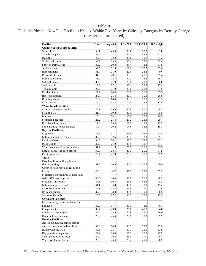# Facilities Needed Now Plus Facilities Needed Within Five Years by Cities by Category by Density Change (percent indicating need)

| Facility                                 | <b>Total</b> | neg - 0.0 | $0.1 - 20.0$ | $20.1 - 50.0$ | $50.1 - high$ |
|------------------------------------------|--------------|-----------|--------------|---------------|---------------|
| <b>Outdoor Sport Courts &amp; Fields</b> |              |           |              |               |               |
| Soccer fields                            | 56.1         | 45.6      | 39.6         | 53.3          | 67.0          |
| Skateboard parks                         | 48.2         | 42.1      | 50.0         | 48.3          | 51.3          |
| Ice rinks                                | 40.6         | 34.2      | 39.6         | 31.7          | 47.2          |
| Volleyball courts                        | 33.7         | 29.8      | 35.4         | 35.0          | 35.0          |
| Snow boarding areas                      | 33.2         | 29.8      | 35.4         | 43.3          | 31.5          |
| Archery ranges                           | 32.5         | 32.5      | 29.2         | 36.7          | 32.0          |
| Baseball fields                          | 31.7         | 21.9      | 22.9         | 28.3          | 40.6          |
| Downhill ski areas                       | 31.3         | 28.1      | 33.3         | 41.7          | 29.4          |
| <b>Basketball courts</b>                 | 31.0         | 22.8      | 31.3         | 23.3          | 38.1          |
| Softball fields                          | 30.3         | 21.9      | 25.0         | 23.3          | 38.6          |
| Sledding hills                           | 29.8         | 27.2      | 35.4         | 36.7          | 27.9          |
| Tennis courts                            | 27.7         | 21.9      | 25.0         | 28.3          | 31.5          |
| Football fields                          | 27.2         | 18.4      | 20.8         | 21.7          | 35.5          |
| Rifle-pistol ranges                      | 27.0         | 25.4      | 27.1         | 30.0          | 26.9          |
| Running tracks                           | 23.2         | 18.4      | 33.3         | 30.0          | 21.3          |
| Golf courses                             | 15.0         | 13.2      | 10.4         | 13.3          | 17.8          |
| <b>Water-based Facilities</b>            |              |           |              |               |               |
| Outdoor swimming pools                   | 45.1         | 39.5      | 45.8         | 40.0          | 49.7          |
| Fishing piers                            | 31.7         | 29.8      | 22.9         | 30.0          | 35.5          |
| Marinas                                  | 28.4         | 28.1      | 22.9         | 26.7          | 30.5          |
| Swimming beaches                         | 28.2         | 25.4      | 29.2         | 28.3          | 29.4          |
| Boat launching ramps                     | 22.0         | 25.4      | 22.9         | 13.3          | 22.3          |
| Shore fishing/ice fishing areas          | 17.7         | 20.2      | 14.6         | 13.3          | 18.3          |
| <b>Dav Use Facilities</b>                |              |           |              |               |               |
| Dog parks                                | 46.3         | 37.7      | 43.8         | 43.3          | 52.8          |
| Nature/Interprative centers              | 36.0         | 32.5      | 35.4         | 33.3          | 39.1          |
| Picnic shelters                          | 34.8         | 34.2      | 33.3         | 23.3          | 39.1          |
| Playgrounds                              | 32.9         | 21.9      | 43.8         | 31.7          | 37.1          |
| Wildlife/nature observation areas        | 31.7         | 31.6      | 25.0         | 25.0          | 35.5          |
| Natural park areas/open spaces           | 30.5         | 28.1      | 27.1         | 25.0          | 34.5          |
| Picnic grounds                           | 26.7         | 22.8      | 29.2         | 21.7          | 29.9          |
| Trails                                   |              |           |              |               |               |
| Paved trails for walking, hiking,        |              |           |              |               |               |
| skating, biking                          | 59.2         | 60.5      | 56.3         | 56.7          | 59.9          |
| Unpaved trails for walking, hiking,      |              |           |              |               |               |
| biking                                   | 48.4         | 44.7      | 58.3         | 35.0          | 52.3          |
| Motorized, off-highway vehicle trails    |              |           |              |               |               |
| (ATV, 4X4, motorcycle)                   | 46.8         | 40.4      | 50.0         | 51.7          | 48.2          |
| Mountain bike trails                     | 44.6         | 39.5      | 43.8         | 43.3          | 48.2          |
| Nature/interpretive trails               | 41.1         | 36.8      | 43.8         | 33.3          | 45.2          |
| Cross-country ski trails                 | 39.1         | 33.3      | 43.8         | 35.0          | 42.6          |
| Horseback trails                         | 37.0         | 33.3      | 43.8         | 40.0          | 36.5          |
| Snowmobile trails                        | 26.5         | 27.2      | 31.3         | 23.3          | 25.9          |
| <b>Overnight Facilities</b>              |              |           |              |               |               |
| Modern campgrounds with electric         |              |           |              |               |               |
| hookups                                  | 39.9         | 37.7      | 33.3         | 48.3          | 40.1          |
| Camper cabins                            | 32.7         | 29.8      | 25.0         | 40.0          | 34.0          |
| Primitive campgrounds                    | 32.5         | 28.9      | 22.9         | 35.0          | 36.0          |
| Dispersed camping sites                  | 28.2         | 25.4      | 20.8         | 33.3          | 29.9          |
| <b>Hunting Facilities</b>                |              |           |              |               |               |
| Accessible hunting blinds, stands,       |              |           |              |               |               |
| areas for people with disabilities       | 33.4         | 24.6      | 41.7         | 36.7          | 35.5          |
| Hunter walking trails                    | 30.8         | 23.7      | 31.3         | 35.0          | 33.5          |
| Big game hunting areas                   | 27.2         | 25.4      | 27.1         | 28.3          | 27.9          |
| Small game hunting areas                 | 27.2         | 29.8      | 25.0         | 20.0          | 28.4          |
| Waterfowl hunting areas                  | 25.8         | 25.4      | 29.2         | 20.0          | 26.9          |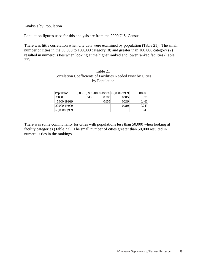### Analysis by Population

Population figures used for this analysis are from the 2000 U.S. Census.

There was little correlation when city data were examined by population (Table 21). The small number of cities in the 50,000 to 100,000 category (8) and greater than 100,000 category (2) resulted in numerous ties when looking at the higher ranked and lower ranked facilties (Table 22).

### Table 21 Correlation Coefficients of Facilities Needed Now by Cities by Population

| Population    |       | 5,000-19,999 20,000-49,999 50,000-99,999 |       | $100,000+$ |
|---------------|-------|------------------------------------------|-------|------------|
| &5000         | 0.640 | 0.385                                    | 0.315 | 0.370      |
| 5,000-19,999  |       | 0.655                                    | 0.239 | 0.466      |
| 20,000-49,999 |       |                                          | 0.319 | 0.249      |
| 50,000-99,999 |       |                                          |       | 0.043      |
|               |       |                                          |       |            |

There was some commonality for cities with populations less than 50,000 when looking at facility categories (Table 23). The small number of cities greater than 50,000 resulted in numerous ties in the rankings.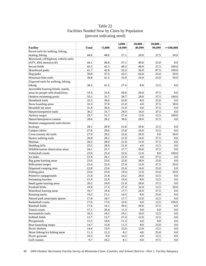|                                       |       |         | $5,000 -$ | $20,000 -$ | $50,000 -$       |                  |
|---------------------------------------|-------|---------|-----------|------------|------------------|------------------|
| Facility                              | Total | < 5,000 | 19,999    | 49.999     | 99,999           | $>=100,000$      |
| Paved trails for walking, hiking,     |       |         |           |            |                  |                  |
| skating, biking                       | 44.6  | 48.6    | 37.1      | 20.0       | 37.5             | 50.0             |
| Motorized, off-highway vehicle trails |       |         |           |            |                  |                  |
| (ATV, 4X4, motorcycle)                | 44.1  | 46.8    | 37.1      | 40.0       | 25.0             | $0.0\,$          |
| Soccer fields                         | 42.5  | 42.3    | 40.3      | 48.0       | 37.5             | 100.0            |
| Skateboard parks                      | 41.7  | 42.6    | 32.3      | 36.0       | 87.5             | 100.0            |
| Dog parks                             | 39.9  | 37.3    | 43.5      | 64.0       | 25.0             | 50.0             |
| Mountain bike trails                  | 38.8  | 41.5    | 33.9      | 24.0       | 25.0             | 50.0             |
| Unpaved trails for walking, hiking,   |       |         |           |            |                  |                  |
| biking                                | 36.2  | 41.5    | 27.4      | 8.0        | 12.5             | 0.0              |
| Accessible hunting blinds, stands,    |       |         |           |            |                  |                  |
| areas for people with disabilities    | 33.3  | 35.6    | 29.0      | 20.0       | 37.5             | 0.0              |
| Outdoor swimming pools                | 33.1  | 31.7    | 38.7      | 28.0       | 37.5             | 100.0            |
| Horseback trails                      | 32.5  | 36.6    | 25.8      | 8.0        | 25.0             | 0.0 <sub>1</sub> |
| Snow boarding areas                   | 32.3  | 37.0    | 21.0      | 4.0        | 37.5             | 50.0             |
| Downhill ski areas                    | 31.8  | 36.6    | 21.0      | 4.0        | 37.5             | 0.0              |
| Nature/interpretive trails            | 30.2  | 31.7    | 29.0      | 16.0       | 37.5             | 0.0              |
| Archery ranges                        | 29.7  | 31.7    | 27.4      | 12.0       | 12.5             | 100.0            |
| Nature/Interprative centers           | 28.6  | 28.2    | 30.6      | 28.0       | 37.5             | 0.0 <sub>1</sub> |
| Modern campgrounds with electric      |       |         |           |            |                  |                  |
| hookups                               | 28.1  | 29.9    | 25.8      | 20.0       | 12.5             | 0.0              |
| Camper cabins                         | 27.6  | 29.6    | 25.8      | 16.0       | 12.5             | 0.0              |
| Cross-country ski trails              | 27.0  | 29.2    | 22.6      | 20.0       | 0.0              | 50.0             |
| Hunter walking trails                 | 26.8  | 28.2    | 21.0      | 24.0       | 37.5             | 0.0              |
| Marinas                               | 26.5  | 28.9    | 21.0      | 12.0       | 37.5             | 0.0              |
| Sledding hills                        | 25.5  | 28.9    | 21.0      | 4.0        | 12.5             | 0.0              |
| Wildlife/nature observation areas     | 24.1  | 25.7    | 17.7      | 20.0       | 37.5             | 0.0 <sub>1</sub> |
| Volleyball courts                     | 23.9  | 25.4    | 22.6      | 12.0       | 0.0              | 100.0            |
| Ice rinks                             | 23.9  | 26.1    | 21.0      | 4.0        | 37.5             | 0.0              |
| Big game hunting areas                | 23.6  | 23.6    | 22.6      | 28.0       | 25.0             | 0.0              |
| Rifle-pistol ranges                   | 23.4  | 22.9    | 27.4      | 12.0       | 37.5             | 50.0             |
| Dispersed camping sites               | 22.8  | 23.6    | 22.6      | 16.0       | 25.0             | 0.0              |
| Fishing piers                         | 22.6  | 23.9    | 19.4      | 12.0       | 25.0             | 50.0             |
| Primitive campgrounds                 | 21.8  | 21.8    | 24.2      | 20.0       | 12.5             | 0.0              |
| Swimming beaches                      | 21.0  | 22.9    | 19.4      | 8.0        | 12.5             | 0.0 <sub>1</sub> |
| Small game hunting areas              | 20.2  | 19.0    | 21.0      | 28.0       | 37.5             | 0.0              |
| Football fields                       | 19.9  | 17.3    | 27.4      | 32.0       | 12.5             | 50.0             |
| Waterfowl hunting areas               | 19.7  | 19.4    | 17.7      | 24.0       | 37.5             | 0.0              |
| Running tracks                        | 19.2  | 21.1    | 14.5      | 8.0        | 25.0             | 0.0              |
| Natural park areas/open spaces        | 17.8  | 18.7    | 17.7      | 12.0       | 12.5             | 0.0              |
| <b>Basketball courts</b>              | 17.6  | 17.6    | 22.6      | 0.0        | 12.5             | 100.0            |
| <b>Baseball fields</b>                | 17.6  | 14.1    | 30.6      | 20.0       | 37.5             | 0.0              |
| Tennis courts                         | 17.1  | 20.4    | 11.3      | 0.0        | 0.0              | 0.0              |
| Snowmobile trails                     | 16.3  | 16.5    | 16.1      | 16.0       | 12.5             | 0.0              |
| Softball fields                       | 15.7  | 13.7    | 27.4      | 12.0       | 12.5             | 0.0              |
| Playgrounds                           | 15.5  | 18.0    | 11.3      | 4.0        | 0.0 <sub>1</sub> | 0.0              |
| Boat launching ramps                  | 14.7  | 15.8    | 11.3      | 8.0        | 25.0             | 0.0 <sub>1</sub> |
| Picnic shelters                       | 14.4  | 13.0    | 22.6      | 12.0       | 12.5             | 0.0              |
| Shore fishing/ice fishing areas       | 11.3  | 12.3    | $8.1\,$   | 4.0        | 25.0             | 0.0              |
| Picnic grounds                        | 10.2  | 9.9     | 14.5      | 4.0        | 12.5             | 0.0              |

# Table 22 Facilities Needed Now by Cities by Population (percent indicating need)

Golf courses 9.7 10.2 8.1 0.0 37.5 0.0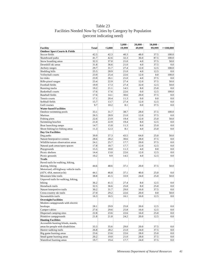# Table 23 Facilities Needed Now by Cities by Category by Population (percent indicating need)

|                                                                          |              |         | $5,000 -$ | $20,000 -$ | $50,000 -$ |             |
|--------------------------------------------------------------------------|--------------|---------|-----------|------------|------------|-------------|
| <b>Facility</b>                                                          | <b>Total</b> | < 5,000 | 19.999    | 49,999     | 99,999     | $>=100,000$ |
| <b>Outdoor Sport Courts &amp; Fields</b>                                 |              |         |           |            |            |             |
| Soccer fields                                                            | 42.5         | 42.3    | 40.3      | 48.0       | 37.5       | 100.0       |
| Skateboard parks                                                         | 41.7         | 42.6    | 32.3      | 36.0       | 87.5       | 100.0       |
| Snow boarding areas                                                      | 32.3         | 37.0    | 21.0      | 4.0        | 37.5       | 50.0        |
| Downhill ski areas                                                       | 31.8         | 36.6    | 21.0      | 4.0        | 37.5       | 0.0         |
| Archery ranges                                                           | 29.7         | 31.7    | 27.4      | 12.0       | 12.5       | 100.0       |
| Sledding hills                                                           | 25.5         | 28.9    | 21.0      | 4.0        | 12.5       | 0.0         |
| Volleyball courts                                                        | 23.9         | 25.4    | 22.6      | 12.0       | 0.0        | 100.0       |
| Ice rinks                                                                | 23.9         | 26.1    | 21.0      | 4.0        | 37.5       | $0.0\,$     |
| Rifle-pistol ranges                                                      | 23.4         | 22.9    | 27.4      | 12.0       | 37.5       | 50.0        |
| Football fields                                                          | 19.9         | 17.3    | 27.4      | 32.0       | 12.5       | 50.0        |
| Running tracks                                                           | 19.2         | 21.1    | 14.5      | 8.0        | 25.0       | 0.0         |
| <b>Basketball courts</b>                                                 | 17.6         | 17.6    | 22.6      | 0.0        | 12.5       | 100.0       |
| Baseball fields                                                          | 17.6         | 14.1    | 30.6      | 20.0       | 37.5       | 0.0         |
| Tennis courts                                                            | 17.1         | 20.4    | 11.3      | 0.0        | 0.0        | 0.0         |
| Softball fields                                                          | 15.7         | 13.7    | 27.4      | 12.0       | 12.5       | 0.0         |
| Golf courses                                                             | 9.7          | 10.2    | 8.1       | 0.0        | 37.5       | 0.0         |
| <b>Water-based Facilities</b>                                            |              |         |           |            |            |             |
| Outdoor swimming pools                                                   | 33.1         | 31.7    | 38.7      | 28.0       | 37.5       | 100.0       |
| Marinas                                                                  | 26.5         | 28.9    | 21.0      | 12.0       | 37.5       | 0.0         |
| Fishing piers                                                            | 22.6         | 23.9    | 19.4      | 12.0       | 25.0       | 50.0        |
| Swimming beaches                                                         | 21.0         | 22.9    | 19.4      | 8.0        | 12.5       | 0.0         |
| Boat launching ramps                                                     | 14.7         | 15.8    | 11.3      | 8.0        | 25.0       | 0.0         |
| Shore fishing/ice fishing areas                                          | 11.3         | 12.3    | 8.1       | 4.0        | 25.0       | 0.0         |
| <b>Day Use Facilities</b>                                                |              |         |           |            |            |             |
| Dog parks                                                                | 39.9         | 37.3    | 43.5      | 64.0       | 25.0       | 50.0        |
| Nature/Interprative centers                                              | 28.6         | 28.2    | 30.6      | 28.0       | 37.5       | 0.0         |
| Wildlife/nature observation areas                                        | 24.1         | 25.7    | 17.7      | 20.0       | 37.5       | 0.0         |
| Natural park areas/open spaces                                           | 17.8         | 18.7    | 17.7      | 12.0       | 12.5       | 0.0         |
| Playgrounds                                                              | 15.5         | 18.0    | 11.3      | 4.0        | 0.0        | 0.0         |
| Picnic shelters                                                          | 14.4         | 13.0    | 22.6      | 12.0       | 12.5       | 0.0         |
| Picnic grounds                                                           | 10.2         | 9.9     | 14.5      | 4.0        | 12.5       | 0.0         |
| <b>Trails</b>                                                            |              |         |           |            |            |             |
| Paved trails for walking, hiking,                                        |              |         |           |            |            |             |
| skating, biking                                                          | 44.6         | 48.6    | 37.1      | 20.0       | 37.5       | 50.0        |
| Motorized, off-highway vehicle trails                                    |              |         |           |            |            |             |
| (ATV, 4X4, motorcycle)                                                   | 44.1         | 46.8    | 37.1      | 40.0       | 25.0       | 0.0         |
| Mountain bike trails                                                     | 38.8         | 41.5    | 33.9      | 24.0       | 25.0       | 50.0        |
| Unpaved trails for walking, hiking,                                      |              |         |           |            |            |             |
| biking                                                                   | 36.2         | 41.5    | 27.4      | 8.0        | 12.5       | 0.0         |
| Horseback trails                                                         | 32.5         | 36.6    | 25.8      | 8.0        | 25.0       | 0.0         |
| Nature/interpretive trails                                               | 30.2         | 31.7    | 29.0      | 16.0       | 37.5       | 0.0         |
| Cross-country ski trails                                                 | 27.0         | 29.2    | 22.6      | 20.0       | $0.0\,$    | 50.0        |
| Snowmobile trails                                                        | 16.3         | 16.5    | 16.1      | 16.0       | 12.5       | 0.0         |
| <b>Overnight Facilities</b>                                              |              |         |           |            |            |             |
| Modern campgrounds with electric                                         |              |         |           |            |            |             |
| hookups                                                                  | 28.1         | 29.9    | 25.8      | 20.0       | 12.5       | 0.0         |
| Camper cabins                                                            | 27.6         | 29.6    | 25.8      | 16.0       | 12.5       | 0.0         |
| Dispersed camping sites                                                  | 22.8         | 23.6    | 22.6      | 16.0       | 25.0       | 0.0         |
| Primitive campgrounds                                                    |              |         | 24.2      | 20.0       | 12.5       | 0.0         |
| <b>Hunting Facilities</b>                                                | 21.8         | 21.8    |           |            |            |             |
|                                                                          |              |         |           |            |            |             |
| Accessible hunting blinds, stands,<br>areas for people with disabilities |              |         |           |            |            |             |
|                                                                          | 33.3         | 35.6    | 29.0      | 20.0       | 37.5       | 0.0         |
| Hunter walking trails                                                    | 26.8         | 28.2    | 21.0      | 24.0       | 37.5       | 0.0         |
| Big game hunting areas                                                   | 23.6         | 23.6    | 22.6      | 28.0       | 25.0       | 0.0         |
| Small game hunting areas                                                 | 20.2         | 19.0    | 21.0      | 28.0       | 37.5       | 0.0         |
| Waterfowl hunting areas                                                  | 19.7         | 19.4    | 17.7      | 24.0       | 37.5       | 0.0         |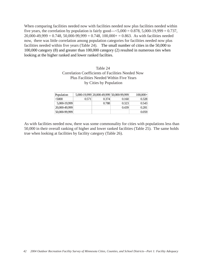When comparing facilities needed now with facilities needed now plus facilities needed within five years, the correlation by population is fairly good— $\leq 5,000 = 0.878, 5,000 - 19,999 = 0.737$ ,  $20,000-49,999 = 0.748, 50,000-99,999 = 0.748, 100,000+ = 0.863$ . As with facilities needed now, there was little correlation among population categories for facilities needed now plus facilities needed within five years (Table 24). The small number of cities in the 50,000 to 100,000 category (8) and greater than 100,000 category (2) resulted in numerous ties when looking at the higher ranked and lower ranked facilties.

### Table 24 Correlation Coefficients of Facilities Needed Now Plus Facilities Needed Within Five Years by Cities by Population

| Population    |       |       | 5,000-19,999 20,000-49,999 50,000-99,999 | $100,000+$ |
|---------------|-------|-------|------------------------------------------|------------|
| &5000         | 0.571 | 0.374 | 0.160                                    | 0.328      |
| 5,000-19,999  |       | 0.788 | 0.323                                    | 0.543      |
| 20,000-49,999 |       |       | 0.439                                    | 0.281      |
| 50,000-99,999 |       |       |                                          | 0.059      |

As with facilities needed now, there was some commonality for cities with populations less than 50,000 in their overall ranking of higher and lower ranked facilities (Table 25). The same holds true when looking at facilities by facility category (Table 26).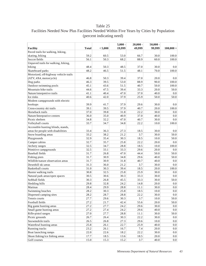# Facilities Needed Now Plus Facilities Needed Within Five Years by Cities by Population (percent indicating need)

|                                                 |       |              | $5,000 -$    | $20,000 -$   | $50,000 -$   |             |
|-------------------------------------------------|-------|--------------|--------------|--------------|--------------|-------------|
| Facility                                        | Total | < 5,000      | 19,999       | 49,999       | 99,999       | $100,000 +$ |
| Paved trails for walking, hiking,               |       |              |              |              |              |             |
| skating, biking                                 | 59.2  | 60.5         | 53.0         | 66.7         | 30.0         | 100.0       |
| Soccer fields                                   | 56.1  | 50.3         | 68.2         | 88.9         | 60.0         | 100.0       |
| Unpaved trails for walking, hiking,             |       |              |              |              |              |             |
| biking                                          | 48.4  | 50.3         | 48.5         | 37.0         | 30.0         | 0.0         |
| Skateboard parks                                | 48.2  | 46.5         | 51.5         | 48.1         | 70.0         | 100.0       |
| Motorized, off-highway vehicle trails           |       |              |              |              |              |             |
| (ATV, 4X4, motorcycle)                          | 46.8  | 50.3         | 39.4         | 37.0         | 20.0         | 0.0         |
| Dog parks                                       | 46.3  | 39.5         | 53.0         | 88.9         | 90.0         | 100.0       |
| Outdoor swimming pools                          | 45.1  | 43.6         | 51.5         | 40.7         | 50.0         | 100.0       |
| Mountain bike trails                            | 44.6  | 47.5         | 39.4         | 33.3         | 20.0         | 50.0        |
| Nature/interpretive trails                      | 41.1  | 40.4         | 47.0         | 37.0         | 40.0         | 0.0         |
| Ice rinks                                       | 40.6  | 42.0         | 37.9         | 25.9         | 50.0         | 50.0        |
| Modern campgrounds with electric                |       |              |              |              |              |             |
| hookups                                         | 39.9  | 41.7         | 37.9         | 29.6         | 30.0         | 0.0         |
| Cross-country ski trails                        | 39.1  | 39.5         | 37.9         | 40.7         | 20.0         | 100.0       |
| Horseback trails                                | 37.0  | 39.8         | 31.8         | 22.2         | 30.0         | 0.0         |
| Nature/Interprative centers                     | 36.0  | 35.0         | 40.9         | 37.0         | 40.0         | 0.0         |
| Picnic shelters                                 | 34.8  | 32.2         | 47.0         | 40.7         | 30.0         | 0.0         |
| Volleyball courts                               | 33.7  | 34.7         | 34.8         | 22.2         | 10.0         | 100.0       |
| Accessible hunting blinds, stands,              |       |              |              |              |              |             |
| areas for people with disabilities              | 33.4  | 36.3         | 27.3         | 18.5         | 30.0         | $0.0\,$     |
| Snow boarding areas                             | 33.2  | 38.2         | 21.2         | 3.7          | 30.0         | 50.0        |
| Playgrounds                                     | 32.9  | 35.4         | 30.3         | 18.5         | 10.0         | 50.0        |
| Camper cabins                                   | 32.7  | 35.7         | 25.8         | 22.2         | 20.0         | $0.0\,$     |
| Archery ranges                                  | 32.5  | 34.7         | 28.8         | 18.5         | 10.0         | 100.0       |
| Primitive campgrounds                           | 32.5  | 33.1         | 33.3         | 29.6         | 20.0         | 0.0         |
| <b>Baseball fields</b>                          | 31.7  | 26.8         | 47.0         | 44.4         | 50.0         | 50.0        |
| Fishing piers                                   | 31.7  | 30.9         | 34.8         | 29.6         | 40.0         | 50.0        |
| Wildlife/nature observation areas               | 31.7  | 30.9         | 31.8         | 40.7         | 40.0         | 0.0         |
| Downhill ski areas                              | 31.3  | 36.0         | 21.2         | 3.7          | 30.0         | 0.0         |
| <b>Basketball courts</b>                        | 31.0  | 30.3         | 39.4         | 18.5         | 20.0         | 100.0       |
| Hunter walking trails                           | 30.8  | 32.5         | 25.8         | 25.9         | 30.0         | 0.0         |
| Natural park areas/open spaces                  | 30.5  | 30.6         | 30.3         | 33.3         | 30.0         | $0.0\,$     |
| Softball fields                                 | 30.3  | 26.8         | 45.5         | 33.3         | 30.0         | 50.0        |
| Sledding hills                                  | 29.8  | 32.8         | 24.2         | 14.8         | 20.0         | 0.0         |
| Marinas                                         | 28.4  | 29.9         | 28.8         | 11.1         | 30.0         | $0.0\,$     |
| Swimming beaches                                | 28.2  | 30.3         | 25.8         | 18.5         | 10.0         | 0.0         |
| Dispersed camping sites                         | 28.2  | 28.7         | 28.8         | 22.2         | 30.0         | 0.0         |
| Tennis courts                                   | 27.7  | 29.6         | 30.3         | 3.7          | 10.0         | 50.0        |
| Football fields                                 | 27.2  | 21.7         | 42.4         | 55.6         | 20.0         | 50.0        |
| Big game hunting areas                          | 27.2  | 27.7         | 24.2         | 29.6         | 30.0         | 0.0         |
|                                                 | 27.2  |              |              |              |              |             |
| Small game hunting areas<br>Rifle-pistol ranges | 27.0  | 27.4<br>27.7 | 24.2<br>28.8 | 29.6<br>11.1 | 40.0<br>30.0 | 0.0<br>50.0 |
| Picnic grounds                                  | 26.7  | 26.4         | 30.3         | 22.2         | 30.0         | 0.0         |
|                                                 |       |              |              |              |              |             |
| Snowmobile trails                               | 26.5  | 26.8         | 27.3         | 29.6         | 10.0         | 0.0         |
| Waterfowl hunting areas                         | 25.8  | 26.1         | 22.7         | 25.9         | 40.0         | 0.0         |
| Running tracks                                  | 23.2  | 26.1         | 16.7         | 7.4          | 20.0         | 0.0         |
| Boat launching ramps                            | 22.0  | 22.6         | 18.2         | 22.2         | 30.0         | 0.0         |
| Shore fishing/ice fishing areas                 | 17.7  | 18.5         | 13.6         | 18.5         | 20.0         | 0.0         |
| Golf courses                                    | 15.0  | 15.3         | 15.2         | 3.7          | 40.0         | 0.0         |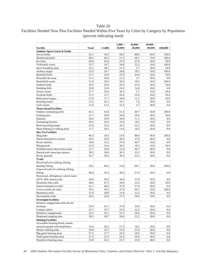# Facilities Needed Now Plus Facilities Needed Within Five Years by Cities by Category by Population (percent indicating need)

|                                          |              |         | $5,000 -$ | $20,000 -$ | $50,000 -$ |             |
|------------------------------------------|--------------|---------|-----------|------------|------------|-------------|
| <b>Facility</b>                          | <b>Total</b> | < 5,000 | 19,999    | 49.999     | 99.999     | $100,000 +$ |
| <b>Outdoor Sport Courts &amp; Fields</b> |              |         |           |            |            |             |
| Soccer fields                            | 56.1         | 50.3    | 68.2      | 88.9       | 60.0       | 100.0       |
| Skateboard parks                         | 48.2         | 46.5    | 51.5      | 48.1       | 70.0       | 100.0       |
| Ice rinks                                | 40.6         | 42.0    | 37.9      | 25.9       | 50.0       | 50.0        |
| Volleyball courts                        | 33.7         | 34.7    | 34.8      | 22.2       | 10.0       | 100.0       |
| Snow boarding areas                      | 33.2         | 38.2    | 21.2      | 3.7        | 30.0       | 50.0        |
| Archery ranges                           | 32.5         | 34.7    | 28.8      | 18.5       | 10.0       | 100.0       |
| <b>Baseball</b> fields                   | 31.7         | 26.8    | 47.0      | 44.4       | 50.0       | 50.0        |
| Downhill ski areas                       | 31.3         | 36.0    | 21.2      | 3.7        | 30.0       | 0.0         |
| <b>Basketball courts</b>                 | 31.0         | 30.3    | 39.4      | 18.5       | 20.0       | 100.0       |
| Softball fields                          | 30.3         | 26.8    | 45.5      | 33.3       | 30.0       | 50.0        |
| Sledding hills                           | 29.8         | 32.8    | 24.2      | 14.8       | 20.0       | 0.0         |
| Tennis courts                            | 27.7         | 29.6    | 30.3      | 3.7        | 10.0       | 50.0        |
| Football fields                          | 27.2         | 21.7    | 42.4      | 55.6       | 20.0       | 50.0        |
| Rifle-pistol ranges                      | 27.0         | 27.7    | 28.8      | 11.1       | 30.0       | 50.0        |
| Running tracks                           | 23.2         | 26.1    | 16.7      | 7.4        | 20.0       | 0.0         |
| Golf courses                             | 15.0         | 15.3    | 15.2      | 3.7        | 40.0       | 0.0         |
| <b>Water-based Facilities</b>            |              |         |           |            |            |             |
| Outdoor swimming pools                   | 45.1         | 43.6    | 51.5      | 40.7       | 50.0       | 100.0       |
| Fishing piers                            | 31.7         | 30.9    | 34.8      | 29.6       | 40.0       | 50.0        |
| Marinas                                  | 28.4         | 29.9    | 28.8      | 11.1       | 30.0       | 0.0         |
| Swimming beaches                         | 28.2         | 30.3    | 25.8      | 18.5       | 10.0       | 0.0         |
| Boat launching ramps                     | 22.0         | 22.6    | 18.2      | 22.2       | 30.0       | 0.0         |
| Shore fishing/ice fishing areas          | 17.7         | 18.5    | 13.6      | 18.5       | 20.0       | 0.0         |
| Day Use Facilities                       |              |         |           |            |            |             |
| Dog parks                                | 46.3         | 39.5    | 53.0      | 88.9       | 90.0       | 100.0       |
| Nature/Interprative centers              | 36.0         | 35.0    | 40.9      | 37.0       | 40.0       | 0.0         |
| Picnic shelters                          | 34.8         | 32.2    | 47.0      | 40.7       | 30.0       | 0.0         |
| Playgrounds                              | 32.9         | 35.4    | 30.3      | 18.5       | 10.0       | 50.0        |
| Wildlife/nature observation areas        | 31.7         | 30.9    | 31.8      | 40.7       | 40.0       | 0.0         |
| Natural park areas/open spaces           | 30.5         | 30.6    | 30.3      | 33.3       | 30.0       | 0.0         |
| Picnic grounds                           | 26.7         | 26.4    | 30.3      | 22.2       | 30.0       | 0.0         |
| <b>Trails</b>                            |              |         |           |            |            |             |
| Paved trails for walking, hiking,        |              |         |           |            |            |             |
| skating, biking                          | 59.2         | 60.5    | 53.0      | 66.7       | 30.0       | 100.0       |
| Unpaved trails for walking, hiking,      |              |         |           |            |            |             |
| biking                                   | 48.4         | 50.3    | 48.5      | 37.0       | 30.0       | 0.0         |
| Motorized, off-highway vehicle trails    |              |         |           |            |            |             |
| (ATV, 4X4, motorcycle)                   | 46.8         | 50.3    | 39.4      | 37.0       | 20.0       | 0.0         |
| Mountain bike trails                     | 44.6         | 47.5    | 39.4      | 33.3       | 20.0       | 50.0        |
| Nature/interpretive trails               | 41.1         | 40.4    | 47.0      | 37.0       | 40.0       | 0.0         |
| Cross-country ski trails                 | 39.1         | 39.5    | 37.9      | 40.7       | 20.0       | 100.0       |
| Horseback trails                         | 37.0         | 39.8    | 31.8      | 22.2       | 30.0       | 0.0         |
| Snowmobile trails                        | 26.5         | 26.8    | 27.3      | 29.6       | 10.0       | 0.0         |
| <b>Overnight Facilities</b>              |              |         |           |            |            |             |
| Modern campgrounds with electric         |              |         |           |            |            |             |
| hookups                                  | 39.9         | 41.7    | 37.9      | 29.6       | 30.0       | $0.0\,$     |
| Camper cabins                            | 32.7         | 35.7    | 25.8      | 22.2       | 20.0       | 0.0         |
| Primitive campgrounds                    | 32.5         | 33.1    | 33.3      | 29.6       | 20.0       | 0.0         |
| Dispersed camping sites                  | 28.2         | 28.7    | 28.8      | 22.2       | 30.0       | 0.0         |
| <b>Hunting Facilities</b>                |              |         |           |            |            |             |
| Accessible hunting blinds, stands,       |              |         |           |            |            |             |
| areas for people with disabilities       | 33.4         | 36.3    | 27.3      | 18.5       | 30.0       | $0.0\,$     |
| Hunter walking trails                    | 30.8         | 32.5    | 25.8      | 25.9       | 30.0       | 0.0         |
| Big game hunting areas                   | 27.2         | 27.7    | 24.2      | 29.6       | 30.0       | 0.0         |
| Small game hunting areas                 | 27.2         | 27.4    | 24.2      | 29.6       | 40.0       | 0.0         |
| Waterfowl hunting areas                  | 25.8         | 26.1    | 22.7      | 25.9       | 40.0       | 0.0         |
|                                          |              |         |           |            |            |             |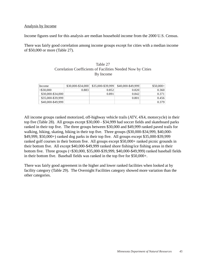### Analysis by Income

Income figures used for this analysis are median household income from the 2000 U.S. Census.

There was fairly good correlation among income groups except for cities with a median income of \$50,000 or more (Table 27).

| Table 27                                                    |
|-------------------------------------------------------------|
| Correlation Coefficients of Facilities Needed Now by Cities |
| By Income                                                   |

| Income            | \$30,000-\$34,000 | \$35,000-\$39,999 | \$40,000-\$49,999 | $$50,000+$ |
|-------------------|-------------------|-------------------|-------------------|------------|
| $<$ \$30.000      | 0.883             | 0.852             | 0.820             | 0.360      |
| \$30,000-\$34,000 |                   | 0.891             | 0.842             | 0.371      |
| \$35,000-\$39,999 |                   |                   | 0.801             | 0.456      |
| \$40,000-\$49,999 |                   |                   |                   | 0.379      |

All income groups ranked motorized, off-highway vehicle trails (ATV, 4X4, motorcycle) in their top five (Table 28). All groups except \$30,000 - \$34,999 had soccer fields and skateboard parks ranked in their top five. The three groups between \$30,000 and \$49,999 ranked paved trails for walking, hiking, skating, biking in their top five. Three groups (\$30,000-\$34,999, \$40,000- \$49,999, \$50,000+) ranked dog parks in their top five. All groups except \$35,000-\$39,999 ranked golf courses in their bottom five. All groups except \$50,000+ ranked picnic grounds in their bottom five. All except \$40,000-\$49,999 ranked shore fishing/ice fishing areas in their bottom five. Three groups (<\$30,000, \$35,000-\$39,999, \$40,000-\$49,999) ranked baseball fields in their bottom five. Baseball fields was ranked in the top five for \$50,000+.

There was fairly good agreement in the higher and lower ranked facilities when looked at by facility category (Table 29). The Overnight Facilities category showed more variation than the other categories.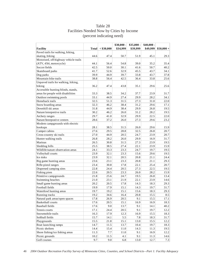|                                                     |              |            | $$30,000 -$  | $$35,000 -$  | $$40,000$ -  |             |
|-----------------------------------------------------|--------------|------------|--------------|--------------|--------------|-------------|
| <b>Facility</b>                                     | Total        | < \$30,000 | \$34,999     | \$39,999     | \$49,999     | $$50,000 +$ |
| Paved trails for walking, hiking,                   |              |            |              |              |              |             |
| skating, biking                                     | 44.6         | 47.4       | 50.7         | 51.9         | 45.1         | 29.3        |
| Motorized, off-highway vehicle trails               |              |            |              |              |              |             |
| (ATV, 4X4, motorcycle)                              | 44.1         | 56.4       | 54.8         | 39.0         | 35.2         | 35.4        |
| Soccer fields                                       | 42.5         | 50.0       | 30.1         | 41.6         | 50.7         | 40.2        |
| Skateboard parks                                    | 41.7         | 52.6       | 32.9         | 45.5         | 43.7         | 34.1        |
| Dog parks                                           | 39.9         | 44.9       | 39.7         | 33.8         | 43.7         | 37.8        |
| Mountain bike trails                                | 38.8         | 56.4       | 42.5         | 36.4         | 33.8         | 25.6        |
| Unpaved trails for walking, hiking,                 |              |            |              |              |              |             |
| biking                                              | 36.2         | 47.4       | 43.8         | 35.1         | 29.6         | 25.6        |
| Accessible hunting blinds, stands,                  |              |            |              |              |              |             |
| areas for people with disabilities                  | 33.3         | 38.5       | 34.2         | 37.7         | 23.9         | 31.7        |
| Outdoor swimming pools                              | 33.1         | 44.9       | 27.4         | 29.9         | 28.2         | 34.1        |
| Horseback trails                                    | 32.5         | 51.3       | 31.5         | 27.3         | 31.0         | 22.0        |
| Snow boarding areas                                 | 32.3         | 46.2       | 38.4         | 31.2         | 29.6         | 17.1        |
| Downhill ski areas                                  | 31.8         | 44.9       | 38.4         | 29.9         | 26.8         | 19.5        |
| Nature/interpretive trails                          | 30.2         | 46.2       | 26.0         | 31.2         | 28.2         | 19.5        |
| Archery ranges                                      | 29.7         | 41.0       | 32.9         | 29.9         | 22.5         | 22.0        |
| Nature/Interprative centers                         | 28.6         | 37.2       | 26.0         | 27.3         | 29.6         | 23.2        |
| Modern campgrounds with electric                    |              |            |              |              |              |             |
| hookups                                             | 28.1         | 38.5       | 31.5         | 26.0         | 29.6         | 15.9        |
| Camper cabins                                       | 27.6         | 29.5       | 28.8         | 32.5         | 26.8         | 20.7        |
| Cross-country ski trails                            | 27.0         | 44.9       | 20.5         | 24.7         | 23.9         | 20.7        |
| Hunter walking trails                               | 26.8         | 28.2       | 26.0         | 29.9         | 16.9         | 31.7        |
| Marinas                                             | 26.5         | 30.8       | 31.5         | 27.3         | 23.9         | 19.5        |
|                                                     | 25.5         | 38.5       |              | 22.1         | 23.9         | 15.9        |
| Sledding hills<br>Wildlife/nature observation areas | 24.1         | 33.3       | 27.4<br>23.3 | 24.7         | 19.7         | 19.5        |
|                                                     | 23.9         | 32.1       | 23.3         | 15.6         | 29.6         | 19.5        |
| Volleyball courts<br>Ice rinks                      | 23.9         | 32.1       | 20.5         | 20.8         | 21.1         | 24.4        |
|                                                     |              |            |              |              |              |             |
| Big game hunting areas                              | 23.6<br>23.4 | 23.1       | 23.3         | 20.8<br>22.1 | 21.1<br>25.4 | 29.3        |
| Rifle-pistol ranges                                 |              | 30.8       | 17.8         |              |              | 20.7        |
| Dispersed camping sites                             | 22.8         | 24.4       | 20.5         | 27.3         | 22.5         | 19.5        |
| Fishing piers                                       | 22.6         | 20.5       | 23.3         | 26.0         | 28.2         | 15.9        |
| Primitive campgrounds                               | 21.8         | 25.6       | 24.7         | 19.5         | 26.8         | 13.4        |
| Swimming beaches                                    | 21.0         | 23.1       | 21.9         | 22.1         | 23.9         | 14.6        |
| Small game hunting areas                            | 20.2         | 20.5       | 17.8         | 14.3         | 18.3         | 29.3        |
| Football fields                                     | 19.9         | 17.9       | 15.1         | 14.3         | 19.7         | 31.7        |
| Waterfowl hunting areas                             | 19.7         | 19.2       | 15.1         | 15.6         | 18.3         | 29.3        |
| Running tracks                                      | 19.2         | 34.6       | 16.4         | 20.8         | 15.5         | 8.5         |
| Natural park areas/open spaces                      | 17.8         | 26.9       | $20.5\,$     | 9.1          | 15.5         | 17.1        |
| <b>Basketball courts</b>                            | 17.6         | 20.5       | 15.1         | 16.9         | 16.9         | 18.3        |
| <b>Baseball fields</b>                              | 17.6         | 9.0        | 13.7         | 9.1          | 14.1         | 40.2        |
| Tennis courts                                       | 17.1         | 24.4       | 20.5         | 9.1          | 19.7         | 12.2        |
| Snowmobile trails                                   | 16.3         | 17.9       | 12.3         | 16.9         | 15.5         | 18.3        |
| Softball fields                                     | 15.7         | 14.1       | 5.5          | 7.8          | 18.3         | 31.7        |
| Playgrounds                                         | 15.5         | 21.8       | 15.1         | 13.0         | 15.5         | 12.2        |
| Boat launching ramps                                | 14.7         | 11.5       | 13.7         | 10.4         | 19.7         | 18.3        |
| Picnic shelters                                     | 14.4         | 15.4       | 11.0         | 14.3         | 11.3         | 19.5        |
| Shore fishing/ice fishing areas                     | 11.3         | 7.7        | 11.0         | 9.1          | 16.9         | 12.2        |
| Picnic grounds                                      | 10.2         | 11.5       | 4.1          | 9.1          | 11.3         | 14.6        |
| Golf courses                                        | 9.7          | 9.0        | 6.8          | 13.0         | 12.7         | 7.3         |

# Table 28 Facilities Needed Now by Cities by Income (percent indicating need)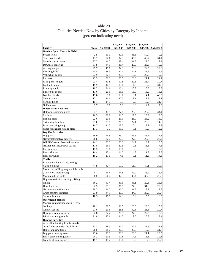# Table 29 Facilities Needed Now by Cities by Category by Income (percent indicating need)

| <b>Outdoor Sport Courts &amp; Fields</b><br>42.5<br>Soccer fields<br>50.0<br>30.1<br>50.7<br>40.2<br>41.6<br>41.7<br>52.6<br>32.9<br>45.5<br>43.7<br>Skateboard parks<br>34.1<br>Snow boarding areas<br>32.3<br>46.2<br>38.4<br>31.2<br>29.6<br>17.1<br>29.9<br>19.5<br>Downhill ski areas<br>31.8<br>44.9<br>38.4<br>26.8<br>29.7<br>32.9<br>29.9<br>22.5<br>22.0<br>41.0<br>Archery ranges<br>25.5<br>Sledding hills<br>38.5<br>27.4<br>22.1<br>23.9<br>15.9<br>Volleyball courts<br>23.9<br>32.1<br>23.3<br>15.6<br>29.6<br>19.5<br>23.9<br>Ice rinks<br>32.1<br>20.5<br>20.8<br>21.1<br>24.4<br>Rifle-pistol ranges<br>23.4<br>30.8<br>17.8<br>22.1<br>25.4<br>20.7<br>Football fields<br>19.9<br>17.9<br>15.1<br>14.3<br>19.7<br>31.7<br>20.8<br>19.2<br>34.6<br>16.4<br>15.5<br>8.5<br>Running tracks<br><b>Basketball courts</b><br>17.6<br>20.5<br>15.1<br>16.9<br>16.9<br>18.3<br>9.0<br>Baseball fields<br>17.6<br>13.7<br>9.1<br>14.1<br>40.2<br>24.4<br>Tennis courts<br>17.1<br>20.5<br>9.1<br>19.7<br>12.2<br>15.7<br>7.8<br>Softball fields<br>14.1<br>5.5<br>18.3<br>31.7<br>9.7<br>9.0<br>6.8<br>Golf courses<br>13.0<br>12.7<br>7.3<br><b>Water-based Facilities</b><br>33.1<br>44.9<br>27.4<br>29.9<br>28.2<br>34.1<br>Outdoor swimming pools<br>26.5<br>31.5<br>27.3<br>23.9<br>19.5<br>Marinas<br>30.8<br>22.6<br>20.5<br>23.3<br>15.9<br>Fishing piers<br>26.0<br>28.2<br>Swimming beaches<br>21.0<br>23.1<br>21.9<br>22.1<br>23.9<br>14.6<br>14.7<br>11.5<br>10.4<br>Boat launching ramps<br>13.7<br>19.7<br>18.3<br>7.7<br>16.9<br>Shore fishing/ice fishing areas<br>11.3<br>11.0<br>9.1<br>12.2<br><b>Day Use Facilities</b><br>39.9<br>44.9<br>39.7<br>33.8<br>43.7<br>37.8<br>Dog parks<br>37.2<br>26.0<br>Nature/Interprative centers<br>28.6<br>27.3<br>29.6<br>23.2<br>Wildlife/nature observation areas<br>24.1<br>33.3<br>23.3<br>24.7<br>19.7<br>19.5<br>Natural park areas/open spaces<br>17.8<br>26.9<br>20.5<br>9.1<br>15.5<br>17.1<br>12.2<br>15.5<br>21.8<br>15.1<br>13.0<br>15.5<br>Playgrounds<br>19.5<br>Picnic shelters<br>14.4<br>15.4<br>11.0<br>14.3<br>11.3<br>Picnic grounds<br>10.2<br>11.5<br>4.1<br>9.1<br>11.3<br>14.6<br><b>Trails</b><br>Paved trails for walking, hiking,<br>skating, biking<br>44.6<br>47.4<br>50.7<br>51.9<br>45.1<br>29.3<br>Motorized, off-highway vehicle trails<br>(ATV, 4X4, motorcycle)<br>44.1<br>56.4<br>54.8<br>39.0<br>35.2<br>35.4<br>Mountain bike trails<br>38.8<br>56.4<br>42.5<br>36.4<br>33.8<br>25.6<br>Unpaved trails for walking, hiking,<br>biking<br>29.6<br>25.6<br>36.2<br>47.4<br>43.8<br>35.1<br>Horseback trails<br>32.5<br>51.3<br>27.3<br>31.5<br>31.0<br>22.0<br>31.2<br>28.2<br>19.5<br>Nature/interpretive trails<br>30.2<br>46.2<br>26.0<br>24.7<br>23.9<br>20.7<br>27.0<br>44.9<br>20.5<br>Cross-country ski trails<br>Snowmobile trails<br>16.3<br>17.9<br>12.3<br>16.9<br>15.5<br>18.3<br><b>Overnight Facilities</b><br>Modern campgrounds with electric<br>hookups<br>28.1<br>38.5<br>31.5<br>26.0<br>29.6<br>15.9<br>27.6<br>29.5<br>26.8<br>Camper cabins<br>28.8<br>32.5<br>20.7<br>Dispersed camping sites<br>22.8<br>24.4<br>20.5<br>27.3<br>22.5<br>19.5<br>Primitive campgrounds<br>24.7<br>19.5<br>21.8<br>25.6<br>26.8<br>13.4<br><b>Hunting Facilities</b><br>Accessible hunting blinds, stands,<br>areas for people with disabilities<br>33.3<br>38.5<br>34.2<br>37.7<br>23.9<br>31.7<br>Hunter walking trails<br>28.2<br>29.9<br>26.8<br>26.0<br>16.9<br>31.7<br>Big game hunting areas<br>29.3<br>23.6<br>23.1<br>23.3<br>20.8<br>21.1<br>Small game hunting areas<br>14.3<br>29.3<br>20.2<br>20.5<br>17.8<br>18.3 |                         |              |            | $$30,000 -$ | $$35,000 -$ | $$40,000$ - |             |
|-----------------------------------------------------------------------------------------------------------------------------------------------------------------------------------------------------------------------------------------------------------------------------------------------------------------------------------------------------------------------------------------------------------------------------------------------------------------------------------------------------------------------------------------------------------------------------------------------------------------------------------------------------------------------------------------------------------------------------------------------------------------------------------------------------------------------------------------------------------------------------------------------------------------------------------------------------------------------------------------------------------------------------------------------------------------------------------------------------------------------------------------------------------------------------------------------------------------------------------------------------------------------------------------------------------------------------------------------------------------------------------------------------------------------------------------------------------------------------------------------------------------------------------------------------------------------------------------------------------------------------------------------------------------------------------------------------------------------------------------------------------------------------------------------------------------------------------------------------------------------------------------------------------------------------------------------------------------------------------------------------------------------------------------------------------------------------------------------------------------------------------------------------------------------------------------------------------------------------------------------------------------------------------------------------------------------------------------------------------------------------------------------------------------------------------------------------------------------------------------------------------------------------------------------------------------------------------------------------------------------------------------------------------------------------------------------------------------------------------------------------------------------------------------------------------------------------------------------------------------------------------------------------------------------------------------------------------------------------------------------------------------------------------------------------------------------------------------------------------------------------------------------------------------------------------------------------------------------------------------------------------------------------------------------------------------------------------------------------------------------------------------------------------------------------------------------------------------------------------------------------------------------------------------------------------------------------------------------------------------------------------------------|-------------------------|--------------|------------|-------------|-------------|-------------|-------------|
|                                                                                                                                                                                                                                                                                                                                                                                                                                                                                                                                                                                                                                                                                                                                                                                                                                                                                                                                                                                                                                                                                                                                                                                                                                                                                                                                                                                                                                                                                                                                                                                                                                                                                                                                                                                                                                                                                                                                                                                                                                                                                                                                                                                                                                                                                                                                                                                                                                                                                                                                                                                                                                                                                                                                                                                                                                                                                                                                                                                                                                                                                                                                                                                                                                                                                                                                                                                                                                                                                                                                                                                                                                               | <b>Facility</b>         | <b>Total</b> | < \$30,000 | \$34,999    | \$39,999    | \$49,999    | $$50,000 +$ |
|                                                                                                                                                                                                                                                                                                                                                                                                                                                                                                                                                                                                                                                                                                                                                                                                                                                                                                                                                                                                                                                                                                                                                                                                                                                                                                                                                                                                                                                                                                                                                                                                                                                                                                                                                                                                                                                                                                                                                                                                                                                                                                                                                                                                                                                                                                                                                                                                                                                                                                                                                                                                                                                                                                                                                                                                                                                                                                                                                                                                                                                                                                                                                                                                                                                                                                                                                                                                                                                                                                                                                                                                                                               |                         |              |            |             |             |             |             |
|                                                                                                                                                                                                                                                                                                                                                                                                                                                                                                                                                                                                                                                                                                                                                                                                                                                                                                                                                                                                                                                                                                                                                                                                                                                                                                                                                                                                                                                                                                                                                                                                                                                                                                                                                                                                                                                                                                                                                                                                                                                                                                                                                                                                                                                                                                                                                                                                                                                                                                                                                                                                                                                                                                                                                                                                                                                                                                                                                                                                                                                                                                                                                                                                                                                                                                                                                                                                                                                                                                                                                                                                                                               |                         |              |            |             |             |             |             |
|                                                                                                                                                                                                                                                                                                                                                                                                                                                                                                                                                                                                                                                                                                                                                                                                                                                                                                                                                                                                                                                                                                                                                                                                                                                                                                                                                                                                                                                                                                                                                                                                                                                                                                                                                                                                                                                                                                                                                                                                                                                                                                                                                                                                                                                                                                                                                                                                                                                                                                                                                                                                                                                                                                                                                                                                                                                                                                                                                                                                                                                                                                                                                                                                                                                                                                                                                                                                                                                                                                                                                                                                                                               |                         |              |            |             |             |             |             |
|                                                                                                                                                                                                                                                                                                                                                                                                                                                                                                                                                                                                                                                                                                                                                                                                                                                                                                                                                                                                                                                                                                                                                                                                                                                                                                                                                                                                                                                                                                                                                                                                                                                                                                                                                                                                                                                                                                                                                                                                                                                                                                                                                                                                                                                                                                                                                                                                                                                                                                                                                                                                                                                                                                                                                                                                                                                                                                                                                                                                                                                                                                                                                                                                                                                                                                                                                                                                                                                                                                                                                                                                                                               |                         |              |            |             |             |             |             |
|                                                                                                                                                                                                                                                                                                                                                                                                                                                                                                                                                                                                                                                                                                                                                                                                                                                                                                                                                                                                                                                                                                                                                                                                                                                                                                                                                                                                                                                                                                                                                                                                                                                                                                                                                                                                                                                                                                                                                                                                                                                                                                                                                                                                                                                                                                                                                                                                                                                                                                                                                                                                                                                                                                                                                                                                                                                                                                                                                                                                                                                                                                                                                                                                                                                                                                                                                                                                                                                                                                                                                                                                                                               |                         |              |            |             |             |             |             |
|                                                                                                                                                                                                                                                                                                                                                                                                                                                                                                                                                                                                                                                                                                                                                                                                                                                                                                                                                                                                                                                                                                                                                                                                                                                                                                                                                                                                                                                                                                                                                                                                                                                                                                                                                                                                                                                                                                                                                                                                                                                                                                                                                                                                                                                                                                                                                                                                                                                                                                                                                                                                                                                                                                                                                                                                                                                                                                                                                                                                                                                                                                                                                                                                                                                                                                                                                                                                                                                                                                                                                                                                                                               |                         |              |            |             |             |             |             |
|                                                                                                                                                                                                                                                                                                                                                                                                                                                                                                                                                                                                                                                                                                                                                                                                                                                                                                                                                                                                                                                                                                                                                                                                                                                                                                                                                                                                                                                                                                                                                                                                                                                                                                                                                                                                                                                                                                                                                                                                                                                                                                                                                                                                                                                                                                                                                                                                                                                                                                                                                                                                                                                                                                                                                                                                                                                                                                                                                                                                                                                                                                                                                                                                                                                                                                                                                                                                                                                                                                                                                                                                                                               |                         |              |            |             |             |             |             |
|                                                                                                                                                                                                                                                                                                                                                                                                                                                                                                                                                                                                                                                                                                                                                                                                                                                                                                                                                                                                                                                                                                                                                                                                                                                                                                                                                                                                                                                                                                                                                                                                                                                                                                                                                                                                                                                                                                                                                                                                                                                                                                                                                                                                                                                                                                                                                                                                                                                                                                                                                                                                                                                                                                                                                                                                                                                                                                                                                                                                                                                                                                                                                                                                                                                                                                                                                                                                                                                                                                                                                                                                                                               |                         |              |            |             |             |             |             |
|                                                                                                                                                                                                                                                                                                                                                                                                                                                                                                                                                                                                                                                                                                                                                                                                                                                                                                                                                                                                                                                                                                                                                                                                                                                                                                                                                                                                                                                                                                                                                                                                                                                                                                                                                                                                                                                                                                                                                                                                                                                                                                                                                                                                                                                                                                                                                                                                                                                                                                                                                                                                                                                                                                                                                                                                                                                                                                                                                                                                                                                                                                                                                                                                                                                                                                                                                                                                                                                                                                                                                                                                                                               |                         |              |            |             |             |             |             |
|                                                                                                                                                                                                                                                                                                                                                                                                                                                                                                                                                                                                                                                                                                                                                                                                                                                                                                                                                                                                                                                                                                                                                                                                                                                                                                                                                                                                                                                                                                                                                                                                                                                                                                                                                                                                                                                                                                                                                                                                                                                                                                                                                                                                                                                                                                                                                                                                                                                                                                                                                                                                                                                                                                                                                                                                                                                                                                                                                                                                                                                                                                                                                                                                                                                                                                                                                                                                                                                                                                                                                                                                                                               |                         |              |            |             |             |             |             |
|                                                                                                                                                                                                                                                                                                                                                                                                                                                                                                                                                                                                                                                                                                                                                                                                                                                                                                                                                                                                                                                                                                                                                                                                                                                                                                                                                                                                                                                                                                                                                                                                                                                                                                                                                                                                                                                                                                                                                                                                                                                                                                                                                                                                                                                                                                                                                                                                                                                                                                                                                                                                                                                                                                                                                                                                                                                                                                                                                                                                                                                                                                                                                                                                                                                                                                                                                                                                                                                                                                                                                                                                                                               |                         |              |            |             |             |             |             |
|                                                                                                                                                                                                                                                                                                                                                                                                                                                                                                                                                                                                                                                                                                                                                                                                                                                                                                                                                                                                                                                                                                                                                                                                                                                                                                                                                                                                                                                                                                                                                                                                                                                                                                                                                                                                                                                                                                                                                                                                                                                                                                                                                                                                                                                                                                                                                                                                                                                                                                                                                                                                                                                                                                                                                                                                                                                                                                                                                                                                                                                                                                                                                                                                                                                                                                                                                                                                                                                                                                                                                                                                                                               |                         |              |            |             |             |             |             |
|                                                                                                                                                                                                                                                                                                                                                                                                                                                                                                                                                                                                                                                                                                                                                                                                                                                                                                                                                                                                                                                                                                                                                                                                                                                                                                                                                                                                                                                                                                                                                                                                                                                                                                                                                                                                                                                                                                                                                                                                                                                                                                                                                                                                                                                                                                                                                                                                                                                                                                                                                                                                                                                                                                                                                                                                                                                                                                                                                                                                                                                                                                                                                                                                                                                                                                                                                                                                                                                                                                                                                                                                                                               |                         |              |            |             |             |             |             |
|                                                                                                                                                                                                                                                                                                                                                                                                                                                                                                                                                                                                                                                                                                                                                                                                                                                                                                                                                                                                                                                                                                                                                                                                                                                                                                                                                                                                                                                                                                                                                                                                                                                                                                                                                                                                                                                                                                                                                                                                                                                                                                                                                                                                                                                                                                                                                                                                                                                                                                                                                                                                                                                                                                                                                                                                                                                                                                                                                                                                                                                                                                                                                                                                                                                                                                                                                                                                                                                                                                                                                                                                                                               |                         |              |            |             |             |             |             |
|                                                                                                                                                                                                                                                                                                                                                                                                                                                                                                                                                                                                                                                                                                                                                                                                                                                                                                                                                                                                                                                                                                                                                                                                                                                                                                                                                                                                                                                                                                                                                                                                                                                                                                                                                                                                                                                                                                                                                                                                                                                                                                                                                                                                                                                                                                                                                                                                                                                                                                                                                                                                                                                                                                                                                                                                                                                                                                                                                                                                                                                                                                                                                                                                                                                                                                                                                                                                                                                                                                                                                                                                                                               |                         |              |            |             |             |             |             |
|                                                                                                                                                                                                                                                                                                                                                                                                                                                                                                                                                                                                                                                                                                                                                                                                                                                                                                                                                                                                                                                                                                                                                                                                                                                                                                                                                                                                                                                                                                                                                                                                                                                                                                                                                                                                                                                                                                                                                                                                                                                                                                                                                                                                                                                                                                                                                                                                                                                                                                                                                                                                                                                                                                                                                                                                                                                                                                                                                                                                                                                                                                                                                                                                                                                                                                                                                                                                                                                                                                                                                                                                                                               |                         |              |            |             |             |             |             |
|                                                                                                                                                                                                                                                                                                                                                                                                                                                                                                                                                                                                                                                                                                                                                                                                                                                                                                                                                                                                                                                                                                                                                                                                                                                                                                                                                                                                                                                                                                                                                                                                                                                                                                                                                                                                                                                                                                                                                                                                                                                                                                                                                                                                                                                                                                                                                                                                                                                                                                                                                                                                                                                                                                                                                                                                                                                                                                                                                                                                                                                                                                                                                                                                                                                                                                                                                                                                                                                                                                                                                                                                                                               |                         |              |            |             |             |             |             |
|                                                                                                                                                                                                                                                                                                                                                                                                                                                                                                                                                                                                                                                                                                                                                                                                                                                                                                                                                                                                                                                                                                                                                                                                                                                                                                                                                                                                                                                                                                                                                                                                                                                                                                                                                                                                                                                                                                                                                                                                                                                                                                                                                                                                                                                                                                                                                                                                                                                                                                                                                                                                                                                                                                                                                                                                                                                                                                                                                                                                                                                                                                                                                                                                                                                                                                                                                                                                                                                                                                                                                                                                                                               |                         |              |            |             |             |             |             |
|                                                                                                                                                                                                                                                                                                                                                                                                                                                                                                                                                                                                                                                                                                                                                                                                                                                                                                                                                                                                                                                                                                                                                                                                                                                                                                                                                                                                                                                                                                                                                                                                                                                                                                                                                                                                                                                                                                                                                                                                                                                                                                                                                                                                                                                                                                                                                                                                                                                                                                                                                                                                                                                                                                                                                                                                                                                                                                                                                                                                                                                                                                                                                                                                                                                                                                                                                                                                                                                                                                                                                                                                                                               |                         |              |            |             |             |             |             |
|                                                                                                                                                                                                                                                                                                                                                                                                                                                                                                                                                                                                                                                                                                                                                                                                                                                                                                                                                                                                                                                                                                                                                                                                                                                                                                                                                                                                                                                                                                                                                                                                                                                                                                                                                                                                                                                                                                                                                                                                                                                                                                                                                                                                                                                                                                                                                                                                                                                                                                                                                                                                                                                                                                                                                                                                                                                                                                                                                                                                                                                                                                                                                                                                                                                                                                                                                                                                                                                                                                                                                                                                                                               |                         |              |            |             |             |             |             |
|                                                                                                                                                                                                                                                                                                                                                                                                                                                                                                                                                                                                                                                                                                                                                                                                                                                                                                                                                                                                                                                                                                                                                                                                                                                                                                                                                                                                                                                                                                                                                                                                                                                                                                                                                                                                                                                                                                                                                                                                                                                                                                                                                                                                                                                                                                                                                                                                                                                                                                                                                                                                                                                                                                                                                                                                                                                                                                                                                                                                                                                                                                                                                                                                                                                                                                                                                                                                                                                                                                                                                                                                                                               |                         |              |            |             |             |             |             |
|                                                                                                                                                                                                                                                                                                                                                                                                                                                                                                                                                                                                                                                                                                                                                                                                                                                                                                                                                                                                                                                                                                                                                                                                                                                                                                                                                                                                                                                                                                                                                                                                                                                                                                                                                                                                                                                                                                                                                                                                                                                                                                                                                                                                                                                                                                                                                                                                                                                                                                                                                                                                                                                                                                                                                                                                                                                                                                                                                                                                                                                                                                                                                                                                                                                                                                                                                                                                                                                                                                                                                                                                                                               |                         |              |            |             |             |             |             |
|                                                                                                                                                                                                                                                                                                                                                                                                                                                                                                                                                                                                                                                                                                                                                                                                                                                                                                                                                                                                                                                                                                                                                                                                                                                                                                                                                                                                                                                                                                                                                                                                                                                                                                                                                                                                                                                                                                                                                                                                                                                                                                                                                                                                                                                                                                                                                                                                                                                                                                                                                                                                                                                                                                                                                                                                                                                                                                                                                                                                                                                                                                                                                                                                                                                                                                                                                                                                                                                                                                                                                                                                                                               |                         |              |            |             |             |             |             |
|                                                                                                                                                                                                                                                                                                                                                                                                                                                                                                                                                                                                                                                                                                                                                                                                                                                                                                                                                                                                                                                                                                                                                                                                                                                                                                                                                                                                                                                                                                                                                                                                                                                                                                                                                                                                                                                                                                                                                                                                                                                                                                                                                                                                                                                                                                                                                                                                                                                                                                                                                                                                                                                                                                                                                                                                                                                                                                                                                                                                                                                                                                                                                                                                                                                                                                                                                                                                                                                                                                                                                                                                                                               |                         |              |            |             |             |             |             |
|                                                                                                                                                                                                                                                                                                                                                                                                                                                                                                                                                                                                                                                                                                                                                                                                                                                                                                                                                                                                                                                                                                                                                                                                                                                                                                                                                                                                                                                                                                                                                                                                                                                                                                                                                                                                                                                                                                                                                                                                                                                                                                                                                                                                                                                                                                                                                                                                                                                                                                                                                                                                                                                                                                                                                                                                                                                                                                                                                                                                                                                                                                                                                                                                                                                                                                                                                                                                                                                                                                                                                                                                                                               |                         |              |            |             |             |             |             |
|                                                                                                                                                                                                                                                                                                                                                                                                                                                                                                                                                                                                                                                                                                                                                                                                                                                                                                                                                                                                                                                                                                                                                                                                                                                                                                                                                                                                                                                                                                                                                                                                                                                                                                                                                                                                                                                                                                                                                                                                                                                                                                                                                                                                                                                                                                                                                                                                                                                                                                                                                                                                                                                                                                                                                                                                                                                                                                                                                                                                                                                                                                                                                                                                                                                                                                                                                                                                                                                                                                                                                                                                                                               |                         |              |            |             |             |             |             |
|                                                                                                                                                                                                                                                                                                                                                                                                                                                                                                                                                                                                                                                                                                                                                                                                                                                                                                                                                                                                                                                                                                                                                                                                                                                                                                                                                                                                                                                                                                                                                                                                                                                                                                                                                                                                                                                                                                                                                                                                                                                                                                                                                                                                                                                                                                                                                                                                                                                                                                                                                                                                                                                                                                                                                                                                                                                                                                                                                                                                                                                                                                                                                                                                                                                                                                                                                                                                                                                                                                                                                                                                                                               |                         |              |            |             |             |             |             |
|                                                                                                                                                                                                                                                                                                                                                                                                                                                                                                                                                                                                                                                                                                                                                                                                                                                                                                                                                                                                                                                                                                                                                                                                                                                                                                                                                                                                                                                                                                                                                                                                                                                                                                                                                                                                                                                                                                                                                                                                                                                                                                                                                                                                                                                                                                                                                                                                                                                                                                                                                                                                                                                                                                                                                                                                                                                                                                                                                                                                                                                                                                                                                                                                                                                                                                                                                                                                                                                                                                                                                                                                                                               |                         |              |            |             |             |             |             |
|                                                                                                                                                                                                                                                                                                                                                                                                                                                                                                                                                                                                                                                                                                                                                                                                                                                                                                                                                                                                                                                                                                                                                                                                                                                                                                                                                                                                                                                                                                                                                                                                                                                                                                                                                                                                                                                                                                                                                                                                                                                                                                                                                                                                                                                                                                                                                                                                                                                                                                                                                                                                                                                                                                                                                                                                                                                                                                                                                                                                                                                                                                                                                                                                                                                                                                                                                                                                                                                                                                                                                                                                                                               |                         |              |            |             |             |             |             |
|                                                                                                                                                                                                                                                                                                                                                                                                                                                                                                                                                                                                                                                                                                                                                                                                                                                                                                                                                                                                                                                                                                                                                                                                                                                                                                                                                                                                                                                                                                                                                                                                                                                                                                                                                                                                                                                                                                                                                                                                                                                                                                                                                                                                                                                                                                                                                                                                                                                                                                                                                                                                                                                                                                                                                                                                                                                                                                                                                                                                                                                                                                                                                                                                                                                                                                                                                                                                                                                                                                                                                                                                                                               |                         |              |            |             |             |             |             |
|                                                                                                                                                                                                                                                                                                                                                                                                                                                                                                                                                                                                                                                                                                                                                                                                                                                                                                                                                                                                                                                                                                                                                                                                                                                                                                                                                                                                                                                                                                                                                                                                                                                                                                                                                                                                                                                                                                                                                                                                                                                                                                                                                                                                                                                                                                                                                                                                                                                                                                                                                                                                                                                                                                                                                                                                                                                                                                                                                                                                                                                                                                                                                                                                                                                                                                                                                                                                                                                                                                                                                                                                                                               |                         |              |            |             |             |             |             |
|                                                                                                                                                                                                                                                                                                                                                                                                                                                                                                                                                                                                                                                                                                                                                                                                                                                                                                                                                                                                                                                                                                                                                                                                                                                                                                                                                                                                                                                                                                                                                                                                                                                                                                                                                                                                                                                                                                                                                                                                                                                                                                                                                                                                                                                                                                                                                                                                                                                                                                                                                                                                                                                                                                                                                                                                                                                                                                                                                                                                                                                                                                                                                                                                                                                                                                                                                                                                                                                                                                                                                                                                                                               |                         |              |            |             |             |             |             |
|                                                                                                                                                                                                                                                                                                                                                                                                                                                                                                                                                                                                                                                                                                                                                                                                                                                                                                                                                                                                                                                                                                                                                                                                                                                                                                                                                                                                                                                                                                                                                                                                                                                                                                                                                                                                                                                                                                                                                                                                                                                                                                                                                                                                                                                                                                                                                                                                                                                                                                                                                                                                                                                                                                                                                                                                                                                                                                                                                                                                                                                                                                                                                                                                                                                                                                                                                                                                                                                                                                                                                                                                                                               |                         |              |            |             |             |             |             |
|                                                                                                                                                                                                                                                                                                                                                                                                                                                                                                                                                                                                                                                                                                                                                                                                                                                                                                                                                                                                                                                                                                                                                                                                                                                                                                                                                                                                                                                                                                                                                                                                                                                                                                                                                                                                                                                                                                                                                                                                                                                                                                                                                                                                                                                                                                                                                                                                                                                                                                                                                                                                                                                                                                                                                                                                                                                                                                                                                                                                                                                                                                                                                                                                                                                                                                                                                                                                                                                                                                                                                                                                                                               |                         |              |            |             |             |             |             |
|                                                                                                                                                                                                                                                                                                                                                                                                                                                                                                                                                                                                                                                                                                                                                                                                                                                                                                                                                                                                                                                                                                                                                                                                                                                                                                                                                                                                                                                                                                                                                                                                                                                                                                                                                                                                                                                                                                                                                                                                                                                                                                                                                                                                                                                                                                                                                                                                                                                                                                                                                                                                                                                                                                                                                                                                                                                                                                                                                                                                                                                                                                                                                                                                                                                                                                                                                                                                                                                                                                                                                                                                                                               |                         |              |            |             |             |             |             |
|                                                                                                                                                                                                                                                                                                                                                                                                                                                                                                                                                                                                                                                                                                                                                                                                                                                                                                                                                                                                                                                                                                                                                                                                                                                                                                                                                                                                                                                                                                                                                                                                                                                                                                                                                                                                                                                                                                                                                                                                                                                                                                                                                                                                                                                                                                                                                                                                                                                                                                                                                                                                                                                                                                                                                                                                                                                                                                                                                                                                                                                                                                                                                                                                                                                                                                                                                                                                                                                                                                                                                                                                                                               |                         |              |            |             |             |             |             |
|                                                                                                                                                                                                                                                                                                                                                                                                                                                                                                                                                                                                                                                                                                                                                                                                                                                                                                                                                                                                                                                                                                                                                                                                                                                                                                                                                                                                                                                                                                                                                                                                                                                                                                                                                                                                                                                                                                                                                                                                                                                                                                                                                                                                                                                                                                                                                                                                                                                                                                                                                                                                                                                                                                                                                                                                                                                                                                                                                                                                                                                                                                                                                                                                                                                                                                                                                                                                                                                                                                                                                                                                                                               |                         |              |            |             |             |             |             |
|                                                                                                                                                                                                                                                                                                                                                                                                                                                                                                                                                                                                                                                                                                                                                                                                                                                                                                                                                                                                                                                                                                                                                                                                                                                                                                                                                                                                                                                                                                                                                                                                                                                                                                                                                                                                                                                                                                                                                                                                                                                                                                                                                                                                                                                                                                                                                                                                                                                                                                                                                                                                                                                                                                                                                                                                                                                                                                                                                                                                                                                                                                                                                                                                                                                                                                                                                                                                                                                                                                                                                                                                                                               |                         |              |            |             |             |             |             |
|                                                                                                                                                                                                                                                                                                                                                                                                                                                                                                                                                                                                                                                                                                                                                                                                                                                                                                                                                                                                                                                                                                                                                                                                                                                                                                                                                                                                                                                                                                                                                                                                                                                                                                                                                                                                                                                                                                                                                                                                                                                                                                                                                                                                                                                                                                                                                                                                                                                                                                                                                                                                                                                                                                                                                                                                                                                                                                                                                                                                                                                                                                                                                                                                                                                                                                                                                                                                                                                                                                                                                                                                                                               |                         |              |            |             |             |             |             |
|                                                                                                                                                                                                                                                                                                                                                                                                                                                                                                                                                                                                                                                                                                                                                                                                                                                                                                                                                                                                                                                                                                                                                                                                                                                                                                                                                                                                                                                                                                                                                                                                                                                                                                                                                                                                                                                                                                                                                                                                                                                                                                                                                                                                                                                                                                                                                                                                                                                                                                                                                                                                                                                                                                                                                                                                                                                                                                                                                                                                                                                                                                                                                                                                                                                                                                                                                                                                                                                                                                                                                                                                                                               |                         |              |            |             |             |             |             |
|                                                                                                                                                                                                                                                                                                                                                                                                                                                                                                                                                                                                                                                                                                                                                                                                                                                                                                                                                                                                                                                                                                                                                                                                                                                                                                                                                                                                                                                                                                                                                                                                                                                                                                                                                                                                                                                                                                                                                                                                                                                                                                                                                                                                                                                                                                                                                                                                                                                                                                                                                                                                                                                                                                                                                                                                                                                                                                                                                                                                                                                                                                                                                                                                                                                                                                                                                                                                                                                                                                                                                                                                                                               |                         |              |            |             |             |             |             |
|                                                                                                                                                                                                                                                                                                                                                                                                                                                                                                                                                                                                                                                                                                                                                                                                                                                                                                                                                                                                                                                                                                                                                                                                                                                                                                                                                                                                                                                                                                                                                                                                                                                                                                                                                                                                                                                                                                                                                                                                                                                                                                                                                                                                                                                                                                                                                                                                                                                                                                                                                                                                                                                                                                                                                                                                                                                                                                                                                                                                                                                                                                                                                                                                                                                                                                                                                                                                                                                                                                                                                                                                                                               |                         |              |            |             |             |             |             |
|                                                                                                                                                                                                                                                                                                                                                                                                                                                                                                                                                                                                                                                                                                                                                                                                                                                                                                                                                                                                                                                                                                                                                                                                                                                                                                                                                                                                                                                                                                                                                                                                                                                                                                                                                                                                                                                                                                                                                                                                                                                                                                                                                                                                                                                                                                                                                                                                                                                                                                                                                                                                                                                                                                                                                                                                                                                                                                                                                                                                                                                                                                                                                                                                                                                                                                                                                                                                                                                                                                                                                                                                                                               |                         |              |            |             |             |             |             |
|                                                                                                                                                                                                                                                                                                                                                                                                                                                                                                                                                                                                                                                                                                                                                                                                                                                                                                                                                                                                                                                                                                                                                                                                                                                                                                                                                                                                                                                                                                                                                                                                                                                                                                                                                                                                                                                                                                                                                                                                                                                                                                                                                                                                                                                                                                                                                                                                                                                                                                                                                                                                                                                                                                                                                                                                                                                                                                                                                                                                                                                                                                                                                                                                                                                                                                                                                                                                                                                                                                                                                                                                                                               |                         |              |            |             |             |             |             |
|                                                                                                                                                                                                                                                                                                                                                                                                                                                                                                                                                                                                                                                                                                                                                                                                                                                                                                                                                                                                                                                                                                                                                                                                                                                                                                                                                                                                                                                                                                                                                                                                                                                                                                                                                                                                                                                                                                                                                                                                                                                                                                                                                                                                                                                                                                                                                                                                                                                                                                                                                                                                                                                                                                                                                                                                                                                                                                                                                                                                                                                                                                                                                                                                                                                                                                                                                                                                                                                                                                                                                                                                                                               |                         |              |            |             |             |             |             |
|                                                                                                                                                                                                                                                                                                                                                                                                                                                                                                                                                                                                                                                                                                                                                                                                                                                                                                                                                                                                                                                                                                                                                                                                                                                                                                                                                                                                                                                                                                                                                                                                                                                                                                                                                                                                                                                                                                                                                                                                                                                                                                                                                                                                                                                                                                                                                                                                                                                                                                                                                                                                                                                                                                                                                                                                                                                                                                                                                                                                                                                                                                                                                                                                                                                                                                                                                                                                                                                                                                                                                                                                                                               |                         |              |            |             |             |             |             |
|                                                                                                                                                                                                                                                                                                                                                                                                                                                                                                                                                                                                                                                                                                                                                                                                                                                                                                                                                                                                                                                                                                                                                                                                                                                                                                                                                                                                                                                                                                                                                                                                                                                                                                                                                                                                                                                                                                                                                                                                                                                                                                                                                                                                                                                                                                                                                                                                                                                                                                                                                                                                                                                                                                                                                                                                                                                                                                                                                                                                                                                                                                                                                                                                                                                                                                                                                                                                                                                                                                                                                                                                                                               |                         |              |            |             |             |             |             |
|                                                                                                                                                                                                                                                                                                                                                                                                                                                                                                                                                                                                                                                                                                                                                                                                                                                                                                                                                                                                                                                                                                                                                                                                                                                                                                                                                                                                                                                                                                                                                                                                                                                                                                                                                                                                                                                                                                                                                                                                                                                                                                                                                                                                                                                                                                                                                                                                                                                                                                                                                                                                                                                                                                                                                                                                                                                                                                                                                                                                                                                                                                                                                                                                                                                                                                                                                                                                                                                                                                                                                                                                                                               |                         |              |            |             |             |             |             |
|                                                                                                                                                                                                                                                                                                                                                                                                                                                                                                                                                                                                                                                                                                                                                                                                                                                                                                                                                                                                                                                                                                                                                                                                                                                                                                                                                                                                                                                                                                                                                                                                                                                                                                                                                                                                                                                                                                                                                                                                                                                                                                                                                                                                                                                                                                                                                                                                                                                                                                                                                                                                                                                                                                                                                                                                                                                                                                                                                                                                                                                                                                                                                                                                                                                                                                                                                                                                                                                                                                                                                                                                                                               |                         |              |            |             |             |             |             |
|                                                                                                                                                                                                                                                                                                                                                                                                                                                                                                                                                                                                                                                                                                                                                                                                                                                                                                                                                                                                                                                                                                                                                                                                                                                                                                                                                                                                                                                                                                                                                                                                                                                                                                                                                                                                                                                                                                                                                                                                                                                                                                                                                                                                                                                                                                                                                                                                                                                                                                                                                                                                                                                                                                                                                                                                                                                                                                                                                                                                                                                                                                                                                                                                                                                                                                                                                                                                                                                                                                                                                                                                                                               |                         |              |            |             |             |             |             |
|                                                                                                                                                                                                                                                                                                                                                                                                                                                                                                                                                                                                                                                                                                                                                                                                                                                                                                                                                                                                                                                                                                                                                                                                                                                                                                                                                                                                                                                                                                                                                                                                                                                                                                                                                                                                                                                                                                                                                                                                                                                                                                                                                                                                                                                                                                                                                                                                                                                                                                                                                                                                                                                                                                                                                                                                                                                                                                                                                                                                                                                                                                                                                                                                                                                                                                                                                                                                                                                                                                                                                                                                                                               |                         |              |            |             |             |             |             |
|                                                                                                                                                                                                                                                                                                                                                                                                                                                                                                                                                                                                                                                                                                                                                                                                                                                                                                                                                                                                                                                                                                                                                                                                                                                                                                                                                                                                                                                                                                                                                                                                                                                                                                                                                                                                                                                                                                                                                                                                                                                                                                                                                                                                                                                                                                                                                                                                                                                                                                                                                                                                                                                                                                                                                                                                                                                                                                                                                                                                                                                                                                                                                                                                                                                                                                                                                                                                                                                                                                                                                                                                                                               |                         |              |            |             |             |             |             |
|                                                                                                                                                                                                                                                                                                                                                                                                                                                                                                                                                                                                                                                                                                                                                                                                                                                                                                                                                                                                                                                                                                                                                                                                                                                                                                                                                                                                                                                                                                                                                                                                                                                                                                                                                                                                                                                                                                                                                                                                                                                                                                                                                                                                                                                                                                                                                                                                                                                                                                                                                                                                                                                                                                                                                                                                                                                                                                                                                                                                                                                                                                                                                                                                                                                                                                                                                                                                                                                                                                                                                                                                                                               |                         |              |            |             |             |             |             |
|                                                                                                                                                                                                                                                                                                                                                                                                                                                                                                                                                                                                                                                                                                                                                                                                                                                                                                                                                                                                                                                                                                                                                                                                                                                                                                                                                                                                                                                                                                                                                                                                                                                                                                                                                                                                                                                                                                                                                                                                                                                                                                                                                                                                                                                                                                                                                                                                                                                                                                                                                                                                                                                                                                                                                                                                                                                                                                                                                                                                                                                                                                                                                                                                                                                                                                                                                                                                                                                                                                                                                                                                                                               |                         |              |            |             |             |             |             |
|                                                                                                                                                                                                                                                                                                                                                                                                                                                                                                                                                                                                                                                                                                                                                                                                                                                                                                                                                                                                                                                                                                                                                                                                                                                                                                                                                                                                                                                                                                                                                                                                                                                                                                                                                                                                                                                                                                                                                                                                                                                                                                                                                                                                                                                                                                                                                                                                                                                                                                                                                                                                                                                                                                                                                                                                                                                                                                                                                                                                                                                                                                                                                                                                                                                                                                                                                                                                                                                                                                                                                                                                                                               |                         |              |            |             |             |             |             |
|                                                                                                                                                                                                                                                                                                                                                                                                                                                                                                                                                                                                                                                                                                                                                                                                                                                                                                                                                                                                                                                                                                                                                                                                                                                                                                                                                                                                                                                                                                                                                                                                                                                                                                                                                                                                                                                                                                                                                                                                                                                                                                                                                                                                                                                                                                                                                                                                                                                                                                                                                                                                                                                                                                                                                                                                                                                                                                                                                                                                                                                                                                                                                                                                                                                                                                                                                                                                                                                                                                                                                                                                                                               |                         |              |            |             |             |             |             |
|                                                                                                                                                                                                                                                                                                                                                                                                                                                                                                                                                                                                                                                                                                                                                                                                                                                                                                                                                                                                                                                                                                                                                                                                                                                                                                                                                                                                                                                                                                                                                                                                                                                                                                                                                                                                                                                                                                                                                                                                                                                                                                                                                                                                                                                                                                                                                                                                                                                                                                                                                                                                                                                                                                                                                                                                                                                                                                                                                                                                                                                                                                                                                                                                                                                                                                                                                                                                                                                                                                                                                                                                                                               | Waterfowl hunting areas | 19.7         | 19.2       | 15.1        | 15.6        | 18.3        | 29.3        |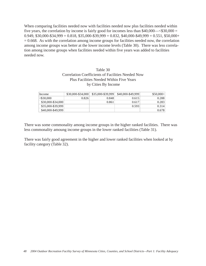When comparing facilities needed now with facilities needed now plus facilities needed within five years, the correlation by income is fairly good for incomes less than  $$40,000$   $-$  <  $$30,000$  =  $0.949, $30,000-$34,999 = 0.818, $35,000-$39,999 = 0.832, $40,000-$49,999 = 0.551, $50,000+$  $= 0.668$ . As with the correlation among income groups for facilities needed now, the correlation among income groups was better at the lower income levels (Table 30). There was less correlation among income groups when facilities needed within five years was added to facilities needed now.

### Table 30 Correlation Coefficients of Facilities Needed Now Plus Facilities Needed Within Five Years by Cities By Income

| Income            | $$30,000-S34,000$ | \$35,000-\$39,999 | \$40,000-\$49,999 | $$50.000+$ |
|-------------------|-------------------|-------------------|-------------------|------------|
| $<$ \$30.000      | 0.826             | 0.848             | 0.615             | 0.288      |
| \$30,000-\$34,000 |                   | 0.861             | 0.617             | 0.283      |
| \$35,000-\$39,999 |                   |                   | 0.593             | 0.314      |
| \$40,000-\$49,999 |                   |                   |                   | 0.678      |

There was some commonality among income groups in the higher ranked facilities. There was less commonality amoung income groups in the lower ranked facilities (Table 31).

There was fairly good agreement in the higher and lower ranked facilities when looked at by facility category (Table 32).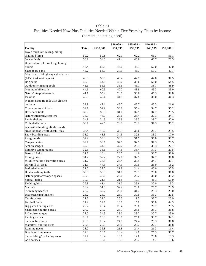# Facilities Needed Now Plus Facilities Needed Within Five Years by Cities by Income (percent indicating need)

|                                       |              |              | $$30,000 -$ | $$35,000 -$ | $$40,000 -$ |             |
|---------------------------------------|--------------|--------------|-------------|-------------|-------------|-------------|
| Facility                              | <b>Total</b> | $<$ \$30,000 | \$34,999    | \$39,999    | \$49,999    | $$50,000 +$ |
| Paved trails for walking, hiking,     |              |              |             |             |             |             |
| skating, biking                       | 59.2         | 59.8         | 62.1        | 62.2        | 61.3        | 51.1        |
| Soccer fields                         | 56.1         | 54.0         | 41.4        | 48.8        | 66.7        | 70.5        |
| Unpaved trails for walking, hiking,   |              |              |             |             |             |             |
| biking                                | 48.4         | 57.5         | 46.0        | 45.1        | 52.0        | 42.0        |
| Skateboard parks                      | 48.2         | 56.3         | 37.9        | 46.3        | 53.3        | 47.7        |
| Motorized, off-highway vehicle trails |              |              |             |             |             |             |
| (ATV, 4X4, motorcycle)                | 46.8         | 59.8         | 49.4        | 42.7        | 44.0        | 37.5        |
| Dog parks                             | 46.3         | 44.8         | 40.2        | 36.6        | 56.0        | 54.5        |
| Outdoor swimming pools                | 45.1         | 56.3         | 35.6        | 45.1        | 38.7        | 48.9        |
| Mountain bike trails                  | 44.6         | 60.9         | 40.2        | 43.9        | 45.3        | 33.0        |
| Nature/interpretive trails            | 41.1         | 55.2         | 28.7        | 36.6        | 45.3        | 39.8        |
| Ice rinks                             | 40.6         | 49.4         | 34.5        | 37.8        | 36.0        | 44.3        |
| Modern campgrounds with electric      |              |              |             |             |             |             |
| hookups                               | 39.9         | 47.1         | 43.7        | 42.7        | 45.3        | 21.6        |
| Cross-country ski trails              | 39.1         | 52.9         | 36.8        | 35.4        | 34.7        | 35.2        |
| Horseback trails                      | 37.0         | 56.3         | 31.0        | 32.9        | 34.7        | 29.5        |
| Nature/Interprative centers           | 36.0         | 46.0         | 27.6        | 35.4        | 37.3        | 34.1        |
| Picnic shelters                       | 34.8         | 34.5         | 29.9        | 29.3        | 38.7        | 42.0        |
| Volleyball courts                     | 33.7         | 42.5         | 29.9        | 23.2        | 37.3        | 35.2        |
| Accessible hunting blinds, stands,    |              |              |             |             |             |             |
| areas for people with disabilities    | 33.4         | 40.2         | 33.3        | 36.6        | 26.7        | 29.5        |
| Snow boarding areas                   | 33.2         | 48.3         | 34.5        | 32.9        | 33.3        | 17.0        |
| Playgrounds                           | 32.9         | 33.3         | 33.3        | 31.7        | 36.0        | 30.7        |
| Camper cabins                         | 32.7         | 39.1         | 34.5        | 32.9        | 37.3        | 20.5        |
| Archery ranges                        | 32.5         | 44.8         | 32.2        | 29.3        | 33.3        | 22.7        |
| Primitive campgrounds                 | 32.5         | 35.6         | 34.5        | 35.4        | 37.3        | 20.5        |
| <b>Baseball fields</b>                | 31.7         | 18.4         | 28.7        | 14.6        | 38.7        | 58.0        |
| Fishing piers                         | 31.7         | 32.2         | 27.6        | 32.9        | 34.7        | 31.8        |
| Wildlife/nature observation areas     | 31.7         | 36.8         | 26.4        | 30.5        | 34.7        | 30.7        |
| Downhill ski areas                    | 31.3         | 44.8         | 34.5        | 30.5        | 28.0        | 18.2        |
| <b>Basketball courts</b>              | 31.0         | 32.2         | 21.8        | 24.4        | 40.0        | 37.5        |
| Hunter walking trails                 | 30.8         | 33.3         | 31.0        | 29.3        | 28.0        | 31.8        |
| Natural park areas/open spaces        | 30.5         | 35.6         | 23.0        | 23.2        | 36.0        | 35.2        |
| Softball fields                       | 30.3         | 21.8         | 21.8        | 17.1        | 41.3        | 50.0        |
| Sledding hills                        | 29.8         | 41.4         | 31.0        | 25.6        | 32.0        | 19.3        |
| Marinas                               | 28.4         | 31.0         | 32.2        | 28.0        | 26.7        | 23.9        |
| Swimming beaches                      | 28.2         | 32.2         | 23.0        | 31.7        | 29.3        | 25.0        |
| Dispersed camping sites               | 28.2         | 28.7         | 28.7        | 30.5        | 33.3        | 20.5        |
| Tennis courts                         | 27.7         | 32.2         | 25.3        | 19.5        | 38.7        | 23.9        |
| Football fields                       | 27.2         | 24.1         | 16.1        | 15.9        | 36.0        | 44.3        |
| Big game hunting areas                | 27.2         | 26.4         | 26.4        | 26.8        | 26.7        | 29.5        |
| Small game hunting areas              | 27.2         | 27.6         | 25.3        | 25.6        | 25.3        | 31.8        |
| Rifle-pistol ranges                   | 27.0         | 34.5         | 23.0        | 23.2        | 30.7        | 23.9        |
| Picnic grounds                        | 26.7         | 23.0         | 20.7        | 25.6        | 30.7        | 34.1        |
| Snowmobile trails                     | 26.5         | 26.4         | 24.1        | 24.4        | 25.3        | 31.8        |
| Waterfowl hunting areas               | 25.8         | 29.9         | 23.0        | 20.7        | 22.7        | 31.8        |
| Running tracks                        | 23.2         | 36.8         | 21.8        | 24.4        | 21.3        | 11.4        |
| Boat launching ramps                  | 22.0         | $20.7\,$     | 18.4        | 14.6        | 25.3        | 30.7        |
| Shore fishing/ice fishing areas       | 17.7         | 18.4         | 16.1        | 14.6        | 20.0        | 19.3        |
| Golf courses                          | 15.0         | 16.1         | 10.3        | 20.7        | 14.7        | 13.6        |
|                                       |              |              |             |             |             |             |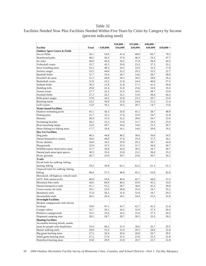# Facilities Needed Now Plus Facilities Needed Within Five Years by Cities by Category by Income (percent indicating need)

| \$34.999<br>\$39,999<br>\$49,999<br>Facility<br>Total<br>< \$30,000<br>$$50,000 +$<br><b>Outdoor Sport Courts &amp; Fields</b><br>Soccer fields<br>56.1<br>54.0<br>41.4<br>70.5<br>48.8<br>66.7<br>37.9<br>48.2<br>56.3<br>46.3<br>53.3<br>Skateboard parks<br>47.7<br>40.6<br>49.4<br>34.5<br>37.8<br>36.0<br>44.3<br>Ice rinks<br>Volleyball courts<br>33.7<br>29.9<br>42.5<br>23.2<br>37.3<br>35.2<br>Snow boarding areas<br>34.5<br>33.3<br>33.2<br>48.3<br>32.9<br>17.0<br>32.2<br>32.5<br>44.8<br>29.3<br>33.3<br>22.7<br>Archery ranges<br><b>Baseball</b> fields<br>31.7<br>28.7<br>38.7<br>58.0<br>18.4<br>14.6<br>31.3<br>44.8<br>34.5<br>30.5<br>28.0<br>Downhill ski areas<br>18.2<br>31.0<br>32.2<br>21.8<br>24.4<br>40.0<br>37.5<br><b>Basketball courts</b><br>30.3<br>21.8<br>50.0<br>Softball fields<br>21.8<br>17.1<br>41.3<br>29.8<br>41.4<br>31.0<br>25.6<br>32.0<br>19.3<br>Sledding hills<br>32.2<br>27.7<br>25.3<br>19.5<br>38.7<br>23.9<br>Tennis courts<br>27.2<br>16.1<br>15.9<br>Football fields<br>24.1<br>36.0<br>44.3<br>27.0<br>34.5<br>23.0<br>23.2<br>30.7<br>23.9<br>Rifle-pistol ranges<br>Running tracks<br>23.2<br>36.8<br>21.8<br>24.4<br>21.3<br>11.4<br>Golf courses<br>15.0<br>16.1<br>10.3<br>20.7<br>14.7<br>13.6<br><b>Water-based Facilities</b><br>56.3<br>35.6<br>Outdoor swimming pools<br>45.1<br>45.1<br>38.7<br>48.9<br>31.7<br>32.2<br>27.6<br>32.9<br>Fishing piers<br>34.7<br>31.8<br>28.4<br>31.0<br>32.2<br>26.7<br>23.9<br>Marinas<br>28.0<br>Swimming beaches<br>28.2<br>32.2<br>23.0<br>31.7<br>29.3<br>25.0<br>22.0<br>18.4<br>25.3<br>30.7<br>Boat launching ramps<br>20.7<br>14.6<br>Shore fishing/ice fishing areas<br>17.7<br>18.4<br>16.1<br>14.6<br>20.0<br>19.3<br>Day Use Facilities<br>46.3<br>44.8<br>40.2<br>56.0<br>54.5<br>Dog parks<br>36.6<br>Nature/Interprative centers<br>46.0<br>27.6<br>35.4<br>37.3<br>36.0<br>34.1<br>29.9<br>34.8<br>34.5<br>29.3<br>38.7<br>42.0<br>Picnic shelters<br>32.9<br>33.3<br>Playgrounds<br>33.3<br>31.7<br>36.0<br>30.7<br>Wildlife/nature observation areas<br>36.8<br>26.4<br>34.7<br>31.7<br>30.5<br>30.7<br>35.6<br>30.5<br>23.0<br>23.2<br>36.0<br>35.2<br>Natural park areas/open spaces<br>20.7<br>30.7<br>Picnic grounds<br>26.7<br>23.0<br>25.6<br>34.1<br><b>Trails</b><br>Paved trails for walking, hiking,<br>59.2<br>59.8<br>skating, biking<br>62.1<br>62.2<br>61.3<br>51.1<br>Unpaved trails for walking, hiking,<br>biking<br>48.4<br>57.5<br>46.0<br>45.1<br>52.0<br>42.0<br>Motorized, off-highway vehicle trails<br>49.4<br>46.8<br>59.8<br>42.7<br>44.0<br>37.5<br>(ATV, 4X4, motorcycle)<br>Mountain bike trails<br>60.9<br>40.2<br>45.3<br>44.6<br>43.9<br>33.0 |                            |      |      | \$30,000 - | $$35,000 -$ | $$40,000-$ |      |
|------------------------------------------------------------------------------------------------------------------------------------------------------------------------------------------------------------------------------------------------------------------------------------------------------------------------------------------------------------------------------------------------------------------------------------------------------------------------------------------------------------------------------------------------------------------------------------------------------------------------------------------------------------------------------------------------------------------------------------------------------------------------------------------------------------------------------------------------------------------------------------------------------------------------------------------------------------------------------------------------------------------------------------------------------------------------------------------------------------------------------------------------------------------------------------------------------------------------------------------------------------------------------------------------------------------------------------------------------------------------------------------------------------------------------------------------------------------------------------------------------------------------------------------------------------------------------------------------------------------------------------------------------------------------------------------------------------------------------------------------------------------------------------------------------------------------------------------------------------------------------------------------------------------------------------------------------------------------------------------------------------------------------------------------------------------------------------------------------------------------------------------------------------------------------------------------------------------------------------------------------------------------------------------------------------------------------------------------------------------------------------------------------------------------------------------------------------------------------------------------------------------------------------------------------------------------------------------------------------------------------------------------------------------------------------------------------|----------------------------|------|------|------------|-------------|------------|------|
|                                                                                                                                                                                                                                                                                                                                                                                                                                                                                                                                                                                                                                                                                                                                                                                                                                                                                                                                                                                                                                                                                                                                                                                                                                                                                                                                                                                                                                                                                                                                                                                                                                                                                                                                                                                                                                                                                                                                                                                                                                                                                                                                                                                                                                                                                                                                                                                                                                                                                                                                                                                                                                                                                                      |                            |      |      |            |             |            |      |
|                                                                                                                                                                                                                                                                                                                                                                                                                                                                                                                                                                                                                                                                                                                                                                                                                                                                                                                                                                                                                                                                                                                                                                                                                                                                                                                                                                                                                                                                                                                                                                                                                                                                                                                                                                                                                                                                                                                                                                                                                                                                                                                                                                                                                                                                                                                                                                                                                                                                                                                                                                                                                                                                                                      |                            |      |      |            |             |            |      |
|                                                                                                                                                                                                                                                                                                                                                                                                                                                                                                                                                                                                                                                                                                                                                                                                                                                                                                                                                                                                                                                                                                                                                                                                                                                                                                                                                                                                                                                                                                                                                                                                                                                                                                                                                                                                                                                                                                                                                                                                                                                                                                                                                                                                                                                                                                                                                                                                                                                                                                                                                                                                                                                                                                      |                            |      |      |            |             |            |      |
|                                                                                                                                                                                                                                                                                                                                                                                                                                                                                                                                                                                                                                                                                                                                                                                                                                                                                                                                                                                                                                                                                                                                                                                                                                                                                                                                                                                                                                                                                                                                                                                                                                                                                                                                                                                                                                                                                                                                                                                                                                                                                                                                                                                                                                                                                                                                                                                                                                                                                                                                                                                                                                                                                                      |                            |      |      |            |             |            |      |
|                                                                                                                                                                                                                                                                                                                                                                                                                                                                                                                                                                                                                                                                                                                                                                                                                                                                                                                                                                                                                                                                                                                                                                                                                                                                                                                                                                                                                                                                                                                                                                                                                                                                                                                                                                                                                                                                                                                                                                                                                                                                                                                                                                                                                                                                                                                                                                                                                                                                                                                                                                                                                                                                                                      |                            |      |      |            |             |            |      |
|                                                                                                                                                                                                                                                                                                                                                                                                                                                                                                                                                                                                                                                                                                                                                                                                                                                                                                                                                                                                                                                                                                                                                                                                                                                                                                                                                                                                                                                                                                                                                                                                                                                                                                                                                                                                                                                                                                                                                                                                                                                                                                                                                                                                                                                                                                                                                                                                                                                                                                                                                                                                                                                                                                      |                            |      |      |            |             |            |      |
|                                                                                                                                                                                                                                                                                                                                                                                                                                                                                                                                                                                                                                                                                                                                                                                                                                                                                                                                                                                                                                                                                                                                                                                                                                                                                                                                                                                                                                                                                                                                                                                                                                                                                                                                                                                                                                                                                                                                                                                                                                                                                                                                                                                                                                                                                                                                                                                                                                                                                                                                                                                                                                                                                                      |                            |      |      |            |             |            |      |
|                                                                                                                                                                                                                                                                                                                                                                                                                                                                                                                                                                                                                                                                                                                                                                                                                                                                                                                                                                                                                                                                                                                                                                                                                                                                                                                                                                                                                                                                                                                                                                                                                                                                                                                                                                                                                                                                                                                                                                                                                                                                                                                                                                                                                                                                                                                                                                                                                                                                                                                                                                                                                                                                                                      |                            |      |      |            |             |            |      |
|                                                                                                                                                                                                                                                                                                                                                                                                                                                                                                                                                                                                                                                                                                                                                                                                                                                                                                                                                                                                                                                                                                                                                                                                                                                                                                                                                                                                                                                                                                                                                                                                                                                                                                                                                                                                                                                                                                                                                                                                                                                                                                                                                                                                                                                                                                                                                                                                                                                                                                                                                                                                                                                                                                      |                            |      |      |            |             |            |      |
|                                                                                                                                                                                                                                                                                                                                                                                                                                                                                                                                                                                                                                                                                                                                                                                                                                                                                                                                                                                                                                                                                                                                                                                                                                                                                                                                                                                                                                                                                                                                                                                                                                                                                                                                                                                                                                                                                                                                                                                                                                                                                                                                                                                                                                                                                                                                                                                                                                                                                                                                                                                                                                                                                                      |                            |      |      |            |             |            |      |
|                                                                                                                                                                                                                                                                                                                                                                                                                                                                                                                                                                                                                                                                                                                                                                                                                                                                                                                                                                                                                                                                                                                                                                                                                                                                                                                                                                                                                                                                                                                                                                                                                                                                                                                                                                                                                                                                                                                                                                                                                                                                                                                                                                                                                                                                                                                                                                                                                                                                                                                                                                                                                                                                                                      |                            |      |      |            |             |            |      |
|                                                                                                                                                                                                                                                                                                                                                                                                                                                                                                                                                                                                                                                                                                                                                                                                                                                                                                                                                                                                                                                                                                                                                                                                                                                                                                                                                                                                                                                                                                                                                                                                                                                                                                                                                                                                                                                                                                                                                                                                                                                                                                                                                                                                                                                                                                                                                                                                                                                                                                                                                                                                                                                                                                      |                            |      |      |            |             |            |      |
|                                                                                                                                                                                                                                                                                                                                                                                                                                                                                                                                                                                                                                                                                                                                                                                                                                                                                                                                                                                                                                                                                                                                                                                                                                                                                                                                                                                                                                                                                                                                                                                                                                                                                                                                                                                                                                                                                                                                                                                                                                                                                                                                                                                                                                                                                                                                                                                                                                                                                                                                                                                                                                                                                                      |                            |      |      |            |             |            |      |
|                                                                                                                                                                                                                                                                                                                                                                                                                                                                                                                                                                                                                                                                                                                                                                                                                                                                                                                                                                                                                                                                                                                                                                                                                                                                                                                                                                                                                                                                                                                                                                                                                                                                                                                                                                                                                                                                                                                                                                                                                                                                                                                                                                                                                                                                                                                                                                                                                                                                                                                                                                                                                                                                                                      |                            |      |      |            |             |            |      |
|                                                                                                                                                                                                                                                                                                                                                                                                                                                                                                                                                                                                                                                                                                                                                                                                                                                                                                                                                                                                                                                                                                                                                                                                                                                                                                                                                                                                                                                                                                                                                                                                                                                                                                                                                                                                                                                                                                                                                                                                                                                                                                                                                                                                                                                                                                                                                                                                                                                                                                                                                                                                                                                                                                      |                            |      |      |            |             |            |      |
|                                                                                                                                                                                                                                                                                                                                                                                                                                                                                                                                                                                                                                                                                                                                                                                                                                                                                                                                                                                                                                                                                                                                                                                                                                                                                                                                                                                                                                                                                                                                                                                                                                                                                                                                                                                                                                                                                                                                                                                                                                                                                                                                                                                                                                                                                                                                                                                                                                                                                                                                                                                                                                                                                                      |                            |      |      |            |             |            |      |
|                                                                                                                                                                                                                                                                                                                                                                                                                                                                                                                                                                                                                                                                                                                                                                                                                                                                                                                                                                                                                                                                                                                                                                                                                                                                                                                                                                                                                                                                                                                                                                                                                                                                                                                                                                                                                                                                                                                                                                                                                                                                                                                                                                                                                                                                                                                                                                                                                                                                                                                                                                                                                                                                                                      |                            |      |      |            |             |            |      |
|                                                                                                                                                                                                                                                                                                                                                                                                                                                                                                                                                                                                                                                                                                                                                                                                                                                                                                                                                                                                                                                                                                                                                                                                                                                                                                                                                                                                                                                                                                                                                                                                                                                                                                                                                                                                                                                                                                                                                                                                                                                                                                                                                                                                                                                                                                                                                                                                                                                                                                                                                                                                                                                                                                      |                            |      |      |            |             |            |      |
|                                                                                                                                                                                                                                                                                                                                                                                                                                                                                                                                                                                                                                                                                                                                                                                                                                                                                                                                                                                                                                                                                                                                                                                                                                                                                                                                                                                                                                                                                                                                                                                                                                                                                                                                                                                                                                                                                                                                                                                                                                                                                                                                                                                                                                                                                                                                                                                                                                                                                                                                                                                                                                                                                                      |                            |      |      |            |             |            |      |
|                                                                                                                                                                                                                                                                                                                                                                                                                                                                                                                                                                                                                                                                                                                                                                                                                                                                                                                                                                                                                                                                                                                                                                                                                                                                                                                                                                                                                                                                                                                                                                                                                                                                                                                                                                                                                                                                                                                                                                                                                                                                                                                                                                                                                                                                                                                                                                                                                                                                                                                                                                                                                                                                                                      |                            |      |      |            |             |            |      |
|                                                                                                                                                                                                                                                                                                                                                                                                                                                                                                                                                                                                                                                                                                                                                                                                                                                                                                                                                                                                                                                                                                                                                                                                                                                                                                                                                                                                                                                                                                                                                                                                                                                                                                                                                                                                                                                                                                                                                                                                                                                                                                                                                                                                                                                                                                                                                                                                                                                                                                                                                                                                                                                                                                      |                            |      |      |            |             |            |      |
|                                                                                                                                                                                                                                                                                                                                                                                                                                                                                                                                                                                                                                                                                                                                                                                                                                                                                                                                                                                                                                                                                                                                                                                                                                                                                                                                                                                                                                                                                                                                                                                                                                                                                                                                                                                                                                                                                                                                                                                                                                                                                                                                                                                                                                                                                                                                                                                                                                                                                                                                                                                                                                                                                                      |                            |      |      |            |             |            |      |
|                                                                                                                                                                                                                                                                                                                                                                                                                                                                                                                                                                                                                                                                                                                                                                                                                                                                                                                                                                                                                                                                                                                                                                                                                                                                                                                                                                                                                                                                                                                                                                                                                                                                                                                                                                                                                                                                                                                                                                                                                                                                                                                                                                                                                                                                                                                                                                                                                                                                                                                                                                                                                                                                                                      |                            |      |      |            |             |            |      |
|                                                                                                                                                                                                                                                                                                                                                                                                                                                                                                                                                                                                                                                                                                                                                                                                                                                                                                                                                                                                                                                                                                                                                                                                                                                                                                                                                                                                                                                                                                                                                                                                                                                                                                                                                                                                                                                                                                                                                                                                                                                                                                                                                                                                                                                                                                                                                                                                                                                                                                                                                                                                                                                                                                      |                            |      |      |            |             |            |      |
|                                                                                                                                                                                                                                                                                                                                                                                                                                                                                                                                                                                                                                                                                                                                                                                                                                                                                                                                                                                                                                                                                                                                                                                                                                                                                                                                                                                                                                                                                                                                                                                                                                                                                                                                                                                                                                                                                                                                                                                                                                                                                                                                                                                                                                                                                                                                                                                                                                                                                                                                                                                                                                                                                                      |                            |      |      |            |             |            |      |
|                                                                                                                                                                                                                                                                                                                                                                                                                                                                                                                                                                                                                                                                                                                                                                                                                                                                                                                                                                                                                                                                                                                                                                                                                                                                                                                                                                                                                                                                                                                                                                                                                                                                                                                                                                                                                                                                                                                                                                                                                                                                                                                                                                                                                                                                                                                                                                                                                                                                                                                                                                                                                                                                                                      |                            |      |      |            |             |            |      |
|                                                                                                                                                                                                                                                                                                                                                                                                                                                                                                                                                                                                                                                                                                                                                                                                                                                                                                                                                                                                                                                                                                                                                                                                                                                                                                                                                                                                                                                                                                                                                                                                                                                                                                                                                                                                                                                                                                                                                                                                                                                                                                                                                                                                                                                                                                                                                                                                                                                                                                                                                                                                                                                                                                      |                            |      |      |            |             |            |      |
|                                                                                                                                                                                                                                                                                                                                                                                                                                                                                                                                                                                                                                                                                                                                                                                                                                                                                                                                                                                                                                                                                                                                                                                                                                                                                                                                                                                                                                                                                                                                                                                                                                                                                                                                                                                                                                                                                                                                                                                                                                                                                                                                                                                                                                                                                                                                                                                                                                                                                                                                                                                                                                                                                                      |                            |      |      |            |             |            |      |
|                                                                                                                                                                                                                                                                                                                                                                                                                                                                                                                                                                                                                                                                                                                                                                                                                                                                                                                                                                                                                                                                                                                                                                                                                                                                                                                                                                                                                                                                                                                                                                                                                                                                                                                                                                                                                                                                                                                                                                                                                                                                                                                                                                                                                                                                                                                                                                                                                                                                                                                                                                                                                                                                                                      |                            |      |      |            |             |            |      |
|                                                                                                                                                                                                                                                                                                                                                                                                                                                                                                                                                                                                                                                                                                                                                                                                                                                                                                                                                                                                                                                                                                                                                                                                                                                                                                                                                                                                                                                                                                                                                                                                                                                                                                                                                                                                                                                                                                                                                                                                                                                                                                                                                                                                                                                                                                                                                                                                                                                                                                                                                                                                                                                                                                      |                            |      |      |            |             |            |      |
|                                                                                                                                                                                                                                                                                                                                                                                                                                                                                                                                                                                                                                                                                                                                                                                                                                                                                                                                                                                                                                                                                                                                                                                                                                                                                                                                                                                                                                                                                                                                                                                                                                                                                                                                                                                                                                                                                                                                                                                                                                                                                                                                                                                                                                                                                                                                                                                                                                                                                                                                                                                                                                                                                                      |                            |      |      |            |             |            |      |
|                                                                                                                                                                                                                                                                                                                                                                                                                                                                                                                                                                                                                                                                                                                                                                                                                                                                                                                                                                                                                                                                                                                                                                                                                                                                                                                                                                                                                                                                                                                                                                                                                                                                                                                                                                                                                                                                                                                                                                                                                                                                                                                                                                                                                                                                                                                                                                                                                                                                                                                                                                                                                                                                                                      |                            |      |      |            |             |            |      |
|                                                                                                                                                                                                                                                                                                                                                                                                                                                                                                                                                                                                                                                                                                                                                                                                                                                                                                                                                                                                                                                                                                                                                                                                                                                                                                                                                                                                                                                                                                                                                                                                                                                                                                                                                                                                                                                                                                                                                                                                                                                                                                                                                                                                                                                                                                                                                                                                                                                                                                                                                                                                                                                                                                      |                            |      |      |            |             |            |      |
|                                                                                                                                                                                                                                                                                                                                                                                                                                                                                                                                                                                                                                                                                                                                                                                                                                                                                                                                                                                                                                                                                                                                                                                                                                                                                                                                                                                                                                                                                                                                                                                                                                                                                                                                                                                                                                                                                                                                                                                                                                                                                                                                                                                                                                                                                                                                                                                                                                                                                                                                                                                                                                                                                                      |                            |      |      |            |             |            |      |
|                                                                                                                                                                                                                                                                                                                                                                                                                                                                                                                                                                                                                                                                                                                                                                                                                                                                                                                                                                                                                                                                                                                                                                                                                                                                                                                                                                                                                                                                                                                                                                                                                                                                                                                                                                                                                                                                                                                                                                                                                                                                                                                                                                                                                                                                                                                                                                                                                                                                                                                                                                                                                                                                                                      |                            |      |      |            |             |            |      |
|                                                                                                                                                                                                                                                                                                                                                                                                                                                                                                                                                                                                                                                                                                                                                                                                                                                                                                                                                                                                                                                                                                                                                                                                                                                                                                                                                                                                                                                                                                                                                                                                                                                                                                                                                                                                                                                                                                                                                                                                                                                                                                                                                                                                                                                                                                                                                                                                                                                                                                                                                                                                                                                                                                      |                            |      |      |            |             |            |      |
|                                                                                                                                                                                                                                                                                                                                                                                                                                                                                                                                                                                                                                                                                                                                                                                                                                                                                                                                                                                                                                                                                                                                                                                                                                                                                                                                                                                                                                                                                                                                                                                                                                                                                                                                                                                                                                                                                                                                                                                                                                                                                                                                                                                                                                                                                                                                                                                                                                                                                                                                                                                                                                                                                                      |                            |      |      |            |             |            |      |
|                                                                                                                                                                                                                                                                                                                                                                                                                                                                                                                                                                                                                                                                                                                                                                                                                                                                                                                                                                                                                                                                                                                                                                                                                                                                                                                                                                                                                                                                                                                                                                                                                                                                                                                                                                                                                                                                                                                                                                                                                                                                                                                                                                                                                                                                                                                                                                                                                                                                                                                                                                                                                                                                                                      |                            |      |      |            |             |            |      |
|                                                                                                                                                                                                                                                                                                                                                                                                                                                                                                                                                                                                                                                                                                                                                                                                                                                                                                                                                                                                                                                                                                                                                                                                                                                                                                                                                                                                                                                                                                                                                                                                                                                                                                                                                                                                                                                                                                                                                                                                                                                                                                                                                                                                                                                                                                                                                                                                                                                                                                                                                                                                                                                                                                      |                            |      |      |            |             |            |      |
|                                                                                                                                                                                                                                                                                                                                                                                                                                                                                                                                                                                                                                                                                                                                                                                                                                                                                                                                                                                                                                                                                                                                                                                                                                                                                                                                                                                                                                                                                                                                                                                                                                                                                                                                                                                                                                                                                                                                                                                                                                                                                                                                                                                                                                                                                                                                                                                                                                                                                                                                                                                                                                                                                                      |                            |      |      |            |             |            |      |
|                                                                                                                                                                                                                                                                                                                                                                                                                                                                                                                                                                                                                                                                                                                                                                                                                                                                                                                                                                                                                                                                                                                                                                                                                                                                                                                                                                                                                                                                                                                                                                                                                                                                                                                                                                                                                                                                                                                                                                                                                                                                                                                                                                                                                                                                                                                                                                                                                                                                                                                                                                                                                                                                                                      |                            |      |      |            |             |            |      |
|                                                                                                                                                                                                                                                                                                                                                                                                                                                                                                                                                                                                                                                                                                                                                                                                                                                                                                                                                                                                                                                                                                                                                                                                                                                                                                                                                                                                                                                                                                                                                                                                                                                                                                                                                                                                                                                                                                                                                                                                                                                                                                                                                                                                                                                                                                                                                                                                                                                                                                                                                                                                                                                                                                      | Nature/interpretive trails | 41.1 | 55.2 | 28.7       | 36.6        | 45.3       | 39.8 |
| 39.1<br>52.9<br>35.2<br>Cross-country ski trails<br>36.8<br>35.4<br>34.7                                                                                                                                                                                                                                                                                                                                                                                                                                                                                                                                                                                                                                                                                                                                                                                                                                                                                                                                                                                                                                                                                                                                                                                                                                                                                                                                                                                                                                                                                                                                                                                                                                                                                                                                                                                                                                                                                                                                                                                                                                                                                                                                                                                                                                                                                                                                                                                                                                                                                                                                                                                                                             |                            |      |      |            |             |            |      |
| 56.3<br>29.5<br>37.0<br>$31.0\,$<br>32.9<br>34.7<br>Horseback trails                                                                                                                                                                                                                                                                                                                                                                                                                                                                                                                                                                                                                                                                                                                                                                                                                                                                                                                                                                                                                                                                                                                                                                                                                                                                                                                                                                                                                                                                                                                                                                                                                                                                                                                                                                                                                                                                                                                                                                                                                                                                                                                                                                                                                                                                                                                                                                                                                                                                                                                                                                                                                                 |                            |      |      |            |             |            |      |
| 26.5<br>26.4<br>25.3<br>31.8<br>Snowmobile trails<br>24.1<br>24.4                                                                                                                                                                                                                                                                                                                                                                                                                                                                                                                                                                                                                                                                                                                                                                                                                                                                                                                                                                                                                                                                                                                                                                                                                                                                                                                                                                                                                                                                                                                                                                                                                                                                                                                                                                                                                                                                                                                                                                                                                                                                                                                                                                                                                                                                                                                                                                                                                                                                                                                                                                                                                                    |                            |      |      |            |             |            |      |
| <b>Overnight Facilities</b>                                                                                                                                                                                                                                                                                                                                                                                                                                                                                                                                                                                                                                                                                                                                                                                                                                                                                                                                                                                                                                                                                                                                                                                                                                                                                                                                                                                                                                                                                                                                                                                                                                                                                                                                                                                                                                                                                                                                                                                                                                                                                                                                                                                                                                                                                                                                                                                                                                                                                                                                                                                                                                                                          |                            |      |      |            |             |            |      |
| Modern campgrounds with electric                                                                                                                                                                                                                                                                                                                                                                                                                                                                                                                                                                                                                                                                                                                                                                                                                                                                                                                                                                                                                                                                                                                                                                                                                                                                                                                                                                                                                                                                                                                                                                                                                                                                                                                                                                                                                                                                                                                                                                                                                                                                                                                                                                                                                                                                                                                                                                                                                                                                                                                                                                                                                                                                     |                            |      |      |            |             |            |      |
| hookups<br>39.9<br>47.1<br>43.7<br>42.7<br>45.3<br>21.6                                                                                                                                                                                                                                                                                                                                                                                                                                                                                                                                                                                                                                                                                                                                                                                                                                                                                                                                                                                                                                                                                                                                                                                                                                                                                                                                                                                                                                                                                                                                                                                                                                                                                                                                                                                                                                                                                                                                                                                                                                                                                                                                                                                                                                                                                                                                                                                                                                                                                                                                                                                                                                              |                            |      |      |            |             |            |      |
| Camper cabins<br>32.7<br>39.1<br>34.5<br>32.9<br>37.3<br>20.5                                                                                                                                                                                                                                                                                                                                                                                                                                                                                                                                                                                                                                                                                                                                                                                                                                                                                                                                                                                                                                                                                                                                                                                                                                                                                                                                                                                                                                                                                                                                                                                                                                                                                                                                                                                                                                                                                                                                                                                                                                                                                                                                                                                                                                                                                                                                                                                                                                                                                                                                                                                                                                        |                            |      |      |            |             |            |      |
| Primitive campgrounds<br>32.5<br>35.6<br>34.5<br>35.4<br>37.3<br>20.5                                                                                                                                                                                                                                                                                                                                                                                                                                                                                                                                                                                                                                                                                                                                                                                                                                                                                                                                                                                                                                                                                                                                                                                                                                                                                                                                                                                                                                                                                                                                                                                                                                                                                                                                                                                                                                                                                                                                                                                                                                                                                                                                                                                                                                                                                                                                                                                                                                                                                                                                                                                                                                |                            |      |      |            |             |            |      |
| Dispersed camping sites<br>28.2<br>28.7<br>28.7<br>30.5<br>33.3<br>20.5                                                                                                                                                                                                                                                                                                                                                                                                                                                                                                                                                                                                                                                                                                                                                                                                                                                                                                                                                                                                                                                                                                                                                                                                                                                                                                                                                                                                                                                                                                                                                                                                                                                                                                                                                                                                                                                                                                                                                                                                                                                                                                                                                                                                                                                                                                                                                                                                                                                                                                                                                                                                                              |                            |      |      |            |             |            |      |
| <b>Hunting Facilities</b>                                                                                                                                                                                                                                                                                                                                                                                                                                                                                                                                                                                                                                                                                                                                                                                                                                                                                                                                                                                                                                                                                                                                                                                                                                                                                                                                                                                                                                                                                                                                                                                                                                                                                                                                                                                                                                                                                                                                                                                                                                                                                                                                                                                                                                                                                                                                                                                                                                                                                                                                                                                                                                                                            |                            |      |      |            |             |            |      |
| Accessible hunting blinds, stands,                                                                                                                                                                                                                                                                                                                                                                                                                                                                                                                                                                                                                                                                                                                                                                                                                                                                                                                                                                                                                                                                                                                                                                                                                                                                                                                                                                                                                                                                                                                                                                                                                                                                                                                                                                                                                                                                                                                                                                                                                                                                                                                                                                                                                                                                                                                                                                                                                                                                                                                                                                                                                                                                   |                            |      |      |            |             |            |      |
| areas for people with disabilities<br>33.4<br>40.2<br>33.3<br>36.6<br>26.7<br>29.5                                                                                                                                                                                                                                                                                                                                                                                                                                                                                                                                                                                                                                                                                                                                                                                                                                                                                                                                                                                                                                                                                                                                                                                                                                                                                                                                                                                                                                                                                                                                                                                                                                                                                                                                                                                                                                                                                                                                                                                                                                                                                                                                                                                                                                                                                                                                                                                                                                                                                                                                                                                                                   |                            |      |      |            |             |            |      |
| Hunter walking trails<br>30.8<br>31.0<br>29.3<br>31.8<br>33.3<br>28.0                                                                                                                                                                                                                                                                                                                                                                                                                                                                                                                                                                                                                                                                                                                                                                                                                                                                                                                                                                                                                                                                                                                                                                                                                                                                                                                                                                                                                                                                                                                                                                                                                                                                                                                                                                                                                                                                                                                                                                                                                                                                                                                                                                                                                                                                                                                                                                                                                                                                                                                                                                                                                                |                            |      |      |            |             |            |      |
| Big game hunting areas<br>27.2<br>26.4<br>26.4<br>26.8<br>26.7<br>29.5                                                                                                                                                                                                                                                                                                                                                                                                                                                                                                                                                                                                                                                                                                                                                                                                                                                                                                                                                                                                                                                                                                                                                                                                                                                                                                                                                                                                                                                                                                                                                                                                                                                                                                                                                                                                                                                                                                                                                                                                                                                                                                                                                                                                                                                                                                                                                                                                                                                                                                                                                                                                                               |                            |      |      |            |             |            |      |
| Small game hunting areas<br>27.2<br>27.6<br>25.3<br>25.6<br>25.3<br>31.8                                                                                                                                                                                                                                                                                                                                                                                                                                                                                                                                                                                                                                                                                                                                                                                                                                                                                                                                                                                                                                                                                                                                                                                                                                                                                                                                                                                                                                                                                                                                                                                                                                                                                                                                                                                                                                                                                                                                                                                                                                                                                                                                                                                                                                                                                                                                                                                                                                                                                                                                                                                                                             |                            |      |      |            |             |            |      |
| 29.9<br>Waterfowl hunting areas<br>25.8<br>23.0<br>20.7<br>22.7<br>31.8                                                                                                                                                                                                                                                                                                                                                                                                                                                                                                                                                                                                                                                                                                                                                                                                                                                                                                                                                                                                                                                                                                                                                                                                                                                                                                                                                                                                                                                                                                                                                                                                                                                                                                                                                                                                                                                                                                                                                                                                                                                                                                                                                                                                                                                                                                                                                                                                                                                                                                                                                                                                                              |                            |      |      |            |             |            |      |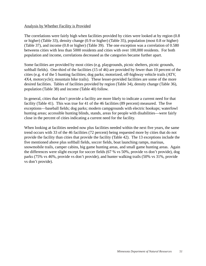### Analysis by Whether Facility is Provided

The correlations were fairly high when facilities provided by cities were looked at by region (0.8 or higher) (Table 33), density change (0.9 or higher) (Table 35), population (most 0.8 or higher) (Table 37), and income (0.8 or higher) (Table 39). The one exception was a correlation of 0.580 betweens cities with less than 5000 residents and cities with over 100,000 residents. For both population and income, correlations decreased as the categories became further apart.

Some facilities are provided by most cities (e.g. playgrounds, picnic shelters, picnic grounds, softball fields). One-third of the facilities (15 of 46) are provided by fewer than 10 percent of the cities (e.g. 4 of the 5 hunting facilities; dog parks; motorized, off-highway vehicle trails (ATV, 4X4, motorcycle); mountain bike trails). These lesser-provided facilities are some of the more desired facilities. Tables of facilities provided by region (Table 34), density change (Table 36), population (Table 38) and income (Table 40) follow.

In general, cities that don't provide a facility are more likely to indicate a current need for that facility (Table 41). This was true for 41 of the 46 facilities (89 percent) measured. The five exceptions—baseball fields; dog parks; modern campgrounds with electric hookups; waterfowl hunting areas; accessible hunting blinds, stands, areas for people with disabilities—were fairly close in the percent of cities indicating a current need for the facility.

When looking at facilities needed now plus facilities needed within the next five years, the same trend occurs with 33 of the 46 facilities (72 percent) being requested more by cities that do not provide the facility than cities that provide the facility (Table 42). The 13 exceptions include the five mentioned above plus softball fields, soccer fields, boat launching ramps, marinas, snowmobile trails, camper cabins, big game hunting areas, and small game hunting areas. Again the differences were slight except for soccer fields (67 % vs 50%, provide vs don't provide), dog parks (75% vs 46%, provide vs don't provide), and hunter walking trails (50% vs 31%, provide vs don't provide).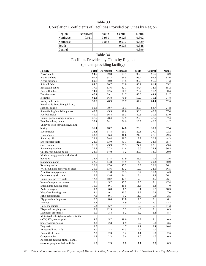| Table 33                                                            |
|---------------------------------------------------------------------|
| Correlation Coefficients of Facilities Provided by Cities by Region |

| Region    | Northeast | South | Central | Metro |
|-----------|-----------|-------|---------|-------|
| Northwest | 0.911     | 0.959 | 0.928   | 0.802 |
| Northeast |           | 0.883 | 0.912   | 0.829 |
| South     |           |       | 0.935   | 0.848 |
| Central   |           |       |         | 0.896 |

### Table 34 Facilities Provided by Cities by Region (percent providing facility)

| <b>Facility</b>                       | <b>Total</b>     | <b>Northwest</b> | <b>Northeast</b> | South | Central | Metro |
|---------------------------------------|------------------|------------------|------------------|-------|---------|-------|
| Playgrounds                           | 94.5             | 89.8             | 93.1             | 96.8  | 96.6    | 93.9  |
| Picnic shelters                       | 91.5             | 94.3             | 84.5             | 96.2  | 96.6    | 82.6  |
| Picnic grounds                        | 89.1             | 90.9             | 84.5             | 90.3  | 96.6    | 84.3  |
| Softball fields                       | 84.6             | 80.7             | 81.0             | 88.2  | 81.4    | 85.2  |
| Basketball courts                     | 77.1             | 63.6             | 62.1             | 84.4  | 72.9    | 85.2  |
| Baseball fields                       | 74.9             | 62.5             | 70.7             | 73.7  | 71.2    | 90.4  |
| Tennis courts                         | 66.4             | 59.1             | 51.7             | 65.6  | 64.4    | 81.7  |
| Ice rinks                             | 62.3             | 56.8             | 75.9             | 50.0  | 71.2    | 74.8  |
| Volleyball courts                     | 59.5             | 48.9             | 39.7             | 67.2  | 64.4    | 62.6  |
| Paved trails for walking, hiking,     |                  |                  |                  |       |         |       |
| skating, biking                       | 50.8             | 30.7             | 60.3             | 38.7  | 62.7    | 74.8  |
| Shore fishing/ice fishing areas       | 43.9             | 45.5             | 46.6             | 33.3  | 45.8    | 57.4  |
| Football fields                       | 40.1             | 36.4             | 29.3             | 40.3  | 30.5    | 53.0  |
| Natural park areas/open spaces        | 37.5             | 28.4             | 37.9             | 26.3  | 47.5    | 57.4  |
| Boat launching ramps                  | 36.4             | 34.1             | 56.9             | 26.3  | 40.7    | 41.7  |
| Unpaved trails for walking, hiking,   |                  |                  |                  |       |         |       |
| biking                                | 35.4             | 18.2             | 44.8             | 25.8  | 39.0    | 57.4  |
| Soccer fields                         | 33.8             | 14.8             | 29.3             | 22.6  | 27.1    | 72.2  |
| Fishing piers                         | 33.8             | 36.4             | 46.6             | 21.0  | 27.1    | 49.6  |
| Sledding hills                        | 28.3             | 28.4             | 29.3             | 17.2  | 30.5    | 44.3  |
| Snowmobile trails                     | 28.1             | 33.0             | 43.1             | 26.9  | 33.9    | 15.7  |
| Golf courses                          | 26.5             | 23.9             | 29.3             | 24.7  | 27.1    | 29.6  |
| Swimming beaches                      | 26.5             | 27.3             | 41.4             | 15.6  | 25.4    | 36.5  |
| Outdoor swimming pools                | 23.1             | 17.0             | 5.2              | 36.6  | 13.6    | 20.0  |
| Modern campgrounds with electric      |                  |                  |                  |       |         |       |
| hookups                               | 22.7             | 37.5             | 37.9             | 26.9  | 11.9    | 2.6   |
| Skateboard parks                      | 22.5             | 14.8             | 25.9             | 14.5  | 20.3    | 40.9  |
| Running tracks                        | 20.2             | 17.0             | 17.2             | 18.3  | 22.0    | 26.1  |
| Wildlife/nature observation areas     | 20.0             | 13.6             | 17.2             | 12.9  | 22.0    | 36.5  |
| Primitive campgrounds                 | 17.8             | 31.8             | 29.3             | 16.7  | 15.3    | 4.3   |
| Cross-country ski trails              | 16.6             | 13.6             | 24.1             | 12.4  | 8.5     | 26.1  |
| Nature/interpretive trails            | 12.8             | 10.2             | 12.1             | 7.5   | 8.5     | 26.1  |
| Nature/Interprative centers           | 10.1             | 5.7              | 17.2             | 7.0   | 5.1     | 17.4  |
| Small game hunting areas              | 10.1             | 9.1              | 15.5             | 11.8  | 6.8     | 7.0   |
| Archery ranges                        | 9.3              | 6.8              | 6.9              | 8.1   | 1.7     | 18.3  |
| Waterfowl hunting areas               | 9.1              | 9.1              | 10.3             | 9.7   | 10.2    | 7.0   |
| Rifle-pistol ranges                   | 7.9              | 9.1              | 5.2              | 11.3  | 6.8     | 3.5   |
| Big game hunting areas                | 7.7              | 8.0              | 13.8             | 7.5   | 5.1     | 6.1   |
| Marinas                               | 5.3              | 1.1              | 6.9              | 2.7   | 5.1     | 12.2  |
| Horseback trails                      | 5.3              | 5.7              | 3.4              | 2.2   | 5.1     | 11.3  |
| Dispersed camping sites               | 5.3              | 12.5             | 5.2              | 4.8   | 5.1     | 0.9   |
| Mountain bike trails                  | 5.1              | 3.4              | 5.2              | 3.2   | 6.8     | 8.7   |
| Motorized, off-highway vehicle trails |                  |                  |                  |       |         |       |
| (ATV, 4X4, motorcycle)                | 4.7              | 5.7              | 19.0             | 2.2   | 5.1     | 0.9   |
| Snow boarding areas                   | 3.8              | 2.3              | 6.9              | 2.7   | 6.8     | 3.5   |
| Dog parks                             | 3.6              | 1.1              | 1.7              | 1.1   | 3.4     | 10.4  |
| Hunter walking trails                 | $\overline{3.0}$ | 2.3              | 10.3             | 2.7   | 0.0     | 1.7   |
| Downhill ski areas                    | 2.8              | 2.3              | 5.2              | 1.1   | 6.8     | 2.6   |
| Camper cabins                         | 1.8              | 2.3              | 3.4              | 1.6   | 1.7     | 0.9   |
| Accessible hunting blinds, stands,    |                  |                  |                  |       |         |       |
| areas for people with disabilities    | 1.0              | 2.3              | 0.0              | 1.1   | 0.0     | 0.9   |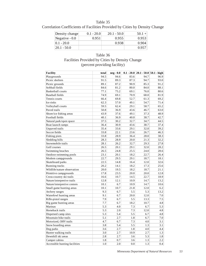Correlation Coefficients of Facilities Provided by Cities by Density Change

| Density change  | $0.1 - 20.0$ | $20.1 - 50.0$ | $50.1 +$ |
|-----------------|--------------|---------------|----------|
| Negative $-0.0$ | 0.951        | 0.955         | 0.953    |
| $10.1 - 20.0$   |              | 0.938         | 0.904    |
| $ 20.1 - 50.0 $ |              |               | 0.957    |

## Table 36 Facilities Provided by Cities by Density Change (percent providing facility)

| <b>Facility</b>               | total | neg - 0.0 |      |      | $0.1 - 20.0$ 20.1 - 50.0 50.1 - high |
|-------------------------------|-------|-----------|------|------|--------------------------------------|
| Playgrounds                   | 94.5  | 94.6      | 83.6 | 94.7 | 96.9                                 |
| Picnic shelters               | 91.5  | 89.3      | 87.3 | 94.7 | 93.0                                 |
| Picnic grounds                | 89.1  | 87.2      | 90.9 | 85.3 | 91.2                                 |
| Softball fields               | 84.6  | 81.2      | 80.0 | 84.0 | 88.1                                 |
| <b>Basketball courts</b>      | 77.1  | 75.2      | 69.1 | 76.0 | 80.6                                 |
| <b>Baseball fields</b>        | 74.9  | 69.1      | 70.9 | 68.0 | 81.9                                 |
| Tennis courts                 | 66.4  | 69.8      | 52.7 | 61.3 | 69.2                                 |
| Ice rinks                     | 62.3  | 57.0      | 49.1 | 54.7 | 71.4                                 |
| Volleyball courts             | 59.5  | 62.4      | 29.1 | 58.7 | 65.2                                 |
| Paved trails                  | 50.8  | 36.9      | 43.6 | 46.7 | 63.0                                 |
| Shore/ice fishing areas       | 43.9  | 37.6      | 49.1 | 37.3 | 48.9                                 |
| Football fields               | 40.1  | 36.9      | 40.0 | 38.7 | 42.7                                 |
| Natural park/open space       | 37.5  | 30.2      | 32.7 | 34.7 | 44.5                                 |
| Boat launch ramps             | 36.4  | 30.9      | 43.6 | 38.7 | 37.4                                 |
| Unpaved trails                | 35.4  | 33.6      | 29.1 | 32.0 | 39.2                                 |
| Soccer fields                 | 33.8  | 22.1      | 23.6 | 26.7 | 46.3                                 |
| Fishing piers                 | 33.8  | 28.9      | 36.4 | 28.0 | 38.3                                 |
| Sledding hills                | 28.3  | 28.9      | 20.0 | 21.3 | 32.2                                 |
| Snowmobile trails             | 28.1  | 26.2      | 32.7 | 29.3 | 27.8                                 |
| Golf courses                  | 26.5  | 20.1      | 29.1 | 32.0 | 28.2                                 |
| Swimming beaches              | 26.5  | 24.8      | 25.5 | 24.0 | 28.6                                 |
| Outdoor swimming pools        | 23.1  | 20.1      | 18.2 | 22.7 | 26.4                                 |
| Modern campgrounds            | 22.7  | 29.5      | 29.1 | 18.7 | 18.1                                 |
| Skateboard parks              | 22.5  | 14.8      | 16.4 | 12.0 | 32.6                                 |
| Running tracks                | 20.2  | 14.1      | 18.2 | 17.3 | 25.6                                 |
| Wildlife/nature observation   | 20.0  | 19.5      | 18.2 | 18.7 | 21.1                                 |
| Primitive campgrounds         | 17.8  | 23.5      | 20.0 | 20.0 | 12.8                                 |
| Cross-country ski trails      | 16.6  | 10.7      | 14.5 | 22.7 | 18.9                                 |
| Nature/interpretive trails    | 12.8  | 12.1      | 10.9 | 14.7 | 13.2                                 |
| Nature/interpretive centers   | 10.1  | 6.7       | 10.9 | 14.7 | 10.6                                 |
| Small game hunting areas      | 10.1  | 10.7      | 21.8 | 12.0 | 6.2                                  |
| Archery ranges                | 9.3   | 6.7       | 5.5  | 5.3  | 13.2                                 |
| Waterfowl hunting areas       | 9.1   | 6.7       | 20.0 | 12.0 | 7.0                                  |
| Rifle-pistol ranges           | 7.9   | 6.7       | 5.5  | 13.3 | 7.5                                  |
| Big game hunting areas        | 7.7   | 6.7       | 18.2 | 10.7 | 4.8                                  |
| Marinas                       | 5.3   | 4.0       | 7.3  | 6.7  | 5.3                                  |
| Horseback trails              | 5.3   | 2.0       | 7.3  | 12.0 | 4.8                                  |
| Dispersed camp sites          | 5.3   | 5.4       | 5.5  | 6.7  | 4.8                                  |
| Mountain bike trails          | 5.1   | 2.7       | 1.8  | 6.7  | 7.0                                  |
| Motorized, OHV trails         | 4.7   | 6.7       | 7.3  | 4.0  | 3.1                                  |
| Snow boarding areas           | 3.8   | 5.4       | 5.5  | 1.3  | 3.1                                  |
| Dog parks                     | 3.6   | 2.7       | 1.8  | 4.0  | 4.4                                  |
| Hunter walking trails         | 3.0   | 2.7       | 10.9 | 2.7  | 1.3                                  |
| Downhill ski areas            | 2.8   | 2.7       | 3.6  | 5.3  | 1.8                                  |
| Camper cabins                 | 1.8   | 0.7       | 3.6  | 1.3  | 2.2                                  |
| Accessible hunting facilities | 1.0   | 2.0       | 0.0  | 1.3  | 0.4                                  |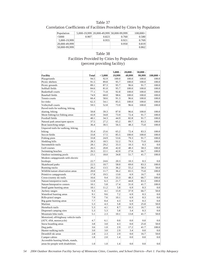### Correlation Coefficients of Facilities Provided by Cities by Population

| Population    |       |       | 5,000-19,999 20,000-49,999 50,000-99.999 | $100,000+$ |
|---------------|-------|-------|------------------------------------------|------------|
| < 5000        | 0.907 | 0.823 | 0.760                                    | 0.580      |
| 5,000-19,999  |       | 0.955 | 0.921                                    | 0.769      |
| 20,000-49,999 |       |       | 0.950                                    | 0.819      |
| 50,000-99,999 |       |       |                                          | 0.862      |

### Table 38 Facilities Provided by Cities by Population (percent providing facility)

|                                                                          |              |            | $5,000 -$  | $20,000 -$  | $50,000 -$  |             |
|--------------------------------------------------------------------------|--------------|------------|------------|-------------|-------------|-------------|
| <b>Facility</b>                                                          | <b>Total</b> | < 5,000    | 19,999     | 49,999      | 99,999      | $100,000 +$ |
| Playgrounds                                                              | 94.5         | 92.9       | 100.0      | 100.0       | 100.0       | 100.0       |
| Picnic shelters                                                          | 91.5         | 89.8       | 95.7       | 100.0       | 100.0       | 100.0       |
| Picnic grounds                                                           | 89.1         | 87.3       | 95.7       | 96.6        | 91.7        | 100.0       |
| Softball fields                                                          | 84.6         | 81.0       | 95.7       | 100.0       | 100.0       | 100.0       |
| <b>Basketball</b> courts                                                 | 77.1         | 71.8       | 92.8       | 100.0       | 100.0       | 100.0       |
| Baseball fields                                                          | 74.9         | 68.0       | 98.6       | 100.0       | 100.0       | 100.0       |
| Tennis courts                                                            | 66.4         | 58.6       | 91.3       | 96.6        | 100.0       | 100.0       |
| Ice rinks                                                                | 62.3         | 54.1       | 85.5       | 100.0       | 100.0       | 100.0       |
| Volleyball courts                                                        | 59.5         | 52.8       | 73.9       | 96.6        | 100.0       | 100.0       |
| Paved trails for walking, hiking,                                        |              |            |            |             |             |             |
| skating, biking                                                          | 50.8         | 39.3       | 87.0       | 96.6        | 100.0       | 100.0       |
| Shore fishing/ice fishing areas                                          | 43.9         | 34.8       | 73.9       | 72.4        | 91.7        | 100.0       |
| Football fields                                                          | 40.1         | 34.3       | 44.9       | 82.8        | 91.7        | 100.0       |
| Natural park areas/open spaces                                           | 37.5         | 27.2       | 65.2       | 89.7        | 83.3        | 100.0       |
| Boat launching ramps                                                     | 36.4         | 30.5       | 56.5       | 48.3        | 75.0        | 100.0       |
| Unpaved trails for walking, hiking,                                      |              |            |            |             |             |             |
| biking                                                                   | 35.4         | 25.6       | 65.2       | 72.4        | 83.3        | 100.0       |
| Soccer fields                                                            | 33.8         | 17.5       | 85.5       | 100.0       | 100.0       | 100.0       |
| Fishing piers                                                            | 33.8         | 24.9       | 53.6       | 79.3        | 91.7        | 100.0       |
| Sledding hills                                                           | 28.3         | 18.5       | 52.2       | 79.3        | 75.0        | 100.0       |
| Snowmobile trails                                                        | 28.1         | 29.2       | 33.3       | 10.3        | 8.3         | 0.0         |
| Golf courses                                                             | 26.5         | 20.8       | 42.0       | 48.3        | 58.3        | 100.0       |
| Swimming beaches                                                         | 26.5         | 22.1       | 42.0       | 27.6        | 66.7        | 100.0       |
| Outdoor swimming pools                                                   | 23.1         | 18.0       | 34.8       | 51.7        | 41.7        | 100.0       |
| Modern campgrounds with electric                                         |              |            |            |             |             |             |
| hookups                                                                  | 22.7         | 24.6       | 20.3       | 10.3        | 8.3         | 0.0         |
| Skateboard parks                                                         | 22.5         | 10.7       | 58.0       | 69.0        | 83.3        | 100.0       |
| Running tracks                                                           | 20.2         | 13.5       | 36.2       | 55.2        | 58.3        | 50.0        |
| Wildlife/nature observation areas                                        | 20.0         | 11.7       | 36.2       | 65.5        | 75.0        | 100.0       |
| Primitive campgrounds                                                    | 17.8         | 19.5       | 13.0       | 6.9         | 16.7        | 0.0         |
| Cross-country ski trails                                                 | 16.6         | 9.4        | 33.3       | 48.3        | 66.7        | 100.0       |
| Nature/interpretive trails                                               | 12.8         | 6.3        | 21.7       | 44.8        | 83.3        | 100.0       |
| Nature/Interprative centers                                              | 10.1         | 5.8        | 17.4       | 31.0        | 41.7        | 100.0       |
| Small game hunting areas                                                 | 10.1         | 11.2       | 5.8        | 6.9         | 8.3         | 0.0         |
| Archery ranges                                                           | 9.3          | 4.1        | 15.9       | 37.9        | 66.7        | 50.0        |
| Waterfowl hunting areas                                                  | 9.1          | 9.6        | 7.2        | 6.9         | 8.3         | 0.0         |
| Rifle-pistol ranges                                                      | 7.9          | 7.6        | 10.1       | 6.9         | 8.3         | 0.0         |
| Big game hunting areas                                                   | 7.7          | 8.4        | 4.3        | 6.9         | 8.3         | 0.0         |
| Marinas                                                                  | 5.3          | 4.3        | 5.8        | 6.9         | 25.0        | 50.0        |
| Horseback trails                                                         | 5.3          | 4.1        | 8.7        | 10.3        | 16.7        | 0.0         |
| Dispersed camping sites                                                  | 5.3          | 5.3        | 5.8        | 3.4         | 8.3         | 0.0         |
| Mountain bike trails                                                     | 5.1          | 2.3        | 10.1       | 13.8        | 41.7        | 50.0        |
| Motorized, off-highway vehicle trails                                    |              |            |            |             |             |             |
|                                                                          | 4.7          | 6.1        | 0.0        | 0.0         | 0.0         | 0.0         |
| (ATV, 4X4, motorcycle)                                                   | 3.8          | 3.0        | 4.3        |             | 25.0        | 50.0        |
| Snow boarding areas                                                      |              |            |            | 0.0         |             |             |
| Dog parks                                                                | 3.6<br>3.0   | 1.0<br>3.0 | 2.9        | 17.2<br>3.4 | 41.7<br>0.0 | 100.0       |
| Hunter walking trails<br>Downhill ski areas                              | 2.8          | 2.3        | 2.9<br>2.9 | 0.0         | 16.7        | 0.0<br>50.0 |
|                                                                          |              |            |            |             |             |             |
| Camper cabins                                                            | 1.8          | 2.0        | 1.4        | 0.0         | 0.0         | 0.0         |
| Accessible hunting blinds, stands,<br>areas for people with disabilities | 1.0          | 1.0        | 1.4        | 0.0         | 0.0         | 0.0         |
|                                                                          |              |            |            |             |             |             |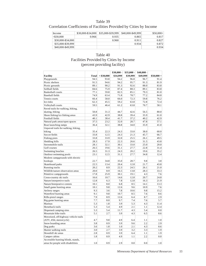# Correlation Coefficients of Facilities Provided by Cities by Income

| Income            | \$30,000-\$34,000 | \$35,000-\$39,999 | \$40,000-\$49,999 | $$50,000+$ |
|-------------------|-------------------|-------------------|-------------------|------------|
| $\leq$ 30.000     | 0.966             | 0.935             | 0.865             | 0.817      |
| \$30,000-\$34,000 |                   | 0.960             | 0.911             | 0.827      |
| \$35,000-\$39,999 |                   |                   | 0.934             | 0.872      |
| $$40,000-S49,999$ |                   |                   |                   | 0.934      |

# Table 40 Facilities Provided by Cities by Income (percent providing facility)

|                                       |       |            | \$30,000 - | $$35,000 -$ | \$40,000 - |             |
|---------------------------------------|-------|------------|------------|-------------|------------|-------------|
| <b>Facility</b>                       | Total | < \$30,000 | \$34,999   | \$39,999    | \$49,999   | $$50,000 +$ |
| Playgrounds                           | 94.5  | 93.8       | 94.2       | 96.8        | 96.7       | 91.4        |
| Picnic shelters                       | 91.5  | 94.6       | 94.2       | 95.7        | 91.3       | 81.9        |
| Picnic grounds                        | 89.1  | 90.2       | 91.3       | 92.6        | 88.0       | 83.8        |
| Softball fields                       | 84.6  | 75.9       | 87.4       | 88.3        | 89.1       | 83.8        |
| <b>Basketball courts</b>              | 77.1  | 59.8       | 82.5       | 85.1        | 79.3       | 81.0        |
| <b>Baseball</b> fields                | 74.9  | 63.4       | 71.8       | 78.7        | 77.2       | 84.8        |
| Tennis courts                         | 66.4  | 58.0       | 66.0       | 72.3        | 59.8       | 76.2        |
| Ice rinks                             | 62.3  | 45.5       | 59.2       | 63.8        | 72.8       | 72.4        |
| Volleyball courts                     | 59.5  | 46.4       | 61.2       | 63.8        | 70.7       | 58.1        |
| Paved trails for walking, hiking,     |       |            |            |             |            |             |
| skating, biking                       | 50.8  | 31.3       | 44.7       | 42.6        | 56.5       | 80.0        |
| Shore fishing/ice fishing areas       | 43.9  | 42.9       | 38.8       | 39.4        | 35.9       | 61.0        |
| Football fields                       | 40.1  | 38.4       | 41.7       | 37.2        | 40.2       | 42.9        |
| Natural park areas/open spaces        | 37.5  | 23.2       | 32.0       | 28.7        | 47.8       | 57.1        |
| Boat launching ramps                  | 36.4  | 32.1       | 38.8       | 34.0        | 35.9       | 41.0        |
| Unpaved trails for walking, hiking,   |       |            |            |             |            |             |
| biking                                | 35.4  | 22.3       | 24.3       | 33.0        | 38.0       | 60.0        |
| Soccer fields                         | 33.8  | 12.5       | 24.3       | 21.3        | 45.7       | 66.7        |
| Fishing piers                         | 33.8  | 33.9       | 32.0       | 25.5        | 26.1       | 49.5        |
| Sledding hills                        | 28.3  | 17.9       | 22.3       | 26.6        | 31.5       | 43.8        |
| Snowmobile trails                     | 28.1  | 32.1       | 30.1       | 33.0        | 25.0       | 20.0        |
|                                       |       |            |            |             |            |             |
| Golf courses                          | 26.5  | 19.6       | 31.1       | 27.7        | 22.8       | 31.4        |
| Swimming beaches                      | 26.5  | 31.3       | 24.3       | 20.2        | 19.6       | 35.2        |
| Outdoor swimming pools                | 23.1  | 12.5       | 31.1       | 27.7        | 34.8       | 12.4        |
| Modern campgrounds with electric      |       |            |            |             |            |             |
| hookups                               | 22.7  | 34.8       | 35.0       | 28.7        | 9.8        | 3.8         |
| Skateboard parks                      | 22.5  | 13.4       | 20.4       | 12.8        | 21.7       | 43.8        |
| Running tracks                        | 20.2  | 8.9        | 22.3       | 24.5        | 26.1       | 21.0        |
| Wildlife/nature observation areas     | 20.0  | 8.9        | 16.5       | 13.8        | 28.3       | 33.3        |
| Primitive campgrounds                 | 17.8  | 25.9       | 30.1       | 19.1        | 4.3        | 7.6         |
| Cross-country ski trails              | 16.6  | 10.7       | 14.6       | 12.8        | 20.7       | 24.8        |
| Nature/interpretive trails            | 12.8  | 6.3        | 7.8        | 12.8        | 16.3       | 21.9        |
| Nature/Interprative centers           | 10.1  | 8.0        | 6.8        | 8.5         | 14.1       | 13.3        |
| Small game hunting areas              | 10.1  | 9.8        | 12.6       | 9.6         | 10.9       | 7.6         |
| Archery ranges                        | 9.3   | 3.6        | 7.8        | 10.6        | 9.8        | 15.2        |
| Waterfowl hunting areas               | 9.1   | 9.8        | 10.7       | 8.5         | 7.6        | 8.6         |
| Rifle-pistol ranges                   | 7.9   | 8.9        | 12.6       | 6.4         | 8.7        | 2.9         |
| Big game hunting areas                | 7.7   | 8.0        | 9.7        | 7.4         | 7.6        | 5.7         |
| Marinas                               | 5.3   | 1.8        | 3.9        | 5.3         | 4.3        | 11.4        |
| Horseback trails                      | 5.3   | 5.4        | 4.9        | 2.1         | 1.1        | 12.4        |
| Dispersed camping sites               | 5.3   | 5.4        | 11.7       | 4.3         | 5.4        | 0.0         |
| Mountain bike trails                  | 5.1   | 2.7        | 3.9        | 4.3         | 6.5        | 8.6         |
| Motorized, off-highway vehicle trails |       |            |            |             |            |             |
| (ATV, 4X4, motorcycle)                | 4.7   | 9.8        | 4.9        | 6.4         | 1.1        | 1.0         |
| Snow boarding areas                   | 3.8   | 0.9        | 3.9        | 9.6         | 2.2        | 2.9         |
| Dog parks                             | 3.6   | 1.8        | 1.0        | 2.1         | 4.3        | 8.6         |
| Hunter walking trails                 | 3.0   | 2.7        | 3.9        | 3.2         | 3.3        | 1.9         |
| Downhill ski areas                    | 2.8   | 0.9        | 3.9        | 6.4         | 1.1        | 1.9         |
| Camper cabins                         | 1.8   | 0.9        | 4.9        | 1.1         | 2.2        | 0.0         |
| Accessible hunting blinds, stands,    |       |            |            |             |            |             |
| areas for people with disabilities    | 1.0   | 0.9        | 2.9        | 0.0         | 0.0        | 1.0         |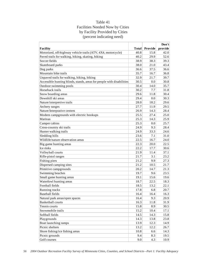# Table 41 Facilities Needed Now by Cities by Facility Provided by Cities (percent indicating need)

|                                                                       |              |         | Don't   |
|-----------------------------------------------------------------------|--------------|---------|---------|
| <b>Facility</b>                                                       | <b>Total</b> | Provide | provide |
| Motorized, off-highway vehicle trails (ATV, 4X4, motorcycle)          | 40.8         | 15.8    | 42.0    |
| Paved trails for walking, hiking, skating, biking                     | 40.2         | 29.9    | 52.6    |
| Soccer fields                                                         | 38.9         | 38.3    | 39.3    |
| Skateboard parks                                                      | 38.0         | 21.0    | 43.4    |
| Dog parks                                                             | 36.6         | 37.5    | 36.6    |
| Mountain bike trails                                                  | 35.7         | 16.7    | 36.8    |
| Unpaved trails for walking, hiking, biking                            | 32.9         | 21.7    | 39.7    |
| Accessible hunting blinds, stands, areas for people with disabilities | 30.5         | 0.0     | 30.8    |
| Outdoor swimming pools                                                | 30.4         | 14.0    | 35.7    |
| Horseback trails                                                      | 30.2         | 7.7     | 31.8    |
| Snow boarding areas                                                   | 29.6         | 11.8    | 30.4    |
| Downhill ski areas                                                    | 29.4         | 0.0     | 30.3    |
| Nature/interpretive trails                                            | 28.0         | 18.2    | 29.6    |
| Archery ranges                                                        | 27.7         | 11.9    | 29.5    |
| Nature/Interprative centers                                           | 26.9         | 14.3    | 28.4    |
| Modern campgrounds with electric hookups                              | 25.5         | 27.4    | 25.0    |
| Marinas                                                               | 25.3         | 14.3    | 25.9    |
| Camper cabins                                                         | 25.3         | 0.0     | 25.7    |
| Cross-country ski trails                                              | 24.9         | 9.3     | 28.4    |
| Hunter walking trails                                                 | 24.9         | 33.3    | 24.6    |
| Sledding hills                                                        | 23.6         | 7.1     | 31.0    |
| Wildlife/nature observation areas                                     | 22.5         | 16.7    | 24.0    |
| Big game hunting areas                                                | 22.3         | 20.0    | 22.5    |
| Ice rinks                                                             | 22.2         | 17.7    | 30.6    |
| Volleyball courts                                                     | 21.9         | 11.4    | 37.1    |
| Rifle-pistol ranges                                                   | 21.7         | 3.1     | 23.2    |
| Fishing piers                                                         | 21.2         | 9.9     | 27.3    |
| Dispersed camping sites                                               | 21.2         | 10.5    | 21.7    |
| Primitive campgrounds                                                 | 20.2         | 14.7    | 21.3    |
| Swimming beaches                                                      | 19.7         | 9.6     | 23.5    |
| Small game hunting areas                                              | 19.1         | 15.6    | 19.6    |
| Waterfowl hunting areas                                               | 18.7         | 22.5    | 18.3    |
| Football fields                                                       | 18.5         | 13.2    | 22.1    |
| Running tracks                                                        | 17.8         | 6.8     | 20.7    |
| <b>Baseball fields</b>                                                | 16.4         | 16.4    | 16.3    |
| Natural park areas/open spaces                                        | 16.4         | 9.3     | 20.9    |
| <b>Basketball courts</b>                                              | 16.3         | 11.8    | 31.9    |
| Tennis courts                                                         | 15.8         | 8.9     | 30.5    |
| Snowmobile trails                                                     | 15.2         | 10.4    | 17.1    |
| Softball fields                                                       | 14.5         | 14.3    | 15.8    |
| Playgrounds                                                           | 14.3         | 13.8    | 23.8    |
| Boat launching ramps                                                  | 13.9         | 12.3    | 14.9    |
| Picnic shelters                                                       | 13.2         | 12.2    | 26.7    |
| Shore fishing/ice fishing areas                                       | 10.8         | 6.6     | 14.3    |
| Picnic grounds                                                        | 9.4          | 8.3     | 19.5    |
| Golf courses                                                          | 9.0          | 4.3     | 10.9    |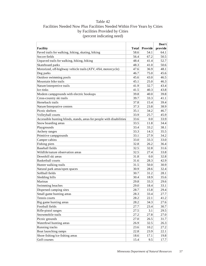# Table 42 Facilities Needed Now Plus Facilities Needed Within Five Years by Cities by Facilities Provided by Cities (percent indicating need)

|                                                                       |              |         | Don't   |
|-----------------------------------------------------------------------|--------------|---------|---------|
| <b>Facility</b>                                                       | <b>Total</b> | Provide | provide |
| Paved trails for walking, hiking, skating, biking                     | 58.6         | 54.1    | 64.1    |
| Soccer fields                                                         | 56.4         | 67.2    | 50.5    |
| Unpaved trails for walking, hiking, biking                            | 48.4         | 41.4    | 52.7    |
| Skateboard parks                                                      | 48.3         | 41.0    | 50.6    |
| Motorized, off-highway vehicle trails (ATV, 4X4, motorcycle)          | 47.6         | 36.9    | 48.1    |
| Dog parks                                                             | 46.7         | 75.0    | 45.6    |
| Outdoor swimming pools                                                | 45.6         | 43.0    | 46.5    |
| Mountain bike trails                                                  | 45.1         | 25.0    | 46.3    |
| Nature/interpretive trails                                            | 41.9         | 32.7    | 43.4    |
| Ice rinks                                                             | 41.5         | 40.3    | 43.8    |
| Modern campgrounds with electric hookups                              | 39.8         | 40.0    | 39.8    |
| Cross-country ski trails                                              | 39.7         | 33.3    | 41.1    |
| Horseback trails                                                      | 37.8         | 15.4    | 39.4    |
| Nature/Interprative centers                                           | 37.3         | 23.8    | 38.9    |
| Picnic shelters                                                       | 35.1         | 34.2    | 46.7    |
| Volleyball courts                                                     | 33.9         | 25.7    | 45.9    |
| Accessible hunting blinds, stands, areas for people with disabilities | 33.6         | 0.0     | 33.9    |
| Snow boarding areas                                                   | 33.5         | 11.8    | 34.4    |
| Playgrounds                                                           | 33.4         | 33.2    | 38.1    |
| Archery ranges                                                        | 33.3         | 14.3    | 35.5    |
| Primitive campgrounds                                                 | 33.1         | 27.9    | 34.2    |
| Camper cabins                                                         | 33.0         | 33.3    | 33.0    |
| Fishing piers                                                         | 32.8         | 26.2    | 36.4    |
| <b>Baseball fields</b>                                                | 32.5         | 32.8    | 31.6    |
| Wildlife/nature observation areas                                     | 32.5         | 27.4    | 33.8    |
| Downhill ski areas                                                    | 31.8         | 0.0     | 32.8    |
| <b>Basketball courts</b>                                              | 31.6         | 28.3    | 42.9    |
| Hunter walking trails                                                 | 31.5         | 50.0    | 30.9    |
| Natural park areas/open spaces                                        | 30.9         | 28.6    | 32.4    |
| Softball fields                                                       | 30.7         | 31.2    | 28.1    |
| Sledding hills                                                        | 30.4         | 18.9    | 35.6    |
| Marinas                                                               | 29.8         | 33.3    | 29.6    |
| Swimming beaches                                                      | 29.0         | 18.4    | 33.1    |
| Dispersed camping sites                                               | 28.7         | 15.8    | 29.4    |
| Small game hunting areas                                              | 28.3         | 33.4    | 27.7    |
| Tennis courts                                                         | 28.2         | 22.1    | 41.2    |
| Big game hunting areas                                                | 28.2         | 34.3    | 27.6    |
| Football fields                                                       | 27.7         | 23.4    | 30.7    |
| Rifle-pistol ranges                                                   | 27.5         | 3.1     | 29.5    |
| Snowmobile trails                                                     | 27.2         | 27.8    | 27.0    |
| Picnic grounds                                                        | 27.0         | 26.5    | 31.7    |
| Waterfowl hunting areas                                               | 26.9         | 32.5    | 26.3    |
| Running tracks                                                        | 23.6         | 10.2    | 27.2    |
| Boat launching ramps                                                  | 22.8         | 23.9    | 22.1    |
| Shore fishing/ice fishing areas                                       | 18.6         | 17.1    | 19.8    |
| Golf courses                                                          | 15.4         | 9.5     | 17.7    |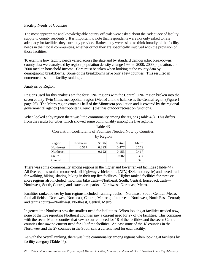### Facility Needs of Counties

The most appropriate and knowledgeable county officials were asked about the "adequacy of facility supply to county residents". It is important to note that respondents were *not* only asked to rate adequacy for facilities they currently provide. Rather, they were asked to think broadly of the facility needs in their local communities, whether or not they are specifically involved with the provision of those facilities.

To examine how facility needs varied across the state and by standard demographic breakdowns, county data were analyzed by region, population density change 1990 to 2000, 2000 population, and 2000 median household income. Care must be taken when looking at the county data by demographic breakdowns. Some of the breakdowns have only a few counties. This resulted in numerous ties in the facility rankings.

#### Analysis by Region

Regions used for this analysis are the four DNR regions with the Central DNR region broken into the seven county Twin Cities metropolitan region (Metro) and the balance as the Central region (Figure 1, page 26). The Metro region contains half of the Minnesota population and is covered by the regional governmental agency (Metropolitan Council) that has outdoor recreation functions.

When looked at by region there was little commonality among the regions (Table 43). This differs from the results for cities which showed some commonality among the five regions.

| Region    | Northeast | South | Central | Metro |
|-----------|-----------|-------|---------|-------|
| Northwest | 0.517     | 0.293 | 0.477   | 0.272 |
| Northeast |           | 0.122 | 0.153   | 0.417 |
| South     |           |       | 0.602   | 0.394 |
| Central   |           |       |         | 0.376 |

Table 43 Correlation Coefficients of Facilities Needed Now by Counties by Region

There was some commonality among regions in the higher and lower ranked facilities (Table 44). All five regions ranked motorized, off-highway vehicle trails (ATV, 4X4, motorcycle) and paved trails for walking, hiking, skating, biking in their top five facilities. Higher ranked facilities for three or more regions also included: mountain bike trails—Northeast, South, Central; horseback trails— Northwest, South, Central; and skateboard parks—Northwest, Northeast, Metro.

Facilities ranked lower by four regions included: running tracks—Northeast, South, Central, Metro; football fields—Northwest, Northeast, Central, Metro; golf courses—Northwest, North East, Central; and tennis courts—Northwest, Northeast, Central, Metro.

In general the Northeast saw the smallest need for facilitities. When looking at facilities needed now, none of the five reporting Northeast counties saw a current need for 27 of the facilities. This compares with the seven Metro counties that saw no current need for 18 of the facilities and the seven Central counties that saw no current need for 10 of the facilities. At least some of the 18 counties in the Northwest and the 27 counties in the South saw a current need for each facility.

As with the overall ranking, there was little commonality among regions when looking at facilities by facility category (Table 45).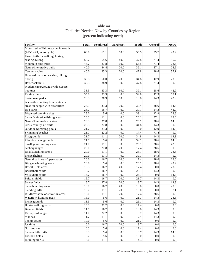# Table 44 Facilities Needed Now by Counties by Region (percent indicating need)

| <b>Facility</b>                       | <b>Total</b> | <b>Northwest</b> | <b>Northeast</b> | South | <b>Central</b> | <b>Metro</b> |
|---------------------------------------|--------------|------------------|------------------|-------|----------------|--------------|
| Motorized, off-highway vehicle trails |              |                  |                  |       |                |              |
| (ATV, 4X4, motorcycle)                | 60.0         | 61.1             | 60.0             | 56.5  | 85.7           | 42.9         |
| Paved trails for walking, hiking,     |              |                  |                  |       |                |              |
| skating, biking                       | 56.7         | 55.6             | 40.0             | 47.8  | 71.4           | 85.7         |
| Mountain bike trails                  | 46.7         | 27.8             | 60.0             | 56.5  | 71.4           | 28.6         |
| Nature/interpretive trails            | 40.0         | 44.4             | 20.0             | 39.1  | 57.1           | 28.6         |
| Camper cabins                         | 40.0         | 33.3             | 20.0             | 47.8  | 28.6           | 57.1         |
| Unpaved trails for walking, hiking,   |              |                  |                  |       |                |              |
| biking                                | 38.3         | 50.0             | 20.0             | 34.8  | 42.9           | 28.6         |
| Horseback trails                      | 38.3         | 38.9             | 0.0              | 47.8  | 71.4           | 0.0          |
| Modern campgrounds with electric      |              |                  |                  |       |                |              |
| hookups                               | 38.3         | 33.3             | 60.0             | 39.1  | 28.6           | 42.9         |
| Fishing piers                         | 35.0         | 33.3             | 0.0              | 34.8  | 42.9           | 57.1         |
| Skateboard parks                      | 28.3         | 38.9             | 60.0             | 13.0  | 14.3           | 42.9         |
| Accessible hunting blinds, stands,    |              |                  |                  |       |                |              |
| areas for people with disabilities    | 28.3         | 33.3             | 20.0             | 30.4  | 28.6           | 14.3         |
| Dog parks                             | 26.7         | 16.7             | 0.0              | 39.1  | 14.3           | 42.9         |
| Dispersed camping sites               | 25.0         | 5.6              | 0.0              | 39.1  | 42.9           | 28.6         |
| Shore fishing/ice fishing areas       | 23.3         | 11.1             | 0.0              | 26.1  | 57.1           | 28.6         |
| Nature/Interprative centers           | 23.3         | 27.8             | 0.0              | 26.1  | 28.6           | 14.3         |
| Cross-country ski trails              | 23.3         | 27.8             | 0.0              | 34.8  | 14.3           | 0.0          |
| Outdoor swimming pools                | 21.7         | 33.3             | 0.0              | 13.0  | 42.9           | 14.3         |
| Swimming beaches                      | 21.7         | 22.2             | 0.0              | 17.4  | 71.4           | 0.0          |
| Playgrounds                           | 21.7         | 11.1             | 20.0             | 34.8  | 14.3           | 14.3         |
| Primitive campgrounds                 | 21.7         | 5.6              | 0.0              | 39.1  | 28.6           | 14.3         |
| Small game hunting areas              | 21.7         | 11.1             | 0.0              | 26.1  | 28.6           | 42.9         |
| Archery ranges                        | 20.0         | 27.8             | 20.0             | 17.4  | 28.6           | $0.0\,$      |
| Boat launching ramps                  | 20.0         | 11.1             | 0.0              | 26.1  | 28.6           | 28.6         |
| Picnic shelters                       | 20.0         | 11.1             | 0.0              | 39.1  | 14.3           | 0.0          |
| Natural park areas/open spaces        | 20.0         | 16.7             | 20.0             | 17.4  | 28.6           | 28.6         |
| Big game hunting areas                | 20.0         | 5.6              | 0.0              | 26.1  | 28.6           | 42.9         |
| Downhill ski areas                    | 18.3         | 16.7             | 40.0             | 17.4  | 0.0            | 28.6         |
| <b>Basketball courts</b>              | 16.7         | 16.7             | 0.0              | 26.1  | 14.3           | 0.0          |
| Volleyball courts                     | 16.7         | 16.7             | 0.0              | 26.1  | 0.0            | 14.3         |
| Softball fields                       | 16.7         | 16.7             | 20.0             | 21.7  | 14.3           | 0.0          |
| Soccer fields                         | 16.7         | 27.8             | 20.0             | 8.7   | 14.3           | 14.3         |
| Snow boarding areas                   | 16.7         | 16.7             | 40.0             | 13.0  | 0.0            | 28.6         |
| Sledding hills                        | 16.7         | 11.1             | 20.0             | 13.0  | 0.0            | 57.1         |
| Wildlife/nature observation areas     | 15.0         | 11.1             | 20.0             | 17.4  | 28.6           | 0.0          |
| Waterfowl hunting areas               | 15.0         | 5.6              | 0.0              | 21.7  | 14.3           | 28.6         |
| Picnic grounds                        | 13.3         | 5.6              | 0.0              | 26.1  | 14.3           | 0.0          |
| Hunter walking trails                 | 13.3         | 22.2             | $0.0\,$          | 17.4  | 0.0            | 0.0          |
| Baseball fields                       | 11.7         | 16.7             | $0.0\,$          | 13.0  | 14.3           | 0.0          |
| Rifle-pistol ranges                   | 11.7         | 22.2             | $0.0\,$          | 8.7   | 14.3           | 0.0          |
| Marinas                               | 11.7         | 11.1             | 0.0              | 17.4  | 14.3           | 0.0          |
| Tennis courts                         | 10.0         | 5.6              | $0.0\,$          | 21.7  | 0.0            | $0.0\,$      |
| Ice rinks                             | 10.0         | 16.7             | 20.0             | 8.7   | 0.0            | $0.0\,$      |
| Golf courses                          | 8.3          | 5.6              | 0.0              | 17.4  | 0.0            | 0.0          |
| Snowmobile trails                     | 8.3          | 5.6              | 0.0              | 8.7   | 14.3           | 14.3         |
| Football fields                       | 6.7          | 5.6              | 0.0              | 13.0  | 0.0            | 0.0          |
| Running tracks                        | 5.0          | 11.1             | $0.0\,$          | 4.3   | 0.0            | 0.0          |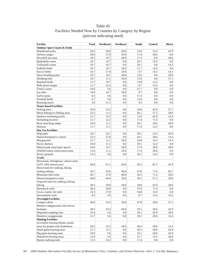# Table 45 Facilities Needed Now by Counties by Category by Region (percent indicating need)

| <b>Facility</b>                          | <b>Total</b> | <b>Northwest</b> | <b>Northeast</b> | South | <b>Central</b> | Metro |
|------------------------------------------|--------------|------------------|------------------|-------|----------------|-------|
| <b>Outdoor Sport Courts &amp; Fields</b> |              |                  |                  |       |                |       |
| Skateboard parks                         | 28.3         | 38.9             | 60.0             | 13.0  | 14.3           | 42.9  |
| Archery ranges                           | 20.0         | 27.8             | 20.0             | 17.4  | 28.6           | 0.0   |
| Downhill ski areas                       | 18.3         | 16.7             | 40.0             | 17.4  | 0.0            | 28.6  |
| <b>Basketball courts</b>                 | 16.7         | 16.7             | 0.0              | 26.1  | 14.3           | 0.0   |
| Volleyball courts                        | 16.7         | 16.7             | 0.0              | 26.1  | 0.0            | 14.3  |
| Softball fields                          | 16.7         | 16.7             | 20.0             | 21.7  | 14.3           | 0.0   |
| Soccer fields                            | 16.7         | 27.8             | 20.0             | 8.7   | 14.3           | 14.3  |
| Snow boarding areas                      | 16.7         | 16.7             | 40.0             | 13.0  | 0.0            | 28.6  |
| Sledding hills                           | 16.7         | 11.1             | 20.0             | 13.0  | 0.0            | 57.1  |
| Baseball fields                          | 11.7         | 16.7             | 0.0              | 13.0  | 14.3           | 0.0   |
| Rifle-pistol ranges                      | 11.7         | 22.2             | 0.0              | 8.7   | 14.3           | 0.0   |
| Tennis courts                            | 10.0         | 5.6              | 0.0              | 21.7  | 0.0            | 0.0   |
| Ice rinks                                | 10.0         | 16.7             | 20.0             | 8.7   | 0.0            | 0.0   |
| Golf courses                             | 8.3          | 5.6              | 0.0              | 17.4  | 0.0            | 0.0   |
| Football fields                          | 6.7          | 5.6              | 0.0              | 13.0  | 0.0            | 0.0   |
| Running tracks                           | 5.0          | 11.1             | 0.0              | 4.3   | 0.0            | 0.0   |
| <b>Water-based Facilities</b>            |              |                  |                  |       |                |       |
| Fishing piers                            | 35.0         | 33.3             | 0.0              | 34.8  | 42.9           | 57.1  |
| Shore fishing/ice fishing areas          | 23.3         | 11.1             | 0.0              | 26.1  | 57.1           | 28.6  |
| Outdoor swimming pools                   | 21.7         | 33.3             | 0.0              | 13.0  | 42.9           | 14.3  |
| Swimming beaches                         | 21.7         | 22.2             | 0.0              | 17.4  | 71.4           | 0.0   |
| Boat launching ramps                     | 20.0         | 11.1             | 0.0              | 26.1  | 28.6           | 28.6  |
| Marinas                                  | 11.7         | 11.1             | 0.0              | 17.4  | 14.3           | 0.0   |
| Day Use Facilities                       |              |                  |                  |       |                |       |
| Dog parks                                | 26.7         | 16.7             | 0.0              | 39.1  | 14.3           | 42.9  |
| Nature/Interprative centers              | 23.3         | 27.8             | 0.0              | 26.1  | 28.6           | 14.3  |
| Playgrounds                              | 21.7         | 11.1             | 20.0             | 34.8  | 14.3           | 14.3  |
| Picnic shelters                          | 20.0         | 11.1             | 0.0              | 39.1  | 14.3           | 0.0   |
| Natural park areas/open spaces           | 20.0         | 16.7             | 20.0             | 17.4  | 28.6           | 28.6  |
| Wildlife/nature observation areas        | 15.0         | 11.1             | 20.0             | 17.4  | 28.6           | 0.0   |
| Picnic grounds                           | 13.3         | 5.6              | 0.0              | 26.1  | 14.3           | 0.0   |
| <b>Trails</b>                            |              |                  |                  |       |                |       |
| Motorized, off-highway vehicle trails    |              |                  |                  |       |                |       |
| (ATV, 4X4, motorcycle)                   | 60.0         | 61.1             | 60.0             | 56.5  | 85.7           | 42.9  |
| Paved trails for walking, hiking,        |              |                  |                  |       |                |       |
| skating, biking                          | 56.7         | 55.6             | 40.0             | 47.8  | 71.4           | 85.7  |
| Mountain bike trails                     | 46.7         | 27.8             | 60.0             | 56.5  | 71.4           | 28.6  |
| Nature/interpretive trails               | 40.0         | 44.4             | 20.0             | 39.1  | 57.1           | 28.6  |
| Unpaved trails for walking, hiking,      |              |                  |                  |       |                |       |
| biking                                   | 38.3         | 50.0             | 20.0             | 34.8  | 42.9           | 28.6  |
| Horseback trails                         | 38.3         | 38.9             | 0.0              | 47.8  | 71.4           | 0.0   |
| Cross-country ski trails                 | 23.3         | 27.8             | 0.0              | 34.8  | 14.3           | 0.0   |
| Snowmobile trails                        | 8.3          | 5.6              | 0.0              | 8.7   | 14.3           | 14.3  |
| <b>Overnight Facilities</b>              |              |                  |                  |       |                |       |
| Camper cabins                            | 40.0         | 33.3             | 20.0             | 47.8  | 28.6           | 57.1  |
| Modern campgrounds with electric         |              |                  |                  |       |                |       |
| hookups                                  | 38.3         | 33.3             | 60.0             | 39.1  | 28.6           | 42.9  |
| Dispersed camping sites                  | 25.0         | 5.6              | 0.0              | 39.1  | 42.9           | 28.6  |
| Primitive campgrounds                    | 21.7         | 5.6              | 0.0              | 39.1  | 28.6           | 14.3  |
| <b>Hunting Facilities</b>                |              |                  |                  |       |                |       |
| Accessible hunting blinds, stands,       |              |                  |                  |       |                |       |
| areas for people with disabilities       | 28.3         | 33.3             | 20.0             | 30.4  | 28.6           | 14.3  |
| Small game hunting areas                 | 21.7         | 11.1             | 0.0              | 26.1  | 28.6           | 42.9  |
| Big game hunting areas                   | 20.0         | 5.6              | 0.0              | 26.1  | 28.6           | 42.9  |
| Waterfowl hunting areas                  | 15.0         | 5.6              | 0.0              | 21.7  | 14.3           | 28.6  |
| Hunter walking trails                    | 13.3         | 22.2             | 0.0              | 17.4  | 0.0            | 0.0   |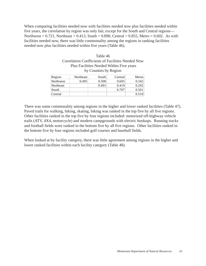When comparing facilities needed now with facilities needed now plus facilities needed within five years, the correlation by region was only fair, except for the South and Central regions— Northwest =  $0.721$ , Northeast =  $0.413$ , South =  $0.890$ , Central =  $0.855$ , Metro =  $0.602$ . As with facilities needed now, there was little commonality among the regions in ranking facilities needed now plus facilities needed within five years (Table 46).

| Table 46                                                 |                      |            |                      |       |  |  |
|----------------------------------------------------------|----------------------|------------|----------------------|-------|--|--|
| <b>Correlation Coefficients of Facilities Needed Now</b> |                      |            |                      |       |  |  |
| Plus Facilities Needed Within Five years                 |                      |            |                      |       |  |  |
| by Counties by Region                                    |                      |            |                      |       |  |  |
| on                                                       | Northeast            | South      | Central              | Metro |  |  |
|                                                          | $\sim$ $\sim$ $\sim$ | . <i>.</i> | $\sim$ $\sim$ $\sim$ |       |  |  |

| Region    | Northeast | South | Central | Metro |
|-----------|-----------|-------|---------|-------|
| Northwest | 0.495     | 0.508 | 0.605   | 0.342 |
| Northeast |           | 0.491 | 0.419   | 0.292 |
| South     |           |       | 0.707   | 0.561 |
| Central   |           |       |         | 0.510 |

There was some commonality among regions in the higher and lower ranked facilities (Table 47). Paved trails for walking, hiking, skating, biking was ranked in the top five by all five regions. Other facilities ranked in the top five by four regions included: motorized off-highway vehicle trails (ATV, 4X4, motorcycle) and modern campgrounds with electric hookups. Running tracks and football fields were ranked in the bottom five by all five regions. Other facilities ranked in the bottom five by four regions included golf courses and baseball fields.

When looked at by facility category, there was little agreement among regions in the higher and lower ranked facilities within each facility category (Table 48).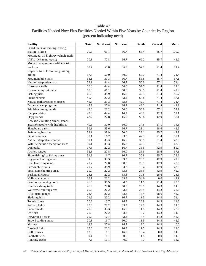# Table 47 Facilities Needed Now Plus Facilities Needed Within Five Years by Counties by Region (percent indicating need)

| <b>Facility</b>                       | <b>Total</b> | <b>Northwest</b> | <b>Northeast</b> | South   | Central | Metro |
|---------------------------------------|--------------|------------------|------------------|---------|---------|-------|
| Paved trails for walking, hiking,     |              |                  |                  |         |         |       |
| skating, biking                       | 70.3         | 61.1             | 66.7             | 65.4    | 85.7    | 100.0 |
| Motorized, off-highway vehicle trails |              |                  |                  |         |         |       |
| (ATV, 4X4, motorcycle)                | 70.3         | 77.8             | 66.7             | 69.2    | 85.7    | 42.9  |
| Modern campgrounds with electric      |              |                  |                  |         |         |       |
| hookups                               | 59.4         | 50.0             | 66.7             | 57.7    | 71.4    | 71.4  |
| Unpaved trails for walking, hiking,   |              |                  |                  |         |         |       |
| biking                                | 57.8         | 50.0             | 50.0             | 57.7    | 71.4    | 71.4  |
| Mountain bike trails                  | 53.1         | 33.3             | 66.7             | 53.8    | 85.7    | 57.1  |
| Nature/interpretive trails            | 53.1         | 44.4             | 66.7             | 50.0    | 57.1    | 71.4  |
| Horseback trails                      | 50.0         | 44.4             | 50.0             | 57.7    | 71.4    | 14.3  |
| Cross-country ski trails              | 50.0         | 61.1             | 50.0             | 38.5    | 71.4    | 42.9  |
| Fishing piers                         | 46.9         | 38.9             | 16.7             | 42.3    | 71.4    | 85.7  |
| Picnic shelters                       | 45.3         | 22.2             | 33.3             | 53.8    | 71.4    | 57.1  |
| Natural park areas/open spaces        | 45.3         | 33.3             | 33.3             | 42.3    | 71.4    | 71.4  |
| Dispersed camping sites               | 45.3         | 27.8             | 66.7             | 46.2    | 71.4    | 42.9  |
| Primitive campgrounds                 | 43.8         | 22.2             | 50.0             | 50.0    | 57.1    | 57.1  |
| Camper cabins                         | 43.8         | 44.4             | 16.7             | 46.2    | 42.9    | 57.1  |
| Playgrounds                           | 42.2         | 27.8             | 16.7             | 53.8    | 42.9    | 57.1  |
| Accessible hunting blinds, stands,    |              |                  |                  |         |         |       |
| areas for people with disabilities    | 40.6         | 50.0             | 50.0             | 34.6    | 57.1    | 14.3  |
| Skateboard parks                      | 39.1         | 55.6             | 66.7             | 23.1    | 28.6    | 42.9  |
| Swimming beaches                      | 39.1         | 38.9             | 50.0             | 23.1    | 85.7    | 42.9  |
| Picnic grounds                        | 39.1         | 16.7             | 33.3             | 42.3    | 71.4    | 57.1  |
| Nature/Interprative centers           | 39.1         | 33.3             | 16.7             | 38.5    | 71.4    | 42.9  |
| Wildlife/nature observation areas     | 39.1         | 33.3             | 16.7             | 42.3    | 57.1    | 42.9  |
| Dog parks                             | 37.5         | 22.2             | 16.7             | 38.5    | 42.9    | 85.7  |
| Archery ranges                        | 32.8         | 27.8             | 50.0             | 26.9    | 28.6    | 57.1  |
| Shore fishing/ice fishing areas       | 31.3         | 16.7             | 16.7             | 30.8    | 85.7    | 28.6  |
| Big game hunting areas                | 31.3         | 33.3             | 33.3             | 23.1    | 42.9    | 42.9  |
| Boat launching ramps                  | 29.7         | 27.8             | 50.0             | 23.1    | 42.9    | 28.6  |
| Snowmobile trails                     | 29.7         | 38.9             | 33.3             | 15.4    | 42.9    | 42.9  |
| Small game hunting areas              | 29.7         | 22.2             | 33.3             | 26.9    | 42.9    | 42.9  |
| <b>Basketball courts</b>              | 28.1         | 22.2             | 33.3             | 30.8    | 28.6    | 28.6  |
| Volleyball courts                     | 28.1         | 22.2             | 33.3             | 34.6    | 0.0     | 42.9  |
| Outdoor swimming pools                | 26.6         | 38.9             | 0.0              | 11.5    | 71.4    | 28.6  |
| Hunter walking trails                 | 26.6         | 27.8             | 50.0             | 26.9    | 14.3    | 14.3  |
| Waterfowl hunting areas               | 25.0         | 22.2             | 33.3             | 26.9    | 14.3    | 28.6  |
| Rifle-pistol ranges                   | 23.4         | 22.2             | 33.3             | 15.4    | 28.6    | 42.9  |
| Sledding hills                        | 21.9         | 22.2             | 16.7             | 11.5    | 14.3    | 71.4  |
| Tennis courts                         | 20.3         | 16.7             | 16.7             | 26.9    | 14.3    | 14.3  |
| Softball fields                       | 20.3         | 22.2             | 33.3             | 19.2    | 14.3    | 14.3  |
| Soccer fields                         | 20.3         | 33.3             | 16.7             | 11.5    | 14.3    | 28.6  |
| Ice rinks                             | 20.3         | 22.2             | 33.3             | 19.2    | 14.3    | 14.3  |
| Downhill ski areas                    | 20.3         | 16.7             | 33.3             | 15.4    | 14.3    | 42.9  |
| Snow boarding areas                   | 20.3         | 16.7             | 50.0             | 11.5    | 14.3    | 42.9  |
| Marinas                               | 18.8         | 27.8             | 16.7             | 19.2    | 14.3    | 0.0   |
| Baseball fields                       | 15.6         | 22.2             | 16.7             | 11.5    | 14.3    | 14.3  |
| Golf courses                          | 12.5         | 11.1             | 16.7             | 15.4    | 0.0     | 14.3  |
| Football fields                       | 9.4          | 11.1             | 0.0              | 11.5    | 0.0     | 14.3  |
| Running tracks                        | $7.8\,$      | $11.1\,$         | $0.0\,$          | $7.7\,$ | 0.0     | 14.3  |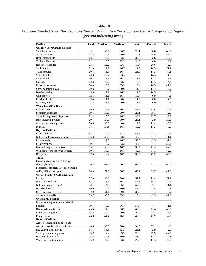# Facilities Needed Now Plus Facilities Needed Within Five Years by Counties by Category by Region (percent indicating need)

| <b>Facility</b>                          | <b>Total</b> | <b>Northwest</b> | <b>Northeast</b> | South | Central | Metro |
|------------------------------------------|--------------|------------------|------------------|-------|---------|-------|
| <b>Outdoor Sport Courts &amp; Fields</b> |              |                  |                  |       |         |       |
| Skateboard parks                         | 39.1         | 55.6             | 66.7             | 23.1  | 28.6    | 42.9  |
| Archery ranges                           | 32.8         | 27.8             | 50.0             | 26.9  | 28.6    | 57.1  |
| <b>Basketball</b> courts                 | 28.1         | 22.2             | 33.3             | 30.8  | 28.6    | 28.6  |
| Volleyball courts                        | 28.1         | 22.2             | 33.3             | 34.6  | 0.0     | 42.9  |
| Rifle-pistol ranges                      | 23.4         | 22.2             | 33.3             | 15.4  | 28.6    | 42.9  |
| Sledding hills                           | 21.9         | 22.2             | 16.7             | 11.5  | 14.3    | 71.4  |
| Tennis courts                            | 20.3         | 16.7             | 16.7             | 26.9  | 14.3    | 14.3  |
| Softball fields                          | 20.3         | 22.2             | 33.3             | 19.2  | 14.3    | 14.3  |
| Soccer fields                            | 20.3         | 33.3             | 16.7             | 11.5  | 14.3    | 28.6  |
| Ice rinks                                | 20.3         | 22.2             | 33.3             | 19.2  | 14.3    | 14.3  |
| Downhill ski areas                       | 20.3         | 16.7             | 33.3             | 15.4  | 14.3    | 42.9  |
| Snow boarding areas                      | 20.3         | 16.7             | 50.0             | 11.5  | 14.3    | 42.9  |
| <b>Baseball fields</b>                   | 15.6         | 22.2             | 16.7             | 11.5  | 14.3    | 14.3  |
| Golf courses                             | 12.5         | 11.1             | 16.7             | 15.4  | 0.0     | 14.3  |
| Football fields                          | 9.4          | 11.1             | 0.0              | 11.5  | 0.0     | 14.3  |
| Running tracks                           | 7.8          | 11.1             | 0.0              | 7.7   | 0.0     | 14.3  |
| <b>Water-based Facilities</b>            |              |                  |                  |       |         |       |
| Fishing piers                            | 46.9         | 38.9             | 16.7             | 42.3  | 71.4    | 85.7  |
| Swimming beaches                         | 39.1         | 38.9             | 50.0             | 23.1  | 85.7    | 42.9  |
| Shore fishing/ice fishing areas          | 31.3         | 16.7             | 16.7             | 30.8  | 85.7    | 28.6  |
| Boat launching ramps                     | 29.7         | 27.8             | 50.0             | 23.1  | 42.9    | 28.6  |
| Outdoor swimming pools                   | 26.6         | 38.9             | 0.0              | 11.5  | 71.4    | 28.6  |
| Marinas                                  | 18.8         | 27.8             | 16.7             | 19.2  | 14.3    | 0.0   |
| Day Use Facilities                       |              |                  |                  |       |         |       |
| Picnic shelters                          | 45.3         | 22.2             | 33.3             | 53.8  | 71.4    | 57.1  |
| Natural park areas/open spaces           | 45.3         | 33.3             | 33.3             | 42.3  | 71.4    | 71.4  |
| Playgrounds                              | 42.2         | 27.8             | 16.7             | 53.8  | 42.9    | 57.1  |
| Picnic grounds                           | 39.1         | 16.7             | 33.3             | 42.3  | 71.4    | 57.1  |
| Nature/Interprative centers              | 39.1         | 33.3             | 16.7             | 38.5  | 71.4    | 42.9  |
| Wildlife/nature observation areas        | 39.1         | 33.3             | 16.7             | 42.3  | 57.1    | 42.9  |
| Dog parks                                | 37.5         | 22.2             | 16.7             | 38.5  | 42.9    | 85.7  |
| <b>Trails</b>                            |              |                  |                  |       |         |       |
| Paved trails for walking, hiking,        |              |                  |                  |       |         |       |
| skating, biking                          | 70.3         | 61.1             | 66.7             | 65.4  | 85.7    | 100.0 |
| Motorized, off-highway vehicle trails    |              |                  |                  |       |         |       |
| (ATV, 4X4, motorcycle)                   | 70.3         | 77.8             | 66.7             | 69.2  | 85.7    | 42.9  |
| Unpaved trails for walking, hiking,      |              |                  |                  |       |         |       |
| biking                                   | 57.8         | 50.0             | 50.0             | 57.7  | 71.4    | 71.4  |
| Mountain bike trails                     | 53.1         | 33.3             | 66.7             | 53.8  | 85.7    | 57.1  |
| Nature/interpretive trails               | 53.1         | 44.4             | 66.7             | 50.0  | 57.1    | 71.4  |
| Horseback trails                         | 50.0         | 44.4             | 50.0             | 57.7  | 71.4    | 14.3  |
| Cross-country ski trails                 | 50.0         | 61.1             | $50.0\,$         | 38.5  | 71.4    | 42.9  |
| Snowmobile trails                        | 29.7         | 38.9             | 33.3             | 15.4  | 42.9    | 42.9  |
| <b>Overnight Facilities</b>              |              |                  |                  |       |         |       |
| Modern campgrounds with electric         |              |                  |                  |       |         |       |
| hookups                                  | 59.4         | 50.0             | 66.7             | 57.7  | 71.4    | 71.4  |
| Dispersed camping sites                  | 45.3         | 27.8             | 66.7             | 46.2  | 71.4    | 42.9  |
| Primitive campgrounds                    | 43.8         | 22.2             | 50.0             | 50.0  | 57.1    | 57.1  |
| Camper cabins                            | 43.8         | 44.4             | 16.7             | 46.2  | 42.9    | 57.1  |
| <b>Hunting Facilities</b>                |              |                  |                  |       |         |       |
| Accessible hunting blinds, stands,       |              |                  |                  |       |         |       |
| areas for people with disabilities       | 40.6         | 50.0             | 50.0             | 34.6  | 57.1    | 14.3  |
| Big game hunting areas                   | 31.3         | 33.3             | 33.3             | 23.1  | 42.9    | 42.9  |
| Small game hunting areas                 | 29.7         | 22.2             | 33.3             | 26.9  | 42.9    | 42.9  |
| Hunter walking trails                    | 26.6         | 27.8             | 50.0             | 26.9  | 14.3    | 14.3  |
| Waterfowl hunting areas                  | 25.0         | 22.2             | 33.3             | 26.9  | 14.3    | 28.6  |
|                                          |              |                  |                  |       |         |       |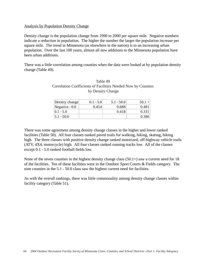### Analysis by Population Density Change

Density change is the population change from 1990 to 2000 per square mile. Negative numbers indicate a reduction in population. The higher the number the larger the population increase per square mile. The trend in Minnesota (as elsewhere in the nation) is to an increasing urban population. Over the last 100 years, almost all new additions to the Minnesota population have been urban additions.

There was a little correlation among counties when the data were looked at by population density change (Table 49).

| Table 49                                                      |
|---------------------------------------------------------------|
| Correlation Coefficients of Facilities Needed Now by Counties |
| by Density Change                                             |

| Density change  | $0.1 - 5.0$ | $5.1 - 50.0$ | $50.1 +$ |
|-----------------|-------------|--------------|----------|
| Negative $-0.0$ | 0.454       | 0.688        | 0.481    |
| $10.1 - 5.0$    |             | 0.418        | 0.331    |
| $ 5.1 - 50.0 $  |             |              | 0.386    |

There was some agreement among density change classes in the higher and lower ranked facilities (Table 50). All four classes ranked paved trails for walking, hiking, skating, biking high. The three classes with positive density change ranked motorized, off-highway vehicle trails (ATV, 4X4, motorcycle) high. All four classes ranked running tracks low. All of the classes except 0.1 - 5.0 ranked football fields low.

None of the seven counties in the highest density change class  $(50.1+)$  saw a current need for 18 of the facilities. Ten of these facilities were in the Outdoor Sport Courts & Fields category. The nine counties in the 5.1 - 50.0 class saw the highest current need for facilities.

As with the overall rankings, there was little commonality among density change classes within facility category (Table 51).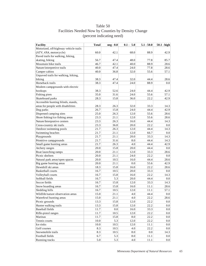| <b>Facility</b>                       | <b>Total</b> | neg - 0.0 | $0.1 - 5.0$ | $5.1 - 50.0$ | $50.1 - high$ |
|---------------------------------------|--------------|-----------|-------------|--------------|---------------|
| Motorized, off-highway vehicle trails |              |           |             |              |               |
| (ATV, 4X4, motorcycle)                | 60.0         | 42.1      | 68.0        | 88.9         | 42.9          |
| Paved trails for walking, hiking,     |              |           |             |              |               |
| skating, biking                       | 56.7         | 47.4      | 48.0        | 77.8         | 85.7          |
| Mountain bike trails                  | 46.7         | 42.1      | 40.0        | 88.9         | 28.6          |
| Nature/interpretive trails            | 40.0         | 47.4      | 24.0        | 77.8         | 28.6          |
| Camper cabins                         | 40.0         | 36.8      | 32.0        | 55.6         | 57.1          |
| Unpaved trails for walking, hiking,   |              |           |             |              |               |
| biking                                | 38.3         | 47.4      | 32.0        | 44.4         | 28.6          |
| Horseback trails                      | 38.3         | 47.4      | 24.0        | 88.9         | 0.0           |
| Modern campgrounds with electric      |              |           |             |              |               |
| hookups                               | 38.3         | 52.6      | 24.0        | 44.4         | 42.9          |
| Fishing piers                         | 35.0         | 31.6      | 24.0        | 55.6         | 57.1          |
| Skateboard parks                      | 28.3         | 15.8      | 36.0        | 22.2         | 42.9          |
| Accessible hunting blinds, stands,    |              |           |             |              |               |
| areas for people with disabilities    | 28.3         | 26.3      | 32.0        | 33.3         | 14.3          |
| Dog parks                             | 26.7         | 15.8      | 24.0        | 44.4         | 42.9          |
| Dispersed camping sites               | 25.0         | 26.3      | 12.0        | 55.6         | 28.6          |
| Shore fishing/ice fishing areas       | 23.3         | 21.1      | 12.0        | 55.6         | 28.6          |
| Nature/Interprative centers           | 23.3         | 26.3      | 16.0        | 44.4         | 14.3          |
| Cross-country ski trails              | 23.3         | 36.8      | 20.0        | 22.2         | 0.0           |
| Outdoor swimming pools                | 21.7         | 26.3      | 12.0        | 44.4         | 14.3          |
| Swimming beaches                      | 21.7         | 21.1      | 12.0        | 66.7         | 0.0           |
| Playgrounds                           | 21.7         | 21.1      | 20.0        | 33.3         | 14.3          |
| Primitive campgrounds                 | 21.7         | 31.6      | 8.0         | 44.4         | 14.3          |
| Small game hunting areas              | 21.7         | 26.3      | 4.0         | 44.4         | 42.9          |
| Archery ranges                        | 20.0         | 15.8      | 20.0        | 44.4         | 0.0           |
| Boat launching ramps                  | 20.0         | 21.1      | 12.0        | 33.3         | 28.6          |
| Picnic shelters                       | 20.0         | 21.1      | 24.0        | 22.2         | 0.0           |
| Natural park areas/open spaces        | 20.0         | 10.5      | 16.0        | 44.4         | 28.6          |
| Big game hunting areas                | 20.0         | 21.1      | 0.0         | 55.6         | 42.9          |
| Downhill ski areas                    | 18.3         | 15.8      | 16.0        | 22.2         | 28.6          |
| Basketball courts                     | 16.7         | 10.5      | 20.0        | 33.3         | $0.0\,$       |
| Volleyball courts                     | 16.7         | 15.8      | 16.0        | 22.2         | 14.3          |
| Softball fields                       | 16.7         | 5.3       | 20.0        | 44.4         | 0.0           |
| Soccer fields                         | 16.7         | 15.8      | 12.0        | 33.3         | 14.3          |
| Snow boarding areas                   | 16.7         | 15.8      | 16.0        | 11.1         | 28.6          |
| Sledding hills                        | 16.7         | 10.5      | 12.0        | 11.1         | 57.1          |
| Wildlife/nature observation areas     | 15.0         | 21.1      | 4.0         | 44.4         | 0.0           |
| Waterfowl hunting areas               | 15.0         | 21.1      | 4.0         | 22.2         | 28.6          |
| Picnic grounds                        | 13.3         | 15.8      | 12.0        | 22.2         | 0.0           |
| Hunter walking trails                 | 13.3         | 15.8      | 12.0        | 22.2         | $0.0\,$       |
| Baseball fields                       | 11.7         | 0.0       | 16.0        | 33.3         | 0.0           |
| Rifle-pistol ranges                   | 11.7         | 10.5      | 12.0        | 22.2         | 0.0           |
| Marinas                               | 11.7         | 15.8      | 8.0         | 22.2         | 0.0           |
| Tennis courts                         | 10.0         | 5.3       | 12.0        | 22.2         | 0.0           |
| Ice rinks                             | 10.0         | 10.5      | 12.0        | 11.1         | 0.0           |
| Golf courses                          | 8.3          | 10.5      | 4.0         | 22.2         | 0.0           |
| Snowmobile trails                     | 8.3          | 10.5      | 8.0         | $0.0\,$      | 14.3          |
| Football fields                       | 6.7          | 5.3       | 8.0         | 11.1         | 0.0           |
| Running tracks                        | 5.0          | 5.3       | 4.0         | 11.1         | 0.0           |

# Table 50 Facilities Needed Now by Counties by Density Change (percent indicating need)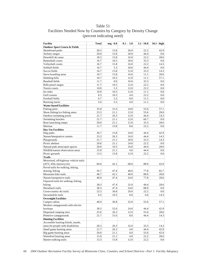# Table 51 Facilities Needed Now by Counties by Category by Density Change (percent indicating need)

| <b>Facility</b>                          | <b>Total</b> | neg - 0.0 | $0.1 - 5.0$ | $5.1 - 50.0$ | $50.1 - high$ |
|------------------------------------------|--------------|-----------|-------------|--------------|---------------|
| <b>Outdoor Sport Courts &amp; Fields</b> |              |           |             |              |               |
| Skateboard parks                         | 28.3         | 15.8      | 36.0        | 22.2         | 42.9          |
| Archery ranges                           | 20.0         | 15.8      | 20.0        | 44.4         | 0.0           |
| Downhill ski areas                       | 18.3         | 15.8      | 16.0        | 22.2         | 28.6          |
| <b>Basketball courts</b>                 | 16.7         | 10.5      | 20.0        | 33.3         | 0.0           |
| Volleyball courts                        | 16.7         | 15.8      | 16.0        | 22.2         | 14.3          |
| Softball fields                          | 16.7         | 5.3       | 20.0        | 44.4         | 0.0           |
| Soccer fields                            | 16.7         | 15.8      | 12.0        | 33.3         | 14.3          |
| Snow boarding areas                      | 16.7         | 15.8      | 16.0        | 11.1         | 28.6          |
| Sledding hills                           | 16.7         | 10.5      | 12.0        | 11.1         | 57.1          |
| <b>Baseball</b> fields                   | 11.7         | 0.0       | 16.0        | 33.3         | 0.0           |
| Rifle-pistol ranges                      | 11.7         | 10.5      | 12.0        | 22.2         | 0.0           |
| Tennis courts                            | 10.0         | 5.3       | 12.0        | 22.2         | 0.0           |
| Ice rinks                                | 10.0         | 10.5      | 12.0        | 11.1         | 0.0           |
| Golf courses                             | 8.3          | 10.5      | 4.0         | 22.2         | 0.0           |
| Football fields                          | 6.7          | 5.3       | 8.0         | 11.1         | 0.0           |
| Running tracks                           | 5.0          | 5.3       | 4.0         | 11.1         | 0.0           |
| <b>Water-based Facilities</b>            |              |           |             |              |               |
| Fishing piers                            | 35.0         | 31.6      | 24.0        | 55.6         | 57.1          |
| Shore fishing/ice fishing areas          | 23.3         | 21.1      | 12.0        | 55.6         | 28.6          |
| Outdoor swimming pools                   | 21.7         | 26.3      | 12.0        | 44.4         | 14.3          |
| Swimming beaches                         | 21.7         | 21.1      | 12.0        | 66.7         | 0.0           |
| Boat launching ramps                     | 20.0         | 21.1      | 12.0        | 33.3         | 28.6          |
| Marinas                                  | 11.7         | 15.8      | 8.0         | 22.2         | 0.0           |
| Day Use Facilities                       |              |           |             |              |               |
| Dog parks                                | 26.7         | 15.8      | 24.0        | 44.4         | 42.9          |
| Nature/Interprative centers              | 23.3         | 26.3      | 16.0        | 44.4         | 14.3          |
| Playgrounds                              | 21.7         | 21.1      | 20.0        | 33.3         | 14.3          |
| Picnic shelters                          | 20.0         | 21.1      | 24.0        | 22.2         | 0.0           |
| Natural park areas/open spaces           | 20.0         | 10.5      | 16.0        | 44.4         | 28.6          |
| Wildlife/nature observation areas        | 15.0         | 21.1      | 4.0         | 44.4         | 0.0           |
| Picnic grounds                           | 13.3         | 15.8      | 12.0        | 22.2         | 0.0           |
| <b>Trails</b>                            |              |           |             |              |               |
| Motorized, off-highway vehicle trails    |              |           |             |              |               |
| (ATV, 4X4, motorcycle)                   | 60.0         | 42.1      | 68.0        | 88.9         | 42.9          |
| Paved trails for walking, hiking,        |              |           |             |              |               |
| skating, biking                          | 56.7         | 47.4      | 48.0        | 77.8         | 85.7          |
| Mountain bike trails                     | 46.7         | 42.1      | 40.0        | 88.9         | 28.6          |
| Nature/interpretive trails               | 40.0         | 47.4      | 24.0        | 77.8         | 28.6          |
| Unpaved trails for walking, hiking,      |              |           |             |              |               |
| biking                                   | 38.3         | 47.4      | 32.0        | 44.4         | 28.6          |
| Horseback trails                         | 38.3         | 47.4      | 24.0        | 88.9         | 0.0           |
| Cross-country ski trails                 | 23.3         | 36.8      | 20.0        | 22.2         | 0.0           |
| Snowmobile trails                        | 8.3          | 10.5      | 8.0         | 0.0          | 14.3          |
| <b>Overnight Facilities</b>              |              |           |             |              |               |
| Camper cabins                            | 40.0         | 36.8      | 32.0        | 55.6         | 57.1          |
| Modern campgrounds with electric         |              |           |             |              |               |
| hookups                                  | 38.3         | 52.6      | 24.0        | 44.4         | 42.9          |
| Dispersed camping sites                  | 25.0         | 26.3      | 12.0        | 55.6         | 28.6          |
| Primitive campgrounds                    | 21.7         | 31.6      | 8.0         | 44.4         | 14.3          |
| <b>Hunting Facilities</b>                |              |           |             |              |               |
| Accessible hunting blinds, stands,       |              |           |             |              |               |
| areas for people with disabilities       | 28.3         | 26.3      | 32.0        | 33.3         | 14.3          |
| Small game hunting areas                 | 21.7         | 26.3      | 4.0         | 44.4         | 42.9          |
| Big game hunting areas                   | 20.0         | 21.1      | 0.0         | 55.6         | 42.9          |
| Waterfowl hunting areas                  | 15.0         | 21.1      | 4.0         | 22.2         | 28.6          |
| Hunter walking trails                    | 13.3         | 15.8      | 12.0        | 22.2         | 0.0           |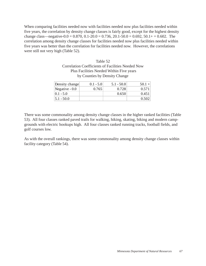When comparing facilities needed now with facilities needed now plus facilities needed within five years, the correlation by density change classes is fairly good, except for the highest density change class—negative-0.0 = 0.870, 0.1-20.0 = 0.736, 20.1-50.0 = 0.692, 50.1 + = 0.602. The correlation among density change classes for facilities needed now plus facilities needed within five years was better than the correlation for facilities needed now. However, the correlations were still not very high (Table 52).

| Table 52                                                 |
|----------------------------------------------------------|
| <b>Correlation Coefficients of Facilities Needed Now</b> |
| Plus Facilities Needed Within Five years                 |
| by Counties by Density Change                            |

| Density change  | $0.1 - 5.0$ | $5.1 - 50.0$ | $50.1 +$ |
|-----------------|-------------|--------------|----------|
| Negative $-0.0$ | 0.765       | 0.728        | 0.571    |
| $0.1 - 5.0$     |             | 0.650        | 0.451    |
| $5.1 - 50.0$    |             |              | 0.502    |

There was some commonality among density change classes in the higher ranked facilities (Table 53). All four classes ranked paved trails for walking, hiking, skating, biking and modern campgrounds with electric hookups high. All four classes ranked running tracks, football fields, and golf courses low.

As with the overall rankings, there was some commonality among density change classes within facility category (Table 54).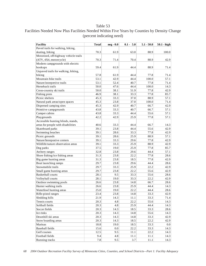| <b>Facility</b>                       | <b>Total</b> | neg - 0.0        | $0.1 - 5.0$ | $5.1 - 50.0$ | $50.1 - high$ |
|---------------------------------------|--------------|------------------|-------------|--------------|---------------|
| Paved trails for walking, hiking,     |              |                  |             |              |               |
| skating, biking                       | 70.3         | 61.9             | 63.0        | 88.9         | 100.0         |
| Motorized, off-highway vehicle trails |              |                  |             |              |               |
| (ATV, 4X4, motorcycle)                | 70.3         | 71.4             | 70.4        | 88.9         | 42.9          |
| Modern campgrounds with electric      |              |                  |             |              |               |
| hookups                               | 59.4         | 61.9             | 44.4        | 88.9         | 71.4          |
| Unpaved trails for walking, hiking,   |              |                  |             |              |               |
| biking                                | 57.8         | 61.9             | 44.4        | 77.8         | 71.4          |
| Mountain bike trails                  | 53.1         | 42.9             | 44.4        | 100.0        | 57.1          |
| Nature/interpretive trails            | 53.1         | 52.4             | 40.7        | 77.8         | 71.4          |
| Horseback trails                      | 50.0         | 47.6             | 44.4        | 100.0        | 14.3          |
| Cross-country ski trails              | 50.0         | 38.1             | 51.9        | 77.8         | 42.9          |
| Fishing piers                         | 46.9         | 38.1             | 33.3        | 77.8         | 85.7          |
| Picnic shelters                       | 45.3         | 33.3             | 37.0        | 88.9         | 57.1          |
| Natural park areas/open spaces        | 45.3         | 23.8             | 37.0        | 100.0        | 71.4          |
| Dispersed camping sites               | 45.3         | 42.9             | 40.7        | 66.7         | 42.9          |
| Primitive campgrounds                 | 43.8         | 33.3             | 40.7        | 66.7         | 57.1          |
| Camper cabins                         | 43.8         | 33.3             | 44.4        | 55.6         | 57.1          |
| Playgrounds                           | 42.2         | 42.9             | 25.9        | 77.8         | 57.1          |
| Accessible hunting blinds, stands,    |              |                  |             |              |               |
| areas for people with disabilities    | 40.6         | 33.3             | 44.4        | 66.7         | 14.3          |
| Skateboard parks                      | 39.1         | 23.8             | 44.4        | 55.6         | 42.9          |
| Swimming beaches                      | 39.1         | 28.6             | 33.3        | 77.8         | 42.9          |
| Picnic grounds                        | 39.1         | 28.6             | 25.9        | 88.9         | 57.1          |
| Nature/Interprative centers           | 39.1         | 33.3             | 29.6        | 77.8         | 42.9          |
| Wildlife/nature observation areas     | 39.1         | 33.3             | 25.9        | 88.9         | 42.9          |
| Dog parks                             | 37.5         | 19.0             | 25.9        | 77.8         | 85.7          |
| Archery ranges                        | 32.8         | 23.8             | 29.6        | 44.4         | 57.1          |
| Shore fishing/ice fishing areas       | 31.3         | 23.8             | 22.2        | 77.8         | 28.6          |
| Big game hunting areas                | 31.3         | 23.8             | 18.5        | 77.8         | 42.9          |
| Boat launching ramps                  | 29.7         | 23.8             | 29.6        | 44.4         | 28.6          |
| Snowmobile trails                     | 29.7         | 33.3             | 25.9        | 22.2         | 42.9          |
| Small game hunting areas              | 29.7         | 23.8             | 22.2        | 55.6         | 42.9          |
| <b>Basketball courts</b>              | 28.1         | 9.5              | 33.3        | 55.6         | 28.6          |
| Volleyball courts                     | 28.1         | 19.0             | 33.3        | 22.2         | 42.9          |
| Outdoor swimming pools                | 26.6         | 23.8             | 14.8        | 66.7         | 28.6          |
| Hunter walking trails                 | 26.6         | 23.8             | 25.9        | 44.4         | 14.3          |
| Waterfowl hunting areas               | 25.0         | 19.0             | 22.2        | 44.4         | 28.6          |
| Rifle-pistol ranges                   | 23.4         | 23.8             | 14.8        | 33.3         | 42.9          |
| Sledding hills                        | 21.9         | 14.3             | 11.1        | 33.3         | 71.4          |
| Tennis courts                         | 20.3         | 4.8              | 22.2        | 55.6         | 14.3          |
| Softball fields                       | 20.3         | 4.8              | 25.9        | 44.4         | 14.3          |
| Soccer fields                         | 20.3         | 14.3             | 18.5        | 33.3         | 28.6          |
| Ice rinks                             | 20.3         | 14.3             | 14.8        | 55.6         | 14.3          |
| Downhill ski areas                    | 20.3         | 14.3             | 14.8        | 33.3         | 42.9          |
| Snow boarding areas                   | 20.3         | 14.3             | 18.5        | 22.2         | 42.9          |
| Marinas                               | 18.8         | 19.0             | 18.5        | 33.3         | 0.0           |
| <b>Baseball</b> fields                | 15.6         | 0.0 <sub>1</sub> | 22.2        | 33.3         | 14.3          |
| Golf courses                          | 12.5         | 9.5              | 11.1        | 22.2         | 14.3          |
|                                       |              |                  |             |              |               |

# Facilities Needed Now Plus Facilities Needed Within Five Years by Counties by Density Change (percent indicating need)

Running tracks 14.3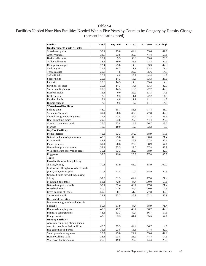# Facilities Needed Now Plus Facilities Needed Within Five Years by Counties by Category by Density Change (percent indicating need)

| <b>Facility</b>                          | <b>Total</b> | neg - 0.0 | $0.1 - 5.0$ | $5.1 - 50.0$ | $50.1 - high$ |
|------------------------------------------|--------------|-----------|-------------|--------------|---------------|
| <b>Outdoor Sport Courts &amp; Fields</b> |              |           |             |              |               |
| Skateboard parks                         | 39.1         | 23.8      | 44.4        | 55.6         | 42.9          |
| Archery ranges                           | 32.8         | 23.8      | 29.6        | 44.4         | 57.1          |
| <b>Basketball</b> courts                 | 28.1         | 9.5       | 33.3        | 55.6         | 28.6          |
| Volleyball courts                        | 28.1         | 19.0      | 33.3        | 22.2         | 42.9          |
| Rifle-pistol ranges                      | 23.4         | 23.8      | 14.8        | 33.3         | 42.9          |
| Sledding hills                           | 21.9         | 14.3      | 11.1        | 33.3         | 71.4          |
| Tennis courts                            | 20.3         | 4.8       | 22.2        | 55.6         | 14.3          |
| Softball fields                          | 20.3         | 4.8       | 25.9        | 44.4         | 14.3          |
| Soccer fields                            | 20.3         | 14.3      | 18.5        | 33.3         | 28.6          |
| Ice rinks                                | 20.3         | 14.3      | 14.8        | 55.6         | 14.3          |
| Downhill ski areas                       | 20.3         | 14.3      | 14.8        | 33.3         | 42.9          |
| Snow boarding areas                      | 20.3         | 14.3      | 18.5        | 22.2         | 42.9          |
| <b>Baseball fields</b>                   | 15.6         | 0.0       | 22.2        | 33.3         | 14.3          |
| Golf courses                             | 12.5         | 9.5       | 11.1        | 22.2         | 14.3          |
| Football fields                          | 9.4          | 4.8       | 11.1        | 11.1         | 14.3          |
| Running tracks                           | 7.8          | 9.5       | 3.7         | 11.1         | 14.3          |
| <b>Water-based Facilities</b>            |              |           |             |              |               |
| Fishing piers                            | 46.9         | 38.1      | 33.3        | 77.8         | 85.7          |
| Swimming beaches                         | 39.1         | 28.6      | 33.3        | 77.8         | 42.9          |
| Shore fishing/ice fishing areas          | 31.3         | 23.8      | 22.2        | 77.8         | 28.6          |
| Boat launching ramps                     | 29.7         | 23.8      | 29.6        | 44.4         | 28.6          |
| Outdoor swimming pools                   | 26.6         | 23.8      | 14.8        | 66.7         | 28.6          |
| Marinas                                  | 18.8         | 19.0      | 18.5        | 33.3         | 0.0           |
| <b>Day Use Facilities</b>                |              |           |             |              |               |
| Picnic shelters                          | 45.3         | 33.3      | 37.0        | 88.9         | 57.1          |
| Natural park areas/open spaces           | 45.3         | 23.8      | 37.0        | 100.0        | 71.4          |
| Playgrounds                              | 42.2         | 42.9      | 25.9        | 77.8         | 57.1          |
| Picnic grounds                           | 39.1         | 28.6      | 25.9        | 88.9         | 57.1          |
| Nature/Interprative centers              | 39.1         | 33.3      | 29.6        | 77.8         | 42.9          |
| Wildlife/nature observation areas        | 39.1         | 33.3      | 25.9        | 88.9         | 42.9          |
| Dog parks                                | 37.5         | 19.0      | 25.9        | 77.8         | 85.7          |
| <b>Trails</b>                            |              |           |             |              |               |
| Paved trails for walking, hiking,        |              |           |             |              |               |
| skating, biking                          | 70.3         | 61.9      | 63.0        | 88.9         | 100.0         |
| Motorized, off-highway vehicle trails    |              |           |             |              |               |
| (ATV, 4X4, motorcycle)                   | 70.3         | 71.4      | 70.4        | 88.9         | 42.9          |
| Unpaved trails for walking, hiking,      |              |           |             |              |               |
| biking                                   | 57.8         | 61.9      | 44.4        | 77.8         | 71.4          |
| Mountain bike trails                     | 53.1         | 42.9      | 44.4        | 100.0        | 57.1          |
| Nature/interpretive trails               | 53.1         | 52.4      | 40.7        | 77.8         | 71.4          |
| Horseback trails                         | 50.0         | 47.6      | 44.4        | 100.0        | 14.3          |
| Cross-country ski trails                 | 50.0         | 38.1      | 51.9        | 77.8         | 42.9          |
| Snowmobile trails                        | 29.7         | 33.3      | 25.9        | 22.2         | 42.9          |
| <b>Overnight Facilities</b>              |              |           |             |              |               |
| Modern campgrounds with electric         |              |           |             |              |               |
| hookups                                  | 59.4         | 61.9      | 44.4        | 88.9         | 71.4          |
| Dispersed camping sites                  | 45.3         | 42.9      | 40.7        | 66.7         | 42.9          |
| Primitive campgrounds                    | 43.8         | 33.3      | 40.7        | 66.7         | 57.1          |
| Camper cabins                            | 43.8         | 33.3      | 44.4        | 55.6         | 57.1          |
| <b>Hunting Facilities</b>                |              |           |             |              |               |
| Accessible hunting blinds, stands,       |              |           |             |              |               |
| areas for people with disabilities       | 40.6         | 33.3      | 44.4        | 66.7         | 14.3          |
| Big game hunting areas                   | 31.3         | 23.8      | 18.5        | 77.8         | 42.9          |
| Small game hunting areas                 | 29.7         | 23.8      | 22.2        | 55.6         | 42.9          |
| Hunter walking trails                    | 26.6         | 23.8      | 25.9        | 44.4         | 14.3          |
| Waterfowl hunting areas                  | 25.0         | 19.0      | 22.2        | 44.4         | 28.6          |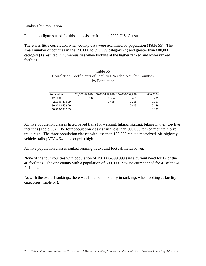### Analysis by Population

Population figures used for this analysis are from the 2000 U.S. Census.

There was little correlation when county data were examined by population (Table 55). The small number of counties in the 150,000 to 599,999 category (4) and greater than 600,000 category (1) resulted in numerous ties when looking at the higher ranked and lower ranked facilties.

### Table 55 Correlation Coefficients of Facilities Needed Now by Counties by Population

| Population      | 20,000-49,999 |       | 50,000-149,999 150,000-599,999 | $600,000+$ |
|-----------------|---------------|-------|--------------------------------|------------|
| ${<}20,000$     | 0.726         | 0.364 | 0.451                          | 0.239      |
| 20,000-49,999   |               | 0.468 | 0.268                          | 0.061      |
| 50,000-149,999  |               |       | 0.413                          | 0.149      |
| 150,000-599,999 |               |       |                                | 0.302      |

All five population classes listed paved trails for walking, hiking, skating, biking in their top five facilities (Table 56). The four population classes with less than 600,000 ranked mountain bike trails high. The three population classes with less than 150,000 ranked motorized, off-highway vehicle trails (ATV, 4X4, motorcycle) high.

All five population classes ranked running tracks and football fields lower.

None of the four counties with population of 150,000-599,999 saw a current need for 17 of the 46 facilities. The one county with a population of 600,000+ saw no current need for 41 of the 46 facilities.

As with the overall rankings, there was little commonality in rankings when looking at facility categories (Table 57).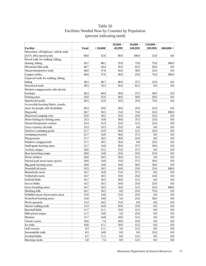# Table 56 Facilities Needed Now by Counties by Population (percent indicating need)

|                                       |              |          | $20,000 -$ | $50,000 -$       | $150,000 -$      |             |
|---------------------------------------|--------------|----------|------------|------------------|------------------|-------------|
| <b>Facility</b>                       | <b>Total</b> | < 20,000 | 49.999     | 149,999          | 599.999          | $600,000 +$ |
| Motorized, off-highway vehicle trails |              |          |            |                  |                  |             |
| (ATV, 4X4, motorcycle)                | 60.0         | 55.6     | 60.0       | 100.0            | 25.0             | 0.0         |
| Paved trails for walking, hiking,     |              |          |            |                  |                  |             |
| skating, biking                       | 56.7         | 48.1     | 55.0       | 75.0             | 75.0             | 100.0       |
| Mountain bike trails                  | 46.7         | 44.4     | 45.0       | 62.5             | 50.0             | 0.0         |
| Nature/interpretive trails            | 40.0         | 37.0     | 45.0       | 50.0             | 25.0             | 0.0         |
| Camper cabins                         | 40.0         | 37.0     | 40.0       | 25.0             | 75.0             | 100.0       |
| Unpaved trails for walking, hiking,   |              |          |            |                  |                  |             |
| biking                                | 38.3         | 40.7     | 40.0       | 37.5             | 25.0             | 0.0         |
| Horseback trails                      | 38.3         | 33.3     | 45.0       | 62.5             | 0.0              | 0.0         |
| Modern campgrounds with electric      |              |          |            |                  |                  |             |
| hookups                               | 38.3         | 44.4     | 30.0       | 37.5             | 50.0             | 0.0         |
| Fishing piers                         | 35.0         | 25.9     | 40.0       | 50.0             | 50.0             | 0.0         |
| Skateboard parks                      | 28.3         | 25.9     | 25.0       | 25.0             | 75.0             | 0.0         |
| Accessible hunting blinds, stands,    |              |          |            |                  |                  |             |
| areas for people with disabilities    | 28.3         | 29.6     | 30.0       | 25.0             | 25.0             | 0.0         |
| Dog parks                             | 26.7         | 18.5     | 15.0       | 75.0             | 25.0             | 100.0       |
| Dispersed camping sites               | 25.0         | 18.5     | 35.0       | 25.0             | 25.0             | 0.0         |
| Shore fishing/ice fishing areas       | 23.3         | 14.8     | 30.0       | 37.5             | 25.0             | 0.0         |
| Nature/Interprative centers           | 23.3         | 25.9     | 25.0       | 12.5             | 25.0             | 0.0         |
| Cross-country ski trails              | 23.3         | 33.3     | 25.0       | 0.0              | 0.0              | 0.0         |
| Outdoor swimming pools                | 21.7         | 25.9     | 20.0       | 12.5             | 25.0             | 0.0         |
| Swimming beaches                      | 21.7         | 14.8     | 30.0       | 37.5             | 0.0              | 0.0         |
| Playgrounds                           | 21.7         | 18.5     | 30.0       | 25.0             | 0.0              | 0.0         |
| Primitive campgrounds                 | 21.7         | 18.5     | 35.0       | 0.0              | 25.0             | 0.0         |
| Small game hunting areas              | 21.7         | 14.8     | 20.0       | 37.5             | 50.0             | 0.0         |
| Archery ranges                        | 20.0         | 22.2     | 15.0       | 37.5             | 0.0              | 0.0         |
| Boat launching ramps                  | 20.0         | 14.8     | 25.0       | 25.0             | 25.0             | 0.0         |
| Picnic shelters                       | 20.0         | 18.5     | 30.0       | 12.5             | 0.0              | 0.0         |
| Natural park areas/open spaces        | 20.0         | 14.8     | 15.0       | 37.5             | 50.0             | 0.0         |
| Big game hunting areas                | 20.0         | 14.8     | 10.0       | 50.0             | 50.0             | 0.0         |
| Downhill ski areas                    | 18.3         | 18.5     | 10.0       | 25.0             | 25.0             | 100.0       |
| Basketball courts                     | 16.7         | 14.8     | 15.0       | 37.5             | 0.0              | 0.0         |
| Volleyball courts                     | 16.7         | 18.5     | 10.0       | 25.0             | 25.0             | 0.0         |
| Softball fields                       | 16.7         | 18.5     | 20.0       | 12.5             | 0.0              | 0.0         |
| Soccer fields                         | 16.7         | 18.5     | 10.0       | 25.0             | 25.0             | 0.0         |
| Snow boarding areas                   | 16.7         | 18.5     | 10.0       | 12.5             | 25.0             | 100.0       |
| Sledding hills                        | 16.7         | 18.5     | 0.0        | 25.0             | 75.0             | 0.0         |
| Wildlife/nature observation areas     | 15.0         | 14.8     | 15.0       | 25.0             | 0.0              | 0.0         |
| Waterfowl hunting areas               | 15.0         | 14.8     | 5.0        | 25.0             | 50.0             | 0.0         |
| Picnic grounds                        | 13.3         | 18.5     | 15.0       | 0.0 <sub>1</sub> | 0.0              | 0.0         |
| Hunter walking trails                 | 13.3         | 14.8     | 10.0       | 25.0             | 0.0              | 0.0         |
| Baseball fields                       | 11.7         | 11.1     | 15.0       | 12.5             | 0.0              | 0.0         |
| Rifle-pistol ranges                   | 11.7         | 14.8     | 5.0        | 25.0             | 0.0              | 0.0         |
| Marinas                               | 11.7         | 14.8     | 10.0       | 12.5             | 0.0              | 0.0         |
| Tennis courts                         | 10.0         | 7.4      | 10.0       | 25.0             | 0.0              | 0.0         |
| Ice rinks                             | 10.0         | $11.1\,$ | 10.0       | 12.5             | 0.0              | 0.0         |
| Golf courses                          | 8.3          | 11.1     | 5.0        | 12.5             | 0.0              | 0.0         |
| Snowmobile trails                     | 8.3          | 14.8     | 0.0        | 0.0              | 25.0             | 0.0         |
| Football fields                       | 6.7          | $11.1\,$ | 0.0        | 12.5             | 0.0 <sub>1</sub> | 0.0         |
| Running tracks                        | 5.0          | 7.4      | 0.0        | 12.5             | 0.0              | 0.0         |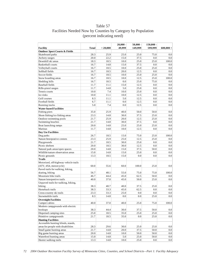# Table 57 Facilities Needed Now by Counties by Category by Population (percent indicating need)

|                                          |              |          | $20,000 -$ | $50,000 -$ | $150,000 -$      |             |
|------------------------------------------|--------------|----------|------------|------------|------------------|-------------|
| <b>Facility</b>                          | <b>Total</b> | < 20,000 | 49,999     | 149,999    | 599,999          | $600,000 +$ |
| <b>Outdoor Sport Courts &amp; Fields</b> |              |          |            |            |                  |             |
| Skateboard parks                         | 28.3         | 25.9     | 25.0       | 25.0       | 75.0             | 0.0         |
| Archery ranges                           | 20.0         | 22.2     | 15.0       | 37.5       | 0.0              | 0.0         |
| Downhill ski areas                       | 18.3         | 18.5     | 10.0       | 25.0       | 25.0             | 100.0       |
| <b>Basketball courts</b>                 | 16.7         | 14.8     | 15.0       | 37.5       | 0.0              | 0.0         |
| Volleyball courts                        | 16.7         | 18.5     | 10.0       | 25.0       | 25.0             | 0.0         |
| Softball fields                          | 16.7         | 18.5     | 20.0       | 12.5       | 0.0              | 0.0         |
| Soccer fields                            | 16.7         | 18.5     | 10.0       | 25.0       | 25.0             | 0.0         |
| Snow boarding areas                      | 16.7         | 18.5     | 10.0       | 12.5       | 25.0             | 100.0       |
| Sledding hills                           | 16.7         | 18.5     | 0.0        | 25.0       | 75.0             | 0.0         |
| <b>Baseball</b> fields                   | 11.7         | 11.1     | 15.0       | 12.5       | 0.0              | 0.0         |
| Rifle-pistol ranges                      | 11.7         | 14.8     | 5.0        | 25.0       | 0.0              | 0.0         |
| Tennis courts                            | 10.0         | 7.4      | 10.0       | 25.0       | 0.0              | 0.0         |
| Ice rinks                                | 10.0         | 11.1     | 10.0       | 12.5       | 0.0              | 0.0         |
| Golf courses                             | 8.3          | 11.1     | 5.0        | 12.5       | 0.0              | 0.0         |
| Football fields                          | 6.7          | 11.1     | 0.0        | 12.5       | 0.0              | 0.0         |
| Running tracks                           | 5.0          | 7.4      | 0.0        | 12.5       | 0.0              | 0.0         |
| <b>Water-based Facilities</b>            |              |          |            |            |                  |             |
| Fishing piers                            | 35.0         | 25.9     | 40.0       | 50.0       | 50.0             | 0.0         |
| Shore fishing/ice fishing areas          | 23.3         | 14.8     | 30.0       | 37.5       | 25.0             | 0.0         |
| Outdoor swimming pools                   | 21.7         | 25.9     | 20.0       | 12.5       | 25.0             | 0.0         |
| Swimming beaches                         | 21.7         | 14.8     | 30.0       | 37.5       | 0.0              | 0.0         |
| Boat launching ramps                     | 20.0         | 14.8     | 25.0       | 25.0       | 25.0             | 0.0         |
| Marinas                                  | 11.7         | 14.8     | 10.0       | 12.5       | 0.0              | 0.0         |
| <b>Day Use Facilities</b>                |              |          |            |            |                  |             |
| Dog parks                                | 26.7         | 18.5     | 15.0       | 75.0       | 25.0             | 100.0       |
| Nature/Interprative centers              | 23.3         | 25.9     | 25.0       | 12.5       | 25.0             | 0.0         |
| Playgrounds                              | 21.7         | 18.5     | 30.0       | 25.0       | 0.0              | 0.0         |
| Picnic shelters                          | 20.0         | 18.5     | 30.0       | 12.5       | 0.0              | 0.0         |
| Natural park areas/open spaces           | 20.0         | 14.8     | 15.0       | 37.5       | 50.0             | 0.0         |
| Wildlife/nature observation areas        | 15.0         | 14.8     | 15.0       | 25.0       | 0.0              | 0.0         |
| Picnic grounds                           | 13.3         | 18.5     | 15.0       | 0.0        | 0.0              | 0.0         |
| <b>Trails</b>                            |              |          |            |            |                  |             |
| Motorized, off-highway vehicle trails    |              |          |            |            |                  |             |
| (ATV, 4X4, motorcycle)                   | 60.0         | 55.6     | 60.0       | 100.0      | 25.0             | 0.0         |
| Paved trails for walking, hiking,        |              |          |            |            |                  |             |
| skating, biking                          | 56.7         | 48.1     | 55.0       | 75.0       | 75.0             | 100.0       |
| Mountain bike trails                     | 46.7         | 44.4     | 45.0       | 62.5       | 50.0             | 0.0         |
| Nature/interpretive trails               | 40.0         | 37.0     | 45.0       | 50.0       | 25.0             | 0.0         |
| Unpaved trails for walking, hiking,      |              |          |            |            |                  |             |
| biking                                   | 38.3         | 40.7     | 40.0       | 37.5       | 25.0             | 0.0         |
| Horseback trails                         | 38.3         | 33.3     | 45.0       | 62.5       | 0.0              | 0.0         |
| Cross-country ski trails                 | 23.3         | 33.3     | 25.0       | $0.0\,$    | $0.0\,$          | $0.0\,$     |
| Snowmobile trails                        | 8.3          | 14.8     | 0.0        | 0.0        | 25.0             | 0.0         |
| <b>Overnight Facilities</b>              |              |          |            |            |                  |             |
| Camper cabins                            | 40.0         | 37.0     | 40.0       | 25.0       | 75.0             | 100.0       |
| Modern campgrounds with electric         |              |          |            |            |                  |             |
| hookups                                  | 38.3         | 44.4     | 30.0       | 37.5       | 50.0             | 0.0         |
| Dispersed camping sites                  | 25.0         | 18.5     | 35.0       | 25.0       | 25.0             | 0.0         |
| Primitive campgrounds                    | 21.7         | 18.5     | 35.0       | $0.0\,$    | 25.0             | 0.0         |
| <b>Hunting Facilities</b>                |              |          |            |            |                  |             |
| Accessible hunting blinds, stands,       |              |          |            |            |                  |             |
| areas for people with disabilities       | 28.3         | 29.6     | 30.0       | 25.0       | 25.0             | 0.0         |
| Small game hunting areas                 | 21.7         | 14.8     | 20.0       | 37.5       | 50.0             | 0.0         |
| Big game hunting areas                   | 20.0         | 14.8     | 10.0       | 50.0       | 50.0             | 0.0         |
| Waterfowl hunting areas                  | 15.0         | 14.8     | 5.0        | 25.0       | 50.0             | 0.0         |
| Hunter walking trails                    | 13.3         | 14.8     | 10.0       | 25.0       | 0.0 <sub>1</sub> | 0.0         |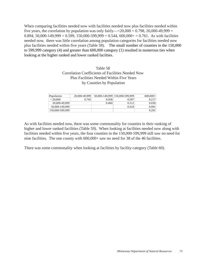When comparing facilities needed now with facilities needed now plus facilities needed within five years, the correlation by population was only fairly— $\langle 20,000 = 0.798, 20,000 - 49,999 =$ 0.894, 50,000-149,999 = 0.599, 150,000-599,999 = 0.544, 600,000+ = 0.761. As with facilities needed now, there was little correlation among population categories for facilities needed now plus facilities needed within five years (Table 58). The small number of counties in the 150,000 to 599,999 category (4) and greater than 600,000 category (1) resulted in numerous ties when looking at the higher ranked and lower ranked facilties.

## Table 58 Correlation Coefficients of Facilities Needed Now Plus Facilities Needed Within Five Years by Counties by Population

| Population      | 20,000-49,999 |       | 50,000-149,999 150,000-599,999 | $600,000+$ |
|-----------------|---------------|-------|--------------------------------|------------|
| < 20.000        | 0.745         | 0.458 | 0.587                          | 0.217      |
| 20,000-49,999   |               | 0.460 | 0.512                          | 0.030      |
| 50,000-149,999  |               |       | 0.418                          | 0.091      |
| 150,000-599,999 |               |       |                                | 0.291      |

As with facilities needed now, there was some commonality for counties in their ranking of higher and lower ranked facilities (Table 59). When looking at facilities needed now along with facilities needed within five years, the four counties in the 150,000-599,999 still saw no need for nine facilities. The one county with 600,000+ saw no need for 38 of the 46 facilities.

There was some commonality when looking at facilities by facility category (Table 60).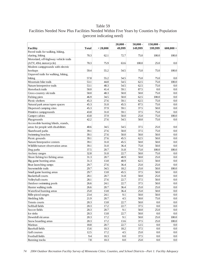# Facilities Needed Now Plus Facilities Needed Within Five Years by Counties by Population (percent indicating need)

|                                       |              |          | $20,000 -$ | $50,000 -$ | $150,000 -$      |                  |
|---------------------------------------|--------------|----------|------------|------------|------------------|------------------|
| <b>Facility</b>                       | <b>Total</b> | < 20,000 | 49,999     | 149,999    | 599,999          | $600,000 +$      |
| Paved trails for walking, hiking,     |              |          |            |            |                  |                  |
| skating, biking                       | 70.3         | 62.1     | 72.7       | 75.0       | 100.0            | 100.0            |
| Motorized, off-highway vehicle trails |              |          |            |            |                  |                  |
| (ATV, 4X4, motorcycle)                | 70.3         | 75.9     | 63.6       | 100.0      | 25.0             | 0.0              |
| Modern campgrounds with electric      |              |          |            |            |                  |                  |
| hookups                               | 59.4         | 55.2     | 54.5       | 75.0       | 75.0             | 100.0            |
| Unpaved trails for walking, hiking,   |              |          |            |            |                  |                  |
| biking                                | 57.8         | 55.2     | 54.5       | 75.0       | 75.0             | 0.0              |
| Mountain bike trails                  | 53.1         | 44.8     | 54.5       | 62.5       | 75.0             | 100.0            |
| Nature/interpretive trails            | 53.1         | 48.3     | 54.5       | 62.5       | 75.0             | 0.0              |
| Horseback trails                      | 50.0         | 41.4     | 59.1       | 87.5       | 0.0              | 0.0              |
| Cross-country ski trails              | 50.0         | 48.3     | 50.0       | 50.0       | 75.0             | 0.0              |
| Fishing piers                         | 46.9         | 34.5     | 50.0       | 62.5       | 100.0            | 0.0              |
| Picnic shelters                       | 45.3         | 27.6     | 59.1       | 62.5       | 75.0             | 0.0              |
| Natural park areas/open spaces        | 45.3         | 31.0     | 45.5       | 87.5       | 75.0             | 0.0              |
| Dispersed camping sites               | 45.3         | 37.9     | 59.1       | 37.5       | 50.0             | 0.0              |
| Primitive campgrounds                 | 43.8         | 31.0     | 59.1       | 37.5       | 75.0             | 0.0              |
| Camper cabins                         | 43.8         | 37.9     | 50.0       | 25.0       | 75.0             | 100.0            |
| Playgrounds                           | 42.2         | 27.6     | 54.5       | 50.0       | 75.0             | 0.0              |
| Accessible hunting blinds, stands,    |              |          |            |            |                  |                  |
| areas for people with disabilities    | 40.6         | 34.5     | 54.5       | 37.5       | 25.0             | 0.0              |
| Skateboard parks                      | 39.1         | 27.6     | 50.0       | 37.5       | 75.0             | 0.0              |
| Swimming beaches                      | 39.1         | 27.6     | 50.0       | 50.0       | 50.0             | 0.0              |
| Picnic grounds                        | 39.1         | 27.6     | 45.5       | 62.5       | 50.0             | 0.0              |
| Nature/Interprative centers           | 39.1         | 31.0     | 45.5       | 50.0       | 50.0             | 0.0              |
| Wildlife/nature observation areas     | 39.1         | 31.0     | 36.4       | 75.0       | 50.0             | 0.0              |
| Dog parks                             | 37.5         | 20.7     | 31.8       | 75.0       | 100.0            | 100.0            |
| Archery ranges                        | 32.8         | 31.0     | 22.7       | 50.0       | 75.0             | 0.0              |
| Shore fishing/ice fishing areas       | 31.3         | 20.7     | 40.9       | 50.0       | 25.0             | 0.0              |
| Big game hunting areas                | 31.3         | 13.8     | 40.9       | 62.5       | 50.0             | 0.0              |
| Boat launching ramps                  | 29.7         | 27.6     | 36.4       | 25.0       | 25.0             | 0.0              |
| Snowmobile trails                     | 29.7         | 34.5     | 18.2       | 25.0       | 50.0             | 100.0            |
| Small game hunting areas              | 29.7         | 13.8     | 45.5       | 37.5       | 50.0             | 0.0              |
| Basketball courts                     | 28.1         | 20.7     | 31.8       | 50.0       | 25.0             | 0.0              |
| Volleyball courts                     | 28.1         | 27.6     | 22.7       | 37.5       | 50.0             | 0.0              |
| Outdoor swimming pools                | 26.6         | 24.1     | 22.7       | 37.5       | 50.0             | 0.0              |
| Hunter walking trails                 | 26.6         | 20.7     | 36.4       | 25.0       | 25.0             | 0.0              |
| Waterfowl hunting areas               | 25.0         | 13.8     | 36.4       | 25.0       | 50.0             | 0.0              |
| Rifle-pistol ranges                   | 23.4         | 24.1     | 9.1        | 50.0       | 50.0             | 0.0              |
| Sledding hills                        | 21.9         | 20.7     | 4.5        | 50.0       | 75.0             | 0.0              |
| Tennis courts                         | 20.3         | 13.8     | 22.7       | 50.0       | 0.0              | 0.0              |
| Softball fields                       | 20.3         | 17.2     | 22.7       | 37.5       | 0.0 <sub>1</sub> | 0.0              |
| Soccer fields                         | 20.3         | 20.7     | 9.1        | 50.0       | 25.0             | 0.0              |
| Ice rinks                             | 20.3         | 13.8     | 22.7       | 50.0       | 0.0              | 0.0              |
| Downhill ski areas                    | 20.3         | 17.2     | 9.1        | 50.0       | 25.0             | 100.0            |
| Snow boarding areas                   | 20.3         | 17.2     | 13.6       | 37.5       | 25.0             | 100.0            |
| Marinas                               | 18.8         | 20.7     | 22.7       | 12.5       | 0.0              | 0.0              |
| <b>Baseball</b> fields                | 15.6         | 10.3     | 18.2       | 37.5       | 0.0              | 0.0              |
| Golf courses                          | 12.5         | 17.2     | 4.5        | 25.0       | 0.0              | 0.0              |
| Football fields                       | 9.4          | 10.3     | 0.0        | 37.5       | 0.0              | 0.0              |
| Running tracks                        | 7.8          | 10.3     | 0.0        | 25.0       | 0.0              | 0.0 <sub>1</sub> |
|                                       |              |          |            |            |                  |                  |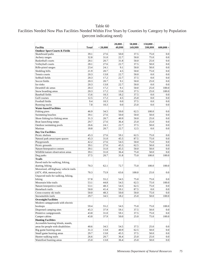# Facilities Needed Now Plus Facilities Needed Within Five Years by Counties by Category by Population (percent indicating need)

|                                          |       |          | $20,000 -$ | $50,000 -$ | $150,000 -$ |             |
|------------------------------------------|-------|----------|------------|------------|-------------|-------------|
| <b>Facility</b>                          | Total | < 20,000 | 49.999     | 149,999    | 599.999     | $600,000 +$ |
| <b>Outdoor Sport Courts &amp; Fields</b> |       |          |            |            |             |             |
| Skateboard parks                         | 39.1  | 27.6     | 50.0       | 37.5       | 75.0        | 0.0         |
| Archery ranges                           | 32.8  | 31.0     | 22.7       | 50.0       | 75.0        | 0.0         |
| <b>Basketball courts</b>                 | 28.1  | 20.7     | 31.8       | 50.0       | 25.0        | 0.0         |
| Volleyball courts                        | 28.1  | 27.6     | 22.7       | 37.5       | 50.0        | 0.0         |
| Rifle-pistol ranges                      | 23.4  | 24.1     | 9.1        | 50.0       | 50.0        | 0.0         |
| Sledding hills                           | 21.9  | 20.7     | 4.5        | 50.0       | 75.0        | 0.0         |
| Tennis courts                            | 20.3  | 13.8     | 22.7       | 50.0       | 0.0         | 0.0         |
| Softball fields                          | 20.3  | 17.2     | 22.7       | 37.5       | 0.0         | 0.0         |
| Soccer fields                            | 20.3  | 20.7     | 9.1        | 50.0       | 25.0        | 0.0         |
| Ice rinks                                | 20.3  | 13.8     | 22.7       | 50.0       | 0.0         | 0.0         |
| Downhill ski areas                       | 20.3  | 17.2     | 9.1        | 50.0       | 25.0        | 100.0       |
| Snow boarding areas                      | 20.3  | 17.2     | 13.6       | 37.5       | 25.0        | 100.0       |
| <b>Baseball</b> fields                   | 15.6  | 10.3     | 18.2       | 37.5       | 0.0         | 0.0         |
| Golf courses                             | 12.5  | 17.2     | 4.5        | 25.0       | 0.0         | 0.0         |
| Football fields                          | 9.4   | 10.3     | 0.0        | 37.5       | 0.0         | 0.0         |
| Running tracks                           | 7.8   | 10.3     | 0.0        | 25.0       | 0.0         | 0.0         |
| <b>Water-based Facilities</b>            |       |          |            |            |             |             |
| Fishing piers                            | 46.9  | 34.5     | 50.0       | 62.5       | 100.0       | 0.0         |
| Swimming beaches                         | 39.1  | 27.6     | 50.0       | 50.0       | 50.0        | 0.0         |
| Shore fishing/ice fishing areas          | 31.3  | 20.7     | 40.9       | 50.0       | 25.0        | 0.0         |
| Boat launching ramps                     | 29.7  | 27.6     | 36.4       | 25.0       | 25.0        | 0.0         |
| Outdoor swimming pools                   | 26.6  | 24.1     | 22.7       | 37.5       | 50.0        | 0.0         |
| Marinas                                  | 18.8  | 20.7     | 22.7       | 12.5       | 0.0         | 0.0         |
| <b>Day Use Facilities</b>                |       |          |            |            |             |             |
| Picnic shelters                          | 45.3  | 27.6     | 59.1       | 62.5       | 75.0        | 0.0         |
| Natural park areas/open spaces           | 45.3  | 31.0     | 45.5       | 87.5       | 75.0        | 0.0         |
| Playgrounds                              | 42.2  | 27.6     | 54.5       | 50.0       | 75.0        | 0.0         |
| Picnic grounds                           | 39.1  | 27.6     | 45.5       | 62.5       | 50.0        | 0.0         |
| Nature/Interprative centers              | 39.1  | 31.0     | 45.5       | 50.0       | 50.0        | 0.0         |
| Wildlife/nature observation areas        | 39.1  | 31.0     | 36.4       | 75.0       | 50.0        | 0.0         |
| Dog parks                                | 37.5  | 20.7     | 31.8       | 75.0       | 100.0       | 100.0       |
| <b>Trails</b>                            |       |          |            |            |             |             |
| Paved trails for walking, hiking,        |       |          |            |            |             |             |
| skating, biking                          | 70.3  | 62.1     | 72.7       | 75.0       | 100.0       | 100.0       |
| Motorized, off-highway vehicle trails    |       |          |            |            |             |             |
| (ATV, 4X4, motorcycle)                   | 70.3  | 75.9     | 63.6       | 100.0      | 25.0        | 0.0         |
| Unpaved trails for walking, hiking,      |       |          |            |            |             |             |
| biking                                   | 57.8  | 55.2     | 54.5       | 75.0       | 75.0        | 0.0         |
| Mountain bike trails                     | 53.1  | 44.8     | 54.5       | 62.5       | 75.0        | 100.0       |
| Nature/interpretive trails               | 53.1  | 48.3     | 54.5       | 62.5       | 75.0        | 0.0         |
| Horseback trails                         | 50.0  | 41.4     | 59.1       | 87.5       | 0.0         | 0.0         |
| Cross-country ski trails                 | 50.0  | 48.3     | 50.0       | 50.0       | 75.0        | 0.0         |
| Snowmobile trails                        | 29.7  | 34.5     | 18.2       | 25.0       | 50.0        | 100.0       |
| <b>Overnight Facilities</b>              |       |          |            |            |             |             |
| Modern campgrounds with electric         |       |          |            |            |             |             |
| hookups                                  | 59.4  | 55.2     | 54.5       | 75.0       | 75.0        | 100.0       |
| Dispersed camping sites                  | 45.3  | 37.9     | 59.1       | 37.5       | 50.0        | 0.0         |
| Primitive campgrounds                    | 43.8  | 31.0     | 59.1       | 37.5       | 75.0        | 0.0         |
| Camper cabins                            | 43.8  | 37.9     | 50.0       | 25.0       | 75.0        | 100.0       |
| <b>Hunting Facilities</b>                |       |          |            |            |             |             |
| Accessible hunting blinds, stands,       |       |          |            |            |             |             |
| areas for people with disabilities       | 40.6  | 34.5     | 54.5       | 37.5       | 25.0        | 0.0         |
| Big game hunting areas                   | 31.3  | 13.8     | 40.9       | 62.5       | 50.0        | 0.0         |
| Small game hunting areas                 | 29.7  | 13.8     | 45.5       | 37.5       | 50.0        | 0.0         |
| Hunter walking trails                    | 26.6  | $20.7\,$ | 36.4       | 25.0       | 25.0        | 0.0         |
| Waterfowl hunting areas                  | 25.0  | 13.8     | 36.4       | 25.0       | 50.0        | 0.0         |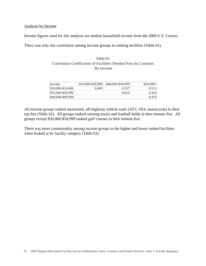#### Analysis by Income

Income figures used for this analysis are median household income from the 2000 U.S. Census.

There was only fair correlation among income groups in ranking facilities (Table 61).

#### Table 61 Correlation Coefficients of Facilities Needed Now by Counties By Income

| Income            | \$35,000-\$39,999 | \$40,000-\$49,999 | $$50,000+$ |
|-------------------|-------------------|-------------------|------------|
| \$30,000-\$34,000 | 0.609             | 0.537             | 0.513      |
| \$35,000-\$39,999 |                   | 0.625             | 0.565      |
| \$40,000-\$49,999 |                   |                   | 0.470      |

All income groups ranked motorized, off-highway vehicle trails (ATV, 4X4, motorcycle) in their top five (Table 62). All groups ranked running tracks and football fields in their bottom five. All groups except \$30,000-\$34,999 ranked golf courses in their bottom five.

There was more commonality among income groups in the higher and lower ranked facilities when looked at by facility category (Table 63).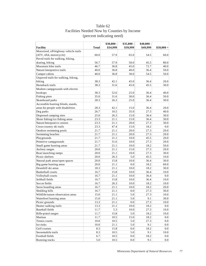|                                       |              | \$30,000 - | \$35,000 - | $$40,000$ - |                  |
|---------------------------------------|--------------|------------|------------|-------------|------------------|
| <b>Facility</b>                       | <b>Total</b> | \$34,999   | \$39,999   | \$49,999    | $$50,000 +$      |
| Motorized, off-highway vehicle trails |              |            |            |             |                  |
| (ATV, 4X4, motorcycle)                | 60.0         | 57.9       | 65.0       | 54.5        | 60.0             |
| Paved trails for walking, hiking,     |              |            |            |             |                  |
| skating, biking                       | 56.7         | 57.9       | 50.0       | 45.5        | 80.0             |
| Mountain bike trails                  | 46.7         | 36.8       | 45.0       | 72.7        | 40.0             |
| Nature/interpretive trails            | 40.0         | 36.8       | 40.0       | 36.4        | 50.0             |
| Camper cabins                         | 40.0         | 36.8       | 30.0       | 54.5        | 50.0             |
| Unpaved trails for walking, hiking,   |              |            |            |             |                  |
| biking                                | 38.3         | 42.1       | 45.0       | 36.4        | 20.0             |
| Horseback trails                      | 38.3         | 31.6       | 45.0       | 45.5        | 30.0             |
| Modern campgrounds with electric      |              |            |            |             |                  |
| hookups                               | 38.3         | 52.6       | 25.0       | 36.4        | 40.0             |
| Fishing piers                         | 35.0         | 31.6       | 30.0       | 36.4        | 50.0             |
| Skateboard parks                      | 28.3         | 26.3       | 25.0       | 36.4        | 30.0             |
| Accessible hunting blinds, stands,    |              |            |            |             |                  |
| areas for people with disabilities    | 28.3         | 42.1       | 15.0       | 36.4        | $20.0\,$         |
| Dog parks                             | 26.7         | 10.5       | 35.0       | 27.3        | 40.0             |
| Dispersed camping sites               | 25.0         | 26.3       | 15.0       | 36.4        | 30.0             |
| Shore fishing/ice fishing areas       | 23.3         | 21.1       | 15.0       | 36.4        | 30.0             |
| Nature/Interprative centers           | 23.3         | 21.1       | 20.0       | 27.3        | 30.0             |
| Cross-country ski trails              | 23.3         | 47.4       | 15.0       | 18.2        | $0.0\,$          |
| Outdoor swimming pools                | 21.7         | 21.1       | 20.0       | 27.3        | 20.0             |
| Swimming beaches                      | 21.7         | 21.1       | 20.0       | 27.3        | 20.0             |
| Playgrounds                           | 21.7         | 21.1       | 10.0       | 45.5        | 20.0             |
| Primitive campgrounds                 | 21.7         | 31.6       | 10.0       | 27.3        | 20.0             |
| Small game hunting areas              | 21.7         | 21.1       | 10.0       | 18.2        | 50.0             |
| Archery ranges                        | 20.0         | 21.1       | 15.0       | 27.3        | 20.0             |
| Boat launching ramps                  | 20.0         | 21.1       | 10.0       | 27.3        | 30.0             |
| Picnic shelters                       | 20.0         | 26.3       | 5.0        | 45.5        | 10.0             |
| Natural park areas/open spaces        | 20.0         | 15.8       | 10.0       | 36.4        | 30.0             |
| Big game hunting areas                | 20.0         | 21.1       | 0.0        | 18.2        | 60.0             |
| Downhill ski areas                    | 18.3         | 21.1       | 10.0       | 18.2        | 30.0             |
| Basketball courts                     | 16.7         | 15.8       | 10.0       | 36.4        | 10.0             |
| Volleyball courts                     | 16.7         | 21.1       | 10.0       | 36.4        | $0.0\,$          |
| Softball fields                       | 16.7         | 15.8       | 10.0       | 36.4        | 10.0             |
| Soccer fields                         | 16.7         | 26.3       | 10.0       | 18.2        | 10.0             |
| Snow boarding areas                   | 16.7         | 21.1       | 10.0       | 18.2        | 20.0             |
| Sledding hills                        | 16.7         | 21.1       | 0.0        | 27.3        | 30.0             |
| Wildlife/nature observation areas     | 15.0         | 21.1       | 5.0        | 27.3        | 10.0             |
| Waterfowl hunting areas               | 15.0         | 21.1       | 5.0        | 9.1         | 30.0             |
| Picnic grounds                        | 13.3         | 21.1       | 0.0        | 27.3        | 10.0             |
| Hunter walking trails                 | 13.3         | 21.1       | 10.0       | 18.2        | $0.0\,$          |
| Baseball fields                       | 11.7         | 5.3        | 10.0       | 27.3        | 10.0             |
| Rifle-pistol ranges                   | 11.7         | 15.8       | 5.0        | 18.2        | 10.0             |
| Marinas                               | 11.7         | 10.5       | 15.0       | 18.2        | 0.0              |
| Tennis courts                         | $10.0\,$     | 10.5       | 5.0        | 27.3        | $0.0\,$          |
| Ice rinks                             | $10.0\,$     | 21.1       | 5.0        | 9.1         | $0.0\,$          |
| Golf courses                          | 8.3          | 15.8       | 0.0        | 18.2        | 0.0              |
| Snowmobile trails                     | 8.3          | 10.5       | 5.0        | 9.1         | 10.0             |
| Football fields                       | 6.7          | 10.5       | 0.0        | 18.2        | 0.0              |
| Running tracks                        | 5.0          | 10.5       | 0.0        | 9.1         | 0.0 <sub>1</sub> |

# Table 62 Facilities Needed Now by Counties by Income (percent indicating need)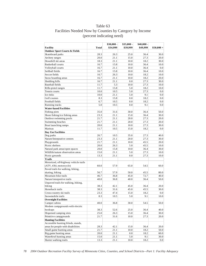# Table 63 Facilities Needed Now by Counties by Category by Income (percent indicating need)

|                                          |              | \$30,000 - | $$35,000 -$ | $$40,000$ - |             |
|------------------------------------------|--------------|------------|-------------|-------------|-------------|
| <b>Facility</b>                          | <b>Total</b> | \$34,999   | \$39,999    | \$49,999    | $$50,000 +$ |
| <b>Outdoor Sport Courts &amp; Fields</b> |              |            |             |             |             |
| Skateboard parks                         | 28.3         | 26.3       | 25.0        | 36.4        | 30.0        |
| Archery ranges                           | 20.0         | 21.1       | 15.0        | 27.3        | 20.0        |
| Downhill ski areas                       | 18.3         | 21.1       | 10.0        | 18.2        | 30.0        |
| <b>Basketball courts</b>                 | 16.7         | 15.8       | 10.0        | 36.4        | 10.0        |
| Volleyball courts                        | 16.7         | 21.1       | 10.0        | 36.4        | 0.0         |
| Softball fields                          | 16.7         | 15.8       | 10.0        | 36.4        | 10.0        |
| Soccer fields                            | 16.7         | 26.3       | 10.0        | 18.2        | 10.0        |
| Snow boarding areas                      | 16.7         | 21.1       | 10.0        | 18.2        | 20.0        |
| Sledding hills                           | 16.7         | 21.1       | 0.0         | 27.3        | 30.0        |
| <b>Baseball</b> fields                   | 11.7         | 5.3        | 10.0        | 27.3        | 10.0        |
| Rifle-pistol ranges                      | 11.7         | 15.8       | 5.0         | 18.2        | 10.0        |
| Tennis courts                            | 10.0         | 10.5       | 5.0         | 27.3        | 0.0         |
| Ice rinks                                | 10.0         | 21.1       | 5.0         | 9.1         | 0.0         |
| Golf courses                             | 8.3          | 15.8       | 0.0         | 18.2        | 0.0         |
| Football fields                          | 6.7          | 10.5       | 0.0         | 18.2        | 0.0         |
| Running tracks                           | 5.0          | 10.5       | 0.0         | 9.1         | 0.0         |
| <b>Water-based Facilities</b>            |              |            |             |             |             |
| Fishing piers                            | 35.0         | 31.6       | 30.0        | 36.4        | 50.0        |
| Shore fishing/ice fishing areas          | 23.3         | 21.1       | 15.0        | 36.4        | 30.0        |
| Outdoor swimming pools                   | 21.7         | 21.1       | 20.0        | 27.3        | 20.0        |
| Swimming beaches                         | 21.7         | 21.1       | 20.0        | 27.3        | 20.0        |
| Boat launching ramps                     | 20.0         | 21.1       | 10.0        | 27.3        | 30.0        |
| Marinas                                  | 11.7         | 10.5       | 15.0        | 18.2        | 0.0         |
| Day Use Facilities                       |              |            |             |             |             |
| Dog parks                                | 26.7         | 10.5       | 35.0        | 27.3        | 40.0        |
| Nature/Interprative centers              | 23.3         | 21.1       | 20.0        | 27.3        | 30.0        |
| Playgrounds                              | 21.7         | 21.1       | 10.0        | 45.5        | 20.0        |
| Picnic shelters                          | 20.0         | 26.3       | 5.0         | 45.5        | 10.0        |
| Natural park areas/open spaces           | 20.0         | 15.8       | 10.0        | 36.4        | 30.0        |
| Wildlife/nature observation areas        | 15.0         | 21.1       | 5.0         | 27.3        | 10.0        |
| Picnic grounds                           | 13.3         | 21.1       | 0.0         | 27.3        | 10.0        |
| <b>Trails</b>                            |              |            |             |             |             |
| Motorized, off-highway vehicle trails    |              |            |             |             |             |
| (ATV, 4X4, motorcycle)                   | 60.0         | 57.9       | 65.0        | 54.5        | 60.0        |
| Paved trails for walking, hiking,        |              |            |             |             |             |
| skating, biking                          | 56.7         | 57.9       | 50.0        | 45.5        | 80.0        |
| Mountain bike trails                     | 46.7         | 36.8       | 45.0        | 72.7        | 40.0        |
| Nature/interpretive trails               | 40.0         | 36.8       | 40.0        | 36.4        | 50.0        |
| Unpaved trails for walking, hiking,      |              |            |             |             |             |
| biking                                   | 38.3         | 42.1       | 45.0        | 36.4        | 20.0        |
| Horseback trails                         | 38.3         | 31.6       | 45.0        | 45.5        | 30.0        |
| Cross-country ski trails                 | 23.3         | 47.4       | $15.0\,$    | 18.2        | 0.0         |
| Snowmobile trails                        | 8.3          | 10.5       | 5.0         | 9.1         | 10.0        |
| <b>Overnight Facilities</b>              |              |            |             |             |             |
| Camper cabins                            | 40.0         | 36.8       | 30.0        | 54.5        | 50.0        |
| Modern campgrounds with electric         |              |            |             |             |             |
| hookups                                  | 38.3         | 52.6       | 25.0        | 36.4        | 40.0        |
| Dispersed camping sites                  | 25.0         | 26.3       | 15.0        | 36.4        | 30.0        |
| Primitive campgrounds                    | 21.7         | 31.6       | 10.0        | 27.3        | 20.0        |
| <b>Hunting Facilities</b>                |              |            |             |             |             |
| Accessible hunting blinds, stands,       |              |            |             |             |             |
| areas for people with disabilities       | 28.3         | 42.1       | 15.0        | 36.4        | 20.0        |
| Small game hunting areas                 | 21.7         | 21.1       | 10.0        | 18.2        | 50.0        |
| Big game hunting areas                   | 20.0         | 21.1       | 0.0         | 18.2        | 60.0        |
| Waterfowl hunting areas                  | 15.0         | 21.1       | 5.0         | 9.1         | 30.0        |
| Hunter walking trails                    | 13.3         | 21.1       | 10.0        | 18.2        | 0.0         |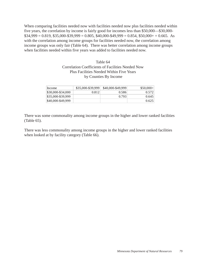When comparing facilities needed now with facilities needed now plus facilities needed within five years, the correlation by income is fairly good for incomes less than \$50,000—\$30,000-  $$34,999 = 0.819, $35,000 - $39,999 = 0.805, $40,000 - $49,999 = 0.854, $50,000 + 0.665$ . As with the correlation among income groups for facilities needed now, the correlation among income groups was only fair (Table 64). There was better correlation among income groups when facilities needed within five years was added to facilities needed now.

# Table 64 Correlation Coefficients of Facilities Needed Now Plus Facilities Needed Within Five Years by Counties By Income

| Income            | $$35,000 - $39,999$ | \$40,000-\$49,999 | $$50,000+$ |
|-------------------|---------------------|-------------------|------------|
| \$30,000-\$34,000 | 0.812               | 0.586             | 0.572      |
| \$35,000-\$39,999 |                     | 0.793             | 0.645      |
| \$40,000-\$49,999 |                     |                   | 0.625      |

There was some commonality among income groups in the higher and lower ranked facilities (Table 65).

There was less commonality among income groups in the higher and lower ranked facilities when looked at by facility category (Table 66).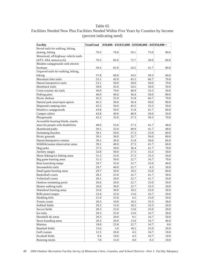| Facilities Needed Now Plus Facilities Needed Within Five Years by Counties by Income |  |
|--------------------------------------------------------------------------------------|--|
| (percent indicating need)                                                            |  |

| Facility                              | <b>TotalTotal</b> |          |         | $$30,000 - $34 $35,000 - $39 $40,000 - $49 $50,000 +$ |      |
|---------------------------------------|-------------------|----------|---------|-------------------------------------------------------|------|
| Paved trails for walking, hiking,     |                   |          |         |                                                       |      |
| skating, biking                       | 70.3              | 70.0     | 59.1    | 75.0                                                  | 90.0 |
| Motorized, off-highway vehicle trails |                   |          |         |                                                       |      |
| (ATV, 4X4, motorcycle)                | 70.3              | 85.0     | 72.7    | 50.0                                                  | 60.0 |
| Modern campgrounds with electric      |                   |          |         |                                                       |      |
| hookups                               | 59.4              | 65.0     | 54.5    | 41.7                                                  | 80.0 |
| Unpaved trails for walking, hiking,   |                   |          |         |                                                       |      |
| biking                                | 57.8              | 60.0     | 54.5    | 58.3                                                  | 60.0 |
| Mountain bike trails                  | 53.1              | 45.0     | 45.5    | 66.7                                                  | 70.0 |
| Nature/interpretive trails            | 53.1              | 50.0     | 50.0    | 50.0                                                  | 70.0 |
| Horseback trails                      | 50.0              | 45.0     | 54.5    | 50.0                                                  | 50.0 |
| Cross-country ski trails              | 50.0              | 70.0     | 40.9    | 33.3                                                  | 50.0 |
| Fishing piers                         | 46.9              | 40.0     | 36.4    | 50.0                                                  | 80.0 |
| Picnic shelters                       | 45.3              | 35.0     | 31.8    | 66.7                                                  | 70.0 |
| Natural park areas/open spaces        | 45.3              | 30.0     | 36.4    | 50.0                                                  | 90.0 |
| Dispersed camping sites               | 45.3              | 50.0     | 45.5    | 33.3                                                  | 50.0 |
| Primitive campgrounds                 | 43.8              | 50.0     | 31.8    | 41.7                                                  | 60.0 |
| Camper cabins                         | 43.8              | 40.0     | 40.9    | 50.0                                                  | 50.0 |
| Playgrounds                           | 42.2              | 35.0     | 27.3    | 58.3                                                  | 70.0 |
| Accessible hunting blinds, stands,    |                   |          |         |                                                       |      |
| areas for people with disabilities    | 40.6              | 55.0     | 27.3    | 41.7                                                  | 40.0 |
| Skateboard parks                      | 39.1              | 35.0     | 40.9    | 41.7                                                  | 40.0 |
| Swimming beaches                      | 39.1              | 50.0     | 27.3    | 25.0                                                  | 60.0 |
| Picnic grounds                        | 39.1              | 30.0     | 22.7    | 50.0                                                  | 80.0 |
| Nature/Interprative centers           | 39.1              | 30.0     | 31.8    | 50.0                                                  | 60.0 |
| Wildlife/nature observation areas     | 39.1              | 40.0     | 27.3    | 41.7                                                  | 60.0 |
| Dog parks                             | 37.5              | 20.0     | 36.4    | 41.7                                                  | 70.0 |
| Archery ranges                        | 32.8              | 30.0     | 27.3    | 33.3                                                  | 50.0 |
| Shore fishing/ice fishing areas       | 31.3              | 25.0     | 27.3    | 33.3                                                  | 50.0 |
| Big game hunting areas                | 31.3              | 30.0     | 22.7    | 16.7                                                  | 70.0 |
| Boat launching ramps                  | 29.7              | 35.0     | 22.7    | 25.0                                                  | 40.0 |
| Snowmobile trails                     | 29.7              | 40.0     | 22.7    | 8.3                                                   | 50.0 |
| Small game hunting areas              | 29.7              | 30.0     | 18.2    | 25.0                                                  | 60.0 |
| <b>Basketball courts</b>              | 28.1              | 25.0     | 22.7    | 41.7                                                  | 30.0 |
| Volleyball courts                     | 28.1              | 30.0     | 22.7    | 41.7                                                  | 20.0 |
| Outdoor swimming pools                | 26.6              | 20.0     | 22.7    | 25.0                                                  | 50.0 |
| Hunter walking trails                 | 26.6              | 30.0     | 22.7    | 33.3                                                  | 20.0 |
| Waterfowl hunting areas               | 25.0              | 30.0     | 18.2    | 25.0                                                  | 30.0 |
| Rifle-pistol ranges                   | 23.4              | 25.0     | 13.6    | 16.7                                                  | 50.0 |
| Sledding hills                        | 21.9              | 25.0     | 4.5     | 25.0                                                  | 50.0 |
| Tennis courts                         | 20.3              | $10.0\,$ | 18.2    | 33.3                                                  | 30.0 |
| Softball fields                       | 20.3              | 15.0     | 18.2    | 33.3                                                  | 20.0 |
| Soccer fields                         | 20.3              | 25.0     | 13.6    | 25.0                                                  | 20.0 |
| Ice rinks                             | 20.3              | 25.0     | 13.6    | 16.7                                                  | 30.0 |
| Downhill ski areas                    | 20.3              | 20.0     | 9.1     | 16.7                                                  | 50.0 |
| Snow boarding areas                   | 20.3              | 20.0     | 13.6    | 16.7                                                  | 40.0 |
| Marinas                               | 18.8              | 25.0     | 22.7    | 16.7                                                  | 0.0  |
| Baseball fields                       | 15.6              | 5.0      | 18.2    | 25.0                                                  | 20.0 |
| Golf courses                          | 12.5              | 20.0     | 4.5     | 16.7                                                  | 10.0 |
| Football fields                       | 9.4               | 10.0     | 4.5     | 16.7                                                  | 10.0 |
| Running tracks                        | 7.8               | 15.0     | $0.0\,$ | 8.3                                                   | 10.0 |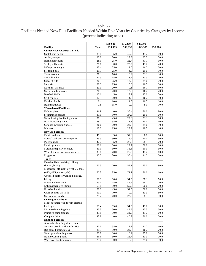# Facilities Needed Now Plus Facilities Needed Within Five Years by Counties by Category by Income (percent indicating need)

|                                          |       | $$30,000 -$ | $$35,000 -$ | $$40,000$ - |             |
|------------------------------------------|-------|-------------|-------------|-------------|-------------|
| <b>Facility</b>                          | Total | \$34,999    | \$39,999    | \$49,999    | $$50,000 +$ |
| <b>Outdoor Sport Courts &amp; Fields</b> |       |             |             |             |             |
| Skateboard parks                         | 39.1  | 35.0        | 40.9        | 41.7        | 40.0        |
| Archery ranges                           | 32.8  | 30.0        | 27.3        | 33.3        | 50.0        |
| <b>Basketball</b> courts                 | 28.1  | 25.0        | 22.7        | 41.7        | 30.0        |
| Volleyball courts                        | 28.1  | 30.0        | 22.7        | 41.7        | 20.0        |
| Rifle-pistol ranges                      | 23.4  | 25.0        | 13.6        | 16.7        | 50.0        |
| Sledding hills                           | 21.9  | 25.0        | 4.5         | 25.0        | 50.0        |
| Tennis courts                            | 20.3  | 10.0        | 18.2        | 33.3        | 30.0        |
| Softball fields                          | 20.3  | 15.0        | 18.2        | 33.3        | 20.0        |
| Soccer fields                            | 20.3  | 25.0        | 13.6        | 25.0        | 20.0        |
| Ice rinks                                | 20.3  | 25.0        | 13.6        | 16.7        | 30.0        |
| Downhill ski areas                       | 20.3  | 20.0        | 9.1         | 16.7        | 50.0        |
| Snow boarding areas                      | 20.3  | 20.0        | 13.6        | 16.7        | 40.0        |
| <b>Baseball</b> fields                   | 15.6  | 5.0         | 18.2        | 25.0        | 20.0        |
| Golf courses                             | 12.5  | 20.0        | 4.5         | 16.7        | 10.0        |
| Football fields                          | 9.4   | 10.0        | 4.5         | 16.7        | 10.0        |
| Running tracks                           | 7.8   | 15.0        | 0.0         | 8.3         | 10.0        |
| <b>Water-based Facilities</b>            |       |             |             |             |             |
| Fishing piers                            | 46.9  | 40.0        | 36.4        | 50.0        | 80.0        |
| Swimming beaches                         | 39.1  | 50.0        | 27.3        | 25.0        | 60.0        |
| Shore fishing/ice fishing areas          | 31.3  | 25.0        | 27.3        | 33.3        | 50.0        |
| Boat launching ramps                     | 29.7  | 35.0        | 22.7        | 25.0        | 40.0        |
| Outdoor swimming pools                   | 26.6  | 20.0        | 22.7        | 25.0        | 50.0        |
| Marinas                                  | 18.8  | 25.0        | 22.7        | 16.7        | 0.0         |
| Day Use Facilities                       |       |             |             |             |             |
| Picnic shelters                          | 45.3  | 35.0        | 31.8        | 66.7        | 70.0        |
| Natural park areas/open spaces           | 45.3  | 30.0        | 36.4        | 50.0        | 90.0        |
| Playgrounds                              | 42.2  | 35.0        | 27.3        | 58.3        | 70.0        |
| Picnic grounds                           | 39.1  | 30.0        | 22.7        | 50.0        | 80.0        |
| Nature/Interprative centers              | 39.1  | 30.0        | 31.8        | 50.0        | 60.0        |
| Wildlife/nature observation areas        | 39.1  | 40.0        | 27.3        | 41.7        | 60.0        |
| Dog parks                                | 37.5  | 20.0        | 36.4        | 41.7        | 70.0        |
| <b>Trails</b>                            |       |             |             |             |             |
| Paved trails for walking, hiking,        |       |             |             |             |             |
| skating, biking                          | 70.3  | 70.0        | 59.1        | 75.0        | 90.0        |
| Motorized, off-highway vehicle trails    |       |             |             |             |             |
| (ATV, 4X4, motorcycle)                   | 70.3  | 85.0        | 72.7        | 50.0        | 60.0        |
| Unpaved trails for walking, hiking,      |       |             |             |             |             |
| biking                                   | 57.8  | 60.0        | 54.5        | 58.3        | 60.0        |
| Mountain bike trails                     | 53.1  | 45.0        | 45.5        | 66.7        | 70.0        |
| Nature/interpretive trails               | 53.1  | 50.0        | 50.0        | 50.0        | 70.0        |
| Horseback trails                         | 50.0  | 45.0        | 54.5        | 50.0        | 50.0        |
| Cross-country ski trails                 | 50.0  | 70.0        | 40.9        | 33.3        | 50.0        |
| Snowmobile trails                        | 29.7  | 40.0        | 22.7        | 8.3         | 50.0        |
| <b>Overnight Facilities</b>              |       |             |             |             |             |
| Modern campgrounds with electric         |       |             |             |             |             |
| hookups                                  | 59.4  | 65.0        | 54.5        | 41.7        | 80.0        |
| Dispersed camping sites                  | 45.3  | 50.0        | 45.5        | 33.3        | 50.0        |
| Primitive campgrounds                    | 43.8  | 50.0        | 31.8        | 41.7        | 60.0        |
| Camper cabins                            | 43.8  | 40.0        | 40.9        | 50.0        | 50.0        |
| <b>Hunting Facilities</b>                |       |             |             |             |             |
| Accessible hunting blinds, stands,       |       |             |             |             |             |
| areas for people with disabilities       | 40.6  | 55.0        | 27.3        | 41.7        | 40.0        |
| Big game hunting areas                   | 31.3  | 30.0        | 22.7        | 16.7        | 70.0        |
| Small game hunting areas                 | 29.7  | 30.0        | 18.2        | 25.0        | 60.0        |
| Hunter walking trails                    | 26.6  | 30.0        | 22.7        | 33.3        | 20.0        |
| Waterfowl hunting areas                  | 25.0  | 30.0        | 18.2        | 25.0        | 30.0        |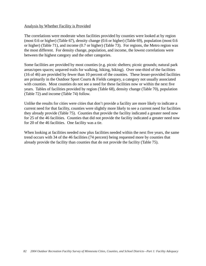#### Analysis by Whether Facility is Provided

The correlations were moderate when facilities provided by counties were looked at by region (most 0.6 or higher) (Table 67), density change (0.6 or higher) (Table 69), population (most 0.6 or higher) (Table 71), and income (0.7 or higher) (Table 73). For regions, the Metro region was the most different. For density change, population, and income, the lowest correlations were between the highest category and the other categories.

Some facilities are provided by most counties (e.g. picnic shelters; picnic grounds; natural park areas/open spaces; unpaved trails for walking, hiking, biking). Over one-third of the facilities (16 of 46) are provided by fewer than 10 percent of the counties. These lesser-provided facilities are primarily in the Outdoor Sport Courts & Fields category, a category not usually associated with counties. Most counties do not see a need for these facilities now or within the next five years. Tables of facilities provided by region (Table 68), density change (Table 70), population (Table 72) and income (Table 74) follow.

Unlike the results for cities were cities that don't provide a facility are more likely to indicate a current need for that facility, counties were slightly more likely to see a current need for facilities they already provide (Table 75). Counties that provide the facility indicated a greater need now for 25 of the 46 facilities. Counties that did not provide the facility indicated a greater need now for 20 of the 46 facilities. One facility was a tie.

When looking at facilities needed now plus facilities needed within the next five years, the same trend occurs with 34 of the 46 facilities (74 percent) being requested more by counties that already provide the facility than counties that do not provide the facility (Table 75).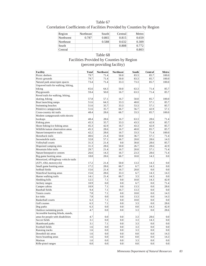| Table 67                                                              |
|-----------------------------------------------------------------------|
| Correlation Coefficients of Facilities Provided by Counties by Region |

| Region    | Northeast | South | Central | Metro |
|-----------|-----------|-------|---------|-------|
| Northwest | 0.787     | 0.865 | 0.815   | 0.659 |
| Northeast |           | 0.588 | 0.632   | 0.309 |
| South     |           |       | 0.808   | 0.772 |
| Central   |           |       |         | 0.803 |

# Table 68 Facilities Provided by Counties by Region (percent providing facility)

| <b>Facility</b>                       | <b>Total</b> | <b>Northwest</b> | <b>Northeast</b> | South | Central | Metro   |
|---------------------------------------|--------------|------------------|------------------|-------|---------|---------|
| Picnic shelters                       | 79.7         | 71.4             | 50.0             | 83.3  | 85.7    | 100.0   |
| Picnic grounds                        | 79.7         | 71.4             | 50.0             | 83.3  | 85.7    | 100.0   |
| Natural park areas/open spaces        | 73.4         | 71.4             | 33.3             | 73.3  | 85.7    | 100.0   |
| Unpaved trails for walking, hiking,   |              |                  |                  |       |         |         |
| biking                                | 65.6         | 64.3             | 50.0             | 63.3  | 71.4    | 85.7    |
| Playgrounds                           | 59.4         | 50.0             | 16.7             | 63.3  | 71.4    | 85.7    |
| Paved trails for walking, hiking,     |              |                  |                  |       |         |         |
| skating, biking                       | 57.8         | 57.1             | 16.7             | 50.0  | 85.7    | 100.0   |
| Boat launching ramps                  | 51.6         | 64.3             | 33.3             | 40.0  | 57.1    | 85.7    |
| Swimming beaches                      | 51.6         | 35.7             | 33.3             | 53.3  | 57.1    | 85.7    |
| Primitive campgrounds                 | 51.6         | 35.7             | 66.7             | 56.7  | 42.9    | 57.1    |
| Cross-country ski trails              | 48.4         | 28.6             | 66.7             | 33.3  | 85.7    | 100.0   |
| Modern campgrounds with electric      |              |                  |                  |       |         |         |
| hookups                               | 48.4         | 28.6             | 16.7             | 63.3  | 28.6    | 71.4    |
| Fishing piers                         | 45.3         | 35.7             | 33.3             | 43.3  | 42.9    | 85.7    |
| Shore fishing/ice fishing areas       | 45.3         | 42.9             | 16.7             | 43.3  | 42.9    | 85.7    |
| Wildlife/nature observation areas     | 45.3         | 28.6             | 16.7             | 40.0  | 85.7    | 85.7    |
| Nature/interpretive trails            | 42.2         | 28.6             | 16.7             | 33.3  | 71.4    | 100.0   |
| Horseback trails                      | 40.6         | 21.4             | 50.0             | 36.7  | 57.1    | 71.4    |
| Snowmobile trails                     | 32.8         | 57.1             | 66.7             | 20.0  | 28.6    | 14.3    |
| Volleyball courts                     | 31.3         | 21.4             | 0.0              | 30.0  | 28.6    | 85.7    |
| Dispersed camping sites               | 31.3         | 28.6             | 50.0             | 26.7  | 28.6    | 42.9    |
| Mountain bike trails                  | 29.7         | 21.4             | 16.7             | 20.0  | 57.1    | 71.4    |
| Nature/Interprative centers           | 26.6         | 14.3             | 16.7             | 23.3  | 28.6    | 71.4    |
| Big game hunting areas                | 18.8         | 28.6             | 66.7             | 10.0  | 14.3    | 0.0     |
| Motorized, off-highway vehicle trails |              |                  |                  |       |         |         |
| (ATV, 4X4, motorcycle)                | 17.2         | 21.4             | 50.0             | 13.3  | 14.3    | 0.0     |
| Small game hunting areas              | 17.2         | 28.6             | 66.7             | 6.7   | 14.3    | 0.0     |
| Softball fields                       | 15.6         | 21.4             | 16.7             | 20.0  | 0.0     | 0.0     |
| Waterfowl hunting areas               | 15.6         | 28.6             | 33.3             | 6.7   | 14.3    | 14.3    |
| Hunter walking trails                 | 14.1         | 21.4             | 66.7             | 3.3   | 14.3    | 0.0     |
| Sledding hills                        | 12.5         | 7.1              | 0.0              | 10.0  | 14.3    | 42.9    |
| Archery ranges                        | 10.9         | 0.0              | $0.0\,$          | 6.7   | 0.0     | 71.4    |
| Camper cabins                         | 10.9         | 7.1              | 0.0              | 13.3  | 0.0     | 28.6    |
| <b>Baseball</b> fields                | 9.4          | 7.1              | 16.7             | 13.3  | 0.0     | 0.0     |
| Tennis courts                         | 7.8          | 7.1              | 0.0              | 10.0  | 0.0     | 14.3    |
| Ice rinks                             | 7.8          | 0.0              | 0.0              | 13.3  | 0.0     | 14.3    |
| <b>Basketball courts</b>              | 6.3          | 7.1              | 0.0              | 10.0  | 0.0     | 0.0     |
| Golf courses                          | 6.3          | 7.1              | 0.0              | 3.3   | 0.0     | 28.6    |
| Dog parks                             | 6.3          | 0.0              | 0.0              | 0.0   | 14.3    | 42.9    |
| Outdoor swimming pools                | 4.7          | 0.0              | 0.0              | 3.3   | 0.0     | 28.6    |
| Accessible hunting blinds, stands,    |              |                  |                  |       |         |         |
| areas for people with disabilities    | 4.7          | 0.0              | 0.0              | 3.3   | 28.6    | 0.0     |
| Soccer fields                         | 3.1          | 0.0              | 0.0              | 3.3   | 14.3    | $0.0\,$ |
| Skateboard parks                      | 3.1          | 7.1              | 0.0              | 3.3   | 0.0     | 0.0     |
| Football fields                       | 1.6          | 0.0              | 0.0              | 3.3   | 0.0     | 0.0     |
| Running tracks                        | 1.6          | 0.0              | 0.0              | 3.3   | 0.0     | 0.0     |
| Downhill ski areas                    | 1.6          | 0.0              | 0.0              | 0.0   | 0.0     | 14.3    |
| Snow boarding areas                   | 1.6          | 0.0              | 0.0              | 0.0   | 0.0     | 14.3    |
| Marinas                               | 1.6          | 0.0              | 0.0              | 3.3   | 0.0     | 0.0     |
| Rifle-pistol ranges                   | 0.0          | 0.0              | 0.0              | 0.0   | 0.0     | 0.0     |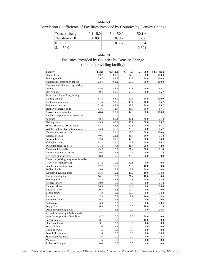| Density change  | $0.1 - 5.0$ | $5.1 - 50.0$ | $50.1 +$ |
|-----------------|-------------|--------------|----------|
| Negative $-0.0$ | 0.891       | 0.817        | 0.700    |
| $ 0.1 - 5.0 $   |             | 0.807        | 0.664    |
| $15.1 - 50.0$   |             |              | 0.804    |

# Table 70 Facilities Provided by Counties by Density Change (percent providing facility)

| 79.7<br>89.5<br>64.3<br>90.0<br>100.0<br>Picnic shelters<br>79.7<br>89.5<br>64.3<br>90.0<br>100.0<br>Picnic grounds<br>73.4<br>67.9<br>Natural park areas/open spaces<br>63.2<br>90.0<br>100.0<br>Unpaved trails for walking, hiking,<br>biking<br>57.9<br>90.0<br>85.7<br>65.6<br>57.1<br>Playgrounds<br>59.4<br>52.6<br>50.0<br>80.0<br>85.7<br>Paved trails for walking, hiking,<br>skating, biking<br>57.8<br>57.9<br>39.3<br>80.0<br>100.0<br>40.0<br>85.7<br>Boat launching ramps<br>51.6<br>52.6<br>46.4<br>39.3<br>Swimming beaches<br>51.6<br>47.4<br>70.0<br>85.7<br>51.6<br>73.7<br>35.7<br>50.0<br>57.1<br>Primitive campgrounds<br>48.4<br>42.9<br>100.0<br>Cross-country ski trails<br>21.1<br>80.0<br>Modern campgrounds with electric<br>48.4<br>68.4<br>32.1<br>40.0<br>71.4<br>hookups<br>Fishing piers<br>45.3<br>42.1<br>35.7<br>50.0<br>85.7<br>45.3<br>32.1<br>Shore fishing/ice fishing areas<br>52.6<br>40.0<br>85.7<br>45.3<br>25.0<br>85.7<br>Wildlife/nature observation areas<br>36.8<br>90.0<br>42.2<br>Nature/interpretive trails<br>21.1<br>28.6<br>80.0<br>100.0<br>40.6<br>35.7<br>60.0<br>71.4<br>Horseback trails<br>26.3<br>32.8<br>42.9<br>14.3<br>Snowmobile trails<br>31.6<br>20.0<br>31.3<br>17.9<br>50.0<br>85.7<br>Volleyball courts<br>21.1<br>31.3<br>47.4<br>21.4<br>42.9<br>Dispersed camping sites<br>20.0<br>Mountain bike trails<br>29.7<br>15.8<br>21.4<br>50.0<br>71.4<br>17.9<br>71.4<br>Nature/Interprative centers<br>26.6<br>15.8<br>40.0<br>Big game hunting areas<br>18.8<br>10.5<br>28.6<br>20.0<br>0.0<br>Motorized, off-highway vehicle trails<br>(ATV, 4X4, motorcycle)<br>17.2<br>10.5<br>32.1<br>0.0<br>0.0<br>17.2<br>10.5<br>28.6<br>10.0<br>0.0<br>Small game hunting areas<br>Softball fields<br>15.6<br>15.8<br>17.9<br>20.0<br>0.0<br>15.6<br>5.3<br>25.0<br>10.0<br>14.3<br>Waterfowl hunting areas<br>Hunter walking trails<br>14.1<br>10.5<br>21.4<br>10.0<br>0.0<br>12.5<br>42.9<br>Sledding hills<br>5.3<br>7.1<br>20.0<br>10.9<br>5.3<br>3.6<br>0.0<br>71.4<br>Archery ranges<br>Camper cabins<br>10.9<br>5.3<br>14.3<br>0.0<br>28.6<br>0.0<br><b>Baseball</b> fields<br>9.4<br>15.8<br>10.7<br>0.0<br>7.8<br>Tennis courts<br>5.3<br>10.7<br>0.0<br>14.3<br>7.8<br>5.3<br>7.1<br>10.0<br>14.3<br>Ice rinks<br>6.3<br>10.7<br>$0.0\,$<br><b>Basketball</b> courts<br>5.3<br>0.0<br>6.3<br>3.6<br>28.6<br>Golf courses<br>5.3<br>0.0<br>6.3<br>0.0<br>0.0<br>10.0<br>42.9<br>Dog parks<br>4.7<br>5.3<br>0.0<br>0.0<br>28.6<br>Outdoor swimming pools<br>Accessible hunting blinds, stands,<br>4.7<br>3.6<br>20.0<br>0.0<br>areas for people with disabilities<br>0.0<br>3.1<br>5.3<br>10.0<br>0.0<br>Soccer fields<br>0.0<br>Skateboard parks<br>3.1<br>5.3<br>3.6<br>0.0<br>0.0<br>1.6<br>0.0<br>0.0<br>Football fields<br>5.3<br>0.0<br>$1.6\,$<br>$0.0\,$<br>Running tracks<br>5.3<br>0.0<br>0.0<br>14.3<br>Downhill ski areas<br>1.6<br>0.0<br>0.0<br>0.0<br>Snow boarding areas<br>1.6<br>0.0<br>0.0<br>0.0<br>14.3<br>1.6<br>5.3<br>0.0<br>0.0<br>0.0<br>Marinas | <b>Facility</b>     | <b>Total</b> | neg - 0.0 | $0.1 - 5.0$ | $5.1 - 50.0$ | 50.1 - high |
|--------------------------------------------------------------------------------------------------------------------------------------------------------------------------------------------------------------------------------------------------------------------------------------------------------------------------------------------------------------------------------------------------------------------------------------------------------------------------------------------------------------------------------------------------------------------------------------------------------------------------------------------------------------------------------------------------------------------------------------------------------------------------------------------------------------------------------------------------------------------------------------------------------------------------------------------------------------------------------------------------------------------------------------------------------------------------------------------------------------------------------------------------------------------------------------------------------------------------------------------------------------------------------------------------------------------------------------------------------------------------------------------------------------------------------------------------------------------------------------------------------------------------------------------------------------------------------------------------------------------------------------------------------------------------------------------------------------------------------------------------------------------------------------------------------------------------------------------------------------------------------------------------------------------------------------------------------------------------------------------------------------------------------------------------------------------------------------------------------------------------------------------------------------------------------------------------------------------------------------------------------------------------------------------------------------------------------------------------------------------------------------------------------------------------------------------------------------------------------------------------------------------------------------------------------------------------------------------------------------------------------------------------------------------------------------------------------------------------------------------------------------------------------------------------------------------------------------------------------------------------------------------------------------------------------------------------------------------------------------------------------------------------------------------------|---------------------|--------------|-----------|-------------|--------------|-------------|
|                                                                                                                                                                                                                                                                                                                                                                                                                                                                                                                                                                                                                                                                                                                                                                                                                                                                                                                                                                                                                                                                                                                                                                                                                                                                                                                                                                                                                                                                                                                                                                                                                                                                                                                                                                                                                                                                                                                                                                                                                                                                                                                                                                                                                                                                                                                                                                                                                                                                                                                                                                                                                                                                                                                                                                                                                                                                                                                                                                                                                                                  |                     |              |           |             |              |             |
|                                                                                                                                                                                                                                                                                                                                                                                                                                                                                                                                                                                                                                                                                                                                                                                                                                                                                                                                                                                                                                                                                                                                                                                                                                                                                                                                                                                                                                                                                                                                                                                                                                                                                                                                                                                                                                                                                                                                                                                                                                                                                                                                                                                                                                                                                                                                                                                                                                                                                                                                                                                                                                                                                                                                                                                                                                                                                                                                                                                                                                                  |                     |              |           |             |              |             |
|                                                                                                                                                                                                                                                                                                                                                                                                                                                                                                                                                                                                                                                                                                                                                                                                                                                                                                                                                                                                                                                                                                                                                                                                                                                                                                                                                                                                                                                                                                                                                                                                                                                                                                                                                                                                                                                                                                                                                                                                                                                                                                                                                                                                                                                                                                                                                                                                                                                                                                                                                                                                                                                                                                                                                                                                                                                                                                                                                                                                                                                  |                     |              |           |             |              |             |
|                                                                                                                                                                                                                                                                                                                                                                                                                                                                                                                                                                                                                                                                                                                                                                                                                                                                                                                                                                                                                                                                                                                                                                                                                                                                                                                                                                                                                                                                                                                                                                                                                                                                                                                                                                                                                                                                                                                                                                                                                                                                                                                                                                                                                                                                                                                                                                                                                                                                                                                                                                                                                                                                                                                                                                                                                                                                                                                                                                                                                                                  |                     |              |           |             |              |             |
|                                                                                                                                                                                                                                                                                                                                                                                                                                                                                                                                                                                                                                                                                                                                                                                                                                                                                                                                                                                                                                                                                                                                                                                                                                                                                                                                                                                                                                                                                                                                                                                                                                                                                                                                                                                                                                                                                                                                                                                                                                                                                                                                                                                                                                                                                                                                                                                                                                                                                                                                                                                                                                                                                                                                                                                                                                                                                                                                                                                                                                                  |                     |              |           |             |              |             |
|                                                                                                                                                                                                                                                                                                                                                                                                                                                                                                                                                                                                                                                                                                                                                                                                                                                                                                                                                                                                                                                                                                                                                                                                                                                                                                                                                                                                                                                                                                                                                                                                                                                                                                                                                                                                                                                                                                                                                                                                                                                                                                                                                                                                                                                                                                                                                                                                                                                                                                                                                                                                                                                                                                                                                                                                                                                                                                                                                                                                                                                  |                     |              |           |             |              |             |
|                                                                                                                                                                                                                                                                                                                                                                                                                                                                                                                                                                                                                                                                                                                                                                                                                                                                                                                                                                                                                                                                                                                                                                                                                                                                                                                                                                                                                                                                                                                                                                                                                                                                                                                                                                                                                                                                                                                                                                                                                                                                                                                                                                                                                                                                                                                                                                                                                                                                                                                                                                                                                                                                                                                                                                                                                                                                                                                                                                                                                                                  |                     |              |           |             |              |             |
|                                                                                                                                                                                                                                                                                                                                                                                                                                                                                                                                                                                                                                                                                                                                                                                                                                                                                                                                                                                                                                                                                                                                                                                                                                                                                                                                                                                                                                                                                                                                                                                                                                                                                                                                                                                                                                                                                                                                                                                                                                                                                                                                                                                                                                                                                                                                                                                                                                                                                                                                                                                                                                                                                                                                                                                                                                                                                                                                                                                                                                                  |                     |              |           |             |              |             |
|                                                                                                                                                                                                                                                                                                                                                                                                                                                                                                                                                                                                                                                                                                                                                                                                                                                                                                                                                                                                                                                                                                                                                                                                                                                                                                                                                                                                                                                                                                                                                                                                                                                                                                                                                                                                                                                                                                                                                                                                                                                                                                                                                                                                                                                                                                                                                                                                                                                                                                                                                                                                                                                                                                                                                                                                                                                                                                                                                                                                                                                  |                     |              |           |             |              |             |
|                                                                                                                                                                                                                                                                                                                                                                                                                                                                                                                                                                                                                                                                                                                                                                                                                                                                                                                                                                                                                                                                                                                                                                                                                                                                                                                                                                                                                                                                                                                                                                                                                                                                                                                                                                                                                                                                                                                                                                                                                                                                                                                                                                                                                                                                                                                                                                                                                                                                                                                                                                                                                                                                                                                                                                                                                                                                                                                                                                                                                                                  |                     |              |           |             |              |             |
|                                                                                                                                                                                                                                                                                                                                                                                                                                                                                                                                                                                                                                                                                                                                                                                                                                                                                                                                                                                                                                                                                                                                                                                                                                                                                                                                                                                                                                                                                                                                                                                                                                                                                                                                                                                                                                                                                                                                                                                                                                                                                                                                                                                                                                                                                                                                                                                                                                                                                                                                                                                                                                                                                                                                                                                                                                                                                                                                                                                                                                                  |                     |              |           |             |              |             |
|                                                                                                                                                                                                                                                                                                                                                                                                                                                                                                                                                                                                                                                                                                                                                                                                                                                                                                                                                                                                                                                                                                                                                                                                                                                                                                                                                                                                                                                                                                                                                                                                                                                                                                                                                                                                                                                                                                                                                                                                                                                                                                                                                                                                                                                                                                                                                                                                                                                                                                                                                                                                                                                                                                                                                                                                                                                                                                                                                                                                                                                  |                     |              |           |             |              |             |
|                                                                                                                                                                                                                                                                                                                                                                                                                                                                                                                                                                                                                                                                                                                                                                                                                                                                                                                                                                                                                                                                                                                                                                                                                                                                                                                                                                                                                                                                                                                                                                                                                                                                                                                                                                                                                                                                                                                                                                                                                                                                                                                                                                                                                                                                                                                                                                                                                                                                                                                                                                                                                                                                                                                                                                                                                                                                                                                                                                                                                                                  |                     |              |           |             |              |             |
|                                                                                                                                                                                                                                                                                                                                                                                                                                                                                                                                                                                                                                                                                                                                                                                                                                                                                                                                                                                                                                                                                                                                                                                                                                                                                                                                                                                                                                                                                                                                                                                                                                                                                                                                                                                                                                                                                                                                                                                                                                                                                                                                                                                                                                                                                                                                                                                                                                                                                                                                                                                                                                                                                                                                                                                                                                                                                                                                                                                                                                                  |                     |              |           |             |              |             |
|                                                                                                                                                                                                                                                                                                                                                                                                                                                                                                                                                                                                                                                                                                                                                                                                                                                                                                                                                                                                                                                                                                                                                                                                                                                                                                                                                                                                                                                                                                                                                                                                                                                                                                                                                                                                                                                                                                                                                                                                                                                                                                                                                                                                                                                                                                                                                                                                                                                                                                                                                                                                                                                                                                                                                                                                                                                                                                                                                                                                                                                  |                     |              |           |             |              |             |
|                                                                                                                                                                                                                                                                                                                                                                                                                                                                                                                                                                                                                                                                                                                                                                                                                                                                                                                                                                                                                                                                                                                                                                                                                                                                                                                                                                                                                                                                                                                                                                                                                                                                                                                                                                                                                                                                                                                                                                                                                                                                                                                                                                                                                                                                                                                                                                                                                                                                                                                                                                                                                                                                                                                                                                                                                                                                                                                                                                                                                                                  |                     |              |           |             |              |             |
|                                                                                                                                                                                                                                                                                                                                                                                                                                                                                                                                                                                                                                                                                                                                                                                                                                                                                                                                                                                                                                                                                                                                                                                                                                                                                                                                                                                                                                                                                                                                                                                                                                                                                                                                                                                                                                                                                                                                                                                                                                                                                                                                                                                                                                                                                                                                                                                                                                                                                                                                                                                                                                                                                                                                                                                                                                                                                                                                                                                                                                                  |                     |              |           |             |              |             |
|                                                                                                                                                                                                                                                                                                                                                                                                                                                                                                                                                                                                                                                                                                                                                                                                                                                                                                                                                                                                                                                                                                                                                                                                                                                                                                                                                                                                                                                                                                                                                                                                                                                                                                                                                                                                                                                                                                                                                                                                                                                                                                                                                                                                                                                                                                                                                                                                                                                                                                                                                                                                                                                                                                                                                                                                                                                                                                                                                                                                                                                  |                     |              |           |             |              |             |
|                                                                                                                                                                                                                                                                                                                                                                                                                                                                                                                                                                                                                                                                                                                                                                                                                                                                                                                                                                                                                                                                                                                                                                                                                                                                                                                                                                                                                                                                                                                                                                                                                                                                                                                                                                                                                                                                                                                                                                                                                                                                                                                                                                                                                                                                                                                                                                                                                                                                                                                                                                                                                                                                                                                                                                                                                                                                                                                                                                                                                                                  |                     |              |           |             |              |             |
|                                                                                                                                                                                                                                                                                                                                                                                                                                                                                                                                                                                                                                                                                                                                                                                                                                                                                                                                                                                                                                                                                                                                                                                                                                                                                                                                                                                                                                                                                                                                                                                                                                                                                                                                                                                                                                                                                                                                                                                                                                                                                                                                                                                                                                                                                                                                                                                                                                                                                                                                                                                                                                                                                                                                                                                                                                                                                                                                                                                                                                                  |                     |              |           |             |              |             |
|                                                                                                                                                                                                                                                                                                                                                                                                                                                                                                                                                                                                                                                                                                                                                                                                                                                                                                                                                                                                                                                                                                                                                                                                                                                                                                                                                                                                                                                                                                                                                                                                                                                                                                                                                                                                                                                                                                                                                                                                                                                                                                                                                                                                                                                                                                                                                                                                                                                                                                                                                                                                                                                                                                                                                                                                                                                                                                                                                                                                                                                  |                     |              |           |             |              |             |
|                                                                                                                                                                                                                                                                                                                                                                                                                                                                                                                                                                                                                                                                                                                                                                                                                                                                                                                                                                                                                                                                                                                                                                                                                                                                                                                                                                                                                                                                                                                                                                                                                                                                                                                                                                                                                                                                                                                                                                                                                                                                                                                                                                                                                                                                                                                                                                                                                                                                                                                                                                                                                                                                                                                                                                                                                                                                                                                                                                                                                                                  |                     |              |           |             |              |             |
|                                                                                                                                                                                                                                                                                                                                                                                                                                                                                                                                                                                                                                                                                                                                                                                                                                                                                                                                                                                                                                                                                                                                                                                                                                                                                                                                                                                                                                                                                                                                                                                                                                                                                                                                                                                                                                                                                                                                                                                                                                                                                                                                                                                                                                                                                                                                                                                                                                                                                                                                                                                                                                                                                                                                                                                                                                                                                                                                                                                                                                                  |                     |              |           |             |              |             |
|                                                                                                                                                                                                                                                                                                                                                                                                                                                                                                                                                                                                                                                                                                                                                                                                                                                                                                                                                                                                                                                                                                                                                                                                                                                                                                                                                                                                                                                                                                                                                                                                                                                                                                                                                                                                                                                                                                                                                                                                                                                                                                                                                                                                                                                                                                                                                                                                                                                                                                                                                                                                                                                                                                                                                                                                                                                                                                                                                                                                                                                  |                     |              |           |             |              |             |
|                                                                                                                                                                                                                                                                                                                                                                                                                                                                                                                                                                                                                                                                                                                                                                                                                                                                                                                                                                                                                                                                                                                                                                                                                                                                                                                                                                                                                                                                                                                                                                                                                                                                                                                                                                                                                                                                                                                                                                                                                                                                                                                                                                                                                                                                                                                                                                                                                                                                                                                                                                                                                                                                                                                                                                                                                                                                                                                                                                                                                                                  |                     |              |           |             |              |             |
|                                                                                                                                                                                                                                                                                                                                                                                                                                                                                                                                                                                                                                                                                                                                                                                                                                                                                                                                                                                                                                                                                                                                                                                                                                                                                                                                                                                                                                                                                                                                                                                                                                                                                                                                                                                                                                                                                                                                                                                                                                                                                                                                                                                                                                                                                                                                                                                                                                                                                                                                                                                                                                                                                                                                                                                                                                                                                                                                                                                                                                                  |                     |              |           |             |              |             |
|                                                                                                                                                                                                                                                                                                                                                                                                                                                                                                                                                                                                                                                                                                                                                                                                                                                                                                                                                                                                                                                                                                                                                                                                                                                                                                                                                                                                                                                                                                                                                                                                                                                                                                                                                                                                                                                                                                                                                                                                                                                                                                                                                                                                                                                                                                                                                                                                                                                                                                                                                                                                                                                                                                                                                                                                                                                                                                                                                                                                                                                  |                     |              |           |             |              |             |
|                                                                                                                                                                                                                                                                                                                                                                                                                                                                                                                                                                                                                                                                                                                                                                                                                                                                                                                                                                                                                                                                                                                                                                                                                                                                                                                                                                                                                                                                                                                                                                                                                                                                                                                                                                                                                                                                                                                                                                                                                                                                                                                                                                                                                                                                                                                                                                                                                                                                                                                                                                                                                                                                                                                                                                                                                                                                                                                                                                                                                                                  |                     |              |           |             |              |             |
|                                                                                                                                                                                                                                                                                                                                                                                                                                                                                                                                                                                                                                                                                                                                                                                                                                                                                                                                                                                                                                                                                                                                                                                                                                                                                                                                                                                                                                                                                                                                                                                                                                                                                                                                                                                                                                                                                                                                                                                                                                                                                                                                                                                                                                                                                                                                                                                                                                                                                                                                                                                                                                                                                                                                                                                                                                                                                                                                                                                                                                                  |                     |              |           |             |              |             |
|                                                                                                                                                                                                                                                                                                                                                                                                                                                                                                                                                                                                                                                                                                                                                                                                                                                                                                                                                                                                                                                                                                                                                                                                                                                                                                                                                                                                                                                                                                                                                                                                                                                                                                                                                                                                                                                                                                                                                                                                                                                                                                                                                                                                                                                                                                                                                                                                                                                                                                                                                                                                                                                                                                                                                                                                                                                                                                                                                                                                                                                  |                     |              |           |             |              |             |
|                                                                                                                                                                                                                                                                                                                                                                                                                                                                                                                                                                                                                                                                                                                                                                                                                                                                                                                                                                                                                                                                                                                                                                                                                                                                                                                                                                                                                                                                                                                                                                                                                                                                                                                                                                                                                                                                                                                                                                                                                                                                                                                                                                                                                                                                                                                                                                                                                                                                                                                                                                                                                                                                                                                                                                                                                                                                                                                                                                                                                                                  |                     |              |           |             |              |             |
|                                                                                                                                                                                                                                                                                                                                                                                                                                                                                                                                                                                                                                                                                                                                                                                                                                                                                                                                                                                                                                                                                                                                                                                                                                                                                                                                                                                                                                                                                                                                                                                                                                                                                                                                                                                                                                                                                                                                                                                                                                                                                                                                                                                                                                                                                                                                                                                                                                                                                                                                                                                                                                                                                                                                                                                                                                                                                                                                                                                                                                                  |                     |              |           |             |              |             |
|                                                                                                                                                                                                                                                                                                                                                                                                                                                                                                                                                                                                                                                                                                                                                                                                                                                                                                                                                                                                                                                                                                                                                                                                                                                                                                                                                                                                                                                                                                                                                                                                                                                                                                                                                                                                                                                                                                                                                                                                                                                                                                                                                                                                                                                                                                                                                                                                                                                                                                                                                                                                                                                                                                                                                                                                                                                                                                                                                                                                                                                  |                     |              |           |             |              |             |
|                                                                                                                                                                                                                                                                                                                                                                                                                                                                                                                                                                                                                                                                                                                                                                                                                                                                                                                                                                                                                                                                                                                                                                                                                                                                                                                                                                                                                                                                                                                                                                                                                                                                                                                                                                                                                                                                                                                                                                                                                                                                                                                                                                                                                                                                                                                                                                                                                                                                                                                                                                                                                                                                                                                                                                                                                                                                                                                                                                                                                                                  |                     |              |           |             |              |             |
|                                                                                                                                                                                                                                                                                                                                                                                                                                                                                                                                                                                                                                                                                                                                                                                                                                                                                                                                                                                                                                                                                                                                                                                                                                                                                                                                                                                                                                                                                                                                                                                                                                                                                                                                                                                                                                                                                                                                                                                                                                                                                                                                                                                                                                                                                                                                                                                                                                                                                                                                                                                                                                                                                                                                                                                                                                                                                                                                                                                                                                                  |                     |              |           |             |              |             |
|                                                                                                                                                                                                                                                                                                                                                                                                                                                                                                                                                                                                                                                                                                                                                                                                                                                                                                                                                                                                                                                                                                                                                                                                                                                                                                                                                                                                                                                                                                                                                                                                                                                                                                                                                                                                                                                                                                                                                                                                                                                                                                                                                                                                                                                                                                                                                                                                                                                                                                                                                                                                                                                                                                                                                                                                                                                                                                                                                                                                                                                  |                     |              |           |             |              |             |
|                                                                                                                                                                                                                                                                                                                                                                                                                                                                                                                                                                                                                                                                                                                                                                                                                                                                                                                                                                                                                                                                                                                                                                                                                                                                                                                                                                                                                                                                                                                                                                                                                                                                                                                                                                                                                                                                                                                                                                                                                                                                                                                                                                                                                                                                                                                                                                                                                                                                                                                                                                                                                                                                                                                                                                                                                                                                                                                                                                                                                                                  |                     |              |           |             |              |             |
|                                                                                                                                                                                                                                                                                                                                                                                                                                                                                                                                                                                                                                                                                                                                                                                                                                                                                                                                                                                                                                                                                                                                                                                                                                                                                                                                                                                                                                                                                                                                                                                                                                                                                                                                                                                                                                                                                                                                                                                                                                                                                                                                                                                                                                                                                                                                                                                                                                                                                                                                                                                                                                                                                                                                                                                                                                                                                                                                                                                                                                                  |                     |              |           |             |              |             |
|                                                                                                                                                                                                                                                                                                                                                                                                                                                                                                                                                                                                                                                                                                                                                                                                                                                                                                                                                                                                                                                                                                                                                                                                                                                                                                                                                                                                                                                                                                                                                                                                                                                                                                                                                                                                                                                                                                                                                                                                                                                                                                                                                                                                                                                                                                                                                                                                                                                                                                                                                                                                                                                                                                                                                                                                                                                                                                                                                                                                                                                  |                     |              |           |             |              |             |
|                                                                                                                                                                                                                                                                                                                                                                                                                                                                                                                                                                                                                                                                                                                                                                                                                                                                                                                                                                                                                                                                                                                                                                                                                                                                                                                                                                                                                                                                                                                                                                                                                                                                                                                                                                                                                                                                                                                                                                                                                                                                                                                                                                                                                                                                                                                                                                                                                                                                                                                                                                                                                                                                                                                                                                                                                                                                                                                                                                                                                                                  |                     |              |           |             |              |             |
|                                                                                                                                                                                                                                                                                                                                                                                                                                                                                                                                                                                                                                                                                                                                                                                                                                                                                                                                                                                                                                                                                                                                                                                                                                                                                                                                                                                                                                                                                                                                                                                                                                                                                                                                                                                                                                                                                                                                                                                                                                                                                                                                                                                                                                                                                                                                                                                                                                                                                                                                                                                                                                                                                                                                                                                                                                                                                                                                                                                                                                                  |                     |              |           |             |              |             |
|                                                                                                                                                                                                                                                                                                                                                                                                                                                                                                                                                                                                                                                                                                                                                                                                                                                                                                                                                                                                                                                                                                                                                                                                                                                                                                                                                                                                                                                                                                                                                                                                                                                                                                                                                                                                                                                                                                                                                                                                                                                                                                                                                                                                                                                                                                                                                                                                                                                                                                                                                                                                                                                                                                                                                                                                                                                                                                                                                                                                                                                  |                     |              |           |             |              |             |
|                                                                                                                                                                                                                                                                                                                                                                                                                                                                                                                                                                                                                                                                                                                                                                                                                                                                                                                                                                                                                                                                                                                                                                                                                                                                                                                                                                                                                                                                                                                                                                                                                                                                                                                                                                                                                                                                                                                                                                                                                                                                                                                                                                                                                                                                                                                                                                                                                                                                                                                                                                                                                                                                                                                                                                                                                                                                                                                                                                                                                                                  |                     |              |           |             |              |             |
|                                                                                                                                                                                                                                                                                                                                                                                                                                                                                                                                                                                                                                                                                                                                                                                                                                                                                                                                                                                                                                                                                                                                                                                                                                                                                                                                                                                                                                                                                                                                                                                                                                                                                                                                                                                                                                                                                                                                                                                                                                                                                                                                                                                                                                                                                                                                                                                                                                                                                                                                                                                                                                                                                                                                                                                                                                                                                                                                                                                                                                                  |                     |              |           |             |              |             |
|                                                                                                                                                                                                                                                                                                                                                                                                                                                                                                                                                                                                                                                                                                                                                                                                                                                                                                                                                                                                                                                                                                                                                                                                                                                                                                                                                                                                                                                                                                                                                                                                                                                                                                                                                                                                                                                                                                                                                                                                                                                                                                                                                                                                                                                                                                                                                                                                                                                                                                                                                                                                                                                                                                                                                                                                                                                                                                                                                                                                                                                  |                     |              |           |             |              |             |
|                                                                                                                                                                                                                                                                                                                                                                                                                                                                                                                                                                                                                                                                                                                                                                                                                                                                                                                                                                                                                                                                                                                                                                                                                                                                                                                                                                                                                                                                                                                                                                                                                                                                                                                                                                                                                                                                                                                                                                                                                                                                                                                                                                                                                                                                                                                                                                                                                                                                                                                                                                                                                                                                                                                                                                                                                                                                                                                                                                                                                                                  |                     |              |           |             |              |             |
|                                                                                                                                                                                                                                                                                                                                                                                                                                                                                                                                                                                                                                                                                                                                                                                                                                                                                                                                                                                                                                                                                                                                                                                                                                                                                                                                                                                                                                                                                                                                                                                                                                                                                                                                                                                                                                                                                                                                                                                                                                                                                                                                                                                                                                                                                                                                                                                                                                                                                                                                                                                                                                                                                                                                                                                                                                                                                                                                                                                                                                                  |                     |              |           |             |              |             |
|                                                                                                                                                                                                                                                                                                                                                                                                                                                                                                                                                                                                                                                                                                                                                                                                                                                                                                                                                                                                                                                                                                                                                                                                                                                                                                                                                                                                                                                                                                                                                                                                                                                                                                                                                                                                                                                                                                                                                                                                                                                                                                                                                                                                                                                                                                                                                                                                                                                                                                                                                                                                                                                                                                                                                                                                                                                                                                                                                                                                                                                  |                     |              |           |             |              |             |
|                                                                                                                                                                                                                                                                                                                                                                                                                                                                                                                                                                                                                                                                                                                                                                                                                                                                                                                                                                                                                                                                                                                                                                                                                                                                                                                                                                                                                                                                                                                                                                                                                                                                                                                                                                                                                                                                                                                                                                                                                                                                                                                                                                                                                                                                                                                                                                                                                                                                                                                                                                                                                                                                                                                                                                                                                                                                                                                                                                                                                                                  |                     |              |           |             |              |             |
|                                                                                                                                                                                                                                                                                                                                                                                                                                                                                                                                                                                                                                                                                                                                                                                                                                                                                                                                                                                                                                                                                                                                                                                                                                                                                                                                                                                                                                                                                                                                                                                                                                                                                                                                                                                                                                                                                                                                                                                                                                                                                                                                                                                                                                                                                                                                                                                                                                                                                                                                                                                                                                                                                                                                                                                                                                                                                                                                                                                                                                                  |                     |              |           |             |              |             |
|                                                                                                                                                                                                                                                                                                                                                                                                                                                                                                                                                                                                                                                                                                                                                                                                                                                                                                                                                                                                                                                                                                                                                                                                                                                                                                                                                                                                                                                                                                                                                                                                                                                                                                                                                                                                                                                                                                                                                                                                                                                                                                                                                                                                                                                                                                                                                                                                                                                                                                                                                                                                                                                                                                                                                                                                                                                                                                                                                                                                                                                  | Rifle-pistol ranges | 0.0          | 0.0       | 0.0         | 0.0          | 0.0         |

*84 2004 Outdoor Recreation Facility Survey of Minnesota Cities, Counties, and School Districts—Part 1: Facility Adequacy*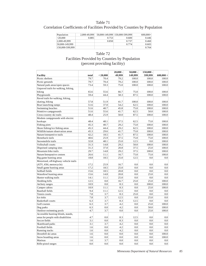### Correlation Coefficients of Facilities Provided by Counties by Population

| Population      | 2,000-49,999 |       | 50,000-149,999 150,000-599,999 | $600.000+$ |
|-----------------|--------------|-------|--------------------------------|------------|
| $ \leq 20.000$  | 0.885        | 0.753 | 0.600                          | 0.446      |
| 2,000-49.999    |              | 0.850 | 0.737                          | 0.460      |
| 50,000-149,999  |              |       | 0.774                          | 0.603      |
| 150.000-599.999 |              |       |                                | 0.764      |

### Table 72 Facilities Provided by Counties by Population (percent providing facility)

|                                       |       |          | $20,000 -$ | $50,000 -$ | $150,000 -$ |             |
|---------------------------------------|-------|----------|------------|------------|-------------|-------------|
| <b>Facility</b>                       | total | < 20,000 | 49,999     | 149,999    | 599,999     | $600,000 +$ |
| Picnic shelters                       | 79.7  | 70.4     | 79.2       | 100.0      | 100.0       | 100.0       |
| Picnic grounds                        | 79.7  | 70.4     | 79.2       | 100.0      | 100.0       | 100.0       |
| Natural park areas/open spaces        | 73.4  | 59.3     | 75.0       | 100.0      | 100.0       | 100.0       |
| Unpaved trails for walking, hiking,   |       |          |            |            |             |             |
| biking                                | 65.6  | 55.6     | 66.7       | 75.0       | 100.0       | 100.0       |
| Playgrounds                           | 59.4  | 44.4     | 58.3       | 87.5       | 100.0       | 100.0       |
| Paved trails for walking, hiking,     |       |          |            |            |             |             |
| skating, biking                       | 57.8  | 51.9     | 41.7       | 100.0      | 100.0       | 100.0       |
| Boat launching ramps                  | 51.6  | 37.0     | 54.2       | 62.5       | 100.0       | 100.0       |
| Swimming beaches                      | 51.6  | 40.7     | 45.8       | 75.0       | 100.0       | 100.0       |
| Primitive campgrounds                 | 51.6  | 55.6     | 41.7       | 62.5       | 50.0        | 100.0       |
| Cross-country ski trails              | 48.4  | 25.9     | 50.0       | 87.5       | 100.0       | 100.0       |
| Modern campgrounds with electric      |       |          |            |            |             |             |
| hookups                               | 48.4  | 48.1     | 37.5       | 62.5       | 75.0        | 100.0       |
| Fishing piers                         | 45.3  | 40.7     | 29.2       | 75.0       | 100.0       | 100.0       |
| Shore fishing/ice fishing areas       | 45.3  | 44.4     | 29.2       | 62.5       | 100.0       | 100.0       |
| Wildlife/nature observation areas     | 45.3  | 29.6     | 41.7       | 75.0       | 100.0       | 100.0       |
| Nature/interpretive trails            | 42.2  | 18.5     | 41.7       | 87.5       | 100.0       | 100.0       |
| Horseback trails                      | 40.6  | 25.9     | 37.5       | 75.0       | 75.0        | 100.0       |
| Snowmobile trails                     | 32.8  | 48.1     | 25.0       | 12.5       | 0.0         | 100.0       |
| Volleyball courts                     | 31.3  | 14.8     | 29.2       | 50.0       | 100.0       | 100.0       |
| Dispersed camping sites               | 31.3  | 37.0     | 20.8       | 37.5       | 25.0        | 100.0       |
| Mountain bike trails                  | 29.7  | 14.8     | 29.2       | 37.5       | 100.0       | 100.0       |
| Nature/Interprative centers           | 26.6  | 11.1     | 16.7       | 75.0       | 75.0        | 100.0       |
| Big game hunting areas                | 18.8  | 18.5     | 25.0       | 12.5       | 0.0         | 0.0         |
| Motorized, off-highway vehicle trails |       |          |            |            |             |             |
| (ATV, 4X4, motorcycle)                | 17.2  | 25.9     | 16.7       | 0.0        | 0.0         | 0.0         |
| Small game hunting areas              | 17.2  | 18.5     | 25.0       | 0.0        | 0.0         | 0.0         |
| Softball fields                       | 15.6  | 18.5     | 20.8       | 0.0        | 0.0         | 0.0         |
| Waterfowl hunting areas               | 15.6  | 14.8     | 20.8       | 0.0        | 25.0        | 0.0         |
| Hunter walking trails                 | 14.1  | 11.1     | 25.0       | 0.0        | 0.0         | 0.0         |
| Sledding hills                        | 12.5  | 0.0      | 16.7       | 25.0       | 25.0        | 100.0       |
| Archery ranges                        | 10.9  | 0.0      | 8.3        | 0.0        | 100.0       | 100.0       |
| Camper cabins                         | 10.9  | 11.1     | 8.3        | 0.0        | 25.0        | 100.0       |
| <b>Baseball</b> fields                | 9.4   | 11.1     | 12.5       | 0.0        | 0.0         | 0.0         |
| Tennis courts                         | 7.8   | 3.7      | 8.3        | 25.0       | 0.0         | 0.0         |
| Ice rinks                             | 7.8   | 3.7      | 12.5       | 0.0        | 25.0        | 0.0         |
| <b>Basketball courts</b>              | 6.3   | 3.7      | 8.3        | 12.5       | 0.0         | 0.0         |
| Golf courses                          | 6.3   | 3.7      | 4.2        | 0.0        | 25.0        | 100.0       |
| Dog parks                             | 6.3   | 0.0      | 4.2        | 0.0        | 50.0        | 100.0       |
| Outdoor swimming pools                | 4.7   | 3.7      | 0.0        | 0.0        | 25.0        | 100.0       |
| Accessible hunting blinds, stands,    |       |          |            |            |             |             |
| areas for people with disabilities    | 4.7   | 0.0      | 8.3        | 12.5       | 0.0         | 0.0         |
| Soccer fields                         | 3.1   | 0.0      | 8.3        | 0.0        | 0.0         | 0.0         |
| Skateboard parks                      | 3.1   | 3.7      | 4.2        | 0.0        | 0.0         | 0.0         |
| Football fields                       | 1.6   | 0.0      | 4.2        | 0.0        | 0.0         | 0.0         |
| Running tracks                        | 1.6   | 0.0      | 4.2        | 0.0        | 0.0         | 0.0         |
| Downhill ski areas                    | 1.6   | 0.0      | 0.0        | 0.0        | 0.0         | 100.0       |
|                                       | 1.6   | 0.0      | 0.0        | 0.0        | 0.0         | 100.0       |
| Snow boarding areas                   | 1.6   | 3.7      |            |            | 0.0         |             |
| Marinas                               |       |          | 0.0        | 0.0        |             | 0.0         |
| Rifle-pistol ranges                   | 0.0   | 0.0      | 0.0        | 0.0        | 0.0         | 0.0         |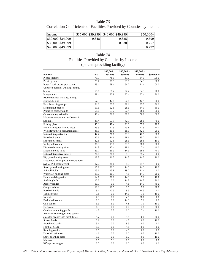# Correlation Coefficients of Facilities Provided by Counties by Income

| Income            | \$35,000-\$39,999 | \$40,000-\$49,999 | $$50,000+$ |
|-------------------|-------------------|-------------------|------------|
| \$30,000-\$34,000 | 0.848             | 0.825             | 0.699      |
| \$35,000-\$39,999 |                   | 0.830             | 0.757      |
| \$40,000-\$49,999 |                   |                   | 0.797      |

### Table 74 Facilities Provided by Counties by Income (percent providing facility)

|                                       |       | \$30,000 - | \$35,000 - | $$40,000$ - |             |
|---------------------------------------|-------|------------|------------|-------------|-------------|
| Facility                              | Total | \$34,999   | \$39,999   | \$49,999    | $$50,000 +$ |
| Picnic shelters                       | 79.7  | 78.9       | 81.0       | 64.3        | 100.0       |
| Picnic grounds                        | 79.7  | 78.9       | 81.0       | 64.3        | 100.0       |
| Natural park areas/open spaces        | 73.4  | 68.4       | 66.7       | 71.4        | 100.0       |
| Unpaved trails for walking, hiking,   |       |            |            |             |             |
| biking                                | 65.6  | 68.4       | 52.4       | 64.3        | 90.0        |
| Playgrounds                           | 59.4  | 57.9       | 52.4       | 57.1        | 80.0        |
| Paved trails for walking, hiking,     |       |            |            |             |             |
| skating, biking                       | 57.8  | 47.4       | 57.1       | 42.9        | 100.0       |
| Boat launching ramps                  | 51.6  | 63.2       | 38.1       | 35.7        | 80.0        |
| Swimming beaches                      | 51.6  | 52.6       | 28.6       | 64.3        | 80.0        |
| Primitive campgrounds                 | 51.6  | 63.2       | 52.4       | 28.6        | 60.0        |
| Cross-country ski trails              | 48.4  | 31.6       | 38.1       | 50.0        | 100.0       |
| Modern campgrounds with electric      |       |            |            |             |             |
| hookups                               | 48.4  | 57.9       | 42.9       | 28.6        | 70.0        |
| Fishing piers                         | 45.3  | 47.4       | 23.8       | 57.1        | 70.0        |
| Shore fishing/ice fishing areas       | 45.3  | 57.9       | 23.8       | 42.9        | 70.0        |
| Wildlife/nature observation areas     | 45.3  | 31.6       | 38.1       | 42.9        | 90.0        |
| Nature/interpretive trails            | 42.2  | 21.1       | 33.3       | 42.9        | 100.0       |
| Horseback trails                      | 40.6  | 31.6       | 28.6       | 35.7        | 90.0        |
| Snowmobile trails                     | 32.8  | 52.6       | 28.6       | 28.6        | 10.0        |
| Volleyball courts                     | 31.3  | 15.8       | 23.8       | 28.6        | 80.0        |
| Dispersed camping sites               | 31.3  | 47.4       | 28.6       | 7.1         | 40.0        |
| Mountain bike trails                  | 29.7  | 26.3       | 14.3       | 28.6        | 70.0        |
| Nature/Interprative centers           | 26.6  | 21.1       | 9.5        | 35.7        | 60.0        |
| Big game hunting areas                | 18.8  | 26.3       | 14.3       | 14.3        | 20.0        |
| Motorized, off-highway vehicle trails |       |            |            |             |             |
| (ATV, 4X4, motorcycle)                | 17.2  | 31.6       | 9.5        | 21.4        | 0.0         |
| Small game hunting areas              | 17.2  | 26.3       | 14.3       | 14.3        | 10.0        |
| Softball fields                       | 15.6  | 15.8       | 19.0       | 21.4        | 0.0         |
| Waterfowl hunting areas               | 15.6  | 26.3       | 4.8        | 14.3        | 20.0        |
| Hunter walking trails                 | 14.1  | 21.1       | 14.3       | 7.1         | 10.0        |
| Sledding hills                        | 12.5  | 0.0        | 14.3       | 14.3        | 30.0        |
| Archery ranges                        | 10.9  | 0.0        | 4.8        | 14.3        | 40.0        |
| Camper cabins                         | 10.9  | 10.5       | 9.5        | 7.1         | 20.0        |
| <b>Baseball</b> fields                | 9.4   | 10.5       | 9.5        | 14.3        | 0.0         |
| Tennis courts                         | 7.8   | 0.0        | 14.3       | 7.1         | 10.0        |
| Ice rinks                             | 7.8   | 0.0        | 4.8        | 28.6        | 0.0         |
| <b>Basketball courts</b>              | 6.3   | 0.0        | 14.3       | 7.1         | 0.0         |
| Golf courses                          | 6.3   | 5.3        | 4.8        | 7.1         | 10.0        |
| Dog parks                             | 6.3   | 0.0        | 0.0        | 7.1         | 30.0        |
| Outdoor swimming pools                | 4.7   | 5.3        | 0.0        | 7.1         | 10.0        |
| Accessible hunting blinds, stands,    |       |            |            |             |             |
|                                       | 4.7   | 0.0        | 4.8        | 0.0         | 20.0        |
| areas for people with disabilities    | 3.1   |            |            |             |             |
| Soccer fields<br>Skateboard parks     | 3.1   | 0.0<br>0.0 | 4.8<br>9.5 | 0.0<br>0.0  | 10.0<br>0.0 |
|                                       |       |            |            |             |             |
| Football fields                       | 1.6   | 0.0        | 4.8        | 0.0         | 0.0         |
| Running tracks                        | 1.6   | 0.0<br>0.0 | 4.8        | 0.0<br>0.0  | 0.0         |
| Downhill ski areas                    | 1.6   |            | 0.0        |             | 10.0        |
| Snow boarding areas                   | 1.6   | 0.0        | 0.0        | 0.0         | 10.0        |
| Marinas                               | 1.6   | 5.3        | 0.0        | 0.0         | 0.0         |
| Rifle-pistol ranges                   | 0.0   | 0.0        | 0.0        | 0.0         | 0.0         |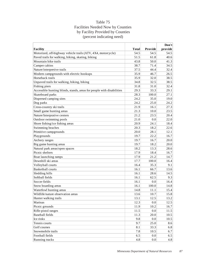# Table 75 Facilities Needed Now by Counties by Facility Provided by Counties (percent indicating need)

|                                                                       |              |         | Don't   |
|-----------------------------------------------------------------------|--------------|---------|---------|
| Facility                                                              | <b>Total</b> | Provide | provide |
| Motorized, off-highway vehicle trails (ATV, 4X4, motorcycle)          | 54.5         | 54.5    | 54.5    |
| Paved trails for walking, hiking, skating, biking                     | 51.5         | 61.8    | 40.6    |
| Mountain bike trails                                                  | 43.8         | 50.0    | 41.3    |
| Camper cabins                                                         | 38.7         | 71.4    | 34.5    |
| Nature/interpretive trails                                            | 37.5         | 44.4    | 32.4    |
| Modern campgrounds with electric hookups                              | 35.9         | 46.7    | 26.5    |
| Horseback trails                                                      | 35.9         | 32.0    | 38.5    |
| Unpaved trails for walking, hiking, biking                            | 34.8         | 32.5    | 38.5    |
| Fishing piers                                                         | 31.8         | 31.0    | 32.4    |
| Accessible hunting blinds, stands, areas for people with disabilities | 29.3         | 33.3    | 29.1    |
| Skateboard parks                                                      | 28.3         | 100.0   | 27.1    |
| Dispersed camping sites                                               | 24.2         | 35.0    | 19.0    |
| Dog parks                                                             | 24.2         | 25.0    | 24.2    |
| Cross-country ski trails                                              | 21.9         | 16.1    | 27.3    |
| Small game hunting areas                                              | 21.3         | 10.0    | 23.5    |
| Nature/Interprative centers                                           | 21.2         | 23.5    | 20.4    |
| Outdoor swimming pools                                                | 21.0         | 0.0     | 22.0    |
| Shore fishing/ice fishing areas                                       | 20.9         | 24.1    | 18.4    |
| Swimming beaches                                                      | 20.3         | 18.2    | 22.6    |
| Primitive campgrounds                                                 | 20.0         | 28.1    | 12.1    |
| Playgrounds                                                           | 19.7         | 22.2    | 16.7    |
| Archery ranges                                                        | 19.7         | 16.7    | 20.0    |
| Big game hunting areas                                                | 19.7         | 18.2    | 20.0    |
| Natural park areas/open spaces                                        | 18.2         | 13.3    | 28.6    |
| Picnic shelters                                                       | 17.9         | 18.4    | 16.7    |
| Boat launching ramps                                                  | 17.9         | 21.2    | 14.7    |
| Downhill ski areas                                                    | 17.7         | 100.0   | 16.4    |
| Volleyball courts                                                     | 16.4         | 35.3    | 9.1     |
| <b>Basketball courts</b>                                              | 16.1         | 66.7    | 13.6    |
| Sledding hills                                                        | 16.1         | 28.6    | 14.5    |
| Softball fields                                                       | 16.1         | 62.5    | 9.3     |
| Soccer fields                                                         | 16.1         | 0.0     | 16.4    |
| Snow boarding areas                                                   | 16.1         | 100.0   | 14.8    |
| Waterfowl hunting areas                                               | 14.8         | 11.1    | 15.4    |
| Wildlife/nature observation areas                                     | 13.6         | 10.7    | 15.8    |
| Hunter walking trails                                                 | 13.1         | 12.5    | 13.2    |
| Marinas                                                               | 12.3         | 0.0     | 12.5    |
| Picnic grounds                                                        | 11.9         | 10.2    | 16.7    |
| Rifle-pistol ranges                                                   | 11.5         | 0.0     | 11.5    |
| Baseball fields                                                       | 11.3         | 20.0    | 10.5    |
| Ice rinks                                                             | 9.8          | 0.0     | 10.5    |
| Tennis courts                                                         | 9.7          | 25.0    | 8.6     |
| Golf courses                                                          | 8.1          | 33.3    | 6.8     |
| Snowmobile trails                                                     | 7.8          | 10.5    | 6.7     |
| Football fields                                                       | 6.5          | 0.0     | 6.5     |
| Running tracks                                                        | 4.8          | 0.0     | 4.8     |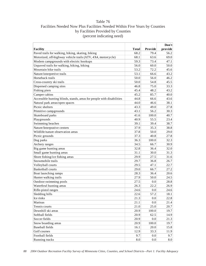# Table 76 Facilities Needed Now Plus Facilities Needed Within Five Years by Counties by Facilities Provided by Counties (percent indicating need)

|                                                                       |       |         | Don't   |
|-----------------------------------------------------------------------|-------|---------|---------|
| <b>Facility</b>                                                       | Total | Provide | provide |
| Paved trails for walking, hiking, skating, biking                     | 68.2  | 79.4    | 56.2    |
| Motorized, off-highway vehicle trails (ATV, 4X4, motorcycle)          | 68.1  | 63.6    | 69.0    |
| Modern campgrounds with electric hookups                              | 59.3  | 73.4    | 47.1    |
| Unpaved trails for walking, hiking, biking                            | 56.0  | 60.0    | 50.0    |
| Mountain bike trails                                                  | 53.2  | 72.2    | 45.6    |
| Nature/interpretive trails                                            | 53.1  | 66.6    | 43.2    |
| Horseback trails                                                      | 50.0  | 56.0    | 46.2    |
| Cross-country ski trails                                              | 50.0  | 54.8    | 45.5    |
| Dispersed camping sites                                               | 46.8  | 75.0    | 33.3    |
| Fishing piers                                                         | 45.4  | 48.2    | 43.2    |
| Camper cabins                                                         | 45.2  | 85.7    | 40.0    |
| Accessible hunting blinds, stands, areas for people with disabilities | 44.8  | 66.6    | 43.6    |
| Natural park areas/open spaces                                        | 44.0  | 46.6    | 38.1    |
| Picnic shelters                                                       | 43.3  | 49.0    | 27.8    |
| Primitive campgrounds                                                 | 43.1  | 56.2    | 30.3    |
| Skateboard parks                                                      | 41.6  | 100.0   | 40.7    |
| Playgrounds                                                           | 40.9  | 55.5    | 23.4    |
| Swimming beaches                                                      | 39.1  | 39.4    | 38.7    |
| Nature/Interprative centers                                           | 37.9  | 35.3    | 38.8    |
| Wildlife/nature observation areas                                     | 37.8  | 50.0    | 29.0    |
| Picnic grounds                                                        | 37.3  | 40.8    | 27.8    |
| Dog parks                                                             | 36.3  | 100.0   | 32.3    |
| Archery ranges                                                        | 34.5  | 66.7    | 30.9    |
| Big game hunting areas                                                | 32.8  | 36.4    | 32.0    |
| Small game hunting areas                                              | 31.1  | 30.0    | 31.3    |
| Shore fishing/ice fishing areas                                       | 29.9  | 27.5    | 31.6    |
| Snowmobile trails                                                     | 29.7  | 36.8    | 26.7    |
| Volleyball courts                                                     | 29.5  | 47.1    | 22.7    |
| <b>Basketball courts</b>                                              | 29.0  | 66.7    | 27.2    |
| Boat launching ramps                                                  | 28.3  | 36.4    | 20.6    |
| Hunter walking trails                                                 | 27.9  | 50.0    | 24.5    |
| Outdoor swimming pools                                                | 27.5  | 0.0     | 28.8    |
| Waterfowl hunting areas                                               | 26.3  | 22.2    | 26.9    |
| Rifle-pistol ranges                                                   | 24.6  | 0.0     | 24.6    |
| Sledding hills                                                        | 22.6  | 57.2    | 18.1    |
| Ice rinks                                                             | 21.3  | 0.0     | 22.8    |
| Marinas                                                               | 21.1  | 0.0     | 21.4    |
| Tennis courts                                                         | 21.0  | 25.0    | 20.7    |
| Downhill ski areas                                                    | 20.9  | 100.0   | 19.7    |
| Softball fields                                                       | 20.9  | 62.5    | 14.9    |
| Soccer fields                                                         | 20.9  | 0.0     | 21.3    |
| Snow boarding areas                                                   | 20.9  | 100.0   | 19.7    |
| <b>Baseball fields</b>                                                | 16.1  | 20.0    | 15.8    |
| Golf courses                                                          | 12.9  | 33.3    | 11.9    |
| Football fields                                                       | 9.7   | 0.0     | 9.7     |
| Running tracks                                                        | 8.0   | 0.0     | 8.0     |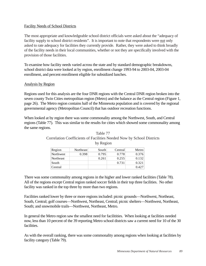### Facility Needs of School Districts

The most appropriate and knowledgeable school district officials were asked about the "adequacy of facility supply to school district residents". It is important to note that respondents were *not* only asked to rate adequacy for facilities they currently provide. Rather, they were asked to think broadly of the facility needs in their local communities, whether or not they are specifically involved with the provision of those facilities.

To examine how facility needs varied across the state and by standard demographic breakdowns, school district data were looked at by region, enrollment change 1993-94 to 2003-04, 2003-04 enrollment, and percent enrollment eligible for subsidized lunches.

### Analysis by Region

Regions used for this analysis are the four DNR regions with the Central DNR region broken into the seven county Twin Cities metropolitan region (Metro) and the balance as the Central region (Figure 1, page 26). The Metro region contains half of the Minnesota population and is covered by the regional governmental agency (Metropolitan Council) that has outdoor recreation functions.

When looked at by region there was some commonality among the Northwest, South, and Central regions (Table 77). This was similar to the results for cities which showed some commonality among the same regions.

| Region    | Northeast | South | Central | Metro |
|-----------|-----------|-------|---------|-------|
| Northwest | 0.398     | 0.795 | 0.778   | 0.376 |
| Northeast |           | 0.261 | 0.255   | 0.132 |
| South     |           |       | 0.731   | 0.321 |
| 'Central  |           |       |         | 0.427 |

### Table 77 Correlation Coefficients of Facilities Needed Now by School Districts by Region

There was some commonality among regions in the higher and lower ranked facilities (Table 78). All of the regions except Central region ranked soccer fields in their top three facilities. No other facility was ranked in the top three by more than two regions.

Facilities ranked lower by three or more regions included: picnic grounds—Northwest, Northeast, South, Central; golf courses—Northwest, Northeast, Central; picnic shelters—Northwest, Northeast, South; and snowmobile trails—Northwest, Northeast, Metro.

In general the Metro region saw the smallest need for facilitities. When looking at facilities needed now, less than 10 percent of the 39 reporting Metro school districts saw a current need for 10 of the 30 facilities.

As with the overall ranking, there was some commonality among regions when looking at facilities by facility category (Table 79).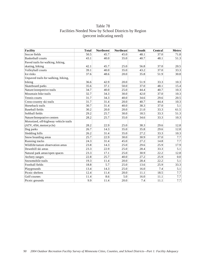# Table 78 Facilities Needed Now by School Districts by Region (percent indicating need)

| <b>Facility</b>                       | <b>Total</b> | <b>Northwest</b> | <b>Northeast</b> | South | Central | Metro   |
|---------------------------------------|--------------|------------------|------------------|-------|---------|---------|
| Soccer fields                         | 50.5         | 45.7             | 45.0             | 48.1  | 37.0    | 71.8    |
| <b>Basketball courts</b>              | 43.1         | 40.0             | 35.0             | 40.7  | 48.1    | 51.3    |
| Paved trails for walking, hiking,     |              |                  |                  |       |         |         |
| skating, biking                       | 42.1         | 45.7             | 25.0             | 56.8  | 37.0    | 20.5    |
| Volleyball courts                     | 39.1         | 40.0             | 35.0             | 43.2  | 37.0    | 33.3    |
| Ice rinks                             | 37.6         | 48.6             | 20.0             | 35.8  | 51.9    | 30.8    |
| Unpaved trails for walking, hiking,   |              |                  |                  |       |         |         |
| biking                                | 36.6         | 42.9             | 20.0             | 51.9  | 33.3    | 10.3    |
| Skateboard parks                      | 35.6         | 37.1             | 50.0             | 37.0  | 48.1    | 15.4    |
| Nature/interpretive trails            | 34.7         | 40.0             | 25.0             | 44.4  | 40.7    | 10.3    |
| Mountain bike trails                  | 32.7         | 34.3             | 30.0             | 42.0  | 37.0    | 10.3    |
| Tennis courts                         | 31.7         | 34.3             | 40.0             | 34.6  | 29.6    | 20.5    |
| Cross-country ski trails              | 31.7         | 31.4             | 20.0             | 40.7  | 44.4    | 10.3    |
| Horseback trails                      | 30.7         | 31.4             | 40.0             | 38.3  | 37.0    | 5.1     |
| <b>Baseball</b> fields                | 30.2         | 20.0             | 20.0             | 21.0  | 33.3    | 61.5    |
| Softball fields                       | 29.2         | 25.7             | 30.0             | 18.5  | 33.3    | 51.3    |
| Nature/Interprative centers           | 28.2         | 25.7             | 35.0             | 34.6  | 33.3    | 10.3    |
| Motorized, off-highway vehicle trails |              |                  |                  |       |         |         |
| (ATV, 4X4, motorcycle)                | 28.2         | 22.9             | 25.0             | 38.3  | 29.6    | 12.8    |
| Dog parks                             | 26.7         | 14.3             | 35.0             | 35.8  | 29.6    | 12.8    |
| Sledding hills                        | 26.2         | 31.4             | 35.0             | 27.2  | 33.3    | 10.3    |
| Snow boarding areas                   | 25.7         | 22.9             | 30.0             | 30.9  | 37.0    | $7.7\,$ |
| Running tracks                        | 24.3         | 31.4             | 45.0             | 27.2  | 14.8    | 7.7     |
| Wildlife/nature observation areas     | 23.8         | 14.3             | 25.0             | 29.6  | 25.9    | 17.9    |
| Downhill ski areas                    | 23.3         | 22.9             | 25.0             | 28.4  | 33.3    | 5.1     |
| Natural park areas/open spaces        | 23.3         | 17.1             | 25.0             | 30.9  | 22.2    | 12.8    |
| Archery ranges                        | 22.8         | 25.7             | 40.0             | 27.2  | 25.9    | 0.0     |
| Snowmobile trails                     | 19.3         | 11.4             | 20.0             | 28.4  | 22.2    | 5.1     |
| Football fields                       | 18.8         | 5.7              | 25.0             | 13.6  | 25.9    | 33.3    |
| Playgrounds                           | 13.4         | 14.3             | 25.0             | 16.0  | 7.4     | 5.1     |
| Picnic shelters                       | 12.4         | 11.4             | 20.0             | 11.1  | 18.5    | 7.7     |
| Golf courses                          | 11.4         | 8.6              | 5.0              | 16.0  | 11.1    | 7.7     |
| Picnic grounds                        | 9.9          | 11.4             | 20.0             | 7.4   | 11.1    | $7.7\,$ |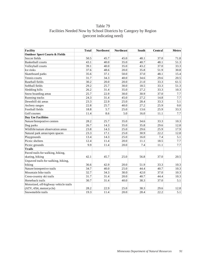# Table 79 Facilities Needed Now by School Districts by Category by Region (percent indicating need)

| <b>Facility</b>                          | <b>Total</b> | <b>Northwest</b> | <b>Northeast</b> | South | Central | Metro   |
|------------------------------------------|--------------|------------------|------------------|-------|---------|---------|
| <b>Outdoor Sport Courts &amp; Fields</b> |              |                  |                  |       |         |         |
| Soccer fields                            | 50.5         | 45.7             | 45.0             | 48.1  | 37.0    | 71.8    |
| <b>Basketball courts</b>                 | 43.1         | 40.0             | 35.0             | 40.7  | 48.1    | 51.3    |
| Volleyball courts                        | 39.1         | 40.0             | 35.0             | 43.2  | 37.0    | 33.3    |
| Ice rinks                                | 37.6         | 48.6             | 20.0             | 35.8  | 51.9    | 30.8    |
| Skateboard parks                         | 35.6         | 37.1             | 50.0             | 37.0  | 48.1    | 15.4    |
| Tennis courts                            | 31.7         | 34.3             | 40.0             | 34.6  | 29.6    | 20.5    |
| <b>Baseball fields</b>                   | 30.2         | 20.0             | 20.0             | 21.0  | 33.3    | 61.5    |
| Softball fields                          | 29.2         | 25.7             | 30.0             | 18.5  | 33.3    | 51.3    |
| Sledding hills                           | 26.2         | 31.4             | 35.0             | 27.2  | 33.3    | 10.3    |
| Snow boarding areas                      | 25.7         | 22.9             | 30.0             | 30.9  | 37.0    | $7.7\,$ |
| Running tracks                           | 24.3         | 31.4             | 45.0             | 27.2  | 14.8    | 7.7     |
| Downhill ski areas                       | 23.3         | 22.9             | 25.0             | 28.4  | 33.3    | 5.1     |
| Archery ranges                           | 22.8         | 25.7             | 40.0             | 27.2  | 25.9    | 0.0     |
| Football fields                          | 18.8         | 5.7              | 25.0             | 13.6  | 25.9    | 33.3    |
| Golf courses                             | 11.4         | 8.6              | 5.0              | 16.0  | 11.1    | 7.7     |
| <b>Day Use Facilities</b>                |              |                  |                  |       |         |         |
| Nature/Interprative centers              | 28.2         | 25.7             | 35.0             | 34.6  | 33.3    | 10.3    |
| Dog parks                                | 26.7         | 14.3             | 35.0             | 35.8  | 29.6    | 12.8    |
| Wildlife/nature observation areas        | 23.8         | 14.3             | 25.0             | 29.6  | 25.9    | 17.9    |
| Natural park areas/open spaces           | 23.3         | 17.1             | 25.0             | 30.9  | 22.2    | 12.8    |
| Playgrounds                              | 13.4         | 14.3             | 25.0             | 16.0  | 7.4     | 5.1     |
| Picnic shelters                          | 12.4         | 11.4             | 20.0             | 11.1  | 18.5    | 7.7     |
| Picnic grounds                           | 9.9          | 11.4             | 20.0             | 7.4   | 11.1    | 7.7     |
| <b>Trails</b>                            |              |                  |                  |       |         |         |
| Paved trails for walking, hiking,        |              |                  |                  |       |         |         |
| skating, biking                          | 42.1         | 45.7             | 25.0             | 56.8  | 37.0    | 20.5    |
| Unpaved trails for walking, hiking,      |              |                  |                  |       |         |         |
| biking                                   | 36.6         | 42.9             | 20.0             | 51.9  | 33.3    | 10.3    |
| Nature/interpretive trails               | 34.7         | 40.0             | 25.0             | 44.4  | 40.7    | 10.3    |
| Mountain bike trails                     | 32.7         | 34.3             | 30.0             | 42.0  | 37.0    | 10.3    |
| Cross-country ski trails                 | 31.7         | 31.4             | 20.0             | 40.7  | 44.4    | 10.3    |
| Horseback trails                         | 30.7         | 31.4             | 40.0             | 38.3  | 37.0    | 5.1     |
| Motorized, off-highway vehicle trails    |              |                  |                  |       |         |         |
| (ATV, 4X4, motorcycle)                   | 28.2         | 22.9             | 25.0             | 38.3  | 29.6    | 12.8    |
| Snowmobile trails                        | 19.3         | 11.4             | 20.0             | 28.4  | 22.2    | 5.1     |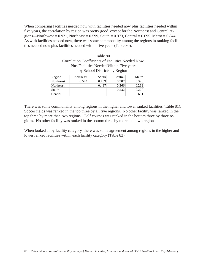When comparing facilities needed now with facilities needed now plus facilities needed within five years, the correlation by region was pretty good, except for the Northeast and Central regions—Northwest =  $0.921$ , Northeast =  $0.599$ , South =  $0.973$ , Central =  $0.695$ , Metro =  $0.844$ . As with facilities needed now, there was some commonality among the regions in ranking facilities needed now plus facilities needed within five years (Table 80).

| by School Districts by Region |           |       |         |       |  |  |  |
|-------------------------------|-----------|-------|---------|-------|--|--|--|
| Region                        | Northeast | South | Central | Metro |  |  |  |
| Northwest                     | 0.544     | 0.789 | 0.707   | 0.320 |  |  |  |
| Northeast                     |           | 0.487 | 0.366   | 0.269 |  |  |  |
| South                         |           |       | 0.532   | 0.200 |  |  |  |
| Central                       |           |       |         | 0.691 |  |  |  |

| Table 80                                                 |
|----------------------------------------------------------|
| <b>Correlation Coefficients of Facilities Needed Now</b> |
| Plus Facilities Needed Within Five years                 |
| by School Districts by Region                            |

There was some commonality among regions in the higher and lower ranked facilities (Table 81). Soccer fields was ranked in the top three by all five regions. No other facility was ranked in the top three by more than two regions. Golf courses was ranked in the bottom three by three regions. No other facility was ranked in the bottom three by more than two regions.

When looked at by facility category, there was some agreement among regions in the higher and lower ranked facilities within each facility category (Table 82).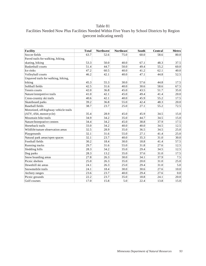# Table 81 Facilities Needed Now Plus Facilities Needed Within Five Years by School Districts by Region (percent indicating need)

| Facility                              | <b>Total</b> | <b>Northwest</b> | <b>Northeast</b> | South | Central | <b>Metro</b> |
|---------------------------------------|--------------|------------------|------------------|-------|---------|--------------|
| Soccer fields                         | 63.7         | 52.6             | 75.0             | 60.0  | 58.6    | 80.0         |
| Paved trails for walking, hiking,     |              |                  |                  |       |         |              |
| skating, biking                       | 53.3         | 50.0             | 40.0             | 67.1  | 48.3    | 37.5         |
| <b>Basketball courts</b>              | 51.4         | 44.7             | 50.0             | 49.4  | 55.2    | 60.0         |
| Ice rinks                             | 47.2         | 60.5             | 40.0             | 41.2  | 62.1    | 40.0         |
| Volleyball courts                     | 46.2         | 42.1             | 40.0             | 47.1  | 44.8    | 52.5         |
| Unpaved trails for walking, hiking,   |              |                  |                  |       |         |              |
| biking                                | 45.3         | 55.3             | 30.0             | 57.6  | 44.8    | 17.5         |
| Softball fields                       | 42.5         | 31.6             | 40.0             | 30.6  | 58.6    | 67.5         |
| Tennis courts                         | 42.0         | 36.8             | 45.0             | 43.5  | 51.7    | 35.0         |
| Nature/interpretive trails            | 41.0         | 42.1             | 45.0             | 49.4  | 41.4    | 20.0         |
| Cross-country ski trails              | 40.6         | 42.1             | 40.0             | 45.9  | 55.2    | 17.5         |
| Skateboard parks                      | 39.2         | 36.8             | 55.0             | 42.4  | 48.3    | 20.0         |
| <b>Baseball</b> fields                | 38.7         | 23.7             | 25.0             | 27.1  | 55.2    | 72.5         |
| Motorized, off-highway vehicle trails |              |                  |                  |       |         |              |
| (ATV, 4X4, motorcycle)                | 35.4         | 28.9             | 45.0             | 45.9  | 34.5    | 15.0         |
| Mountain bike trails                  | 34.9         | 34.2             | 35.0             | 44.7  | 34.5    | 15.0         |
| Nature/Interprative centers           | 34.4         | 34.2             | 45.0             | 38.8  | 37.9    | 17.5         |
| Horseback trails                      | 33.0         | 34.2             | 40.0             | 40.0  | 34.5    | 12.5         |
| Wildlife/nature observation areas     | 32.5         | 28.9             | 35.0             | 36.5  | 34.5    | 25.0         |
| Playgrounds                           | 32.1         | 31.6             | 55.0             | 27.1  | 41.4    | 25.0         |
| Natural park areas/open spaces        | 32.1         | 23.7             | 40.0             | 35.3  | 31.0    | 30.0         |
| Football fields                       | 30.2         | 18.4             | 30.0             | 18.8  | 41.4    | 57.5         |
| Running tracks                        | 29.7         | 31.6             | 55.0             | 31.8  | 27.6    | 12.5         |
| Sledding hills                        | 28.3         | 34.2             | 35.0             | 29.4  | 34.5    | 12.5         |
| Dog parks                             | 28.3         | 13.2             | 35.0             | 37.6  | 31.0    | 17.5         |
| Snow boarding areas                   | 27.8         | 26.3             | 30.0             | 34.1  | 37.9    | 7.5          |
| Picnic shelters                       | 25.0         | 26.3             | 35.0             | 20.0  | 31.0    | 25.0         |
| Downhill ski areas                    | 24.1         | 26.3             | 25.0             | 29.4  | 31.0    | 5.0          |
| Snowmobile trails                     | 24.1         | 18.4             | 30.0             | 30.6  | 27.6    | 10.0         |
| Archery ranges                        | 23.6         | 23.7             | 40.0             | 29.4  | 27.6    | 0.0          |
| Picnic grounds                        | 22.2         | 23.7             | 35.0             | 18.8  | 24.1    | 20.0         |
| Golf courses                          | 17.0         | 15.8             | 5.0              | 22.4  | 13.8    | 15.0         |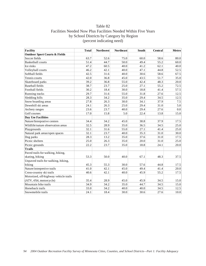## Table 82 Facilities Needed Now Plus Facilities Needed Within Five Years by School Districts by Category by Region (percent indicating need)

| <b>Facility</b>                          | <b>Total</b> | <b>Northwest</b> | <b>Northeast</b> | South | Central | Metro   |
|------------------------------------------|--------------|------------------|------------------|-------|---------|---------|
| <b>Outdoor Sport Courts &amp; Fields</b> |              |                  |                  |       |         |         |
| Soccer fields                            | 63.7         | 52.6             | 75.0             | 60.0  | 58.6    | 80.0    |
| <b>Basketball courts</b>                 | 51.4         | 44.7             | 50.0             | 49.4  | 55.2    | 60.0    |
| Ice rinks                                | 47.2         | 60.5             | 40.0             | 41.2  | 62.1    | 40.0    |
| Volleyball courts                        | 46.2         | 42.1             | 40.0             | 47.1  | 44.8    | 52.5    |
| Softball fields                          | 42.5         | 31.6             | 40.0             | 30.6  | 58.6    | 67.5    |
| Tennis courts                            | 42.0         | 36.8             | 45.0             | 43.5  | 51.7    | 35.0    |
| Skateboard parks                         | 39.2         | 36.8             | 55.0             | 42.4  | 48.3    | 20.0    |
| <b>Baseball</b> fields                   | 38.7         | 23.7             | 25.0             | 27.1  | 55.2    | 72.5    |
| Football fields                          | 30.2         | 18.4             | 30.0             | 18.8  | 41.4    | 57.5    |
| Running tracks                           | 29.7         | 31.6             | 55.0             | 31.8  | 27.6    | 12.5    |
| Sledding hills                           | 28.3         | 34.2             | 35.0             | 29.4  | 34.5    | 12.5    |
| Snow boarding areas                      | 27.8         | 26.3             | 30.0             | 34.1  | 37.9    | 7.5     |
| Downhill ski areas                       | 24.1         | 26.3             | 25.0             | 29.4  | 31.0    | 5.0     |
| Archery ranges                           | 23.6         | 23.7             | 40.0             | 29.4  | 27.6    | $0.0\,$ |
| Golf courses                             | 17.0         | 15.8             | 5.0              | 22.4  | 13.8    | 15.0    |
| <b>Day Use Facilities</b>                |              |                  |                  |       |         |         |
| Nature/Interprative centers              | 34.4         | 34.2             | 45.0             | 38.8  | 37.9    | 17.5    |
| Wildlife/nature observation areas        | 32.5         | 28.9             | 35.0             | 36.5  | 34.5    | 25.0    |
| Playgrounds                              | 32.1         | 31.6             | 55.0             | 27.1  | 41.4    | 25.0    |
| Natural park areas/open spaces           | 32.1         | 23.7             | 40.0             | 35.3  | 31.0    | 30.0    |
| Dog parks                                | 28.3         | 13.2             | 35.0             | 37.6  | 31.0    | 17.5    |
| Picnic shelters                          | 25.0         | 26.3             | 35.0             | 20.0  | 31.0    | 25.0    |
| Picnic grounds                           | 22.2         | 23.7             | 35.0             | 18.8  | 24.1    | 20.0    |
| <b>Trails</b>                            |              |                  |                  |       |         |         |
| Paved trails for walking, hiking,        |              |                  |                  |       |         |         |
| skating, biking                          | 53.3         | 50.0             | 40.0             | 67.1  | 48.3    | 37.5    |
| Unpaved trails for walking, hiking,      |              |                  |                  |       |         |         |
| biking                                   | 45.3         | 55.3             | 30.0             | 57.6  | 44.8    | 17.5    |
| Nature/interpretive trails               | 41.0         | 42.1             | 45.0             | 49.4  | 41.4    | 20.0    |
| Cross-country ski trails                 | 40.6         | 42.1             | 40.0             | 45.9  | 55.2    | 17.5    |
| Motorized, off-highway vehicle trails    |              |                  |                  |       |         |         |
| (ATV, 4X4, motorcycle)                   | 35.4         | 28.9             | 45.0             | 45.9  | 34.5    | 15.0    |
| Mountain bike trails                     | 34.9         | 34.2             | 35.0             | 44.7  | 34.5    | 15.0    |
| Horseback trails                         | 33.0         | 34.2             | 40.0             | 40.0  | 34.5    | 12.5    |
| Snowmobile trails                        | 24.1         | 18.4             | 30.0             | 30.6  | 27.6    | 10.0    |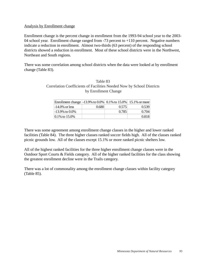#### Analysis by Enrollment change

Enrollment change is the percent change in enrollment from the 1993-94 school year to the 2003- 04 school year. Enrollment change ranged from -73 percent to +110 percent. Negative numbers indicate a reduction in enrollment. Almost two-thirds (63 percent) of the responding school districts showed a reduction in enrollment. Most of these school districts were in the Northwest, Northeast and South regions.

There was some correlation among school districts when the data were looked at by enrollment change (Table 83).

| Table 83                                                              |
|-----------------------------------------------------------------------|
| Correlation Coefficients of Facilities Needed Now by School Districts |
| by Enrollment Change                                                  |

| Enrollment change -13.9% to 0.0% 0.1% to 15.0% 15.1% or more |       |       |       |
|--------------------------------------------------------------|-------|-------|-------|
| $-14.0\%$ or less                                            | 0.680 | 0.575 | 0.539 |
| $-13.9\%$ to $0.0\%$                                         |       | 0.785 | 0.704 |
| $ 0.1\%$ to $15.0\%$                                         |       |       | 0.818 |

There was some agreement among enrollment change classes in the higher and lower ranked facilities (Table 84). The three higher classes ranked soccer fields high. All of the classes ranked picnic grounds low. All of the classes except 15.1% or more ranked picnic shelters low.

All of the highest ranked facilities for the three higher enrollment change classes were in the Outdoor Sport Courts & Fields category. All of the higher ranked facilities for the class showing the greatest enrollment decline were in the Trails category.

There was a lot of commonality among the enrollment change classes within facility category (Table 85).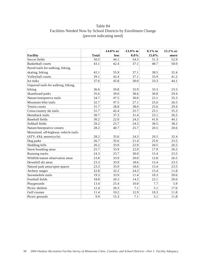# Table 84 Facilities Needed Now by School Districts by Enrollment Change (percent indicating need)

|                                       |              | $-14.0\%$ or | $-13.9%$ to | $0.1\%$ to | 15.1% or |
|---------------------------------------|--------------|--------------|-------------|------------|----------|
| <b>Facility</b>                       | <b>Total</b> | <b>less</b>  | $0.0\%$     | 15.0%      | more     |
| Soccer fields                         | 50.5         | 44.1         | 54.3        | 51.3       | 52.9     |
| <b>Basketball courts</b>              | 43.1         | 42.4         | 37.1        | 48.7       | 50.0     |
| Paved trails for walking, hiking,     |              |              |             |            |          |
| skating, biking                       | 42.1         | 55.9         | 37.1        | 38.5       | 32.4     |
| Volleyball courts                     | 39.1         | 42.4         | 37.1        | 35.9       | 41.2     |
| Ice rinks                             | 37.6         | 45.8         | 30.0        | 33.3       | 44.1     |
| Unpaved trails for walking, hiking,   |              |              |             |            |          |
| biking                                | 36.6         | 50.8         | 32.9        | 33.3       | 23.5     |
| Skateboard parks                      | 35.6         | 39.0         | 38.6        | 30.8       | 29.4     |
| Nature/interpretive trails            | 34.7         | 47.5         | 30.0        | 23.1       | 35.3     |
| Mountain bike trails                  | 32.7         | 47.5         | 27.1        | 25.6       | 26.5     |
| Tennis courts                         | 31.7         | 28.8         | 38.6        | 25.6       | 29.4     |
| Cross-country ski trails              | 31.7         | 42.4         | 25.7        | 23.1       | 35.3     |
| Horseback trails                      | 30.7         | 37.3         | 31.4        | 23.1       | 26.5     |
| <b>Baseball fields</b>                | 30.2         | 22.0         | 24.3        | 41.0       | 44.1     |
| Softball fields                       | 29.2         | 23.7         | 24.3        | 38.5       | 38.2     |
| Nature/Interprative centers           | 28.2         | 40.7         | 25.7        | 20.5       | 20.6     |
| Motorized, off-highway vehicle trails |              |              |             |            |          |
| (ATV, 4X4, motorcycle)                | 28.2         | 35.6         | 24.3        | 20.5       | 32.4     |
| Dog parks                             | 26.7         | 35.6         | 21.4        | 25.6       | 23.5     |
| Sledding hills                        | 26.2         | 33.9         | 22.9        | 20.5       | 26.5     |
| Snow boarding areas                   | 25.7         | 33.9         | 22.9        | 17.9       | 26.5     |
| Running tracks                        | 24.3         | 23.7         | 30.0        | 15.4       | 23.5     |
| Wildlife/nature observation areas     | 23.8         | 33.9         | 20.0        | 12.8       | 26.5     |
| Downhill ski areas                    | 23.3         | 33.9         | 18.6        | 15.4       | 23.5     |
| Natural park areas/open spaces        | 23.3         | 33.9         | 18.6        | 15.4       | 23.5     |
| Archery ranges                        | 22.8         | 32.2         | 24.3        | 15.4       | 11.8     |
| Snowmobile trails                     | 19.3         | 33.9         | 11.4        | 10.3       | 20.6     |
| Football fields                       | 18.8         | 20.3         | 14.3        | 23.1       | 20.6     |
| Playgrounds                           | 13.4         | 25.4         | 10.0        | 7.7        | 5.9      |
| Picnic shelters                       | 12.4         | 20.3         | 7.1         | 5.1        | 17.6     |
| Golf courses                          | 11.4         | 10.2         | 12.9        | 10.3       | 11.8     |
| Picnic grounds                        | 9.9          | 15.3         | 7.1         | 5.1        | 11.8     |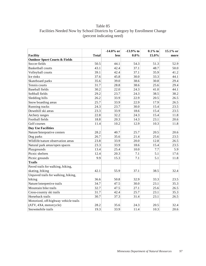# Table 85 Facilities Needed Now by School Districts by Category by Enrollment Change (percent indicating need)

|                                          |              | $-14.0\%$ or | $-13.9%$ to | $0.1\%$ to | 15.1% or |
|------------------------------------------|--------------|--------------|-------------|------------|----------|
| <b>Facility</b>                          | <b>Total</b> | <b>less</b>  | $0.0\%$     | 15.0%      | more     |
| <b>Outdoor Sport Courts &amp; Fields</b> |              |              |             |            |          |
| Soccer fields                            | 50.5         | 44.1         | 54.3        | 51.3       | 52.9     |
| <b>Basketball courts</b>                 | 43.1         | 42.4         | 37.1        | 48.7       | 50.0     |
| Volleyball courts                        | 39.1         | 42.4         | 37.1        | 35.9       | 41.2     |
| Ice rinks                                | 37.6         | 45.8         | 30.0        | 33.3       | 44.1     |
| Skateboard parks                         | 35.6         | 39.0         | 38.6        | 30.8       | 29.4     |
| Tennis courts                            | 31.7         | 28.8         | 38.6        | 25.6       | 29.4     |
| <b>Baseball fields</b>                   | 30.2         | 22.0         | 24.3        | 41.0       | 44.1     |
| Softball fields                          | 29.2         | 23.7         | 24.3        | 38.5       | 38.2     |
| Sledding hills                           | 26.2         | 33.9         | 22.9        | 20.5       | 26.5     |
| Snow boarding areas                      | 25.7         | 33.9         | 22.9        | 17.9       | 26.5     |
| Running tracks                           | 24.3         | 23.7         | 30.0        | 15.4       | 23.5     |
| Downhill ski areas                       | 23.3         | 33.9         | 18.6        | 15.4       | 23.5     |
| Archery ranges                           | 22.8         | 32.2         | 24.3        | 15.4       | 11.8     |
| Football fields                          | 18.8         | 20.3         | 14.3        | 23.1       | 20.6     |
| Golf courses                             | 11.4         | 10.2         | 12.9        | 10.3       | 11.8     |
| <b>Day Use Facilities</b>                |              |              |             |            |          |
| Nature/Interprative centers              | 28.2         | 40.7         | 25.7        | 20.5       | 20.6     |
| Dog parks                                | 26.7         | 35.6         | 21.4        | 25.6       | 23.5     |
| Wildlife/nature observation areas        | 23.8         | 33.9         | 20.0        | 12.8       | 26.5     |
| Natural park areas/open spaces           | 23.3         | 33.9         | 18.6        | 15.4       | 23.5     |
| Playgrounds                              | 13.4         | 25.4         | 10.0        | 7.7        | 5.9      |
| Picnic shelters                          | 12.4         | 20.3         | 7.1         | 5.1        | 17.6     |
| Picnic grounds                           | 9.9          | 15.3         | 7.1         | 5.1        | 11.8     |
| <b>Trails</b>                            |              |              |             |            |          |
| Paved trails for walking, hiking,        |              |              |             |            |          |
| skating, biking                          | 42.1         | 55.9         | 37.1        | 38.5       | 32.4     |
| Unpaved trails for walking, hiking,      |              |              |             |            |          |
| biking                                   | 36.6         | 50.8         | 32.9        | 33.3       | 23.5     |
| Nature/interpretive trails               | 34.7         | 47.5         | 30.0        | 23.1       | 35.3     |
| Mountain bike trails                     | 32.7         | 47.5         | 27.1        | 25.6       | 26.5     |
| Cross-country ski trails                 | 31.7         | 42.4         | 25.7        | 23.1       | 35.3     |
| Horseback trails                         | 30.7         | 37.3         | 31.4        | 23.1       | 26.5     |
| Motorized, off-highway vehicle trails    |              |              |             |            |          |
| (ATV, 4X4, motorcycle)                   | 28.2         | 35.6         | 24.3        | 20.5       | 32.4     |
| Snowmobile trails                        | 19.3         | 33.9         | 11.4        | 10.3       | 20.6     |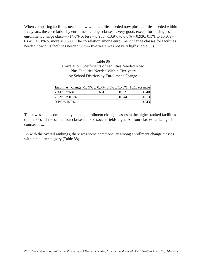When comparing facilities needed now with facilities needed now plus facilities needed within five years, the correlation by enrollment change classes is very good, except for the highest enrollment change class— $-14.0\%$  or less = 0.935,  $-13.9\%$  to 0.0% = 0.936, 0.1% to 15.0% = 0.845, 15.1% or more  $= 0.699$ . The correlation among enrollment change classes for facilities needed now plus facilities needed within five years was not very high (Table 86).

> Table 86 Correlation Coefficients of Facilities Needed Now Plus Facilities Needed Within Five years by School Districts by Enrollment Change

| Enrollment change   -13.9% to 0.0%   0.1% to 15.0%   15.1% or more |       |         |       |
|--------------------------------------------------------------------|-------|---------|-------|
| $-14.0\%$ or less                                                  | 0.651 | (0.309) | 0.240 |
| $-13.9\%$ to $0.0\%$                                               |       | 0.644   | 0.613 |
| 0.1\% to 15.0\%                                                    |       |         | 0.843 |

There was some commonality among enrollment change classes in the higher ranked facilities (Table 87). Three of the four classes ranked soccer fields high. All four classes ranked golf courses low.

As with the overall rankings, there was some commonality among enrollment change classes within facility category (Table 88).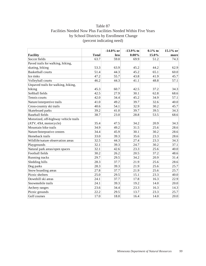# Table 87 Facilities Needed Now Plus Facilities Needed Within Five Years by School Districts by Enrollment Change (percent indicating need)

|                                       |              | $-14.0\%$ or | $-13.9%$ to | $0.1\%$ to | 15.1% or |
|---------------------------------------|--------------|--------------|-------------|------------|----------|
| <b>Facility</b>                       | <b>Total</b> | less         | $0.00\%$    | 15.0%      | more     |
| Soccer fields                         | 63.7         | 59.0         | 69.9        | 51.2       | 74.3     |
| Paved trails for walking, hiking,     |              |              |             |            |          |
| skating, biking                       | 53.3         | 63.9         | 45.2        | 44.2       | 62.9     |
| <b>Basketball courts</b>              | 51.4         | 44.3         | 45.2        | 65.1       | 60.0     |
| Ice rinks                             | 47.2         | 55.7         | 43.8        | 41.9       | 45.7     |
| Volleyball courts                     | 46.2         | 44.3         | 41.1        | 48.8       | 57.1     |
| Unpaved trails for walking, hiking,   |              |              |             |            |          |
| biking                                | 45.3         | 60.7         | 42.5        | 37.2       | 34.3     |
| Softball fields                       | 42.5         | 27.9         | 30.1        | 62.8       | 68.6     |
| Tennis courts                         | 42.0         | 34.4         | 45.2        | 34.9       | 57.1     |
| Nature/interpretive trails            | 41.0         | 49.2         | 39.7        | 32.6       | 40.0     |
| Cross-country ski trails              | 40.6         | 54.1         | 32.9        | 30.2       | 45.7     |
| Skateboard parks                      | 39.2         | 41.0         | 39.7        | 39.5       | 34.3     |
| <b>Baseball</b> fields                | 38.7         | 23.0         | 28.8        | 53.5       | 68.6     |
| Motorized, off-highway vehicle trails |              |              |             |            |          |
| (ATV, 4X4, motorcycle)                | 35.4         | 47.5         | 34.2        | 20.9       | 34.3     |
| Mountain bike trails                  | 34.9         | 49.2         | 31.5        | 25.6       | 28.6     |
| Nature/Interprative centers           | 34.4         | 45.9         | 30.1        | 30.2       | 28.6     |
| Horseback trails                      | 33.0         | 39.3         | 35.6        | 23.3       | 28.6     |
| Wildlife/nature observation areas     | 32.5         | 44.3         | 27.4        | 23.3       | 34.3     |
| Playgrounds                           | 32.1         | 39.3         | 24.7        | 30.2       | 37.1     |
| Natural park areas/open spaces        | 32.1         | 42.6         | 23.3        | 25.6       | 40.0     |
| Football fields                       | 30.2         | 26.2         | 20.5        | 37.2       | 48.6     |
| Running tracks                        | 29.7         | 29.5         | 34.2        | 20.9       | 31.4     |
| Sledding hills                        | 28.3         | 37.7         | 21.9        | 25.6       | 28.6     |
| Dog parks                             | 28.3         | 39.3         | 21.9        | 25.6       | 25.7     |
| Snow boarding areas                   | 27.8         | 37.7         | 21.9        | 25.6       | 25.7     |
| Picnic shelters                       | 25.0         | 29.5         | 15.1        | 23.3       | 40.0     |
| Downhill ski areas                    | 24.1         | 37.7         | 17.8        | 16.3       | 22.9     |
| Snowmobile trails                     | 24.1         | 39.3         | 19.2        | 14.0       | 20.0     |
| Archery ranges                        | 23.6         | 34.4         | 23.3        | 16.3       | 14.3     |
| Picnic grounds                        | 22.2         | 29.5         | 13.7        | 23.3       | 25.7     |
| Golf courses                          | 17.0         | 18.0         | 16.4        | 14.0       | 20.0     |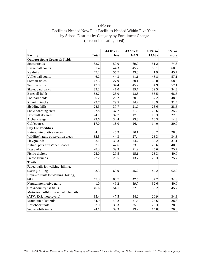# Table 88 Facilities Needed Now Plus Facilities Needed Within Five Years by School Districts by Category by Enrollment Change (percent indicating need)

|                                          |              | $-14.0\%$ or | $-13.9%$ to | $0.1\%$ to | 15.1% or |
|------------------------------------------|--------------|--------------|-------------|------------|----------|
| <b>Facility</b>                          | <b>Total</b> | less         | $0.0\%$     | 15.0%      | more     |
| <b>Outdoor Sport Courts &amp; Fields</b> |              |              |             |            |          |
| Soccer fields                            | 63.7         | 59.0         | 69.9        | 51.2       | 74.3     |
| <b>Basketball courts</b>                 | 51.4         | 44.3         | 45.2        | 65.1       | 60.0     |
| Ice rinks                                | 47.2         | 55.7         | 43.8        | 41.9       | 45.7     |
| Volleyball courts                        | 46.2         | 44.3         | 41.1        | 48.8       | 57.1     |
| Softball fields                          | 42.5         | 27.9         | 30.1        | 62.8       | 68.6     |
| Tennis courts                            | 42.0         | 34.4         | 45.2        | 34.9       | 57.1     |
| Skateboard parks                         | 39.2         | 41.0         | 39.7        | 39.5       | 34.3     |
| <b>Baseball</b> fields                   | 38.7         | 23.0         | 28.8        | 53.5       | 68.6     |
| Football fields                          | 30.2         | 26.2         | 20.5        | 37.2       | 48.6     |
| Running tracks                           | 29.7         | 29.5         | 34.2        | 20.9       | 31.4     |
| Sledding hills                           | 28.3         | 37.7         | 21.9        | 25.6       | 28.6     |
| Snow boarding areas                      | 27.8         | 37.7         | 21.9        | 25.6       | 25.7     |
| Downhill ski areas                       | 24.1         | 37.7         | 17.8        | 16.3       | 22.9     |
| Archery ranges                           | 23.6         | 34.4         | 23.3        | 16.3       | 14.3     |
| Golf courses                             | 17.0         | 18.0         | 16.4        | 14.0       | 20.0     |
| <b>Day Use Facilities</b>                |              |              |             |            |          |
| Nature/Interprative centers              | 34.4         | 45.9         | 30.1        | 30.2       | 28.6     |
| Wildlife/nature observation areas        | 32.5         | 44.3         | 27.4        | 23.3       | 34.3     |
| Playgrounds                              | 32.1         | 39.3         | 24.7        | 30.2       | 37.1     |
| Natural park areas/open spaces           | 32.1         | 42.6         | 23.3        | 25.6       | 40.0     |
| Dog parks                                | 28.3         | 39.3         | 21.9        | 25.6       | 25.7     |
| Picnic shelters                          | 25.0         | 29.5         | 15.1        | 23.3       | 40.0     |
| Picnic grounds                           | 22.2         | 29.5         | 13.7        | 23.3       | 25.7     |
| <b>Trails</b>                            |              |              |             |            |          |
| Paved trails for walking, hiking,        |              |              |             |            |          |
| skating, biking                          | 53.3         | 63.9         | 45.2        | 44.2       | 62.9     |
| Unpaved trails for walking, hiking,      |              |              |             |            |          |
| biking                                   | 45.3         | 60.7         | 42.5        | 37.2       | 34.3     |
| Nature/interpretive trails               | 41.0         | 49.2         | 39.7        | 32.6       | 40.0     |
| Cross-country ski trails                 | 40.6         | 54.1         | 32.9        | 30.2       | 45.7     |
| Motorized, off-highway vehicle trails    |              |              |             |            |          |
| (ATV, 4X4, motorcycle)                   | 35.4         | 47.5         | 34.2        | 20.9       | 34.3     |
| Mountain bike trails                     | 34.9         | 49.2         | 31.5        | 25.6       | 28.6     |
| Horseback trails                         | 33.0         | 39.3         | 35.6        | 23.3       | 28.6     |
| Snowmobile trails                        | 24.1         | 39.3         | 19.2        | 14.0       | 20.0     |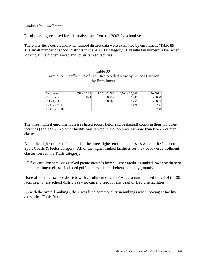#### Analysis by Enrollment

Enrollment figures used for this analysis are from the 2003-04 school year.

There was little correlation when school district data were examined by enrollment (Table 89). The small number of school districts in the  $20,001+$  category (3) resulted in numerous ties when looking at the higher ranked and lower ranked facilties.

### Table 89 Correlation Coefficients of Facilities Needed Now by School Districts by Enrollment

| Enrollment         | $651 - 1.200$ | $1.201 - 2.700$ | $2,701 - 20,000$ | $20.001+$ |
|--------------------|---------------|-----------------|------------------|-----------|
| $650$ or less      | 0.828         | 0.539           | 0.207            | $-0.060$  |
| 651 - 1.200        |               | 0.766           | 0.255            | $-0.035$  |
| $1,201 - 2,700$    |               |                 | 0.478            | 0.236     |
| $ 2,701 - 20,000 $ |               |                 |                  | 0.738     |

The three highest enrollment classes listed soccer fields and basketball courts in their top three facilities (Table 90). No other facility was ranked in the top three by more than two enrollment classes.

All of the highest ranked facilities for the three higher enrollment classes were in the Outdoor Sport Courts & Fields category. All of the higher ranked facilities for the two lowest enrollment classes were in the Trails category.

All five enrollment classes ranked picnic grounds lower. Other facilities ranked lower by three or more enrollment classes included golf courses, picnic shelters, and playgrounds.

None of the three school districts with enrollment of 20,001+ saw a current need for 23 of the 30 facilities. These school districts saw no current need for any Trail or Day Use facilities.

As with the overall rankings, there was little commonality in rankings when looking at facility categories (Table 91).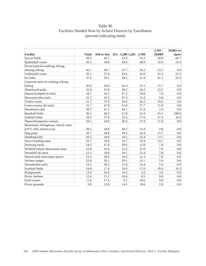# Table 90 Facilities Needed Now by School Districts by Enrollment (percent indicating need)

|                                       |              |             |      |                                 | $2,701 -$ | 20,001 or |
|---------------------------------------|--------------|-------------|------|---------------------------------|-----------|-----------|
| Facility                              | <b>Total</b> | 650 or less |      | $651 - 1,200$   $1,201 - 2,700$ | 20,000    | more      |
| Soccer fields                         | 50.5         | 45.7        | 43.6 | 53.2                            | 58.8      | 66.7      |
| <b>Basketball courts</b>              | 43.1         | 34.8        | 36.4 | 48.9                            | 52.9      | 33.3      |
| Paved trails for walking, hiking,     |              |             |      |                                 |           |           |
| skating, biking                       | 42.1         | 58.7        | 52.7 | 36.2                            | 23.5      | 0.0       |
| Volleyball courts                     | 39.1         | 37.0        | 43.6 | 42.6                            | 33.3      | 33.3      |
| Ice rinks                             | 37.6         | 39.1        | 38.2 | 31.9                            | 41.2      | 33.3      |
| Unpaved trails for walking, hiking,   |              |             |      |                                 |           |           |
| biking                                | 36.6         | 50.0        | 56.4 | 25.5                            | 15.7      | 0.0       |
| Skateboard parks                      | 35.6         | 47.8        | 38.2 | 36.2                            | 23.5      | 0.0       |
| Nature/interpretive trails            | 34.7         | 56.5        | 47.3 | 29.8                            | 7.8       | 0.0       |
| Mountain bike trails                  | 32.7         | 43.5        | 47.3 | 31.9                            | 9.8       | 0.0       |
| Tennis courts                         | 31.7         | 37.0        | 36.4 | 36.2                            | 19.6      | 0.0       |
| Cross-country ski trails              | 31.7         | 47.8        | 41.8 | 27.7                            | 11.8      | 0.0       |
| Horseback trails                      | 30.7         | 41.3        | 49.1 | 31.9                            | 2.0       | 0.0       |
| <b>Baseball</b> fields                | 30.2         | 28.3        | 21.8 | 23.4                            | 43.1      | 100.0     |
| Softball fields                       | 29.2         | 37.0        | 25.5 | 17.0                            | 37.3      | 33.3      |
| Nature/Interprative centers           | 28.2         | 34.8        | 36.4 | 31.9                            | 11.8      | 0.0       |
| Motorized, off-highway vehicle trails |              |             |      |                                 |           |           |
| (ATV, 4X4, motorcycle)                | 28.2         | 34.8        | 38.2 | 31.9                            | 9.8       | 0.0       |
| Dog parks                             | 26.7         | 34.8        | 34.5 | 23.4                            | 15.7      | 0.0       |
| Sledding hills                        | 26.2         | 34.8        | 34.5 | 23.4                            | 13.7      | 0.0       |
| Snow boarding areas                   | 25.7         | 34.8        | 32.7 | 23.4                            | 13.7      | 0.0       |
| Running tracks                        | 24.3         | 47.8        | 30.9 | 12.8                            | 7.8       | 0.0       |
| Wildlife/nature observation areas     | 23.8         | 32.6        | 25.5 | 31.9                            | 7.8       | 0.0       |
| Downhill ski areas                    | 23.3         | 34.8        | 29.1 | 23.4                            | 7.8       | 0.0       |
| Natural park areas/open spaces        | 23.3         | 30.4        | 34.5 | 21.3                            | 7.8       | 0.0       |
| Archery ranges                        | 22.8         | 39.1        | 29.1 | 19.1                            | 5.9       | 0.0       |
| Snowmobile trails                     | 19.3         | 28.3        | 21.8 | 23.4                            | 5.9       | 0.0       |
| Football fields                       | 18.8         | 17.4        | 10.9 | 17.0                            | 29.4      | 33.3      |
| Playgrounds                           | 13.4         | 32.6        | 14.5 | 4.3                             | 3.9       | 0.0       |
| Picnic shelters                       | 12.4         | 15.2        | 16.4 | 8.5                             | 9.8       | 0.0       |
| Golf courses                          | 11.4         | 17.4        | 9.1  | 10.6                            | 9.8       | 0.0       |
| Picnic grounds                        | 9.9          | 13.0        | 14.5 | 10.6                            | 2.0       | 0.0       |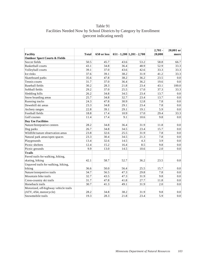# Table 91 Facilities Needed Now by School Districts by Category by Enrollment (percent indicating need)

|                                          |              |             |      |                                 | $2,701 -$ | $20,001$ or |
|------------------------------------------|--------------|-------------|------|---------------------------------|-----------|-------------|
| Facility                                 | <b>Total</b> | 650 or less |      | $651 - 1,200$   $1,201 - 2,700$ | 20,000    | more        |
| <b>Outdoor Sport Courts &amp; Fields</b> |              |             |      |                                 |           |             |
| Soccer fields                            | 50.5         | 45.7        | 43.6 | 53.2                            | 58.8      | 66.7        |
| <b>Basketball courts</b>                 | 43.1         | 34.8        | 36.4 | 48.9                            | 52.9      | 33.3        |
| Volleyball courts                        | 39.1         | 37.0        | 43.6 | 42.6                            | 33.3      | 33.3        |
| Ice rinks                                | 37.6         | 39.1        | 38.2 | 31.9                            | 41.2      | 33.3        |
| Skateboard parks                         | 35.6         | 47.8        | 38.2 | 36.2                            | 23.5      | 0.0         |
| Tennis courts                            | 31.7         | 37.0        | 36.4 | 36.2                            | 19.6      | 0.0         |
| <b>Baseball fields</b>                   | 30.2         | 28.3        | 21.8 | 23.4                            | 43.1      | 100.0       |
| Softball fields                          | 29.2         | 37.0        | 25.5 | 17.0                            | 37.3      | 33.3        |
| Sledding hills                           | 26.2         | 34.8        | 34.5 | 23.4                            | 13.7      | 0.0         |
| Snow boarding areas                      | 25.7         | 34.8        | 32.7 | 23.4                            | 13.7      | 0.0         |
| Running tracks                           | 24.3         | 47.8        | 30.9 | 12.8                            | 7.8       | 0.0         |
| Downhill ski areas                       | 23.3         | 34.8        | 29.1 | 23.4                            | 7.8       | 0.0         |
| Archery ranges                           | 22.8         | 39.1        | 29.1 | 19.1                            | 5.9       | 0.0         |
| Football fields                          | 18.8         | 17.4        | 10.9 | 17.0                            | 29.4      | 33.3        |
| Golf courses                             | 11.4         | 17.4        | 9.1  | 10.6                            | 9.8       | 0.0         |
| <b>Day Use Facilities</b>                |              |             |      |                                 |           |             |
| Nature/Interprative centers              | 28.2         | 34.8        | 36.4 | 31.9                            | 11.8      | 0.0         |
| Dog parks                                | 26.7         | 34.8        | 34.5 | 23.4                            | 15.7      | 0.0         |
| Wildlife/nature observation areas        | 23.8         | 32.6        | 25.5 | 31.9                            | 7.8       | 0.0         |
| Natural park areas/open spaces           | 23.3         | 30.4        | 34.5 | 21.3                            | 7.8       | 0.0         |
| Playgrounds                              | 13.4         | 32.6        | 14.5 | 4.3                             | 3.9       | $0.0\,$     |
| Picnic shelters                          | 12.4         | 15.2        | 16.4 | 8.5                             | 9.8       | 0.0         |
| Picnic grounds                           | 9.9          | 13.0        | 14.5 | 10.6                            | 2.0       | 0.0         |
| <b>Trails</b>                            |              |             |      |                                 |           |             |
| Paved trails for walking, hiking,        |              |             |      |                                 |           |             |
| skating, biking                          | 42.1         | 58.7        | 52.7 | 36.2                            | 23.5      | 0.0         |
| Unpaved trails for walking, hiking,      |              |             |      |                                 |           |             |
| biking                                   | 36.6         | 50.0        | 56.4 | 25.5                            | 15.7      | 0.0         |
| Nature/interpretive trails               | 34.7         | 56.5        | 47.3 | 29.8                            | 7.8       | $0.0\,$     |
| Mountain bike trails                     | 32.7         | 43.5        | 47.3 | 31.9                            | 9.8       | 0.0         |
| Cross-country ski trails                 | 31.7         | 47.8        | 41.8 | 27.7                            | 11.8      | 0.0         |
| Horseback trails                         | 30.7         | 41.3        | 49.1 | 31.9                            | 2.0       | 0.0         |
| Motorized, off-highway vehicle trails    |              |             |      |                                 |           |             |
| (ATV, 4X4, motorcycle)                   | 28.2         | 34.8        | 38.2 | 31.9                            | 9.8       | 0.0         |
| Snowmobile trails                        | 19.3         | 28.3        | 21.8 | 23.4                            | 5.9       | 0.0         |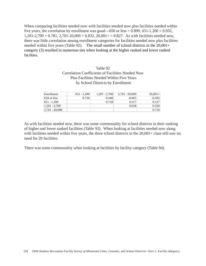When comparing facilities needed now with facilities needed now plus facilities needed within five years, the correlation by enrollment was good—650 or less =  $0.890, 651-1,200 = 0.932$ ,  $1,201-2,700 = 0.781, 2,701-20,000 = 0.832, 20,001 + 0.827$ . As with facilities needed now, there was little correlation among enrollment categories for facilities needed now plus facilities needed within five years (Table 92). The small number of school districts in the 20,001+ category (3) resulted in numerous ties when looking at the higher ranked and lower ranked facilties.

# Table 92 Correlation Coefficients of Facilities Needed Now Plus Facilities Needed Within Five Years by School Districts by Enrollment

| Enrollment         | $651 - 1.200$ | $1,201 - 2,700$ | $2.701 - 20.000$ | $20,001+$ |
|--------------------|---------------|-----------------|------------------|-----------|
| $650$ or less      | 0.736         | 0.348           | $-0.065$         | $-0.202$  |
| 651 - 1.200        |               | 0.718           | 0.217            | 0.127     |
| $1,201 - 2,700$    |               |                 | 0.658            | 0.550     |
| $ 2,701 - 20,000 $ |               |                 |                  | 0.710     |

As with facilities needed now, there was some commonality for school districts in their ranking of higher and lower ranked facilities (Table 93). When looking at facilities needed now along with facilities needed within five years, the three school districts in the  $20,001+$  class still saw no need for 20 facilities.

There was some commonality when looking at facilities by facility category (Table 94).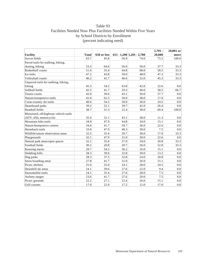# Table 93 Facilities Needed Now Plus Facilities Needed Within Five Years by School Districts by Enrollment (percent indicating need)

|                                       |              |             |      |                                 | $2,701 -$ | 20,001 or |
|---------------------------------------|--------------|-------------|------|---------------------------------|-----------|-----------|
| <b>Facility</b>                       | <b>Total</b> | 650 or less |      | $651 - 1,200$   $1,201 - 2,700$ | 20,000    | more      |
| Soccer fields                         | 63.7         | 45.8        | 56.9 | 74.0                            | 75.5      | 100.0     |
| Paved trails for walking, hiking,     |              |             |      |                                 |           |           |
| skating, biking                       | 53.3         | 64.6        | 56.9 | 56.0                            | 37.7      | 33.3      |
| <b>Basketball courts</b>              | 51.4         | 35.4        | 44.8 | 68.0                            | 58.5      | 33.3      |
| Ice rinks                             | 47.2         | 43.8        | 50.0 | 48.0                            | 47.2      | 33.3      |
| Volleyball courts                     | 46.2         | 41.7        | 46.6 | 52.0                            | 45.3      | 33.3      |
| Unpaved trails for walking, hiking,   |              |             |      |                                 |           |           |
| biking                                | 45.3         | 54.2        | 63.8 | 42.0                            | 22.6      | 0.0       |
| Softball fields                       | 42.5         | 41.7        | 29.3 | 40.0                            | 58.5      | 66.7      |
| Tennis courts                         | 42.0         | 39.6        | 43.1 | 50.0                            | 37.7      | 0.0       |
| Nature/interpretive trails            | 41.0         | 62.5        | 50.0 | 38.0                            | 17.0      | 0.0       |
| Cross-country ski trails              | 40.6         | 54.2        | 50.0 | 36.0                            | 24.5      | 0.0       |
| Skateboard parks                      | 39.2         | 52.1        | 39.7 | 42.0                            | 26.4      | 0.0       |
| <b>Baseball</b> fields                | 38.7         | 31.3        | 22.4 | 38.0                            | 60.4      | 100.0     |
| Motorized, off-highway vehicle trails |              |             |      |                                 |           |           |
| (ATV, 4X4, motorcycle)                | 35.4         | 52.1        | 43.1 | 38.0                            | 11.3      | 0.0       |
| Mountain bike trails                  | 34.9         | 47.9        | 44.8 | 34.0                            | 15.1      | 0.0       |
| Nature/Interprative centers           | 34.4         | 41.7        | 39.7 | 36.0                            | 22.6      | 0.0       |
| Horseback trails                      | 33.0         | 47.9        | 48.3 | 30.0                            | 7.5       | 0.0       |
| Wildlife/nature observation areas     | 32.5         | 35.4        | 39.7 | 38.0                            | 17.0      | 33.3      |
| Playgrounds                           | 32.1         | 47.9        | 31.0 | 30.0                            | 22.6      | 0.0       |
| Natural park areas/open spaces        | 32.1         | 35.4        | 37.9 | 34.0                            | 20.8      | 33.3      |
| Football fields                       | 30.2         | 20.8        | 20.7 | 26.0                            | 52.8      | 33.3      |
| Running tracks                        | 29.7         | 54.2        | 36.2 | 16.0                            | 15.1      | 0.0       |
| Sledding hills                        | 28.3         | 39.6        | 32.8 | 30.0                            | 13.2      | 0.0       |
| Dog parks                             | 28.3         | 37.5        | 32.8 | 24.0                            | 20.8      | 0.0       |
| Snow boarding areas                   | 27.8         | 41.7        | 31.0 | 26.0                            | 15.1      | 0.0       |
| Picnic shelters                       | 25.0         | 25.0        | 24.1 | 28.0                            | 24.5      | 0.0       |
| Downhill ski areas                    | 24.1         | 39.6        | 27.6 | 22.0                            | 9.4       | 0.0       |
| Snowmobile trails                     | 24.1         | 35.4        | 27.6 | 28.0                            | 7.5       | 0.0       |
| Archery ranges                        | 23.6         | 41.7        | 27.6 | 20.0                            | 7.5       | 0.0       |
| Picnic grounds                        | 22.2         | 27.1        | 22.4 | 26.0                            | 15.1      | 0.0       |
| Golf courses                          | 17.0         | 22.9        | 17.2 | 12.0                            | 17.0      | 0.0       |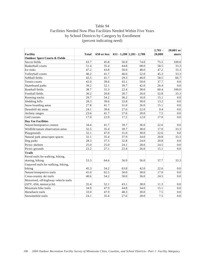# Table 94 Facilities Needed Now Plus Facilities Needed Within Five Years by School Districts by Category by Enrollment (percent indicating need)

|                                          |              |             |      |                                 | $2,701 -$ | 20,001 or |
|------------------------------------------|--------------|-------------|------|---------------------------------|-----------|-----------|
| Facility                                 | <b>Total</b> | 650 or less |      | $651 - 1,200$   $1,201 - 2,700$ | 20,000    | more      |
| <b>Outdoor Sport Courts &amp; Fields</b> |              |             |      |                                 |           |           |
| Soccer fields                            | 63.7         | 45.8        | 56.9 | 74.0                            | 75.5      | 100.0     |
| <b>Basketball courts</b>                 | 51.4         | 35.4        | 44.8 | 68.0                            | 58.5      | 33.3      |
| Ice rinks                                | 47.2         | 43.8        | 50.0 | 48.0                            | 47.2      | 33.3      |
| Volleyball courts                        | 46.2         | 41.7        | 46.6 | 52.0                            | 45.3      | 33.3      |
| Softball fields                          | 42.5         | 41.7        | 29.3 | 40.0                            | 58.5      | 66.7      |
| Tennis courts                            | 42.0         | 39.6        | 43.1 | 50.0                            | 37.7      | 0.0       |
| Skateboard parks                         | 39.2         | 52.1        | 39.7 | 42.0                            | 26.4      | $0.0\,$   |
| <b>Baseball</b> fields                   | 38.7         | 31.3        | 22.4 | 38.0                            | 60.4      | 100.0     |
| Football fields                          | 30.2         | 20.8        | 20.7 | 26.0                            | 52.8      | 33.3      |
| Running tracks                           | 29.7         | 54.2        | 36.2 | 16.0                            | 15.1      | 0.0       |
| Sledding hills                           | 28.3         | 39.6        | 32.8 | 30.0                            | 13.2      | 0.0       |
| Snow boarding areas                      | 27.8         | 41.7        | 31.0 | 26.0                            | 15.1      | 0.0       |
| Downhill ski areas                       | 24.1         | 39.6        | 27.6 | 22.0                            | 9.4       | 0.0       |
| Archery ranges                           | 23.6         | 41.7        | 27.6 | 20.0                            | 7.5       | 0.0       |
| Golf courses                             | 17.0         | 22.9        | 17.2 | 12.0                            | 17.0      | 0.0       |
| Day Use Facilities                       |              |             |      |                                 |           |           |
| Nature/Interprative centers              | 34.4         | 41.7        | 39.7 | 36.0                            | 22.6      | 0.0       |
| Wildlife/nature observation areas        | 32.5         | 35.4        | 39.7 | 38.0                            | 17.0      | 33.3      |
| Playgrounds                              | 32.1         | 47.9        | 31.0 | 30.0                            | 22.6      | 0.0       |
| Natural park areas/open spaces           | 32.1         | 35.4        | 37.9 | 34.0                            | 20.8      | 33.3      |
| Dog parks                                | 28.3         | 37.5        | 32.8 | 24.0                            | 20.8      | $0.0\,$   |
| Picnic shelters                          | 25.0         | 25.0        | 24.1 | 28.0                            | 24.5      | 0.0       |
| Picnic grounds                           | 22.2         | 27.1        | 22.4 | 26.0                            | 15.1      | 0.0       |
| <b>Trails</b>                            |              |             |      |                                 |           |           |
| Paved trails for walking, hiking,        |              |             |      |                                 |           |           |
| skating, biking                          | 53.3         | 64.6        | 56.9 | 56.0                            | 37.7      | 33.3      |
| Unpaved trails for walking, hiking,      |              |             |      |                                 |           |           |
| biking                                   | 45.3         | 54.2        | 63.8 | 42.0                            | 22.6      | 0.0       |
| Nature/interpretive trails               | 41.0         | 62.5        | 50.0 | 38.0                            | 17.0      | 0.0       |
| Cross-country ski trails                 | 40.6         | 54.2        | 50.0 | 36.0                            | 24.5      | 0.0       |
| Motorized, off-highway vehicle trails    |              |             |      |                                 |           |           |
| (ATV, 4X4, motorcycle)                   | 35.4         | 52.1        | 43.1 | 38.0                            | 11.3      | 0.0       |
| Mountain bike trails                     | 34.9         | 47.9        | 44.8 | 34.0                            | 15.1      | 0.0       |
| Horseback trails                         | 33.0         | 47.9        | 48.3 | 30.0                            | 7.5       | 0.0       |
| Snowmobile trails                        | 24.1         | 35.4        | 27.6 | 28.0                            | 7.5       | 0.0       |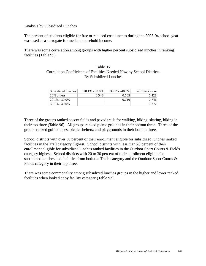#### Analysis by Subsidized Lunches

The percent of students eligible for free or reduced cost lunches during the 2003-04 school year was used as a surrogate for median household income.

There was some correlation among groups with higher percent subsidized lunches in ranking facilities (Table 95).

### Table 95 Correlation Coefficients of Facilities Needed Now by School Districts By Subsidized Lunches

| Subsidized lunches | $20.1\% - 30.0\%$ | $30.1\% - 40.0\%$ | $40.1\%$ or more |
|--------------------|-------------------|-------------------|------------------|
| 20% or less        | 0.543             | 0.563             | 0.428            |
| $20.1\% - 30.0\%$  |                   | 0.710             | 0.746            |
| 130.1% - 40.0%     |                   |                   | 0.772            |

Three of the groups ranked soccer fields and paved trails for walking, hiking, skating, biking in their top three (Table 96). All groups ranked picnic grounds in their bottom three. Three of the groups ranked golf courses, picnic shelters, and playgrounds in their bottom three.

School districts with over 30 percent of their enrollment eligible for subsidized lunches ranked facilities in the Trail category highest. School districts with less than 20 percent of their enrollment eligible for subsidized lunches ranked facilities in the Outdoor Sport Courts & Fields category highest. School districts with 20 to 30 percent of their enrollment eligible for subsidized lunches had facilities from both the Trails category and the Outdoor Sport Courts & Fields category in their top three.

There was some commonality among subsidized lunches groups in the higher and lower ranked facilities when looked at by facility category (Table 97).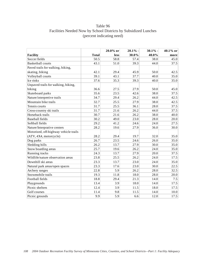# Table 96 Facilities Needed Now by School Districts by Subsidized Lunches (percent indicating need)

|                                       |              | 20.0% or | 20.1% | $30.1\%$ - | 40.1% or |
|---------------------------------------|--------------|----------|-------|------------|----------|
| <b>Facility</b>                       | <b>Total</b> | less     | 30.0% | 40.0%      | more     |
| Soccer fields                         | 50.5         | 58.8     | 57.4  | 38.0       | 45.0     |
| <b>Basketball courts</b>              | 43.1         | 51.0     | 39.3  | 44.0       | 37.5     |
| Paved trails for walking, hiking,     |              |          |       |            |          |
| skating, biking                       | 42.1         | 29.4     | 45.9  | 50.0       | 42.5     |
| Volleyball courts                     | 39.1         | 43.1     | 37.7  | 40.0       | 35.0     |
| Ice rinks                             | 37.6         | 35.3     | 39.3  | 40.0       | 35.0     |
| Unpaved trails for walking, hiking,   |              |          |       |            |          |
| biking                                | 36.6         | 27.5     | 27.9  | 50.0       | 45.0     |
| Skateboard parks                      | 35.6         | 23.5     | 42.6  | 38.0       | 37.5     |
| Nature/interpretive trails            | 34.7         | 29.4     | 26.2  | 44.0       | 42.5     |
| Mountain bike trails                  | 32.7         | 25.5     | 27.9  | 38.0       | 42.5     |
| Tennis courts                         | 31.7         | 25.5     | 36.1  | 28.0       | 37.5     |
| Cross-country ski trails              | 31.7         | 21.6     | 26.2  | 44.0       | 37.5     |
| Horseback trails                      | 30.7         | 21.6     | 26.2  | 38.0       | 40.0     |
| <b>Baseball</b> fields                | 30.2         | 49.0     | 23.0  | 28.0       | 20.0     |
| Softball fields                       | 29.2         | 41.2     | 24.6  | 24.0       | 27.5     |
| Nature/Interprative centers           | 28.2         | 19.6     | 27.9  | 36.0       | 30.0     |
| Motorized, off-highway vehicle trails |              |          |       |            |          |
| (ATV, 4X4, motorcycle)                | 28.2         | 29.4     | 19.7  | 32.0       | 35.0     |
| Dog parks                             | 26.7         | 23.5     | 24.6  | 26.0       | 35.0     |
| Sledding hills                        | 26.2         | 13.7     | 27.9  | 30.0       | 35.0     |
| Snow boarding areas                   | 25.7         | 19.6     | 26.2  | 24.0       | 35.0     |
| Running tracks                        | 24.3         | 13.7     | 27.9  | 20.0       | 37.5     |
| Wildlife/nature observation areas     | 23.8         | 25.5     | 26.2  | 24.0       | 17.5     |
| Downhill ski areas                    | 23.3         | 13.7     | 23.0  | 24.0       | 35.0     |
| Natural park areas/open spaces        | 23.3         | 17.6     | 23.0  | 30.0       | 22.5     |
| Archery ranges                        | 22.8         | 5.9      | 26.2  | 28.0       | 32.5     |
| Snowmobile trails                     | 19.3         | 11.8     | 18.0  | 28.0       | 20.0     |
| Football fields                       | 18.8         | 29.4     | 21.3  | 14.0       | 7.5      |
| Playgrounds                           | 13.4         | 3.9      | 18.0  | 14.0       | 17.5     |
| Picnic shelters                       | 12.4         | 3.9      | 11.5  | 18.0       | 17.5     |
| Golf courses                          | 11.4         | 9.8      | 11.5  | 14.0       | 10.0     |
| Picnic grounds                        | 9.9          | 5.9      | 6.6   | 12.0       | 17.5     |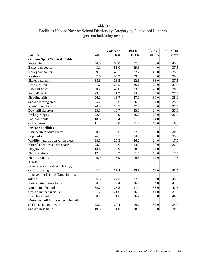# Table 97 Facilities Needed Now by School Districts by Category by Subsidized Lunches (percent indicating need)

|                                          |              | 20.0% or    | 20.1% | $30.1\%$ | 40.1% or |
|------------------------------------------|--------------|-------------|-------|----------|----------|
| <b>Facility</b>                          | <b>Total</b> | <b>less</b> | 30.0% | 40.0%    | more     |
| <b>Outdoor Sport Courts &amp; Fields</b> |              |             |       |          |          |
| Soccer fields                            | 50.5         | 58.8        | 57.4  | 38.0     | 45.0     |
| <b>Basketball courts</b>                 | 43.1         | 51.0        | 39.3  | 44.0     | 37.5     |
| Volleyball courts                        | 39.1         | 43.1        | 37.7  | 40.0     | 35.0     |
| Ice rinks                                | 37.6         | 35.3        | 39.3  | 40.0     | 35.0     |
| Skateboard parks                         | 35.6         | 23.5        | 42.6  | 38.0     | 37.5     |
| Tennis courts                            | 31.7         | 25.5        | 36.1  | 28.0     | 37.5     |
| <b>Baseball fields</b>                   | 30.2         | 49.0        | 23.0  | 28.0     | 20.0     |
| Softball fields                          | 29.2         | 41.2        | 24.6  | 24.0     | 27.5     |
| Sledding hills                           | 26.2         | 13.7        | 27.9  | 30.0     | 35.0     |
| Snow boarding areas                      | 25.7         | 19.6        | 26.2  | 24.0     | 35.0     |
| Running tracks                           | 24.3         | 13.7        | 27.9  | 20.0     | 37.5     |
| Downhill ski areas                       | 23.3         | 13.7        | 23.0  | 24.0     | 35.0     |
| Archery ranges                           | 22.8         | 5.9         | 26.2  | 28.0     | 32.5     |
| Football fields                          | 18.8         | 29.4        | 21.3  | 14.0     | 7.5      |
| Golf courses                             | 11.4         | 9.8         | 11.5  | 14.0     | 10.0     |
| <b>Day Use Facilities</b>                |              |             |       |          |          |
| Nature/Interprative centers              | 28.2         | 19.6        | 27.9  | 36.0     | 30.0     |
| Dog parks                                | 26.7         | 23.5        | 24.6  | 26.0     | 35.0     |
| Wildlife/nature observation areas        | 23.8         | 25.5        | 26.2  | 24.0     | 17.5     |
| Natural park areas/open spaces           | 23.3         | 17.6        | 23.0  | 30.0     | 22.5     |
| Playgrounds                              | 13.4         | 3.9         | 18.0  | 14.0     | 17.5     |
| Picnic shelters                          | 12.4         | 3.9         | 11.5  | 18.0     | 17.5     |
| Picnic grounds                           | 9.9          | 5.9         | 6.6   | 12.0     | 17.5     |
| <b>Trails</b>                            |              |             |       |          |          |
| Paved trails for walking, hiking,        |              |             |       |          |          |
| skating, biking                          | 42.1         | 29.4        | 45.9  | 50.0     | 42.5     |
| Unpaved trails for walking, hiking,      |              |             |       |          |          |
| biking                                   | 36.6         | 27.5        | 27.9  | 50.0     | 45.0     |
| Nature/interpretive trails               | 34.7         | 29.4        | 26.2  | 44.0     | 42.5     |
| Mountain bike trails                     | 32.7         | 25.5        | 27.9  | 38.0     | 42.5     |
| Cross-country ski trails                 | 31.7         | 21.6        | 26.2  | 44.0     | 37.5     |
| Horseback trails                         | 30.7         | 21.6        | 26.2  | 38.0     | 40.0     |
| Motorized, off-highway vehicle trails    |              |             |       |          |          |
| (ATV, 4X4, motorcycle)                   | 28.2         | 29.4        | 19.7  | 32.0     | 35.0     |
| Snowmobile trails                        | 19.3         | 11.8        | 18.0  | 28.0     | 20.0     |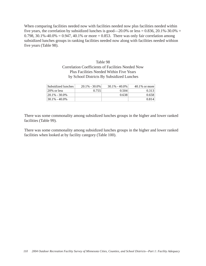When comparing facilities needed now with facilities needed now plus facilities needed within five years, the correlation by subsidized lunches is good—20.0% or less =  $0.836$ , 20.1%-30.0% = 0.798, 30.1%-40.0% = 0.947, 40.1% or more = 0.853. There was only fair correlation among subsidized lunches groups in ranking facilities needed now along with facilities needed withion five years (Table 98).

### Table 98 Correlation Coefficients of Facilities Needed Now Plus Facilities Needed Within Five Years by School Districts By Subsidized Lunches

| Subsidized lunches | $20.1\% - 30.0\%$ | $30.1\% - 40.0\%$ | $40.1\%$ or more |
|--------------------|-------------------|-------------------|------------------|
| $120\%$ or less    | 0.755             | 0.504             | 0.313            |
| $120.1\% - 30.0\%$ |                   | 0.638             | 0.658            |
| 130.1% - 40.0%     |                   |                   | 0.814            |

There was some commonality among subsidized lunches groups in the higher and lower ranked facilities (Table 99).

There was some commonality among subsidized lunches groups in the higher and lower ranked facilities when looked at by facility category (Table 100).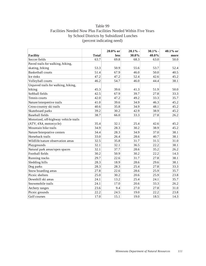# Table 99 Facilities Needed Now Plus Facilities Needed Within Five Years by School Districts by Subsidized Lunches (percent indicating need)

|                                       |              | 20.0% or | 20.1% | $30.1\%$ - | 40.1% or |
|---------------------------------------|--------------|----------|-------|------------|----------|
| <b>Facility</b>                       | <b>Total</b> | less     | 30.0% | 40.0%      | more     |
| Soccer fields                         | 63.7         | 69.8     | 68.3  | 63.0       | 50.0     |
| Paved trails for walking, hiking,     |              |          |       |            |          |
| skating, biking                       | 53.3         | 50.9     | 55.6  | 53.7       | 52.4     |
| <b>Basketball courts</b>              | 51.4         | 67.9     | 46.0  | 50.0       | 40.5     |
| Ice rinks                             | 47.2         | 47.2     | 52.4  | 42.6       | 45.2     |
| Volleyball courts                     | 46.2         | 54.7     | 46.0  | 44.4       | 38.1     |
| Unpaved trails for walking, hiking,   |              |          |       |            |          |
| biking                                | 45.3         | 39.6     | 41.3  | 51.9       | 50.0     |
| Softball fields                       | 42.5         | 67.9     | 39.7  | 27.8       | 33.3     |
| Tennis courts                         | 42.0         | 47.2     | 49.2  | 33.3       | 35.7     |
| Nature/interpretive trails            | 41.0         | 39.6     | 34.9  | 46.3       | 45.2     |
| Cross-country ski trails              | 40.6         | 35.8     | 34.9  | 48.1       | 45.2     |
| Skateboard parks                      | 39.2         | 30.2     | 42.9  | 38.9       | 45.2     |
| <b>Baseball</b> fields                | 38.7         | 66.0     | 33.3  | 27.8       | 26.2     |
| Motorized, off-highway vehicle trails |              |          |       |            |          |
| (ATV, 4X4, motorcycle)                | 35.4         | 32.1     | 25.4  | 42.6       | 45.2     |
| Mountain bike trails                  | 34.9         | 28.3     | 30.2  | 38.9       | 45.2     |
| Nature/Interprative centers           | 34.4         | 28.3     | 34.9  | 37.0       | 38.1     |
| Horseback trails                      | 33.0         | 26.4     | 28.6  | 40.7       | 38.1     |
| Wildlife/nature observation areas     | 32.5         | 35.8     | 31.7  | 31.5       | 31.0     |
| Playgrounds                           | 32.1         | 32.1     | 36.5  | 22.2       | 38.1     |
| Natural park areas/open spaces        | 32.1         | 37.7     | 28.6  | 35.2       | 26.2     |
| Football fields                       | 30.2         | 50.9     | 30.2  | 22.2       | 14.3     |
| Running tracks                        | 29.7         | 22.6     | 31.7  | 27.8       | 38.1     |
| Sledding hills                        | 28.3         | 18.9     | 28.6  | 29.6       | 38.1     |
| Dog parks                             | 28.3         | 28.3     | 25.4  | 27.8       | 33.3     |
| Snow boarding areas                   | 27.8         | 22.6     | 28.6  | 25.9       | 35.7     |
| Picnic shelters                       | 25.0         | 30.2     | 20.6  | 25.9       | 23.8     |
| Downhill ski areas                    | 24.1         | 13.2     | 25.4  | 24.1       | 35.7     |
| Snowmobile trails                     | 24.1         | 17.0     | 20.6  | 33.3       | 26.2     |
| Archery ranges                        | 23.6         | 9.4      | 27.0  | 27.8       | 31.0     |
| Picnic grounds                        | 22.2         | 24.5     | 19.0  | 22.2       | 23.8     |
| Golf courses                          | 17.0         | 15.1     | 19.0  | 18.5       | 14.3     |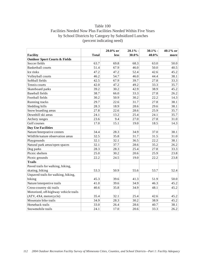# Table 100 Facilities Needed Now Plus Facilities Needed Within Five Years by School Districts by Category by Subsidized Lunches (percent indicating need)

|                                          |              | 20.0% or | 20.1% | $30.1\%$ | 40.1% or |
|------------------------------------------|--------------|----------|-------|----------|----------|
| Facility                                 | <b>Total</b> | less     | 30.0% | 40.0%    | more     |
| <b>Outdoor Sport Courts &amp; Fields</b> |              |          |       |          |          |
| Soccer fields                            | 63.7         | 69.8     | 68.3  | 63.0     | 50.0     |
| <b>Basketball courts</b>                 | 51.4         | 67.9     | 46.0  | 50.0     | 40.5     |
| Ice rinks                                | 47.2         | 47.2     | 52.4  | 42.6     | 45.2     |
| Volleyball courts                        | 46.2         | 54.7     | 46.0  | 44.4     | 38.1     |
| Softball fields                          | 42.5         | 67.9     | 39.7  | 27.8     | 33.3     |
| Tennis courts                            | 42.0         | 47.2     | 49.2  | 33.3     | 35.7     |
| Skateboard parks                         | 39.2         | 30.2     | 42.9  | 38.9     | 45.2     |
| <b>Baseball</b> fields                   | 38.7         | 66.0     | 33.3  | 27.8     | 26.2     |
| Football fields                          | 30.2         | 50.9     | 30.2  | 22.2     | 14.3     |
| Running tracks                           | 29.7         | 22.6     | 31.7  | 27.8     | 38.1     |
| Sledding hills                           | 28.3         | 18.9     | 28.6  | 29.6     | 38.1     |
| Snow boarding areas                      | 27.8         | 22.6     | 28.6  | 25.9     | 35.7     |
| Downhill ski areas                       | 24.1         | 13.2     | 25.4  | 24.1     | 35.7     |
| Archery ranges                           | 23.6         | 9.4      | 27.0  | 27.8     | 31.0     |
| Golf courses                             | 17.0         | 15.1     | 19.0  | 18.5     | 14.3     |
| <b>Day Use Facilities</b>                |              |          |       |          |          |
| Nature/Interprative centers              | 34.4         | 28.3     | 34.9  | 37.0     | 38.1     |
| Wildlife/nature observation areas        | 32.5         | 35.8     | 31.7  | 31.5     | 31.0     |
| Playgrounds                              | 32.1         | 32.1     | 36.5  | 22.2     | 38.1     |
| Natural park areas/open spaces           | 32.1         | 37.7     | 28.6  | 35.2     | 26.2     |
| Dog parks                                | 28.3         | 28.3     | 25.4  | 27.8     | 33.3     |
| Picnic shelters                          | 25.0         | 30.2     | 20.6  | 25.9     | 23.8     |
| Picnic grounds                           | 22.2         | 24.5     | 19.0  | 22.2     | 23.8     |
| <b>Trails</b>                            |              |          |       |          |          |
| Paved trails for walking, hiking,        |              |          |       |          |          |
| skating, biking                          | 53.3         | 50.9     | 55.6  | 53.7     | 52.4     |
| Unpaved trails for walking, hiking,      |              |          |       |          |          |
| biking                                   | 45.3         | 39.6     | 41.3  | 51.9     | 50.0     |
| Nature/interpretive trails               | 41.0         | 39.6     | 34.9  | 46.3     | 45.2     |
| Cross-country ski trails                 | 40.6         | 35.8     | 34.9  | 48.1     | 45.2     |
| Motorized, off-highway vehicle trails    |              |          |       |          |          |
| (ATV, 4X4, motorcycle)                   | 35.4         | 32.1     | 25.4  | 42.6     | 45.2     |
| Mountain bike trails                     | 34.9         | 28.3     | 30.2  | 38.9     | 45.2     |
| Horseback trails                         | 33.0         | 26.4     | 28.6  | 40.7     | 38.1     |
| Snowmobile trails                        | 24.1         | 17.0     | 20.6  | 33.3     | 26.2     |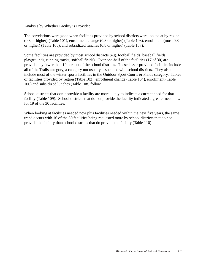#### Analysis by Whether Facility is Provided

The correlations were good when facilities provided by school districts were looked at by region (0.8 or higher) (Table 101), enrollment change (0.8 or higher) (Table 103), enrollment (most 0.8 or higher) (Table 105), and subsidized lunches (0.8 or higher) (Table 107).

Some facilities are provided by most school districts (e.g. football fields, baseball fields, playgrounds, running tracks, softball fields). Over one-half of the facilities (17 of 30) are provided by fewer than 10 percent of the school districts. These lesser-provided facilities include all of the Trails category, a category not usually associated with school districts. They also include most of the winter sports facilities in the Outdoor Sport Courts & Fields category. Tables of facilities provided by region (Table 102), enrollment change (Table 104), enrollment (Table 106) and subsidized lunches (Table 108) follow.

School districts that don't provide a facility are more likely to indicate a current need for that facility (Table 109). School districts that do not provide the facility indicated a greater need now for 19 of the 30 facilities.

When looking at facilities needed now plus facilities needed within the next five years, the same trend occurs with 16 of the 30 facilities being requested more by school districts that do not provide the facility than school districts that do provide the facility (Table 110).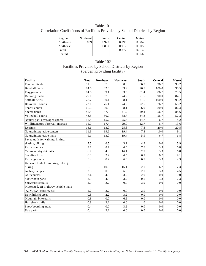### Table 101 Correlation Coefficients of Facilities Provided by School Districts by Region

| Region           | Northeast | South | Central | Metro |
|------------------|-----------|-------|---------|-------|
| Northwest        | 0.899     | 0.920 | 0.895   | 0.884 |
| <b>Northeast</b> |           | 0.889 | 0.912   | 0.905 |
| South            |           |       | 0.877   | 0.914 |
| Central          |           |       |         | 0.966 |

### Table 102 Facilities Provided by School Districts by Region (percent providing facility)

| <b>Facility</b>                       | <b>Total</b> | <b>Northwest</b> | <b>Northeast</b> | South | Central | <b>Metro</b> |
|---------------------------------------|--------------|------------------|------------------|-------|---------|--------------|
| Football fields                       | 91.3         | 97.8             | 90.3             | 86.3  | 96.7    | 93.2         |
| <b>Baseball</b> fields                | 84.6         | 82.6             | 83.9             | 76.5  | 100.0   | 95.5         |
| Playgrounds                           | 84.6         | 89.1             | 93.5             | 81.4  | 86.7    | 79.5         |
| Running tracks                        | 79.1         | 87.0             | 74.2             | 71.6  | 90.0    | 84.1         |
| Softball fields                       | 78.7         | 80.4             | 58.1             | 71.6  | 100.0   | 93.2         |
| <b>Basketball courts</b>              | 73.1         | 76.1             | 74.2             | 72.5  | 76.7    | 68.2         |
| Tennis courts                         | 65.6         | 60.9             | 58.1             | 56.9  | 80.0    | 86.4         |
| Soccer fields                         | 45.8         | 37.0             | 41.9             | 29.4  | 56.7    | 88.6         |
| Volleyball courts                     | 43.5         | 50.0             | 38.7             | 34.3  | 56.7    | 52.3         |
| Natural park areas/open spaces        | 15.8         | 15.2             | 25.8             | 14.7  | 6.7     | 18.2         |
| Wildlife/nature observation areas     | 15.0         | 17.4             | 29.0             | 12.7  | 6.7     | 13.6         |
| Ice rinks                             | 14.6         | 13.0             | 25.8             | 7.8   | 20.0    | 20.5         |
| Nature/Interprative centers           | 11.9         | 19.6             | 19.4             | 7.8   | 10.0    | 9.1          |
| Nature/interpretive trails            | 9.1          | 13.0             | 19.4             | 5.9   | 6.7     | 6.8          |
| Paved trails for walking, hiking,     |              |                  |                  |       |         |              |
| skating, biking                       | 7.5          | 6.5              | 3.2              | 4.9   | 10.0    | 15.9         |
| Picnic shelters                       | 7.1          | 8.7              | 6.5              | 7.8   | 3.3     | 6.8          |
| Cross-country ski trails              | 6.7          | 4.3              | 16.1             | 2.9   | 13.3    | 6.8          |
| Sledding hills                        | 6.3          | 2.2              | 6.5              | 6.9   | 6.7     | 9.1          |
| Picnic grounds                        | 5.9          | 8.7              | 6.5              | 6.9   | 3.3     | 2.3          |
| Unpaved trails for walking, hiking,   |              |                  |                  |       |         |              |
| biking                                | 5.9          | 10.9             | 16.1             | 2.0   | 6.7     | 2.3          |
| Archery ranges                        | 2.8          | 0.0              | 6.5              | 2.0   | 3.3     | 4.5          |
| Golf courses                          | 2.4          | 4.3              | 3.2              | 2.9   | 0.0     | 0.0          |
| Skateboard parks                      | 2.0          | 4.3              | 3.2              | 0.0   | 3.3     | 2.3          |
| Snowmobile trails                     | 2.0          | 2.2              | 0.0              | 3.9   | 0.0     | 0.0          |
| Motorized, off-highway vehicle trails |              |                  |                  |       |         |              |
| (ATV, 4X4, motorcycle)                | 1.2          | 2.2              | 0.0              | 2.0   | 0.0     | 0.0          |
| Downhill ski areas                    | 0.8          | 2.2              | 3.2              | 0.0   | 0.0     | 0.0          |
| Mountain bike trails                  | 0.8          | 0.0              | 6.5              | 0.0   | 0.0     | 0.0          |
| Horseback trails                      | 0.8          | 2.2              | 0.0              | 1.0   | 0.0     | 0.0          |
| Snow boarding areas                   | 0.4          | 0.0              | 3.2              | 0.0   | 0.0     | 0.0          |
| Dog parks                             | 0.4          | 2.2              | 0.0              | 0.0   | 0.0     | 0.0          |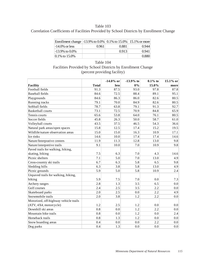Table 103 Correlation Coefficients of Facilities Provided by School Districts by Enrollment Change

| Enrollment change   -13.9% to 0.0%   0.1% to 15.0%   15.1% or more |       |       |       |
|--------------------------------------------------------------------|-------|-------|-------|
| $-14.0\%$ or less                                                  | 0.961 | 0.881 | 0.944 |
| $-13.9\%$ to $0.0\%$                                               |       | 0.913 | 0.941 |
| $ 0.1\%$ to 15.0%                                                  |       |       | 0.880 |

| Table 104                                                    |
|--------------------------------------------------------------|
| Facilities Provided by School Districts by Enrollment Change |
| (percent providing facility)                                 |

|                                       |              | $-14.0\%$ or | $-13.9%$ to | $0.1\%$ to | 15.1% or |
|---------------------------------------|--------------|--------------|-------------|------------|----------|
| <b>Facility</b>                       | <b>Total</b> | less         | $0\%$       | 15.0%      | more     |
| Football fields                       | 91.3         | 87.5         | 93.0        | 97.8       | 87.8     |
| <b>Baseball fields</b>                | 84.6         | 72.5         | 88.4        | 89.1       | 95.1     |
| Playgrounds                           | 84.6         | 86.3         | 86.0        | 82.6       | 80.5     |
| Running tracks                        | 79.1         | 70.0         | 84.9        | 82.6       | 80.5     |
| Softball fields                       | 78.7         | 63.8         | 79.1        | 91.3       | 92.7     |
| <b>Basketball courts</b>              | 73.1         | 72.5         | 70.9        | 84.8       | 65.9     |
| Tennis courts                         | 65.6         | 53.8         | 64.0        | 76.1       | 80.5     |
| Soccer fields                         | 45.8         | 26.3         | 50.0        | 58.7       | 61.0     |
| Volleyball courts                     | 43.5         | 37.5         | 46.5        | 54.3       | 36.6     |
| Natural park areas/open spaces        | 15.8         | 12.5         | 17.4        | 15.2       | 19.5     |
| Wildlife/nature observation areas     | 15.0         | 15.0         | 16.3        | 10.9       | 17.1     |
| Ice rinks                             | 14.6         | 10.0         | 17.4        | 17.4       | 14.6     |
| Nature/Interprative centers           | 11.9         | 11.3         | 12.8        | 13.0       | 9.8      |
| Nature/interpretive trails            | 9.1          | 10.0         | 7.0         | 10.9       | 9.8      |
| Paved trails for walking, hiking,     |              |              |             |            |          |
| skating, biking                       | 7.5          | 6.3          | 7.0         | 4.3        | 14.6     |
| Picnic shelters                       | 7.1          | 5.0          | 7.0         | 13.0       | 4.9      |
| Cross-country ski trails              | 6.7          | 6.3          | 5.8         | 6.5        | 9.8      |
| Sledding hills                        | 6.3          | 3.8          | 5.8         | 13.0       | 4.9      |
| Picnic grounds                        | 5.9          | 5.0          | 5.8         | 10.9       | 2.4      |
| Unpaved trails for walking, hiking,   |              |              |             |            |          |
| biking                                | 5.9          | 7.5          | 7.0         | 0.0        | 7.3      |
| Archery ranges                        | 2.8          | 1.3          | 3.5         | 6.5        | 0.0      |
| Golf courses                          | 2.4          | 2.5          | 3.5         | 2.2        | 0.0      |
| Skateboard parks                      | 2.0          | 2.5          | 0.0         | 2.2        | 4.9      |
| Snowmobile trails                     | 2.0          | 3.8          | 1.2         | 2.2        | $0.0\,$  |
| Motorized, off-highway vehicle trails |              |              |             |            |          |
| (ATV, 4X4, motorcycle)                | 1.2          | 2.5          | 1.2         | 0.0        | 0.0      |
| Downhill ski areas                    | 0.8          | 0.0          | 1.2         | 2.2        | 0.0      |
| Mountain bike trails                  | 0.8          | 0.0          | 1.2         | 0.0        | 2.4      |
| Horseback trails                      | 0.8          | 1.3          | 1.2         | 0.0        | 0.0      |
| Snow boarding areas                   | 0.4          | 0.0          | 0.0         | 2.2        | 0.0      |
| Dog parks                             | 0.4          | 1.3          | 0.0         | 0.0        | 0.0      |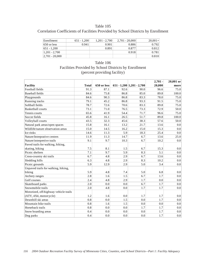### Table 105 Correlation Coefficients of Facilities Provided by School Districts by Enrollment

| Enrollment         | $651 - 1.200$ | $1.201 - 2.700$ | $2.701 - 20.000$ | $20.001 +$ |
|--------------------|---------------|-----------------|------------------|------------|
| $650$ or less      | 0.941         | 0.901           | 0.886            | 0.792      |
| 651 - 1.200        |               | 0.891           | 0.877            | 0.812      |
| $1.201 - 2.700$    |               |                 | 0.918            | 0.781      |
| $ 2,701 - 20,000 $ |               |                 |                  | 0.810      |

### Table 106 Facilities Provided by School Districts by Enrollment (percent providing facility)

|                                       |              |             |      |                                 | $2,701 -$ | 20,001 or |
|---------------------------------------|--------------|-------------|------|---------------------------------|-----------|-----------|
| <b>Facility</b>                       | <b>Total</b> | 650 or less |      | $651 - 1,200$   $1,201 - 2,700$ | 20,000    | more      |
| Football fields                       | 91.3         | 87.1        | 92.6 | 90.0                            | 96.6      | 75.0      |
| <b>Baseball</b> fields                | 84.6         | 75.8        | 86.8 | 85.0                            | 89.8      | 100.0     |
| Playgrounds                           | 84.6         | 90.3        | 86.8 | 83.3                            | 78.0      | 75.0      |
| Running tracks                        | 79.1         | 45.2        | 86.8 | 93.3                            | 91.5      | 75.0      |
| Softball fields                       | 78.7         | 72.6        | 70.6 | 83.3                            | 89.8      | 75.0      |
| <b>Basketball courts</b>              | 73.1         | 71.0        | 76.5 | 73.3                            | 72.9      | 50.0      |
| Tennis courts                         | 65.6         | 41.9        | 54.4 | 71.7                            | 96.6      | 75.0      |
| Soccer fields                         | 45.8         | 16.1        | 26.5 | 51.7                            | 89.8      | 100.0     |
| Volleyball courts                     | 43.5         | 32.3        | 45.6 | 38.3                            | 57.6      | 50.0      |
| Natural park areas/open spaces        | 15.8         | 16.1        | 13.2 | 21.7                            | 13.6      | 0.0       |
| Wildlife/nature observation areas     | 15.0         | 14.5        | 16.2 | 15.0                            | 15.3      | $0.0\,$   |
| Ice rinks                             | 14.6         | 11.3        | 5.9  | 18.3                            | 25.4      | 0.0       |
| Nature/Interprative centers           | 11.9         | 11.3        | 14.7 | 6.7                             | 13.6      | 25.0      |
| Nature/interpretive trails            | 9.1          | 9.7         | 10.3 | 6.7                             | 10.2      | 0.0       |
| Paved trails for walking, hiking,     |              |             |      |                                 |           |           |
| skating, biking                       | 7.5          | 8.1         | 1.5  | 6.7                             | 15.3      | 0.0       |
| Picnic shelters                       | 7.1          | 9.7         | 5.9  | 8.3                             | 5.1       | 0.0       |
| Cross-country ski trails              | 6.7          | 4.8         | 2.9  | 6.7                             | 13.6      | 0.0       |
| Sledding hills                        | 6.3          | 4.8         | 2.9  | 8.3                             | 10.2      | 0.0       |
| Picnic grounds                        | 5.9          | 12.9        | 2.9  | 5.0                             | 3.4       | 0.0       |
| Unpaved trails for walking, hiking,   |              |             |      |                                 |           |           |
| biking                                | 5.9          | 4.8         | 7.4  | 5.0                             | 6.8       | 0.0       |
| Archery ranges                        | 2.8          | 1.6         | 1.5  | 6.7                             | 1.7       | 0.0       |
| Golf courses                          | 2.4          | 4.8         | 2.9  | 1.7                             | 0.0       | 0.0       |
| Skateboard parks                      | 2.0          | 0.0         | 0.0  | 6.7                             | 1.7       | 0.0       |
| Snowmobile trails                     | 2.0          | 4.8         | 0.0  | 1.7                             | 1.7       | 0.0       |
| Motorized, off-highway vehicle trails |              |             |      |                                 |           |           |
| (ATV, 4X4, motorcycle)                | 1.2          | 1.6         | 0.0  | 1.7                             | 1.7       | 0.0       |
| Downhill ski areas                    | 0.8          | 0.0         | 1.5  | 0.0                             | 1.7       | 0.0       |
| Mountain bike trails                  | 0.8          | 1.6         | 1.5  | 0.0                             | 0.0       | 0.0       |
| Horseback trails                      | 0.8          | 0.0         | 0.0  | 1.7                             | 1.7       | $0.0\,$   |
| Snow boarding areas                   | 0.4          | 0.0         | 0.0  | 0.0                             | 1.7       | 0.0       |
| Dog parks                             | 0.4          | 0.0         | 0.0  | 0.0                             | 1.7       | 0.0       |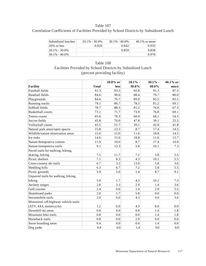### Table 107

Correlation Coefficients of Facilities Provided by School Districts by Subsidized Lunch

| Subsidized lunches       | $20.1\% - 30.0\%$ | $30.1\% - 40.0\%$ | $40.1\%$ or more |
|--------------------------|-------------------|-------------------|------------------|
| $ 20\% \text{ or less} $ | 0.920             | 0.942             | 0.935            |
| $ 20.1\% - 30.0\%$       |                   | 0.859             | 0.858            |
| $130.1\% - 40.0\%$       |                   |                   | 0.976            |

# Table 108 Facilities Provided by School Districts by Subsidized Lunch (percent providing facility)

|                                       |              | 20.0% or | 20.1% | $30.1\%$ | 40.1% or         |
|---------------------------------------|--------------|----------|-------|----------|------------------|
| <b>Facility</b>                       | <b>Total</b> | less     | 30.0% | 40.0%    | more             |
| Football fields                       | 91.3         | 93.3     | 92.8  | 91.3     | 87.3             |
| <b>Baseball fields</b>                | 84.6         | 90.0     | 88.4  | 79.7     | 80.0             |
| Playgrounds                           | 84.6         | 76.7     | 89.9  | 85.5     | 85.5             |
| Running tracks                        | 79.1         | 86.7     | 78.3  | 81.2     | 69.1             |
| Softball fields                       | 78.7         | 88.3     | 81.2  | 76.8     | 67.3             |
| <b>Basketball courts</b>              | 73.1         | 71.7     | 73.9  | 76.8     | 69.1             |
| Tennis courts                         | 65.6         | 78.3     | 60.9  | 68.1     | 54.5             |
| Soccer fields                         | 45.8         | 70.0     | 47.8  | 39.1     | 25.5             |
| Volleyball courts                     | 43.5         | 51.7     | 39.1  | 42.0     | 41.8             |
| Natural park areas/open spaces        | 15.8         | 23.3     | 8.7   | 17.4     | 14.5             |
| Wildlife/nature observation areas     | 15.0         | 15.0     | 11.6  | 18.8     | 14.5             |
| Ice rinks                             | 14.6         | 15.0     | 18.8  | 11.6     | 12.7             |
| Nature/Interprative centers           | 11.9         | 10.0     | 8.7   | 17.4     | 10.9             |
| Nature/interpretive trails            | 9.1          | 13.3     | 5.8   | 10.1     | 7.3              |
| Paved trails for walking, hiking,     |              |          |       |          |                  |
| skating, biking                       | 7.5          | 11.7     | 7.2   | 5.8      | 5.5              |
| Picnic shelters                       | 7.1          | 8.3      | 4.3   | 10.1     | 5.5              |
| Cross-country ski trails              | 6.7          | 3.3      | 13.0  | 5.8      | 3.6              |
| Sledding hills                        | 6.3          | 6.7      | 7.2   | 5.8      | 5.5              |
| Picnic grounds                        | 5.9          | 5.0      | 1.4   | 8.7      | 9.1              |
| Unpaved trails for walking, hiking,   |              |          |       |          |                  |
| biking                                | 5.9          | 1.7      | 4.3   | 10.1     | 7.3              |
| Archery ranges                        | 2.8          | 3.3      | 2.9   | 1.4      | 3.6              |
| Golf courses                          | 2.4          | 0.0      | 1.4   | 2.9      | 5.5              |
| Skateboard parks                      | 2.0          | 1.7      | 5.8   | 0.0      | 0.0              |
| Snowmobile trails                     | 2.0          | 0.0      | 4.3   | 0.0      | 3.6              |
| Motorized, off-highway vehicle trails |              |          |       |          |                  |
| (ATV, 4X4, motorcycle)                | 1.2          | 0.0      | 4.3   | 0.0      | 0.0              |
| Downhill ski areas                    | 0.8          | 0.0      | 0.0   | 1.4      | 1.8              |
| Mountain bike trails                  | 0.8          | 0.0      | 0.0   | 1.4      | 1.8              |
| Horseback trails                      | 0.8          | 0.0      | 2.9   | 0.0      | 0.0              |
| Snow boarding areas                   | 0.4          | 0.0      | 0.0   | 1.4      | 0.0              |
| Dog parks                             | 0.4          | 0.0      | 1.4   | 0.0      | 0.0 <sub>1</sub> |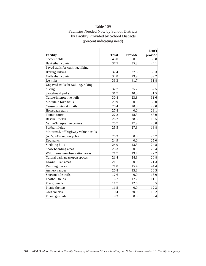# Table 109 Facilities Needed Now by School Districts by Facility Provided by School Districts (percent indicating need)

|                                       |              |         | Don't   |
|---------------------------------------|--------------|---------|---------|
| <b>Facility</b>                       | <b>Total</b> | Provide | provide |
| Soccer fields                         | 43.0         | 50.9    | 35.8    |
| <b>Basketball courts</b>              | 37.5         | 35.3    | 44.1    |
| Paved trails for walking, hiking,     |              |         |         |
| skating, biking                       | 37.4         | 27.8    | 38.3    |
| Volleyball courts                     | 34.8         | 29.9    | 39.2    |
| Ice rinks                             | 33.3         | 41.7    | 31.8    |
| Unpaved trails for walking, hiking,   |              |         |         |
| biking                                | 32.7         | 35.7    | 32.5    |
| Skateboard parks                      | 31.7         | 40.0    | 31.5    |
| Nature/interpretive trails            | 30.8         | 23.8    | 31.6    |
| Mountain bike trails                  | 29.9         | 0.0     | 30.0    |
| Cross-country ski trails              | 28.4         | 20.0    | 29.0    |
| Horseback trails                      | 27.8         | 0.0     | 28.1    |
| Tennis courts                         | 27.2         | 18.3    | 43.9    |
| <b>Baseball fields</b>                | 26.2         | 28.6    | 13.5    |
| Nature/Interprative centers           | 25.7         | 17.9    | 26.8    |
| Softball fields                       | 25.5         | 27.3    | 18.8    |
| Motorized, off-highway vehicle trails |              |         |         |
| (ATV, 4X4, motorcycle)                | 25.3         | 0.0     | 25.7    |
| Dog parks                             | 24.9         | 0.0     | 25.0    |
| Sledding hills                        | 24.0         | 13.3    | 24.8    |
| Snow boarding areas                   | 23.3         | 0.0     | 23.4    |
| Wildlife/nature observation areas     | 21.7         | 19.4    | 22.2    |
| Natural park areas/open spaces        | 21.4         | 24.3    | 20.8    |
| Downhill ski areas                    | 21.1         | 0.0     | 21.3    |
| Running tracks                        | 21.0         | 15.4    | 44.4    |
| Archery ranges                        | 20.8         | 33.3    | 20.5    |
| Snowmobile trails                     | 17.6         | 0.0     | 18.0    |
| Football fields                       | 16.7         | 17.2    | 11.1    |
| Playgrounds                           | 11.7         | 12.5    | 6.5     |
| Picnic shelters                       | 11.5         | 0.0     | 12.3    |
| Golf courses                          | 10.4         | 20.0    | 10.2    |
| Picnic grounds                        | 9.3          | 8.3     | 9.4     |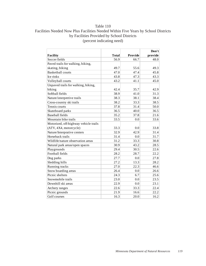# Table 110 Facilities Needed Now Plus Facilities Needed Within Five Years by School Districts by Facilities Provided by School Districts (percent indicating need)

|                                       |              |         | Don't   |
|---------------------------------------|--------------|---------|---------|
| <b>Facility</b>                       | <b>Total</b> | Provide | provide |
| Soccer fields                         | 56.9         | 66.7    | 48.0    |
| Paved trails for walking, hiking,     |              |         |         |
| skating, biking                       | 49.7         | 55.6    | 49.3    |
| <b>Basketball courts</b>              | 47.0         | 47.4    | 45.8    |
| Ice rinks                             | 43.8         | 47.3    | 43.3    |
| Volleyball courts                     | 43.2         | 41.1    | 45.0    |
| Unpaved trails for walking, hiking,   |              |         |         |
| biking                                | 42.4         | 35.7    | 42.9    |
| Softball fields                       | 38.9         | 41.0    | 31.3    |
| Nature/interpretive trails            | 38.3         | 38.1    | 38.4    |
| Cross-country ski trails              | 38.2         | 33.3    | 38.5    |
| Tennis courts                         | 37.8         | 31.4    | 50.0    |
| Skateboard parks                      | 36.5         | 40.0    | 36.5    |
| <b>Baseball</b> fields                | 35.2         | 37.8    | 21.6    |
| Mountain bike trails                  | 33.5         | 0.0     | 33.6    |
| Motorized, off-highway vehicle trails |              |         |         |
| (ATV, 4X4, motorcycle)                | 33.3         | 0.0     | 33.8    |
| Nature/Interprative centers           | 32.9         | 42.9    | 31.4    |
| Horseback trails                      | 31.4         | 0.0     | 31.7    |
| Wildlife/nature observation areas     | 31.2         | 33.3    | 30.8    |
| Natural park areas/open spaces        | 30.9         | 43.2    | 28.5    |
| Playgrounds                           | 29.4         | 30.5    | 22.6    |
| Football fields                       | 28.2         | 28.7    | 22.2    |
| Dog parks                             | 27.7         | 0.0     | 27.8    |
| Sledding hills                        | 27.2         | 13.3    | 28.2    |
| Running tracks                        | 27.0         | 22.3    | 46.6    |
| Snow boarding areas                   | 26.4         | 0.0     | 26.6    |
| Picnic shelters                       | 24.3         | 6.7     | 25.6    |
| Snowmobile trails                     | 23.0         | 0.0     | 23.5    |
| Downhill ski areas                    | 22.9         | 0.0     | 23.1    |
| Archery ranges                        | 22.6         | 33.3    | 22.4    |
| Picnic grounds                        | 21.9         | 16.6    | 22.2    |
| Golf courses                          | 16.3         | 20.0    | 16.2    |